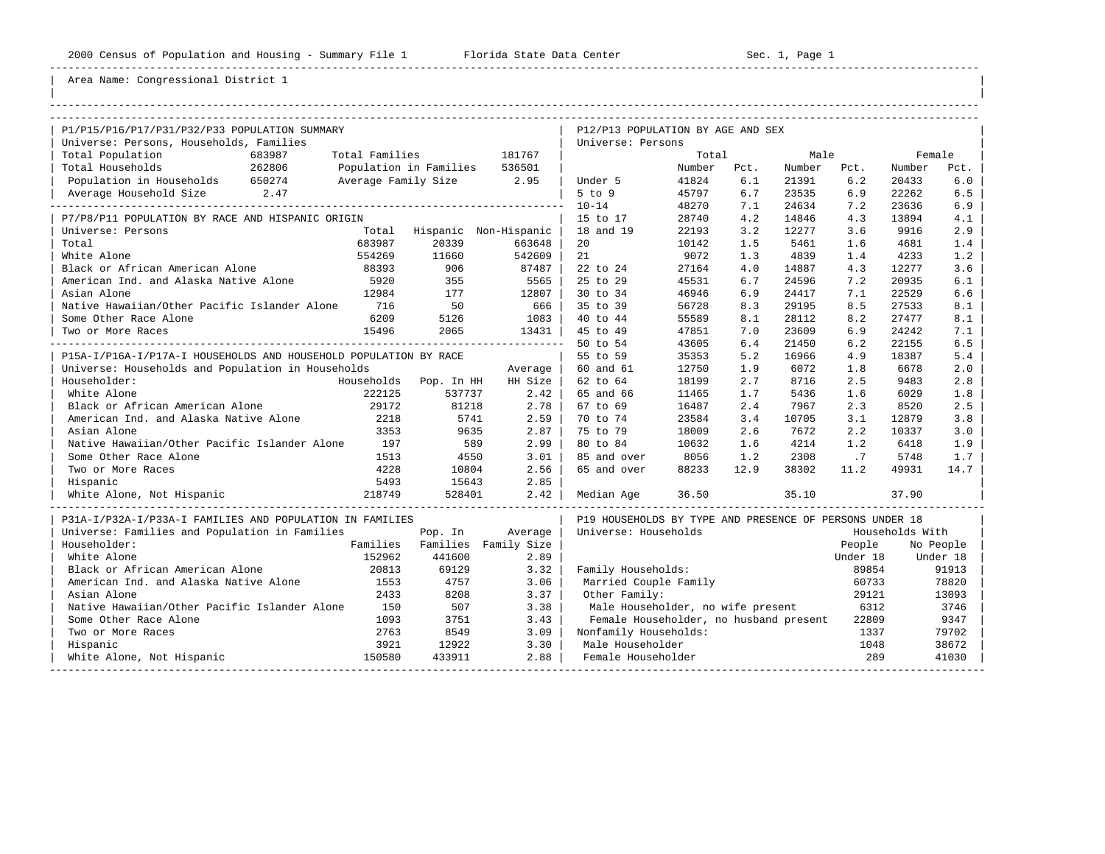| |

| P1/P15/P16/P17/P31/P32/P33 POPULATION SUMMARY                    |                                |                       | P12/P13 POPULATION BY AGE AND SEX                       |        |      |             |          |                 |           |
|------------------------------------------------------------------|--------------------------------|-----------------------|---------------------------------------------------------|--------|------|-------------|----------|-----------------|-----------|
| Universe: Persons, Households, Families                          |                                |                       | Universe: Persons                                       |        |      |             |          |                 |           |
| Total Population<br>683987                                       | Total Families <b>Section</b>  | 181767                |                                                         | Total  |      | Male        |          |                 | Female    |
| Total Households<br>262806                                       | Population in Families 536501  |                       |                                                         | Number | Pct. | Number Pct. |          | Number          | Pct.      |
| Population in Households 650274                                  | Average Family Size 2.95       |                       | Under 5                                                 | 41824  | 6.1  | 21391       | 6.2      | 20433           | 6.0       |
| Average Household Size 2.47                                      |                                |                       | $5$ to $9$                                              | 45797  | 6.7  | 23535       | 6.9      | 22262           | 6.5       |
|                                                                  |                                |                       | $10 - 14$                                               | 48270  | 7.1  | 24634       | 7.2      | 23636           | 6.9       |
| P7/P8/P11 POPULATION BY RACE AND HISPANIC ORIGIN                 |                                |                       | 15 to 17                                                | 28740  | 4.2  | 14846       | 4.3      | 13894           | 4.1       |
| Universe: Persons<br>Total                                       |                                | Hispanic Non-Hispanic | 18 and 19                                               | 22193  | 3.2  | 12277       | 3.6      | 9916            | 2.9       |
| 683987<br>Total                                                  | 20339                          | 663648                | 20                                                      | 10142  | 1.5  | 5461        | 1.6      | 4681            | 1.4       |
| White Alone<br>554269                                            | 11660                          | 542609                | 21                                                      | 9072   | 1.3  | 4839        | 1.4      | 4233            | 1.2       |
| 88393<br>Black or African American Alone                         | 906                            | 87487                 | 22 to 24                                                | 27164  | 4.0  | 14887       | 4.3      | 12277           | 3.6       |
| American Ind. and Alaska Native Alone<br>5920                    | 355                            | 5565                  | 25 to 29                                                | 45531  | 6.7  | 24596       | 7.2      | 20935           | 6.1       |
| Asian Alone<br>12984                                             | 177                            | 12807                 | 30 to 34                                                | 46946  | 6.9  | 24417       | 7.1      | 22529           | 6.6       |
| 716<br>Native Hawaiian/Other Pacific Islander Alone              | 50                             | 666                   | 35 to 39                                                | 56728  | 8.3  | 29195       | 8.5      | 27533           | 8.1       |
| 6209<br>Some Other Race Alone                                    | 5126                           | 1083                  | 40 to 44                                                | 55589  | 8.1  | 28112       | 8.2      | 27477           | 8.1       |
| 15496<br>Two or More Races                                       | 2065                           | 13431                 | 45 to 49                                                | 47851  | 7.0  | 23609       | 6.9      | 24242           | 7.1       |
|                                                                  | ------------------------------ |                       | 50 to 54                                                | 43605  | 6.4  | 21450       | 6.2      | 22155           | 6.5       |
| P15A-I/P16A-I/P17A-I HOUSEHOLDS AND HOUSEHOLD POPULATION BY RACE |                                |                       | 55 to 59                                                | 35353  | 5.2  | 16966       | 4.9      | 18387           | 5.4       |
| Universe: Households and Population in Households                |                                | Average               | 60 and 61                                               | 12750  | 1.9  | 6072        | 1.8      | 6678            | 2.0       |
| Householder:                                                     | Households Pop. In HH          | HH Size               | 62 to 64                                                | 18199  | 2.7  | 8716        | 2.5      | 9483            | 2.8       |
| White Alone<br>222125                                            | 537737                         | 2.42                  | 65 and 66                                               | 11465  | 1.7  | 5436        | 1.6      | 6029            | 1.8       |
| Black or African American Alone<br>29172                         | 81218                          | 2.78                  | 67 to 69                                                | 16487  | 2.4  | 7967        | 2.3      | 8520            | 2.5       |
| American Ind. and Alaska Native Alone<br>2218                    | 5741                           | 2.59                  | 70 to 74                                                | 23584  | 3.4  | 10705       | 3.1      | 12879           | 3.8       |
| 3353<br>Asian Alone                                              | 9635                           | 2.87                  | 75 to 79                                                | 18009  | 2.6  | 7672        | 2.2      | 10337           | 3.0       |
| Native Hawaiian/Other Pacific Islander Alone<br>197              | 589                            | 2.99                  | 80 to 84                                                | 10632  | 1.6  | 4214        | 1.2      | 6418            | 1.9       |
| Some Other Race Alone<br>1513                                    | 4550                           | 3.01                  | 85 and over                                             | 8056   | 1.2  | 2308        | .7       | 5748            | 1.7       |
| 4228<br>Two or More Races                                        | 10804                          | 2.56                  | 65 and over                                             | 88233  | 12.9 | 38302       | 11.2     | 49931           | 14.7      |
| 5493<br>Hispanic                                                 | 15643                          | 2.85                  |                                                         |        |      |             |          |                 |           |
| White Alone, Not Hispanic<br>218749                              | 528401                         | 2.42                  | Median Age                                              | 36.50  |      | 35.10       |          | 37.90           |           |
| P31A-I/P32A-I/P33A-I FAMILIES AND POPULATION IN FAMILIES         |                                |                       | P19 HOUSEHOLDS BY TYPE AND PRESENCE OF PERSONS UNDER 18 |        |      |             |          |                 |           |
| Universe: Families and Population in Families                    | Pop. In                        | Average               | Universe: Households                                    |        |      |             |          | Households With |           |
| Householder:                                                     | Families Families Family Size  |                       |                                                         |        |      |             | People   |                 | No People |
| White Alone<br>152962                                            | 441600                         | 2.89                  |                                                         |        |      |             | Under 18 |                 | Under 18  |
| Black or African American Alone<br>20813                         | 69129                          | 3.32                  | Family Households:                                      |        |      |             | 89854    |                 | 91913     |
| American Ind. and Alaska Native Alone<br>1553                    | 4757                           | 3.06                  | Married Couple Family                                   |        |      |             | 60733    |                 | 78820     |
| Asian Alone<br>2433                                              | 8208                           | 3.37                  | Other Family:                                           |        |      |             | 29121    |                 | 13093     |
| Native Hawaiian/Other Pacific Islander Alone<br>150              | 507                            | 3.38                  | Male Householder, no wife present                       |        |      |             | 6312     |                 | 3746      |
| 1093<br>Some Other Race Alone                                    | 3751                           | 3.43                  | Female Householder, no husband present                  |        |      |             | 22809    |                 | 9347      |
| 2763<br>Two or More Races                                        | 8549                           | 3.09                  | Nonfamily Households:                                   |        |      |             | 1337     |                 | 79702     |
| 3921<br>Hispanic                                                 | 12922                          | 3.30                  | Male Householder                                        |        |      |             | 1048     |                 | 38672     |
| 150580<br>White Alone, Not Hispanic                              | 433911                         | 2.88                  | Female Householder                                      |        |      |             | 289      |                 | 41030     |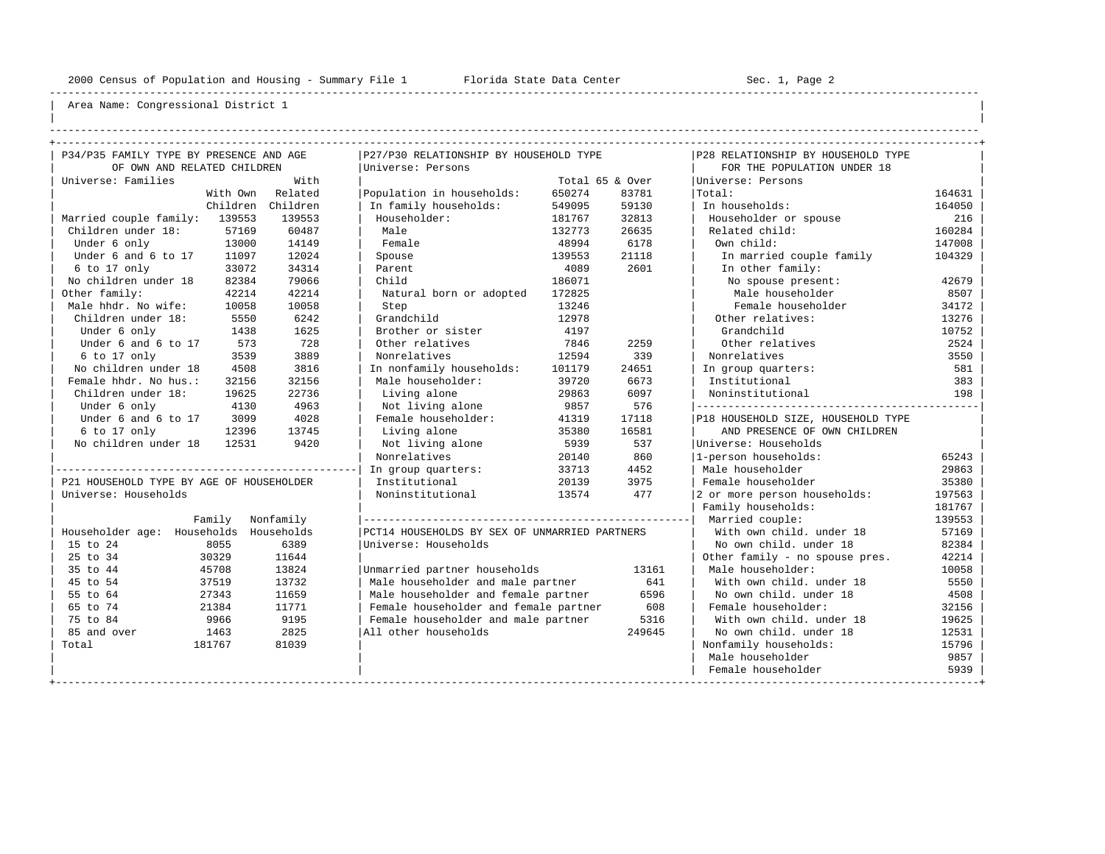----------------------------------------------------------------------------------------------------------------------------------------------------

| | ----------------------------------------------------------------------------------------------------------------------------------------------------

| P34/P35 FAMILY TYPE BY PRESENCE AND AGE  |          |            | P27/P30 RELATIONSHIP BY HOUSEHOLD TYPE        |                 |        | P28 RELATIONSHIP BY HOUSEHOLD TYPE   |        |
|------------------------------------------|----------|------------|-----------------------------------------------|-----------------|--------|--------------------------------------|--------|
| OF OWN AND RELATED CHILDREN              |          |            | Universe: Persons                             |                 |        | FOR THE POPULATION UNDER 18          |        |
| Universe: Families                       |          | With       |                                               | Total 65 & Over |        | Universe: Persons                    |        |
|                                          | With Own | Related    | Population in households:                     | 650274          | 83781  | Total:                               | 164631 |
|                                          | Children | Children   | In family households:                         | 549095          | 59130  | In households:                       | 164050 |
| Married couple family: 139553            |          | 139553     | Householder:                                  | 181767          | 32813  | Householder or spouse                | 216    |
| Children under 18:                       | 57169    | 60487      | Male                                          | 132773          | 26635  | Related child:                       | 160284 |
| Under 6 only                             | 13000    | 14149      | Female                                        | 48994           | 6178   | Own child:                           | 147008 |
| Under 6 and 6 to 17                      | 11097    | 12024      | Spouse                                        | 139553          | 21118  | In married couple family             | 104329 |
| 6 to 17 only                             | 33072    | 34314      | Parent                                        | 4089            | 2601   | In other family:                     |        |
| No children under 18                     | 82384    | 79066      | Child                                         | 186071          |        | No spouse present:                   | 42679  |
| Other family:                            | 42214    | 42214      | Natural born or adopted                       | 172825          |        | Male householder                     | 8507   |
| Male hhdr. No wife:                      | 10058    | 10058      | Step                                          | 13246           |        | Female householder                   | 34172  |
| Children under 18:                       | 5550     | 6242       | Grandchild                                    | 12978           |        | Other relatives:                     | 13276  |
| Under 6 only                             | 1438     | 1625       | Brother or sister                             | 4197            |        | Grandchild                           | 10752  |
| Under 6 and 6 to 17                      | 573      | 728        | Other relatives                               | 7846            | 2259   | Other relatives                      | 2524   |
| 6 to 17 only                             | 3539     | 3889       | Nonrelatives                                  | 12594           | 339    | Nonrelatives                         | 3550   |
| No children under 18                     | 4508     | 3816       | In nonfamily households:                      | 101179          | 24651  | In group quarters:                   | 581    |
| Female hhdr. No hus.:                    | 32156    | 32156      | Male householder:                             | 39720           | 6673   | Institutional                        | 383    |
| Children under 18:                       | 19625    | 22736      | Living alone                                  | 29863           | 6097   | Noninstitutional                     | 198    |
| Under 6 only                             | 4130     | 4963       | Not living alone                              | 9857            | 576    | ------------------------------------ |        |
| Under 6 and 6 to 17                      | 3099     | 4028       | Female householder:                           | 41319           | 17118  | P18 HOUSEHOLD SIZE, HOUSEHOLD TYPE   |        |
| 6 to 17 only                             | 12396    | 13745      | Living alone                                  | 35380           | 16581  | AND PRESENCE OF OWN CHILDREN         |        |
| No children under 18                     | 12531    | 9420       | Not living alone                              | 5939            | 537    | Universe: Households                 |        |
|                                          |          |            | Nonrelatives                                  | 20140           | 860    | 1-person households:                 | 65243  |
|                                          |          |            | In group quarters:                            | 33713           | 4452   | Male householder                     | 29863  |
| P21 HOUSEHOLD TYPE BY AGE OF HOUSEHOLDER |          |            | Institutional                                 | 20139           | 3975   | Female householder                   | 35380  |
| Universe: Households                     |          |            | Noninstitutional                              | 13574           | 477    | 2 or more person households:         | 197563 |
|                                          |          |            |                                               |                 |        | Family households:                   | 181767 |
|                                          | Family   | Nonfamily  |                                               |                 |        | Married couple:                      | 139553 |
| Householder age: Households              |          | Households | PCT14 HOUSEHOLDS BY SEX OF UNMARRIED PARTNERS |                 |        | With own child, under 18             | 57169  |
| 15 to 24                                 | 8055     | 6389       | Universe: Households                          |                 |        | No own child. under 18               | 82384  |
| 25 to 34                                 | 30329    | 11644      |                                               |                 |        | Other family - no spouse pres.       | 42214  |
| 35 to 44                                 | 45708    | 13824      | Unmarried partner households                  |                 | 13161  | Male householder:                    | 10058  |
| 45 to 54                                 | 37519    | 13732      | Male householder and male partner             |                 | 641    | With own child, under 18             | 5550   |
| 55 to 64                                 | 27343    | 11659      | Male householder and female partner           |                 | 6596   | No own child, under 18               | 4508   |
| 65 to 74                                 | 21384    | 11771      | Female householder and female partner         |                 | 608    | Female householder:                  | 32156  |
| 75 to 84                                 | 9966     | 9195       | Female householder and male partner           |                 | 5316   | With own child, under 18             | 19625  |
| 85 and over                              | 1463     | 2825       | All other households                          |                 | 249645 | No own child, under 18               | 12531  |
| Total                                    | 181767   | 81039      |                                               |                 |        | Nonfamily households:                | 15796  |
|                                          |          |            |                                               |                 |        | Male householder                     | 9857   |
|                                          |          |            |                                               |                 |        | Female householder                   | 5939   |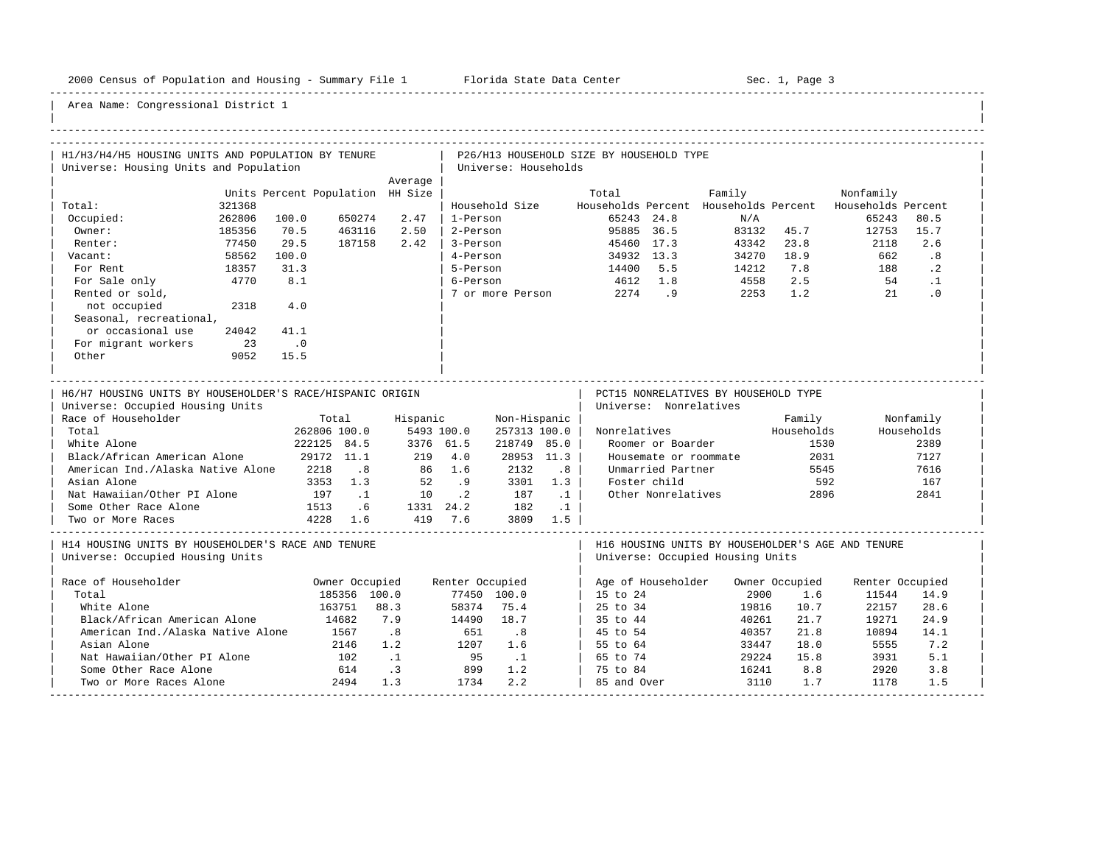-----------------------------------------------------------------------------------------------------------------------------------------------------

| H1/H3/H4/H5 HOUSING UNITS AND POPULATION BY TENURE                                            |                                  |                           |                             |                                    |                                      |                                    |                 | P26/H13 HOUSEHOLD SIZE BY HOUSEHOLD TYPE |                        |                                      |              |                                                          |              |  |
|-----------------------------------------------------------------------------------------------|----------------------------------|---------------------------|-----------------------------|------------------------------------|--------------------------------------|------------------------------------|-----------------|------------------------------------------|------------------------|--------------------------------------|--------------|----------------------------------------------------------|--------------|--|
| Universe: Housing Units and Population                                                        |                                  |                           |                             |                                    |                                      | Universe: Households               |                 |                                          |                        |                                      |              |                                                          |              |  |
|                                                                                               | Units Percent Population HH Size |                           |                             | Average                            |                                      |                                    |                 | Total                                    |                        | Family                               |              | Nonfamily                                                |              |  |
| Total:<br>321368                                                                              |                                  |                           |                             |                                    |                                      | Household Size                     |                 |                                          |                        |                                      |              | Households Percent Households Percent Households Percent |              |  |
| 262806<br>Occupied:                                                                           | 100.0                            |                           | 650274                      | 2.47                               | 1-Person                             |                                    |                 |                                          | 65243 24.8             | N/A                                  |              | 65243                                                    | 80.5         |  |
| Owner:<br>185356                                                                              | 70.5                             |                           | 463116                      | 2.50                               | 2-Person                             |                                    |                 | 95885 36.5                               |                        |                                      | 83132 45.7   | 12753                                                    | 15.7         |  |
| 77450<br>Renter:                                                                              | 29.5                             |                           | 187158                      | 2.42                               | 3-Person                             |                                    |                 |                                          | 45460 17.3             | 43342                                | 23.8         | 2118                                                     | 2.6          |  |
| Vacant:                                                                                       | 58562<br>100.0                   |                           |                             |                                    | 4-Person                             |                                    |                 |                                          | 34932 13.3             | 34270 18.9                           |              | 662                                                      | .8           |  |
| For Rent<br>18357                                                                             | 31.3                             |                           |                             |                                    | 5-Person                             |                                    |                 | 14400 5.5                                |                        | 14212                                | 7.8          | 188                                                      | $\cdot$ 2    |  |
| 4770<br>For Sale only                                                                         |                                  | 8.1                       |                             |                                    | 6-Person                             |                                    |                 | 4612 1.8                                 |                        | 4558                                 | 2.5          | 54                                                       | $\cdot$ 1    |  |
| Rented or sold,                                                                               |                                  |                           |                             |                                    |                                      |                                    |                 | 7 or more Person 2274 .9                 |                        | 2253                                 | 1.2          | 21                                                       | .0           |  |
| not occupied                                                                                  | 2318                             | 4.0                       |                             |                                    |                                      |                                    |                 |                                          |                        |                                      |              |                                                          |              |  |
| Seasonal, recreational,                                                                       |                                  |                           |                             |                                    |                                      |                                    |                 |                                          |                        |                                      |              |                                                          |              |  |
| or occasional use                                                                             | 24042<br>41.1                    |                           |                             |                                    |                                      |                                    |                 |                                          |                        |                                      |              |                                                          |              |  |
| For migrant workers                                                                           | 23<br>$\cdot$ 0                  |                           |                             |                                    |                                      |                                    |                 |                                          |                        |                                      |              |                                                          |              |  |
| Other                                                                                         | 9052<br>15.5                     |                           |                             |                                    |                                      |                                    |                 |                                          |                        |                                      |              |                                                          |              |  |
|                                                                                               |                                  |                           |                             |                                    |                                      |                                    |                 |                                          |                        |                                      |              |                                                          |              |  |
| H6/H7 HOUSING UNITS BY HOUSEHOLDER'S RACE/HISPANIC ORIGIN<br>Universe: Occupied Housing Units |                                  |                           |                             |                                    |                                      |                                    |                 |                                          | Universe: Nonrelatives | PCT15 NONRELATIVES BY HOUSEHOLD TYPE |              |                                                          |              |  |
| Race of Householder                                                                           |                                  |                           | Total                       | Hispanic                           |                                      | Non-Hispanic                       |                 |                                          |                        |                                      | Family       |                                                          | Nonfamily    |  |
| Total                                                                                         |                                  | 262806 100.0              |                             |                                    | 5493 100.0                           | 257313 100.0                       |                 | Nonrelatives                             |                        |                                      | Households   |                                                          | Households   |  |
| White Alone<br>Black/African American Alone                                                   |                                  | 222125 84.5<br>29172 11.1 |                             |                                    | 3376 61.5<br>219 4.0                 | 218749 85.0                        | 28953 11.3      |                                          | Roomer or Boarder      | Housemate or roommate                | 1530<br>2031 |                                                          | 2389<br>7127 |  |
| American Ind./Alaska Native Alone 2218                                                        |                                  |                           | $\overline{\phantom{0}}$ .8 |                                    | 86 1.6                               | 2132                               | .8 <sub>0</sub> |                                          | Unmarried Partner      |                                      | 5545         |                                                          | 7616         |  |
| Asian Alone                                                                                   |                                  | 3353 1.3                  |                             | 52                                 | .9                                   | 3301                               | 1.3             |                                          | Foster child           |                                      | 592          |                                                          | 167          |  |
| Nat Hawaiian/Other PI Alone                                                                   |                                  |                           | 197 .1                      |                                    | $10$ . 2                             | 187                                | $\ldots$        |                                          | Other Nonrelatives     |                                      | 2896         |                                                          | 2841         |  |
| Some Other Race Alone                                                                         | 1513 .6                          |                           |                             |                                    |                                      |                                    |                 |                                          |                        |                                      |              |                                                          |              |  |
| Two or More Races                                                                             |                                  | 4228 1.6                  |                             |                                    | 1331 24.2 182 .1<br>419 7.6 3809 1.5 |                                    |                 |                                          |                        |                                      |              |                                                          |              |  |
|                                                                                               |                                  |                           |                             |                                    |                                      |                                    |                 |                                          |                        |                                      |              |                                                          |              |  |
| H14 HOUSING UNITS BY HOUSEHOLDER'S RACE AND TENURE<br>Universe: Occupied Housing Units        |                                  |                           |                             |                                    |                                      |                                    |                 |                                          |                        | Universe: Occupied Housing Units     |              | H16 HOUSING UNITS BY HOUSEHOLDER'S AGE AND TENURE        |              |  |
| Race of Householder                                                                           |                                  |                           | Owner Occupied              |                                    | Renter Occupied                      |                                    |                 |                                          |                        | Age of Householder Owner Occupied    |              | Renter Occupied                                          |              |  |
| Total                                                                                         |                                  |                           | 185356 100.0                |                                    |                                      | 77450 100.0                        |                 | 15 to 24                                 |                        | 2900                                 | 1.6          | 11544                                                    | 14.9         |  |
| White Alone                                                                                   |                                  |                           | 163751 88.3                 |                                    | 58374                                | 75.4                               |                 | 25 to 34                                 |                        | 19816                                | 10.7         | 22157                                                    | 28.6         |  |
| Black/African American Alone                                                                  |                                  |                           |                             | 7.9                                | 14490                                | 18.7                               |                 | 35 to 44                                 |                        | 40261                                | 21.7         | 19271                                                    | 24.9         |  |
|                                                                                               |                                  |                           |                             |                                    |                                      |                                    |                 |                                          |                        |                                      |              |                                                          |              |  |
| American Ind./Alaska Native Alone                                                             |                                  | 14682                     |                             |                                    |                                      |                                    |                 |                                          |                        |                                      | 21.8         |                                                          | 14.1         |  |
| Asian Alone                                                                                   |                                  |                           | 1567<br>2146                | $\overline{\phantom{0}}$ .8<br>1.2 |                                      | $\overline{\phantom{0}}$ .8<br>1.6 |                 | 45 to 54                                 |                        | 40357                                | 18.0         | 10894<br>5555                                            | 7.2          |  |
| Nat Hawaiian/Other PI Alone                                                                   |                                  |                           |                             |                                    | 651<br>1207                          |                                    |                 | 55 to 64                                 |                        | 33447                                | 15.8         |                                                          | 5.1          |  |
| Some Other Race Alone                                                                         |                                  |                           | 102                         | $\ldots$                           | 95                                   | $\ldots$                           |                 | 65 to 74                                 |                        | 29224                                | 8.8          | 3931                                                     | 3.8          |  |
| Two or More Races Alone                                                                       |                                  |                           | 614<br>2494                 | $\cdot$ 3<br>1.3                   | 899<br>1734                          | 1.2<br>2.2                         |                 | 75 to 84<br>85 and Over                  |                        | 16241<br>3110                        | 1.7          | 2920<br>1178                                             | 1.5          |  |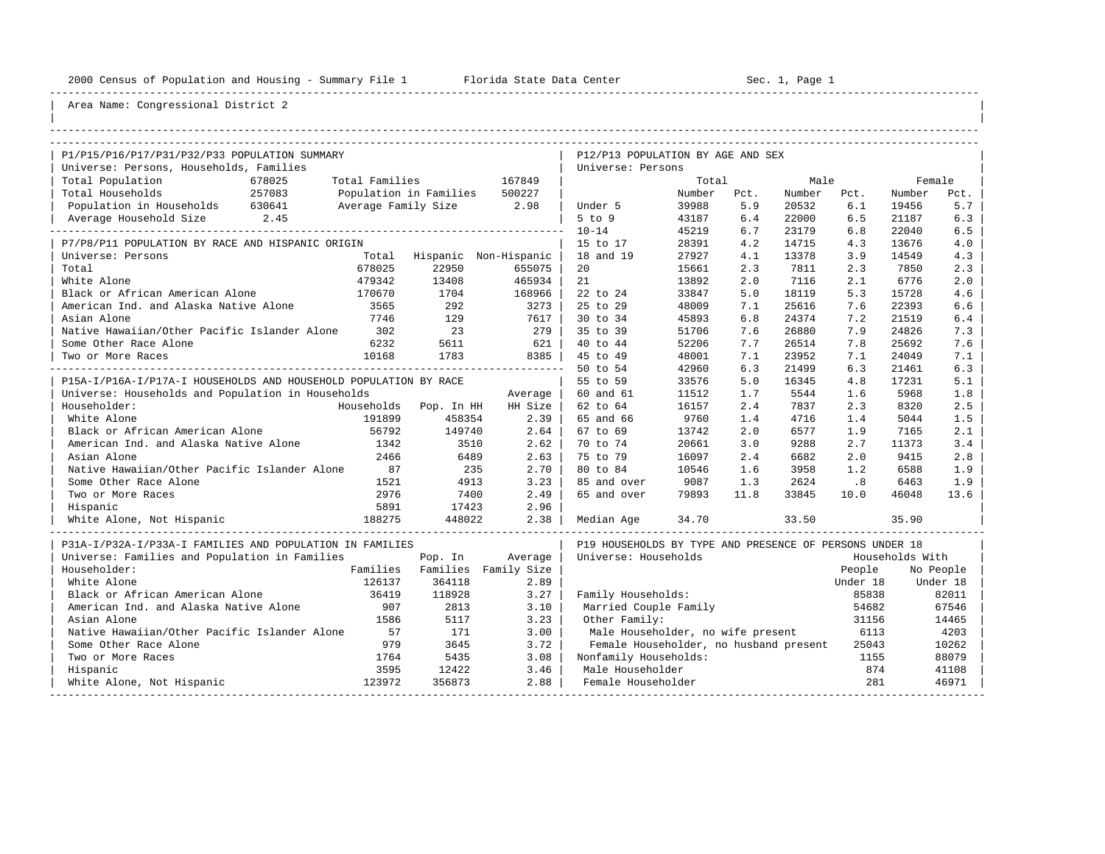----------------------------------------------------------------------------------------------------------------------------------------------------

| |

| P1/P15/P16/P17/P31/P32/P33 POPULATION SUMMARY                    |                             |                      | P12/P13 POPULATION BY AGE AND SEX                       |        |      |        |          |                 |            |
|------------------------------------------------------------------|-----------------------------|----------------------|---------------------------------------------------------|--------|------|--------|----------|-----------------|------------|
| Universe: Persons, Households, Families                          |                             |                      | Universe: Persons                                       |        |      |        |          |                 |            |
| Total Population<br>678025<br>Total Families                     |                             | 167849               |                                                         | Total  |      | Male   |          |                 | Female     |
| Total Households<br>257083<br>Population in Families             |                             | 500227               |                                                         | Number | Pct. | Number | Pct.     | Number          | Pct.       |
| Population in Households 630641<br>Average Family Size 2.98      |                             |                      | Under 5                                                 | 39988  | 5.9  | 20532  | 6.1      | 19456           | 5.7        |
|                                                                  |                             |                      | $5$ to $9$                                              | 43187  | 6.4  | 22000  | 6.5      | 21187           | 6.3        |
|                                                                  |                             |                      | $10 - 14$                                               | 45219  | 6.7  | 23179  | 6.8      | 22040           | 6.5        |
| P7/P8/P11 POPULATION BY RACE AND HISPANIC ORIGIN                 |                             |                      | 15 to 17                                                | 28391  | 4.2  | 14715  | 4.3      | 13676           | 4.0<br>4.3 |
| Universe: Persons                                                | Total Hispanic Non-Hispanic |                      | 18 and 19                                               | 27927  | 4.1  | 13378  | 3.9      | 14549           |            |
| 678025<br>Total                                                  | 22950                       | 655075               | 20                                                      | 15661  | 2.3  | 7811   | 2.3      | 7850            | 2.3        |
| White Alone<br>479342                                            | 13408                       | 465934               | 21                                                      | 13892  | 2.0  | 7116   | 2.1      | 6776            | 2.0        |
| Black or African American Alone<br>170670                        | 1704                        | 168966               | 22 to 24                                                | 33847  | 5.0  | 18119  | 5.3      | 15728           | 4.6        |
| American Ind. and Alaska Native Alone<br>3565                    | 292                         | 3273                 | 25 to 29                                                | 48009  | 7.1  | 25616  | 7.6      | 22393           | 6.6        |
| Asian Alone<br>7746                                              | 129                         | 7617                 | 30 to 34                                                | 45893  | 6.8  | 24374  | 7.2      | 21519           | $6.4$      |
| Native Hawaiian/Other Pacific Islander Alone<br>302              | 23                          | 279                  | 35 to 39                                                | 51706  | 7.6  | 26880  | 7.9      | 24826           | 7.3        |
| Some Other Race Alone<br>6232                                    | 5611                        | 621                  | 40 to 44                                                | 52206  | 7.7  | 26514  | 7.8      | 25692           | 7.6        |
| 10168<br>Two or More Races                                       | 1783                        | 8385                 | 45 to 49                                                | 48001  | 7.1  | 23952  | 7.1      | 24049           | 7.1        |
|                                                                  |                             |                      | 50 to 54                                                | 42960  | 6.3  | 21499  | 6.3      | 21461           | 6.3        |
| P15A-I/P16A-I/P17A-I HOUSEHOLDS AND HOUSEHOLD POPULATION BY RACE |                             |                      | 55 to 59                                                | 33576  | 5.0  | 16345  | 4.8      | 17231           | 5.1        |
| Universe: Households and Population in Households                |                             | Average              | 60 and 61                                               | 11512  | 1.7  | 5544   | 1.6      | 5968            | 1.8        |
| Householder:                                                     | Households Pop. In HH       | HH Size              | 62 to 64                                                | 16157  | 2.4  | 7837   | 2.3      | 8320            | 2.5        |
| White Alone<br>191899                                            | 458354                      | 2.39                 | 65 and 66                                               | 9760   | 1.4  | 4716   | 1.4      | 5044            | 1.5        |
| 56792<br>Black or African American Alone                         | 149740                      | 2.64                 | 67 to 69                                                | 13742  | 2.0  | 6577   | 1.9      | 7165            | 2.1        |
| American Ind. and Alaska Native Alone<br>1342                    | 3510                        | 2.62                 | 70 to 74                                                | 20661  | 3.0  | 9288   | 2.7      | 11373           | 3.4        |
| Asian Alone<br>2466                                              | 6489                        | 2.63                 | 75 to 79                                                | 16097  | 2.4  | 6682   | 2.0      | 9415            | 2.8        |
| Native Hawaiian/Other Pacific Islander Alone<br>87               | 235                         | 2.70                 | 80 to 84                                                | 10546  | 1.6  | 3958   | 1.2      | 6588            | 1.9        |
| Some Other Race Alone<br>1521                                    | 4913                        | 3.23                 | 85 and over                                             | 9087   | 1.3  | 2624   | .8       | 6463            | 1.9        |
| 2976<br>Two or More Races                                        | 7400                        | 2.49<br>2.96         | 65 and over                                             | 79893  | 11.8 | 33845  | 10.0     | 46048           | 13.6       |
| 5891<br>Hispanic                                                 | 17423                       |                      |                                                         |        |      |        |          |                 |            |
| 188275<br>White Alone, Not Hispanic                              | 448022                      | 2.38                 | Median Age                                              | 34.70  |      | 33.50  |          | 35.90           |            |
| P31A-I/P32A-I/P33A-I FAMILIES AND POPULATION IN FAMILIES         |                             |                      | P19 HOUSEHOLDS BY TYPE AND PRESENCE OF PERSONS UNDER 18 |        |      |        |          |                 |            |
| Universe: Families and Population in Families                    | Pop. In                     | Average              | Universe: Households                                    |        |      |        |          | Households With |            |
| Householder:<br>Families                                         |                             | Families Family Size |                                                         |        |      |        | People   |                 | No People  |
| White Alone<br>126137                                            | 364118                      | 2.89                 |                                                         |        |      |        | Under 18 |                 | Under 18   |
| Black or African American Alone<br>36419                         | 118928                      | 3.27                 | Family Households:                                      |        |      |        | 85838    |                 | 82011      |
| American Ind. and Alaska Native Alone<br>907                     | 2813                        | 3.10                 | Married Couple Family                                   |        |      |        | 54682    |                 | 67546      |
| Asian Alone<br>1586                                              | 5117                        | 3.23                 | Other Family:                                           |        |      |        | 31156    |                 | 14465      |
| Native Hawaiian/Other Pacific Islander Alone<br>57               | 171                         | 3.00                 | Male Householder, no wife present                       |        |      |        | 6113     |                 | 4203       |
| 979<br>Some Other Race Alone                                     | 3645                        | 3.72                 | Female Householder, no husband present                  |        |      |        | 25043    |                 | 10262      |
| Two or More Races<br>1764                                        | 5435                        | 3.08                 | Nonfamily Households:                                   |        |      |        | 1155     |                 | 88079      |
| 3595<br>Hispanic                                                 | 12422                       | 3.46                 | Male Householder                                        |        |      |        | 874      |                 | 41108      |
| White Alone, Not Hispanic<br>123972                              | 356873                      | 2.88                 | Female Householder                                      |        |      |        | 281      |                 | 46971      |
| ---------------------                                            |                             |                      |                                                         |        |      |        |          |                 |            |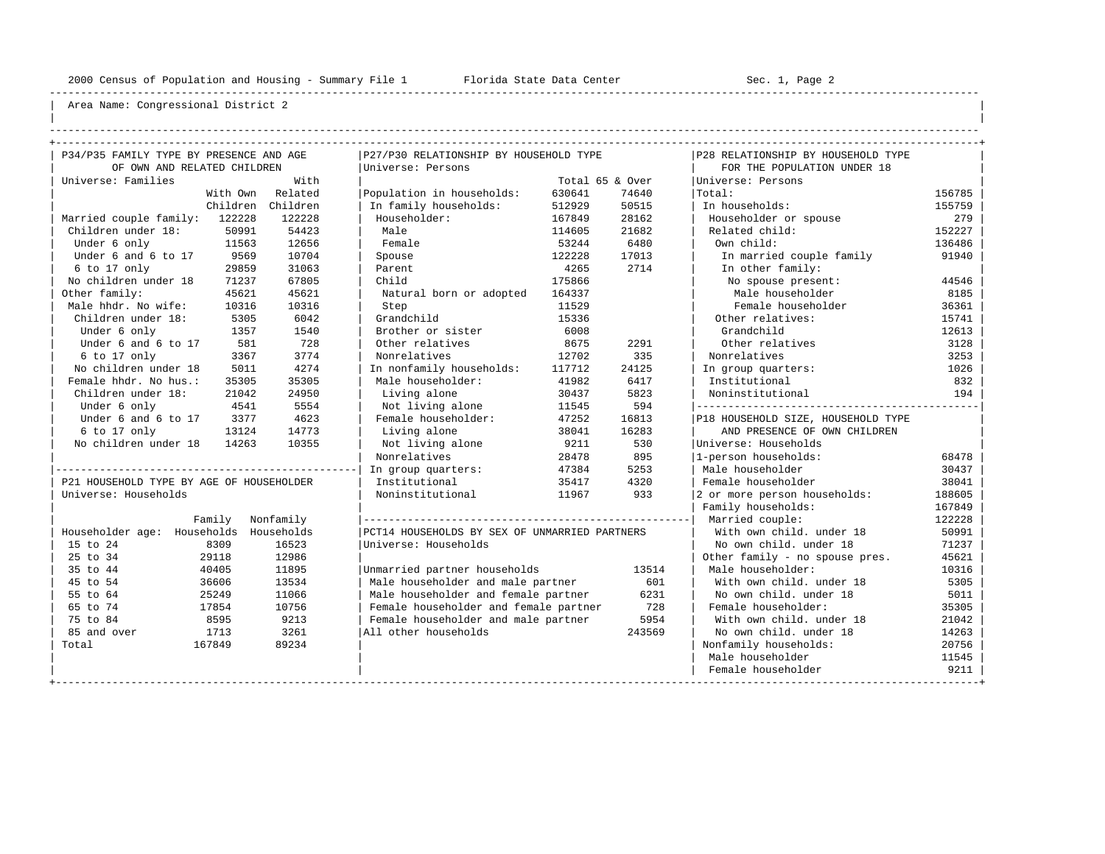----------------------------------------------------------------------------------------------------------------------------------------------------

| | ----------------------------------------------------------------------------------------------------------------------------------------------------

| P34/P35 FAMILY TYPE BY PRESENCE AND AGE  |          |            | P27/P30 RELATIONSHIP BY HOUSEHOLD TYPE        |        |                 | P28 RELATIONSHIP BY HOUSEHOLD TYPE |        |
|------------------------------------------|----------|------------|-----------------------------------------------|--------|-----------------|------------------------------------|--------|
| OF OWN AND RELATED CHILDREN              |          |            | Universe: Persons                             |        |                 | FOR THE POPULATION UNDER 18        |        |
| Universe: Families                       |          | With       |                                               |        | Total 65 & Over | Universe: Persons                  |        |
|                                          | With Own | Related    | Population in households:                     | 630641 | 74640           | Total:                             | 156785 |
|                                          | Children | Children   | In family households:                         | 512929 | 50515           | In households:                     | 155759 |
| Married couple family:                   | 122228   | 122228     | Householder:                                  | 167849 | 28162           | Householder or spouse              | 279    |
| Children under 18:                       | 50991    | 54423      | Male                                          | 114605 | 21682           | Related child:                     | 152227 |
| Under 6 only                             | 11563    | 12656      | Female                                        | 53244  | 6480            | Own child:                         | 136486 |
| Under 6 and 6 to 17                      | 9569     | 10704      | Spouse                                        | 122228 | 17013           | In married couple family           | 91940  |
| 6 to 17 only                             | 29859    | 31063      | Parent                                        | 4265   | 2714            | In other family:                   |        |
| No children under 18                     | 71237    | 67805      | Child                                         | 175866 |                 | No spouse present:                 | 44546  |
| Other family:                            | 45621    | 45621      | Natural born or adopted                       | 164337 |                 | Male householder                   | 8185   |
| Male hhdr. No wife:                      | 10316    | 10316      | Step                                          | 11529  |                 | Female householder                 | 36361  |
| Children under 18:                       | 5305     | 6042       | Grandchild                                    | 15336  |                 | Other relatives:                   | 15741  |
| Under 6 only                             | 1357     | 1540       | Brother or sister                             | 6008   |                 | Grandchild                         | 12613  |
| Under 6 and 6 to 17                      | 581      | 728        | Other relatives                               | 8675   | 2291            | Other relatives                    | 3128   |
|                                          | 3367     | 3774       | Nonrelatives                                  | 12702  | 335             | Nonrelatives                       |        |
| 6 to 17 only                             |          |            |                                               |        |                 |                                    | 3253   |
| No children under 18                     | 5011     | 4274       | In nonfamily households:                      | 117712 | 24125           | In group quarters:                 | 1026   |
| Female hhdr. No hus.:                    | 35305    | 35305      | Male householder:                             | 41982  | 6417            | Institutional                      | 832    |
| Children under 18:                       | 21042    | 24950      | Living alone                                  | 30437  | 5823            | Noninstitutional                   | 194    |
| Under 6 only                             | 4541     | 5554       | Not living alone                              | 11545  | 594             | ---------------------------------- |        |
| Under 6 and 6 to 17                      | 3377     | 4623       | Female householder:                           | 47252  | 16813           | P18 HOUSEHOLD SIZE, HOUSEHOLD TYPE |        |
| 6 to 17 only                             | 13124    | 14773      | Living alone                                  | 38041  | 16283           | AND PRESENCE OF OWN CHILDREN       |        |
| No children under 18                     | 14263    | 10355      | Not living alone                              | 9211   | 530             | Universe: Households               |        |
|                                          |          |            | Nonrelatives                                  | 28478  | 895             | 1-person households:               | 68478  |
|                                          |          |            | In group quarters:                            | 47384  | 5253            | Male householder                   | 30437  |
| P21 HOUSEHOLD TYPE BY AGE OF HOUSEHOLDER |          |            | Institutional                                 | 35417  | 4320            | Female householder                 | 38041  |
| Universe: Households                     |          |            | Noninstitutional                              | 11967  | 933             | 2 or more person households:       | 188605 |
|                                          |          |            |                                               |        |                 | Family households:                 | 167849 |
|                                          | Family   | Nonfamily  |                                               |        |                 | Married couple:                    | 122228 |
| Householder age: Households              |          | Households | PCT14 HOUSEHOLDS BY SEX OF UNMARRIED PARTNERS |        |                 | With own child, under 18           | 50991  |
| 15 to 24                                 | 8309     | 16523      | Universe: Households                          |        |                 | No own child, under 18             | 71237  |
| 25 to 34                                 | 29118    | 12986      |                                               |        |                 | Other family - no spouse pres.     | 45621  |
| 35 to 44                                 | 40405    | 11895      | Unmarried partner households                  |        | 13514           | Male householder:                  | 10316  |
| 45 to 54                                 | 36606    | 13534      | Male householder and male partner             |        | 601             | With own child. under 18           | 5305   |
| 55 to 64                                 | 25249    | 11066      | Male householder and female partner           |        | 6231            | No own child, under 18             | 5011   |
| 65 to 74                                 | 17854    | 10756      | Female householder and female partner         |        | 728             | Female householder:                | 35305  |
| 75 to 84                                 | 8595     | 9213       | Female householder and male partner           |        | 5954            | With own child, under 18           | 21042  |
| 85 and over                              | 1713     | 3261       | All other households                          |        | 243569          | No own child. under 18             | 14263  |
| Total<br>167849                          |          | 89234      |                                               |        |                 | Nonfamily households:              | 20756  |
|                                          |          |            |                                               |        |                 | Male householder                   | 11545  |
|                                          |          |            |                                               |        |                 | Female householder                 | 9211   |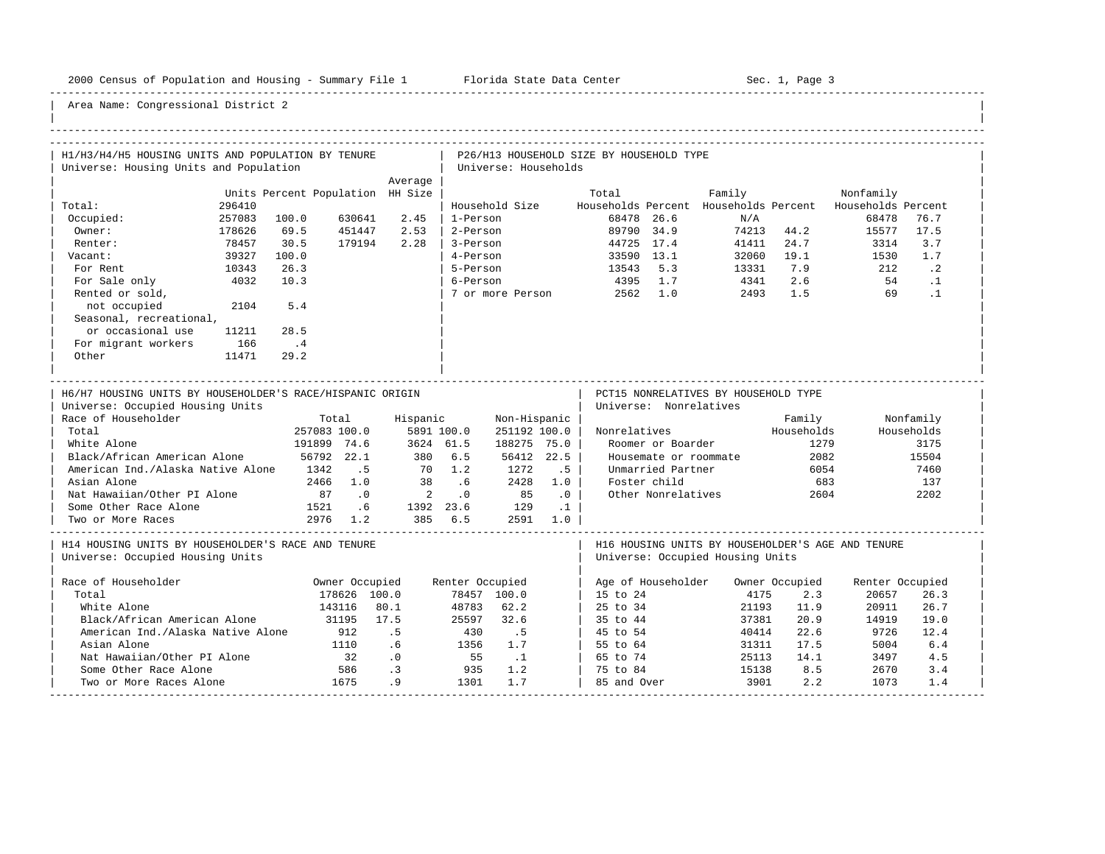-----------------------------------------------------------------------------------------------------------------------------------------------------

| H1/H3/H4/H5 HOUSING UNITS AND POPULATION BY TENURE        |                 |                                  |                  |                                      |                  |                      |                             | P26/H13 HOUSEHOLD SIZE BY HOUSEHOLD TYPE |                          |                                      |                    |                                                                       |            |  |
|-----------------------------------------------------------|-----------------|----------------------------------|------------------|--------------------------------------|------------------|----------------------|-----------------------------|------------------------------------------|--------------------------|--------------------------------------|--------------------|-----------------------------------------------------------------------|------------|--|
| Universe: Housing Units and Population                    |                 |                                  |                  |                                      |                  | Universe: Households |                             |                                          |                          |                                      |                    |                                                                       |            |  |
|                                                           |                 |                                  |                  | Average                              |                  |                      |                             |                                          |                          |                                      |                    |                                                                       |            |  |
| Total:                                                    |                 | Units Percent Population HH Size |                  |                                      |                  |                      |                             | Total                                    |                          | Family                               |                    | Nonfamily<br>Households Percent Households Percent Households Percent |            |  |
|                                                           | 296410          |                                  | 630641           | 2.45                                 | 1-Person         | Household Size       |                             |                                          | 68478 26.6               | N/A                                  |                    | 68478                                                                 | 76.7       |  |
| Occupied:                                                 | 257083          | 100.0                            |                  | 2.53                                 | 2-Person         |                      |                             |                                          |                          |                                      | 74213 44.2         |                                                                       | 17.5       |  |
| Owner:<br>Renter:                                         | 178626<br>78457 | 69.5<br>30.5                     | 451447<br>179194 | 2.28                                 | 3-Person         |                      |                             |                                          | 89790 34.9<br>44725 17.4 | 41411                                | 24.7               | 15577<br>3314                                                         | 3.7        |  |
| Vacant:                                                   | 39327           | 100.0                            |                  |                                      | 4-Person         |                      |                             |                                          | 33590 13.1               |                                      | 32060 19.1         | 1530                                                                  | 1.7        |  |
| For Rent                                                  | 10343           | 26.3                             |                  |                                      | 5-Person         |                      |                             |                                          |                          |                                      | 7.9                | 212                                                                   | $\cdot$ 2  |  |
|                                                           | 4032            | 10.3                             |                  |                                      | 6-Person         |                      |                             | 13543 5.3<br>4395 1.7                    |                          | 13331                                | 2.6                | 54                                                                    | $\cdot$ 1  |  |
| For Sale only                                             |                 |                                  |                  |                                      |                  |                      |                             |                                          |                          | 4341                                 |                    |                                                                       | $\cdot$ 1  |  |
| Rented or sold,                                           |                 | 5.4                              |                  |                                      |                  |                      |                             | 7 or more Person 2562 1.0                |                          | 2493                                 | 1.5                | 69                                                                    |            |  |
| not occupied                                              | 2104            |                                  |                  |                                      |                  |                      |                             |                                          |                          |                                      |                    |                                                                       |            |  |
| Seasonal, recreational,                                   |                 |                                  |                  |                                      |                  |                      |                             |                                          |                          |                                      |                    |                                                                       |            |  |
| or occasional use                                         | 11211           | 28.5                             |                  |                                      |                  |                      |                             |                                          |                          |                                      |                    |                                                                       |            |  |
| For migrant workers                                       | 166             | $\cdot$ 4                        |                  |                                      |                  |                      |                             |                                          |                          |                                      |                    |                                                                       |            |  |
| Other                                                     | 11471           | 29.2                             |                  |                                      |                  |                      |                             |                                          |                          |                                      |                    |                                                                       |            |  |
|                                                           |                 |                                  |                  |                                      |                  |                      |                             |                                          |                          |                                      |                    |                                                                       |            |  |
| H6/H7 HOUSING UNITS BY HOUSEHOLDER'S RACE/HISPANIC ORIGIN |                 |                                  |                  |                                      |                  |                      |                             |                                          |                          | PCT15 NONRELATIVES BY HOUSEHOLD TYPE |                    |                                                                       |            |  |
| Universe: Occupied Housing Units                          |                 |                                  |                  |                                      |                  |                      |                             |                                          | Universe: Nonrelatives   |                                      |                    |                                                                       |            |  |
| Race of Householder                                       |                 |                                  | Total            | Hispanic                             |                  | Non-Hispanic         |                             |                                          |                          |                                      | Family             |                                                                       | Nonfamily  |  |
|                                                           |                 |                                  |                  |                                      |                  |                      |                             |                                          |                          |                                      |                    |                                                                       |            |  |
| Total                                                     |                 |                                  |                  |                                      |                  |                      |                             |                                          |                          |                                      |                    |                                                                       |            |  |
|                                                           |                 | 257083 100.0                     |                  |                                      | 5891 100.0       | 251192 100.0         |                             |                                          |                          | Nonrelatives                         | Households<br>1279 |                                                                       | Households |  |
| White Alone                                               |                 | 191899 74.6                      |                  |                                      | 3624 61.5        | 188275 75.0          |                             |                                          | Roomer or Boarder        |                                      |                    |                                                                       | 3175       |  |
| Black/African American Alone                              |                 | 56792 22.1                       |                  | 380 6.5                              |                  |                      | 56412 22.5                  |                                          |                          | Housemate or roommate                | 2082               |                                                                       | 15504      |  |
| American Ind./Alaska Native Alone 1342                    |                 |                                  | .5               | 70 1.2                               |                  | 1272                 | .5                          |                                          | Unmarried Partner        |                                      | 6054               |                                                                       | 7460       |  |
| Asian Alone                                               |                 |                                  | 2466 1.0         | 38                                   | .6               | 2428                 | 1.0                         |                                          | Foster child             |                                      | 683                |                                                                       | 137        |  |
| Nat Hawaiian/Other PI Alone                               |                 | 87.0                             |                  | $2 \t 0$                             |                  | 85                   | $\overline{\phantom{0}}$ .0 |                                          | Other Nonrelatives       |                                      | 2604               |                                                                       | 2202       |  |
| Some Other Race Alone                                     |                 | 1521 .6                          |                  |                                      |                  |                      | $\ldots$                    |                                          |                          |                                      |                    |                                                                       |            |  |
| Two or More Races                                         |                 | 2976 1.2                         |                  | 1392 23.6 129 .1<br>385 6.5 2591 1.0 |                  |                      |                             |                                          |                          |                                      |                    |                                                                       |            |  |
| H14 HOUSING UNITS BY HOUSEHOLDER'S RACE AND TENURE        |                 |                                  |                  |                                      |                  |                      |                             |                                          |                          |                                      |                    | H16 HOUSING UNITS BY HOUSEHOLDER'S AGE AND TENURE                     |            |  |
| Universe: Occupied Housing Units                          |                 |                                  |                  |                                      |                  |                      |                             |                                          |                          |                                      |                    |                                                                       |            |  |
|                                                           |                 |                                  |                  |                                      |                  |                      |                             |                                          |                          | Universe: Occupied Housing Units     |                    |                                                                       |            |  |
| Race of Householder                                       |                 |                                  | Owner Occupied   |                                      | Renter Occupied  |                      |                             |                                          |                          | Age of Householder Owner Occupied    |                    | Renter Occupied                                                       |            |  |
| Total                                                     |                 |                                  | 178626 100.0     |                                      |                  | 78457 100.0          |                             | 15 to 24                                 |                          | 4175                                 | 2.3                | 20657                                                                 | 26.3       |  |
| White Alone                                               |                 |                                  | 143116           | 80.1                                 |                  | 48783 62.2           |                             | 25 to 34                                 |                          | 21193                                | 11.9               | 20911                                                                 | 26.7       |  |
| Black/African American Alone                              |                 | 31195                            |                  | 17.5                                 | 25597            | 32.6                 |                             | 35 to 44                                 |                          | 37381                                | 20.9               | 14919                                                                 | 19.0       |  |
| American Ind./Alaska Native Alone                         |                 |                                  | 912              | .5                                   | 430              | .5                   |                             | 45 to 54                                 |                          | 40414                                | 22.6               | 9726                                                                  | 12.4       |  |
| Asian Alone                                               |                 |                                  | 1110             | .6                                   |                  |                      |                             | 55 to 64                                 |                          | 31311                                | 17.5               | 5004                                                                  | 6.4        |  |
| Nat Hawaiian/Other PI Alone                               |                 |                                  | 32               | $\overline{\phantom{0}}$ .0          | $1356$ 1.7<br>55 | $\ldots$             |                             | 65 to 74                                 |                          | 25113                                | 14.1               | 3497                                                                  | 4.5        |  |
| Some Other Race Alone                                     |                 |                                  | 586              | $\cdot$ 3                            | 935              | 1.2                  |                             | 75 to 84                                 |                          | 15138                                | 8.5                | 2670                                                                  | 3.4        |  |
| Two or More Races Alone                                   |                 | 1675                             |                  | .9                                   | 1301             | 1.7                  |                             | 85 and Over                              |                          | 3901                                 | 2.2                | 1073                                                                  | 1.4        |  |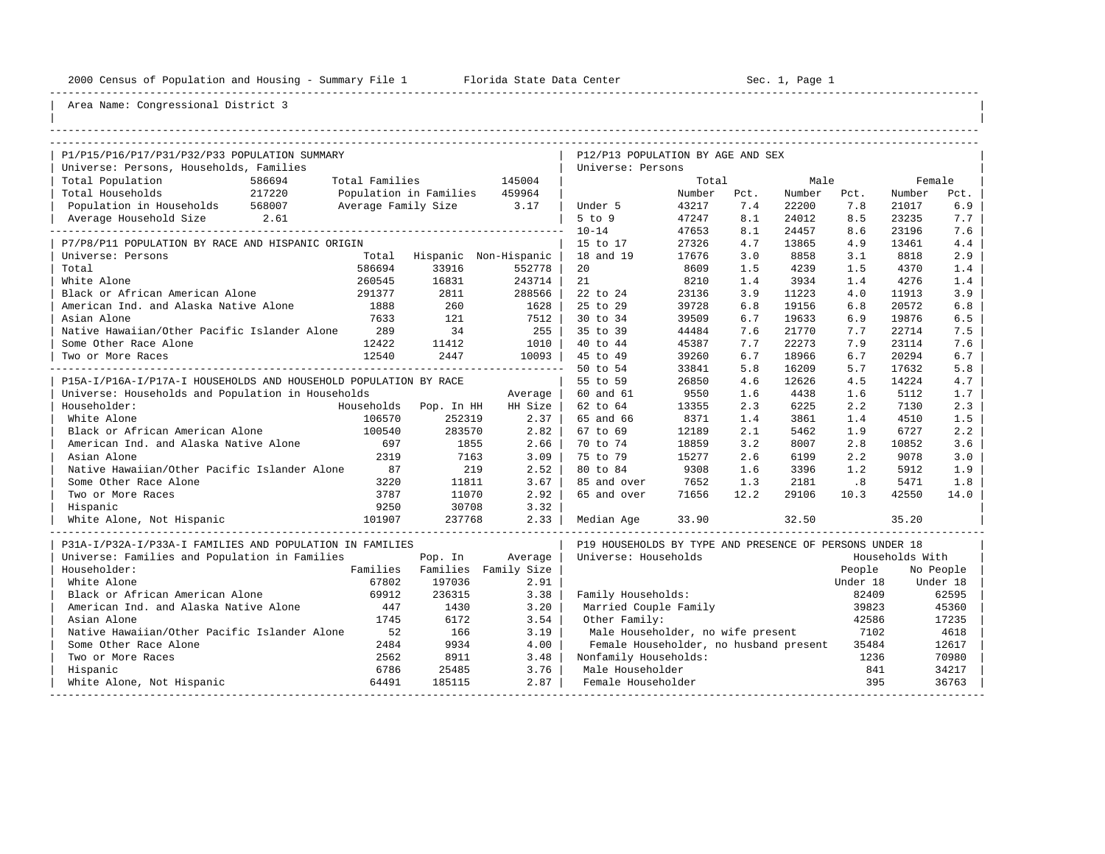----------------------------------------------------------------------------------------------------------------------------------------------------

| |

| P1/P15/P16/P17/P31/P32/P33 POPULATION SUMMARY                    |                        |                       | P12/P13 POPULATION BY AGE AND SEX                       |        |      |        |          |                 |           |
|------------------------------------------------------------------|------------------------|-----------------------|---------------------------------------------------------|--------|------|--------|----------|-----------------|-----------|
| Universe: Persons, Households, Families                          |                        |                       | Universe: Persons                                       |        |      |        |          |                 |           |
| Total Population<br>586694<br>Total Families                     |                        | 145004                |                                                         | Total  |      | Male   |          |                 | Female    |
| Total Households<br>217220                                       | Population in Families | 459964                |                                                         | Number | Pct. | Number | Pct.     | Number          | Pct.      |
| Population in Households<br>568007<br>Average Family Size        |                        | 3.17                  | Under 5                                                 | 43217  | 7.4  | 22200  | 7.8      | 21017           | 6.9       |
| Average Household Size 2.61<br>______________                    |                        |                       | $5$ to $9$                                              | 47247  | 8.1  | 24012  | 8.5      | 23235           | 7.7       |
|                                                                  |                        |                       | $10 - 14$                                               | 47653  | 8.1  | 24457  | 8.6      | 23196           | 7.6       |
| P7/P8/P11 POPULATION BY RACE AND HISPANIC ORIGIN                 |                        |                       | 15 to 17                                                | 27326  | 4.7  | 13865  | 4.9      | 13461           | 4.4       |
| Universe: Persons<br>Total                                       |                        | Hispanic Non-Hispanic | 18 and 19                                               | 17676  | 3.0  | 8858   | 3.1      | 8818            | 2.9       |
| Total<br>586694                                                  | 33916                  | 552778                | 20                                                      | 8609   | 1.5  | 4239   | 1.5      | 4370            | 1.4       |
| White Alone<br>260545                                            | 16831                  | 243714                | 21                                                      | 8210   | 1.4  | 3934   | 1.4      | 4276            | 1.4       |
| Black or African American Alone<br>291377                        | 2811                   | 288566                | 22 to 24                                                | 23136  | 3.9  | 11223  | 4.0      | 11913           | 3.9       |
| American Ind. and Alaska Native Alone<br>1888                    | 260                    | 1628                  | 25 to 29                                                | 39728  | 6.8  | 19156  | 6.8      | 20572           | 6.8       |
| Asian Alone<br>7633                                              | 121                    | 7512                  | 30 to 34                                                | 39509  | 6.7  | 19633  | 6.9      | 19876           | 6.5       |
| Native Hawaiian/Other Pacific Islander Alone<br>289              | 34                     | 255                   | 35 to 39                                                | 44484  | 7.6  | 21770  | 7.7      | 22714           | 7.5       |
| Some Other Race Alone<br>12422                                   | 11412                  | 1010                  | 40 to 44                                                | 45387  | 7.7  | 22273  | 7.9      | 23114           | 7.6       |
| 12540<br>Two or More Races                                       | 2447                   | 10093                 | 45 to 49                                                | 39260  | 6.7  | 18966  | 6.7      | 20294           | 6.7       |
|                                                                  |                        |                       | 50 to 54                                                | 33841  | 5.8  | 16209  | 5.7      | 17632           | 5.8       |
| P15A-I/P16A-I/P17A-I HOUSEHOLDS AND HOUSEHOLD POPULATION BY RACE |                        |                       | 55 to 59                                                | 26850  | 4.6  | 12626  | 4.5      | 14224           | 4.7       |
| Universe: Households and Population in Households                |                        | Average               | 60 and 61                                               | 9550   | 1.6  | 4438   | 1.6      | 5112            | 1.7       |
| Householder:                                                     | Households Pop. In HH  | HH Size               | 62 to 64                                                | 13355  | 2.3  | 6225   | 2.2      | 7130            | 2.3       |
| White Alone<br>106570                                            | 252319                 | 2.37                  | 65 and 66                                               | 8371   | 1.4  | 3861   | 1.4      | 4510            | 1.5       |
| Black or African American Alone<br>100540                        | 283570                 | 2.82                  | 67 to 69                                                | 12189  | 2.1  | 5462   | 1.9      | 6727            | 2.2       |
| American Ind. and Alaska Native Alone<br>697                     | 1855                   | 2.66                  | 70 to 74                                                | 18859  | 3.2  | 8007   | 2.8      | 10852           | 3.6       |
| 2319<br>Asian Alone                                              | 7163                   | 3.09                  | 75 to 79                                                | 15277  | 2.6  | 6199   | 2.2      | 9078            | 3.0       |
| Native Hawaiian/Other Pacific Islander Alone<br>87               | 219                    | 2.52                  | 80 to 84                                                | 9308   | 1.6  | 3396   | 1.2      | 5912            | 1.9       |
| Some Other Race Alone<br>3220                                    | 11811                  | 3.67                  | 85 and over                                             | 7652   | 1.3  | 2181   | .8       | 5471            | 1.8       |
| 3787<br>Two or More Races                                        | 11070                  | 2.92                  | 65 and over                                             | 71656  | 12.2 | 29106  | 10.3     | 42550           | 14.0      |
| 9250<br>Hispanic                                                 | 30708                  | 3.32                  |                                                         |        |      |        |          |                 |           |
| 101907<br>White Alone, Not Hispanic                              | 237768                 | 2.33                  | Median Age                                              | 33.90  |      | 32.50  |          | 35.20           |           |
| P31A-I/P32A-I/P33A-I FAMILIES AND POPULATION IN FAMILIES         |                        |                       | P19 HOUSEHOLDS BY TYPE AND PRESENCE OF PERSONS UNDER 18 |        |      |        |          |                 |           |
| Universe: Families and Population in Families                    | Pop. In                | Average               | Universe: Households                                    |        |      |        |          | Households With |           |
| Householder:<br>Families                                         |                        | Families Family Size  |                                                         |        |      |        | People   |                 | No People |
| White Alone<br>67802                                             | 197036                 | 2.91                  |                                                         |        |      |        | Under 18 |                 | Under 18  |
| Black or African American Alone<br>69912                         | 236315                 | 3.38                  | Family Households:                                      |        |      |        | 82409    |                 | 62595     |
| American Ind. and Alaska Native Alone<br>447                     | 1430                   | 3.20                  | Married Couple Family                                   |        |      |        | 39823    |                 | 45360     |
| Asian Alone<br>1745                                              | 6172                   | 3.54                  | Other Family:                                           |        |      |        | 42586    |                 | 17235     |
| Native Hawaiian/Other Pacific Islander Alone<br>52               | 166                    | 3.19                  | Male Householder, no wife present                       |        |      |        | 7102     |                 | 4618      |
| 2484<br>Some Other Race Alone                                    | 9934                   | 4.00                  | Female Householder, no husband present                  |        |      |        | 35484    |                 | 12617     |
| 2562<br>Two or More Races                                        | 8911                   | 3.48                  | Nonfamily Households:                                   |        |      |        | 1236     |                 | 70980     |
| Hispanic<br>6786                                                 | 25485                  | 3.76                  | Male Householder                                        |        |      |        | 841      |                 | 34217     |
| 64491<br>White Alone, Not Hispanic                               | 185115                 | 2.87                  | Female Householder                                      |        |      |        | 395      |                 | 36763     |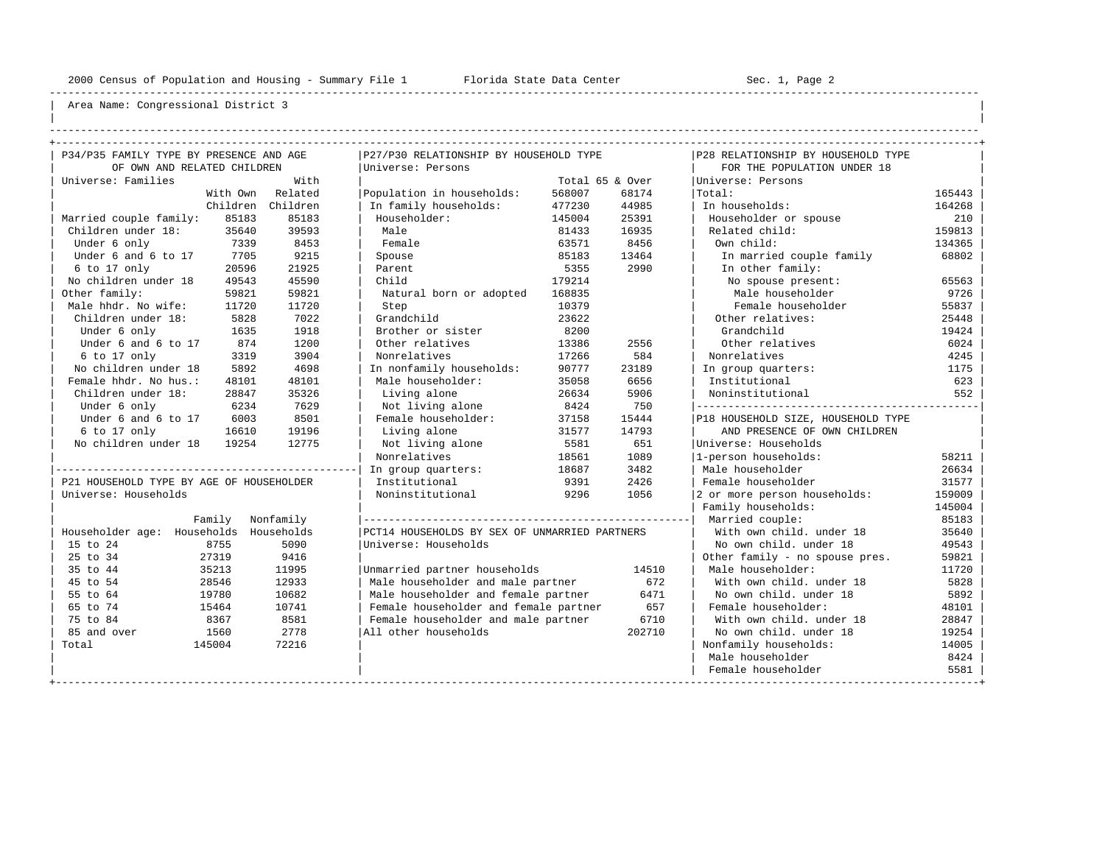----------------------------------------------------------------------------------------------------------------------------------------------------

| | ----------------------------------------------------------------------------------------------------------------------------------------------------

| P34/P35 FAMILY TYPE BY PRESENCE AND AGE  |          |            | P27/P30 RELATIONSHIP BY HOUSEHOLD TYPE        |        |                 | P28 RELATIONSHIP BY HOUSEHOLD TYPE |        |
|------------------------------------------|----------|------------|-----------------------------------------------|--------|-----------------|------------------------------------|--------|
| OF OWN AND RELATED CHILDREN              |          |            | Universe: Persons                             |        |                 | FOR THE POPULATION UNDER 18        |        |
| Universe: Families                       |          | With       |                                               |        | Total 65 & Over | Universe: Persons                  |        |
|                                          | With Own | Related    | Population in households:                     | 568007 | 68174           | Total:                             | 165443 |
|                                          | Children | Children   | In family households:                         | 477230 | 44985           | In households:                     | 164268 |
| Married couple family:                   | 85183    | 85183      | Householder:                                  | 145004 | 25391           | Householder or spouse              | 210    |
| Children under 18:                       | 35640    | 39593      | Male                                          | 81433  | 16935           | Related child:                     | 159813 |
| Under 6 only                             | 7339     | 8453       | Female                                        | 63571  | 8456            | Own child:                         | 134365 |
| Under 6 and 6 to 17                      | 7705     | 9215       | Spouse                                        | 85183  | 13464           | In married couple family           | 68802  |
| 6 to 17 only                             | 20596    | 21925      | Parent                                        | 5355   | 2990            | In other family:                   |        |
| No children under 18                     | 49543    | 45590      | Child                                         | 179214 |                 | No spouse present:                 | 65563  |
| Other family:                            | 59821    | 59821      | Natural born or adopted                       | 168835 |                 | Male householder                   | 9726   |
| Male hhdr. No wife:                      | 11720    | 11720      | Step                                          | 10379  |                 | Female householder                 | 55837  |
| Children under 18:                       | 5828     | 7022       | Grandchild                                    | 23622  |                 | Other relatives:                   | 25448  |
| Under 6 only                             | 1635     | 1918       | Brother or sister                             | 8200   |                 | Grandchild                         | 19424  |
| Under 6 and 6 to 17                      | 874      | 1200       | Other relatives                               | 13386  | 2556            | Other relatives                    | 6024   |
| 6 to 17 only                             | 3319     | 3904       | Nonrelatives                                  | 17266  | 584             | Nonrelatives                       | 4245   |
| No children under 18                     | 5892     | 4698       | In nonfamily households:                      | 90777  | 23189           | In group quarters:                 | 1175   |
| Female hhdr. No hus.:                    | 48101    | 48101      | Male householder:                             | 35058  | 6656            | Institutional                      | 623    |
| Children under 18:                       | 28847    | 35326      | Living alone                                  | 26634  | 5906            | Noninstitutional                   | 552    |
| Under 6 only                             | 6234     | 7629       | Not living alone                              | 8424   | 750             | ---------------------------------  |        |
| Under 6 and 6 to 17                      | 6003     | 8501       | Female householder:                           | 37158  | 15444           | P18 HOUSEHOLD SIZE, HOUSEHOLD TYPE |        |
| 6 to 17 only                             | 16610    | 19196      | Living alone                                  | 31577  | 14793           | AND PRESENCE OF OWN CHILDREN       |        |
| No children under 18                     | 19254    | 12775      | Not living alone                              | 5581   | 651             | Universe: Households               |        |
|                                          |          |            | Nonrelatives                                  | 18561  | 1089            | 1-person households:               | 58211  |
|                                          |          |            | In group quarters:                            | 18687  | 3482            | Male householder                   | 26634  |
| P21 HOUSEHOLD TYPE BY AGE OF HOUSEHOLDER |          |            | Institutional                                 | 9391   | 2426            | Female householder                 | 31577  |
| Universe: Households                     |          |            | Noninstitutional                              | 9296   | 1056            | 2 or more person households:       | 159009 |
|                                          |          |            |                                               |        |                 | Family households:                 | 145004 |
| Family                                   |          | Nonfamily  |                                               |        |                 | Married couple:                    | 85183  |
| Householder age: Households              |          | Households | PCT14 HOUSEHOLDS BY SEX OF UNMARRIED PARTNERS |        |                 | With own child, under 18           | 35640  |
| 15 to 24<br>8755                         |          | 5090       | Universe: Households                          |        |                 | No own child, under 18             | 49543  |
| 25 to 34<br>27319                        |          | 9416       |                                               |        |                 | Other family - no spouse pres.     | 59821  |
| 35 to 44<br>35213                        |          | 11995      | Unmarried partner households                  |        | 14510           | Male householder:                  | 11720  |
| 45 to 54<br>28546                        |          | 12933      | Male householder and male partner             |        | 672             | With own child. under 18           | 5828   |
| 55 to 64<br>19780                        |          | 10682      | Male householder and female partner           |        | 6471            | No own child, under 18             | 5892   |
| 65 to 74<br>15464                        |          | 10741      | Female householder and female partner         |        | 657             | Female householder:                | 48101  |
| 75 to 84<br>8367                         |          | 8581       | Female householder and male partner           |        | 6710            | With own child, under 18           | 28847  |
| 85 and over<br>1560                      |          | 2778       | All other households                          |        | 202710          | No own child. under 18             | 19254  |
| Total<br>145004                          |          | 72216      |                                               |        |                 | Nonfamily households:              | 14005  |
|                                          |          |            |                                               |        |                 | Male householder                   | 8424   |
|                                          |          |            |                                               |        |                 | Female householder                 | 5581   |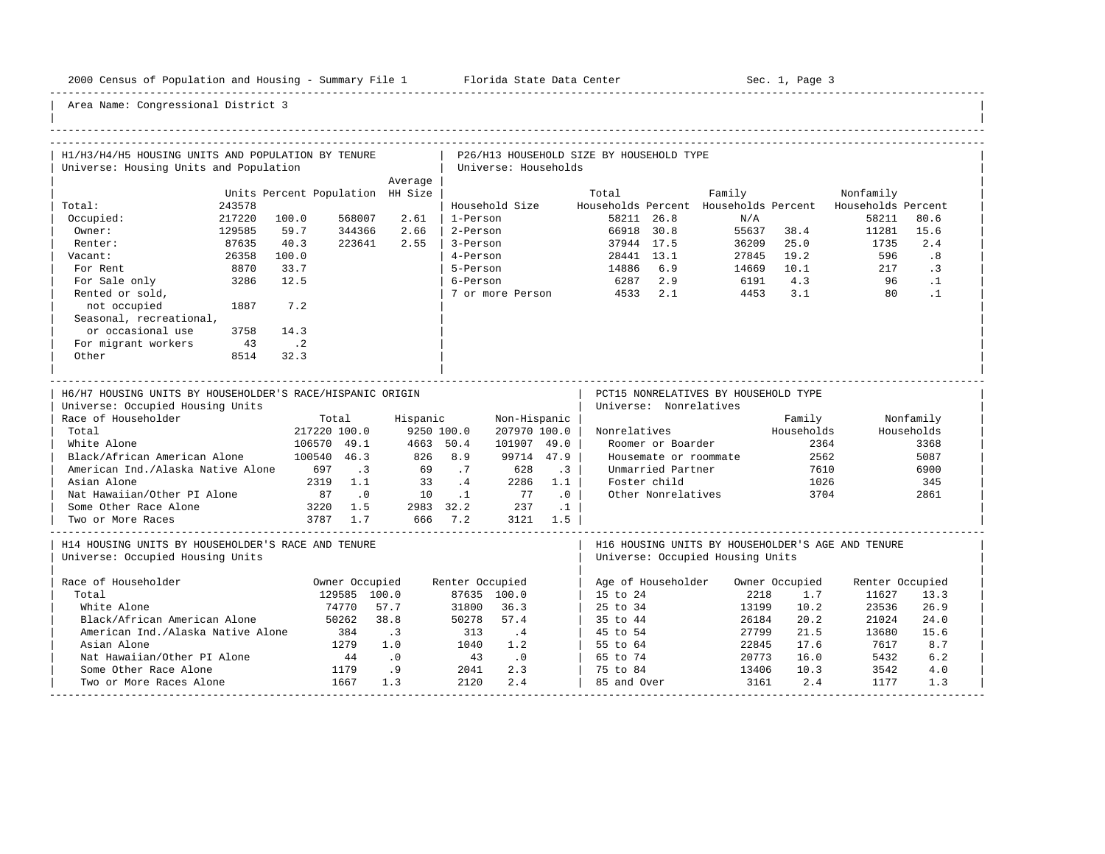-----------------------------------------------------------------------------------------------------------------------------------------------------

| H1/H3/H4/H5 HOUSING UNITS AND POPULATION BY TENURE<br>Universe: Housing Units and Population  |                  |                                     |                  |                                  |                      | Universe: Households                                                        |                   | P26/H13 HOUSEHOLD SIZE BY HOUSEHOLD TYPE       |                        |                                      |                          |                                                   |                         |  |
|-----------------------------------------------------------------------------------------------|------------------|-------------------------------------|------------------|----------------------------------|----------------------|-----------------------------------------------------------------------------|-------------------|------------------------------------------------|------------------------|--------------------------------------|--------------------------|---------------------------------------------------|-------------------------|--|
|                                                                                               |                  |                                     |                  | Average                          |                      |                                                                             |                   |                                                |                        |                                      |                          |                                                   |                         |  |
| Total:                                                                                        | 243578           |                                     |                  | Units Percent Population HH Size |                      | Household Size                                                              |                   | Total<br>Households Percent Households Percent |                        | Family                               |                          | Nonfamily<br>Households Percent                   |                         |  |
| Occupied:<br>Owner:                                                                           | 217220<br>129585 | 100.0<br>59.7                       | 568007<br>344366 | 2.61<br>2.66                     | 1-Person<br>2-Person |                                                                             |                   | 58211 26.8<br>66918 30.8                       |                        | N/A                                  | 55637 38.4               | 58211<br>11281                                    | 80.6<br>15.6            |  |
| Renter:<br>Vacant:                                                                            | 87635<br>26358   | 40.3<br>100.0                       | 223641           | 2.55                             | 3-Person<br>4-Person |                                                                             |                   | 37944 17.5<br>28441 13.1                       |                        |                                      | 36209 25.0<br>27845 19.2 | 1735<br>596                                       | 2.4<br>.8               |  |
| For Rent<br>For Sale only                                                                     | 8870<br>3286     | 33.7<br>12.5                        |                  |                                  | 5-Person<br>6-Person |                                                                             |                   | 14886 6.9<br>6287 2.9                          |                        | 14669 10.1                           | 6191 4.3                 | 217<br>96                                         | $\cdot$ 3<br>$\cdot$ 1  |  |
| Rented or sold,<br>not occupied                                                               | 1887             | 7.2                                 |                  |                                  |                      |                                                                             |                   | 7 or more Person 4533 2.1                      |                        | 4453                                 | 3.1                      | 80                                                | $\cdot$ 1               |  |
| Seasonal, recreational,<br>or occasional use                                                  | 3758             | 14.3                                |                  |                                  |                      |                                                                             |                   |                                                |                        |                                      |                          |                                                   |                         |  |
| For migrant workers<br>Other                                                                  | 43<br>8514       | $\overline{\phantom{a}}$ .2<br>32.3 |                  |                                  |                      |                                                                             |                   |                                                |                        |                                      |                          |                                                   |                         |  |
| H6/H7 HOUSING UNITS BY HOUSEHOLDER'S RACE/HISPANIC ORIGIN<br>Universe: Occupied Housing Units |                  |                                     |                  |                                  |                      |                                                                             |                   |                                                | Universe: Nonrelatives | PCT15 NONRELATIVES BY HOUSEHOLD TYPE |                          |                                                   |                         |  |
| Race of Householder<br>Total                                                                  |                  | Total<br>217220 100.0               |                  | Hispanic                         | 9250 100.0           | Non-Hispanic  <br>207970 100.0                                              |                   |                                                |                        | Nonrelatives Households              | Family                   |                                                   | Nonfamily<br>Households |  |
| White Alone                                                                                   |                  | 106570 49.1                         |                  |                                  | 4663 50.4            | 101907 49.0                                                                 |                   |                                                | Roomer or Boarder      |                                      | 2364                     |                                                   | 3368                    |  |
| Black/African American Alone                                                                  |                  | 100540 46.3                         |                  | 826 8.9                          |                      |                                                                             | 99714 47.9        |                                                | Housemate or roommate  |                                      | 2562                     |                                                   | 5087                    |  |
| American Ind./Alaska Native Alone 697 .3                                                      |                  |                                     |                  |                                  | 69 .7                | 628                                                                         | $\cdot$ 3 $\cdot$ |                                                | Unmarried Partner      |                                      | 7610                     |                                                   | 6900                    |  |
| Asian Alone                                                                                   |                  |                                     | 2319 1.1         |                                  |                      | $\begin{array}{cccc} 33 & .4 & 2286 & 1.1 \\ 10 & .1 & 77 & .0 \end{array}$ |                   | Foster child                                   |                        |                                      | 1026                     |                                                   | 345                     |  |
| Nat Hawaiian/Other PI Alone                                                                   |                  | 87.0                                |                  |                                  |                      |                                                                             |                   |                                                | Other Nonrelatives     |                                      | 3704                     |                                                   | 2861                    |  |
| Some Other Race Alone                                                                         |                  | 3220 1.5                            |                  |                                  | 2983 32.2 237        |                                                                             | $\cdot$ 1         |                                                |                        |                                      |                          |                                                   |                         |  |
| Two or More Races                                                                             |                  | 3787 1.7                            |                  | 666 7.2                          |                      | 3121 1.5                                                                    |                   |                                                |                        |                                      |                          |                                                   |                         |  |
| H14 HOUSING UNITS BY HOUSEHOLDER'S RACE AND TENURE<br>Universe: Occupied Housing Units        |                  |                                     |                  |                                  |                      |                                                                             |                   |                                                |                        | Universe: Occupied Housing Units     |                          | H16 HOUSING UNITS BY HOUSEHOLDER'S AGE AND TENURE |                         |  |
| Race of Householder                                                                           |                  |                                     | Owner Occupied   |                                  | Renter Occupied      |                                                                             |                   |                                                |                        | Age of Householder  Owner Occupied   |                          | Renter Occupied                                   |                         |  |
| Total                                                                                         |                  |                                     | 129585 100.0     |                                  |                      | 87635 100.0                                                                 |                   | 15 to 24                                       |                        | 2218                                 | 1.7                      | 11627                                             | 13.3                    |  |
| White Alone                                                                                   |                  |                                     | 74770            | 57.7                             | 31800                | 36.3                                                                        |                   | 25 to 34                                       |                        | 13199                                | 10.2                     | 23536                                             | 26.9                    |  |
| Black/African American Alone                                                                  |                  |                                     | 50262            | 38.8                             | 50278                | 57.4                                                                        |                   | 35 to 44                                       |                        | 26184                                | 20.2                     | 21024                                             | 24.0                    |  |
| American Ind./Alaska Native Alone                                                             |                  |                                     | 384              | $\cdot$ 3                        | 313                  | $\cdot$ 4                                                                   |                   | 45 to 54                                       |                        | 27799                                | 21.5                     | 13680                                             | 15.6                    |  |
| Asian Alone                                                                                   |                  |                                     | 1279             | 1.0                              | 1040                 | 1.2                                                                         |                   | $\vert$ 55 to 64                               |                        | 22845                                | 17.6                     | 7617                                              | 8.7                     |  |
| Nat Hawaiian/Other PI Alone                                                                   |                  |                                     | 44               | $\overline{\phantom{0}}$ .0      | 43                   | $\cdot$ 0                                                                   |                   | 65 to 74                                       |                        | 20773                                | 16.0                     | 5432                                              | 6.2                     |  |
| Some Other Race Alone                                                                         |                  | $\frac{44}{1179}$                   |                  | .9                               | 2041                 | 2.3                                                                         |                   | 75 to 84                                       |                        | 13406                                | 10.3                     | 3542                                              | 4.0                     |  |
| Two or More Races Alone                                                                       |                  |                                     | 1667             | 1.3                              | 2120                 | 2.4                                                                         |                   | 85 and Over                                    |                        | 3161                                 | 2.4                      | 1177                                              | 1.3                     |  |
|                                                                                               |                  |                                     |                  |                                  |                      |                                                                             |                   |                                                |                        |                                      |                          |                                                   |                         |  |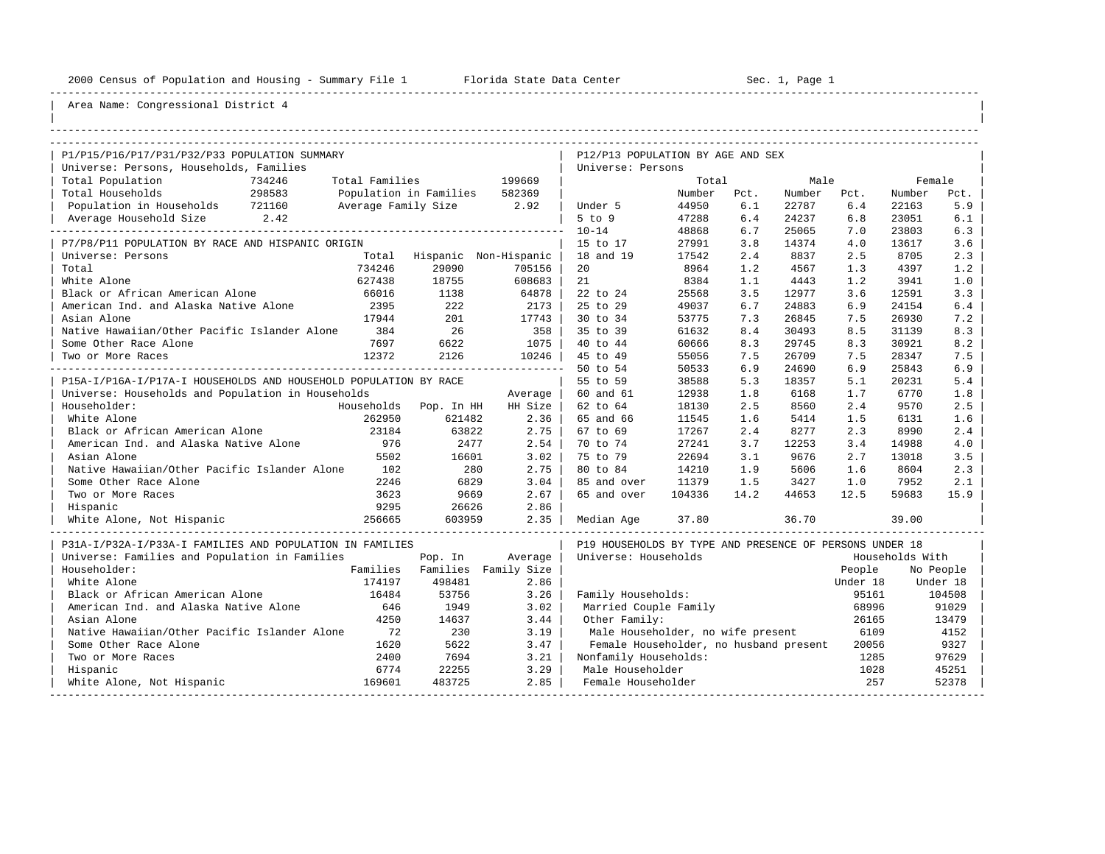----------------------------------------------------------------------------------------------------------------------------------------------------

| |

## Area Name: Congressional District 4

| P1/P15/P16/P17/P31/P32/P33 POPULATION SUMMARY                    |                |                               |         | P12/P13 POPULATION BY AGE AND SEX                       |        |      |        |          |                 |           |
|------------------------------------------------------------------|----------------|-------------------------------|---------|---------------------------------------------------------|--------|------|--------|----------|-----------------|-----------|
| Universe: Persons, Households, Families                          |                |                               |         | Universe: Persons                                       |        |      |        |          |                 |           |
| Total Population<br>734246                                       | Total Families |                               | 199669  |                                                         | Total  |      | Male   |          | Female          |           |
| Total Households<br>298583                                       |                | Population in Families 582369 |         |                                                         | Number | Pct. | Number | Pct.     | Number          | Pct.      |
| Population in Households 721160                                  |                | Average Family Size 2.92      |         | Under 5                                                 | 44950  | 6.1  | 22787  | 6.4      | 22163           | 5.9       |
| Average Household Size 2.42                                      |                |                               |         | $5$ to $9$                                              | 47288  | 6.4  | 24237  | 6.8      | 23051           | 6.1       |
|                                                                  |                |                               |         | $10 - 14$                                               | 48868  | 6.7  | 25065  | 7.0      | 23803           | 6.3       |
| P7/P8/P11 POPULATION BY RACE AND HISPANIC ORIGIN                 |                |                               |         | 15 to 17                                                | 27991  | 3.8  | 14374  | 4.0      | 13617           | 3.6       |
| Universe: Persons                                                |                | Total Hispanic Non-Hispanic   |         | 18 and 19                                               | 17542  | 2.4  | 8837   | 2.5      | 8705            | 2.3       |
| Total                                                            | 734246         | 29090                         | 705156  | 20                                                      | 8964   | 1.2  | 4567   | 1.3      | 4397            | 1.2       |
| White Alone                                                      | 627438         | 18755                         | 608683  | 21                                                      | 8384   | 1.1  | 4443   | 1.2      | 3941            | 1.0       |
| Black or African American Alone                                  | 66016          | 1138                          | 64878   | 22 to 24                                                | 25568  | 3.5  | 12977  | 3.6      | 12591           | 3.3       |
| American Ind. and Alaska Native Alone                            | 2395           | 222                           | 2173    | 25 to 29                                                | 49037  | 6.7  | 24883  | 6.9      | 24154           | 6.4       |
| Asian Alone                                                      | 17944          | 201                           | 17743   | 30 to 34                                                | 53775  | 7.3  | 26845  | 7.5      | 26930           | 7.2       |
| Native Hawaiian/Other Pacific Islander Alone                     | 384            | 26                            | 358     | 35 to 39                                                | 61632  | 8.4  | 30493  | 8.5      | 31139           | 8.3       |
| Some Other Race Alone                                            | 7697           | 6622                          | 1075    | 40 to 44                                                | 60666  | 8.3  | 29745  | 8.3      | 30921           | 8.2       |
| Two or More Races                                                | 12372          | 2126                          | 10246   | 45 to 49                                                | 55056  | 7.5  | 26709  | 7.5      | 28347           | 7.5       |
|                                                                  |                |                               |         | 50 to 54                                                | 50533  | 6.9  | 24690  | 6.9      | 25843           | 6.9       |
| P15A-I/P16A-I/P17A-I HOUSEHOLDS AND HOUSEHOLD POPULATION BY RACE |                |                               |         | 55 to 59                                                | 38588  | 5.3  | 18357  | 5.1      | 20231           | 5.4       |
| Universe: Households and Population in Households                |                |                               | Average | 60 and 61                                               | 12938  | 1.8  | 6168   | 1.7      | 6770            | 1.8       |
| Householder:                                                     |                | Households Pop. In HH         | HH Size | 62 to 64                                                | 18130  | 2.5  | 8560   | 2.4      | 9570            | 2.5       |
| White Alone                                                      | 262950         | 621482                        | 2.36    | 65 and 66                                               | 11545  | 1.6  | 5414   | 1.5      | 6131            | 1.6       |
| Black or African American Alone                                  | 23184          | 63822                         | 2.75    | 67 to 69                                                | 17267  | 2.4  | 8277   | 2.3      | 8990            | 2.4       |
| American Ind. and Alaska Native Alone                            | 976            | 2477                          | 2.54    | 70 to 74                                                | 27241  | 3.7  | 12253  | 3.4      | 14988           | 4.0       |
| Asian Alone                                                      | 5502           | 16601                         | 3.02    | 75 to 79                                                | 22694  | 3.1  | 9676   | 2.7      | 13018           | 3.5       |
| Native Hawaiian/Other Pacific Islander Alone                     | 102            | 280                           | 2.75    | 80 to 84                                                | 14210  | 1.9  | 5606   | 1.6      | 8604            | 2.3       |
| Some Other Race Alone                                            | 2246           | 6829                          | 3.04    | 85 and over                                             | 11379  | 1.5  | 3427   | 1.0      | 7952            | 2.1       |
| Two or More Races                                                | 3623           | 9669                          | 2.67    | 65 and over                                             | 104336 | 14.2 | 44653  | 12.5     | 59683           | 15.9      |
| Hispanic                                                         | 9295           | 26626                         | 2.86    |                                                         |        |      |        |          |                 |           |
| White Alone, Not Hispanic                                        | 256665         | 603959                        | 2.35    | Median Aqe                                              | 37.80  |      | 36.70  |          | 39.00           |           |
| P31A-I/P32A-I/P33A-I FAMILIES AND POPULATION IN FAMILIES         |                |                               |         | P19 HOUSEHOLDS BY TYPE AND PRESENCE OF PERSONS UNDER 18 |        |      |        |          |                 |           |
| Universe: Families and Population in Families                    |                | Pop. In                       | Average | Universe: Households                                    |        |      |        |          | Households With |           |
| Householder:                                                     |                | Families Families Family Size |         |                                                         |        |      |        | People   |                 | No People |
| White Alone                                                      | 174197         | 498481                        | 2.86    |                                                         |        |      |        | Under 18 |                 | Under 18  |
| Black or African American Alone                                  | 16484          | 53756                         | 3.26    | Family Households:                                      |        |      |        | 95161    |                 | 104508    |
| American Ind. and Alaska Native Alone                            | 646            | 1949                          | 3.02    | Married Couple Family                                   |        |      |        | 68996    |                 | 91029     |
| Asian Alone                                                      | 4250           | 14637                         | 3.44    | Other Family:                                           |        |      |        | 26165    |                 | 13479     |
| Native Hawaiian/Other Pacific Islander Alone                     | 72             | 230                           | 3.19    | Male Householder, no wife present                       |        |      |        | 6109     |                 | 4152      |
| Some Other Race Alone                                            | 1620           | 5622                          | 3.47    | Female Householder, no husband present                  |        |      |        | 20056    |                 | 9327      |
| Two or More Races                                                | 2400           | 7694                          | 3.21    | Nonfamily Households:                                   |        |      |        | 1285     |                 | 97629     |
| Hispanic                                                         | 6774           | 22255                         | 3.29    | Male Householder                                        |        |      |        | 1028     |                 | 45251     |
| White Alone, Not Hispanic                                        | 169601         | 483725                        | 2.85    | Female Householder                                      |        |      |        | 257      |                 | 52378     |

-----------------------------------------------------------------------------------------------------------------------------------------------------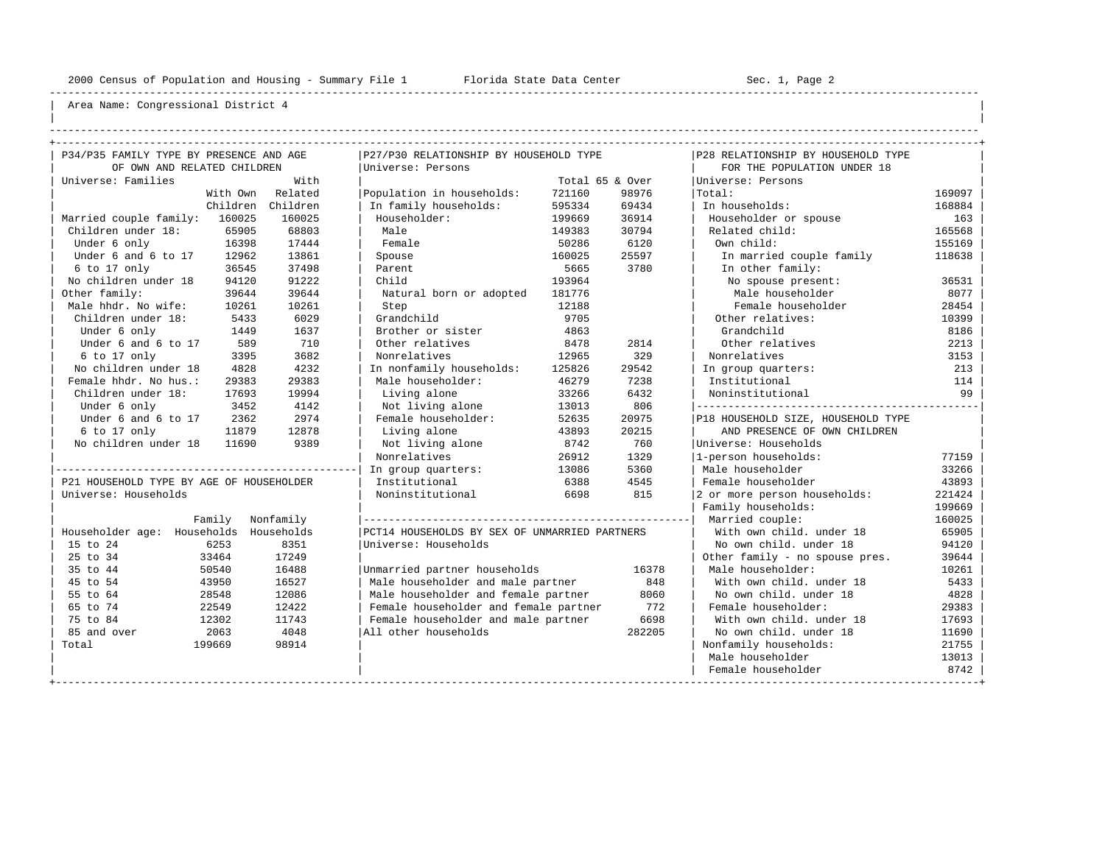----------------------------------------------------------------------------------------------------------------------------------------------------

| | ----------------------------------------------------------------------------------------------------------------------------------------------------

| P34/P35 FAMILY TYPE BY PRESENCE AND AGE  |          |           | P27/P30 RELATIONSHIP BY HOUSEHOLD TYPE        |        |                 | P28 RELATIONSHIP BY HOUSEHOLD TYPE |        |
|------------------------------------------|----------|-----------|-----------------------------------------------|--------|-----------------|------------------------------------|--------|
| OF OWN AND RELATED CHILDREN              |          |           | Universe: Persons                             |        |                 | FOR THE POPULATION UNDER 18        |        |
| Universe: Families                       |          | With      |                                               |        | Total 65 & Over | Universe: Persons                  |        |
|                                          | With Own | Related   | Population in households:                     | 721160 | 98976           | Total:                             | 169097 |
|                                          | Children | Children  | In family households:                         | 595334 | 69434           | In households:                     | 168884 |
| Married couple family:                   | 160025   | 160025    | Householder:                                  | 199669 | 36914           | Householder or spouse              | 163    |
| Children under 18:                       | 65905    | 68803     | Male                                          | 149383 | 30794           | Related child:                     | 165568 |
| Under 6 only                             | 16398    | 17444     | Female                                        | 50286  | 6120            | Own child:                         | 155169 |
| Under 6 and 6 to 17                      | 12962    | 13861     | Spouse                                        | 160025 | 25597           | In married couple family           | 118638 |
| 6 to 17 only                             | 36545    | 37498     | Parent                                        | 5665   | 3780            | In other family:                   |        |
| No children under 18                     | 94120    | 91222     | Child                                         | 193964 |                 | No spouse present:                 | 36531  |
| Other family:                            | 39644    | 39644     | Natural born or adopted                       | 181776 |                 | Male householder                   | 8077   |
| Male hhdr. No wife:                      | 10261    | 10261     | Step                                          | 12188  |                 | Female householder                 | 28454  |
| Children under 18:                       | 5433     | 6029      | Grandchild                                    | 9705   |                 | Other relatives:                   | 10399  |
| Under 6 only                             | 1449     | 1637      | Brother or sister                             | 4863   |                 | Grandchild                         | 8186   |
| Under 6 and 6 to 17                      | 589      | 710       | Other relatives                               | 8478   | 2814            | Other relatives                    | 2213   |
| 6 to 17 only                             | 3395     | 3682      | Nonrelatives                                  | 12965  | 329             | Nonrelatives                       | 3153   |
| No children under 18                     | 4828     | 4232      | In nonfamily households:                      | 125826 | 29542           | In group quarters:                 | 213    |
| Female hhdr. No hus.:                    | 29383    | 29383     | Male householder:                             | 46279  | 7238            | Institutional                      | 114    |
| Children under 18:                       | 17693    | 19994     | Living alone                                  | 33266  | 6432            | Noninstitutional                   | 99     |
| Under 6 only                             | 3452     | 4142      | Not living alone                              | 13013  | 806             | ---------------------------------- |        |
| Under 6 and 6 to 17                      | 2362     | 2974      | Female householder:                           | 52635  | 20975           | P18 HOUSEHOLD SIZE, HOUSEHOLD TYPE |        |
| 6 to 17 only                             | 11879    | 12878     | Living alone                                  | 43893  | 20215           | AND PRESENCE OF OWN CHILDREN       |        |
| No children under 18                     | 11690    | 9389      | Not living alone                              | 8742   | 760             | Universe: Households               |        |
|                                          |          |           | Nonrelatives                                  | 26912  | 1329            | 1-person households:               | 77159  |
|                                          |          |           | In group quarters:                            | 13086  | 5360            | Male householder                   | 33266  |
| P21 HOUSEHOLD TYPE BY AGE OF HOUSEHOLDER |          |           | Institutional                                 | 6388   | 4545            | Female householder                 | 43893  |
| Universe: Households                     |          |           | Noninstitutional                              | 6698   | 815             | 2 or more person households:       | 221424 |
|                                          |          |           |                                               |        |                 | Family households:                 | 199669 |
|                                          | Family   | Nonfamily |                                               |        |                 | Married couple:                    | 160025 |
| Householder age: Households Households   |          |           | PCT14 HOUSEHOLDS BY SEX OF UNMARRIED PARTNERS |        |                 | With own child, under 18           | 65905  |
| 15 to 24                                 | 6253     | 8351      | Universe: Households                          |        |                 | No own child. under 18             | 94120  |
| 25 to 34                                 | 33464    | 17249     |                                               |        |                 | Other family - no spouse pres.     | 39644  |
| 35 to 44                                 | 50540    | 16488     | Unmarried partner households                  |        | 16378           | Male householder:                  | 10261  |
| 45 to 54                                 | 43950    | 16527     | Male householder and male partner             |        | 848             | With own child, under 18           | 5433   |
| 55 to 64                                 | 28548    | 12086     | Male householder and female partner           |        | 8060            | No own child, under 18             | 4828   |
| 65 to 74                                 | 22549    | 12422     | Female householder and female partner         |        | 772             | Female householder:                | 29383  |
| 75 to 84                                 | 12302    | 11743     | Female householder and male partner           |        | 6698            | With own child, under 18           | 17693  |
| 85 and over                              | 2063     | 4048      | All other households                          |        | 282205          | No own child, under 18             | 11690  |
| Total                                    | 199669   | 98914     |                                               |        |                 | Nonfamily households:              | 21755  |
|                                          |          |           |                                               |        |                 | Male householder                   | 13013  |
|                                          |          |           |                                               |        |                 | Female householder                 | 8742   |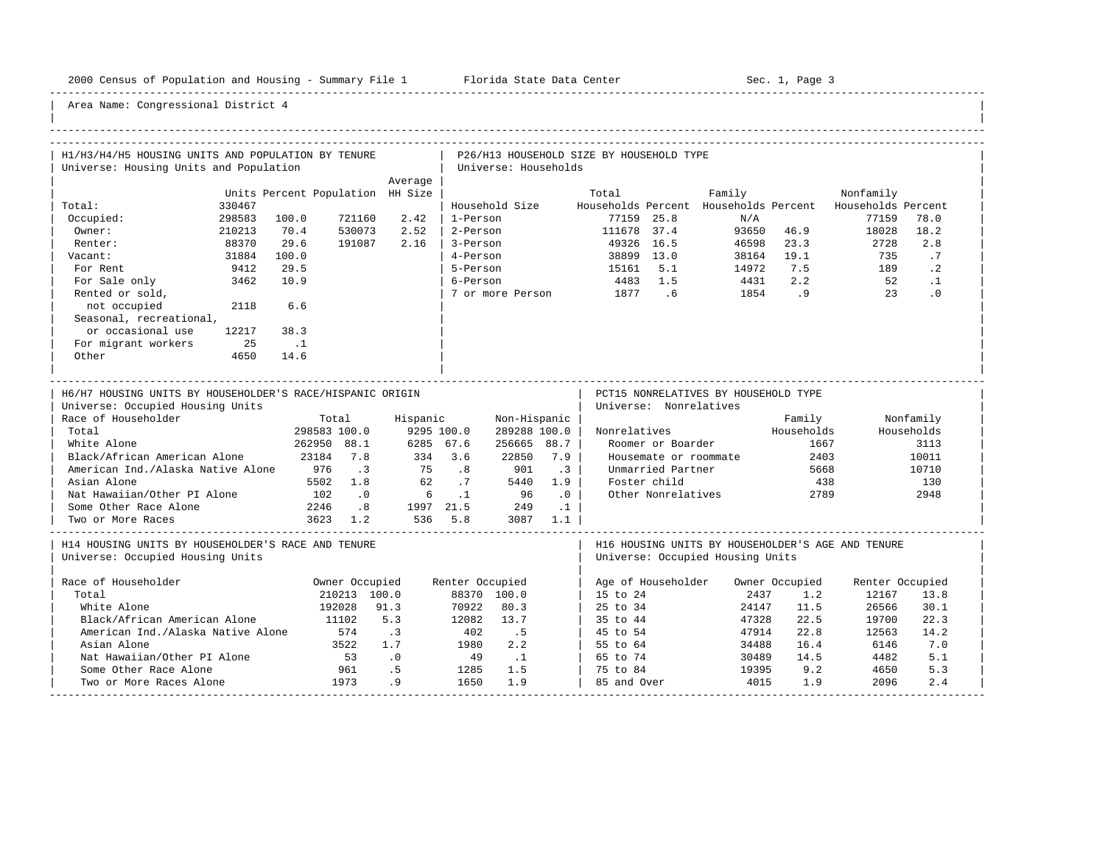-----------------------------------------------------------------------------------------------------------------------------------------------------

| H1/H3/H4/H5 HOUSING UNITS AND POPULATION BY TENURE                                                                                                                                                                                                                                                                |        |                                                                     |                                                                                                             |                                                                            |                                                 |                                                                                              |                                                                          | P26/H13 HOUSEHOLD SIZE BY HOUSEHOLD TYPE |                                                                                                                                 |                                      |                                                             |                                                                       |                                                                  |
|-------------------------------------------------------------------------------------------------------------------------------------------------------------------------------------------------------------------------------------------------------------------------------------------------------------------|--------|---------------------------------------------------------------------|-------------------------------------------------------------------------------------------------------------|----------------------------------------------------------------------------|-------------------------------------------------|----------------------------------------------------------------------------------------------|--------------------------------------------------------------------------|------------------------------------------|---------------------------------------------------------------------------------------------------------------------------------|--------------------------------------|-------------------------------------------------------------|-----------------------------------------------------------------------|------------------------------------------------------------------|
| Universe: Housing Units and Population                                                                                                                                                                                                                                                                            |        |                                                                     |                                                                                                             |                                                                            |                                                 | Universe: Households                                                                         |                                                                          |                                          |                                                                                                                                 |                                      |                                                             |                                                                       |                                                                  |
|                                                                                                                                                                                                                                                                                                                   |        |                                                                     |                                                                                                             | Average                                                                    |                                                 |                                                                                              |                                                                          |                                          |                                                                                                                                 |                                      |                                                             |                                                                       |                                                                  |
| Total:                                                                                                                                                                                                                                                                                                            | 330467 | Units Percent Population HH Size                                    |                                                                                                             |                                                                            |                                                 | Household Size                                                                               |                                                                          | Total                                    |                                                                                                                                 | Family                               |                                                             | Nonfamily<br>Households Percent Households Percent Households Percent |                                                                  |
| Occupied:                                                                                                                                                                                                                                                                                                         | 298583 | 100.0                                                               | 721160                                                                                                      | 2.42                                                                       | 1-Person                                        |                                                                                              |                                                                          |                                          | 77159 25.8                                                                                                                      | N/A                                  |                                                             | 77159                                                                 | 78.0                                                             |
| Owner:                                                                                                                                                                                                                                                                                                            | 210213 | 70.4                                                                | 530073                                                                                                      | 2.52                                                                       | 2-Person                                        |                                                                                              |                                                                          | 111678 37.4                              |                                                                                                                                 |                                      | 93650 46.9                                                  | 18028                                                                 | 18.2                                                             |
| Renter:                                                                                                                                                                                                                                                                                                           | 88370  | 29.6                                                                | 191087                                                                                                      | 2.16                                                                       | 3-Person                                        |                                                                                              |                                                                          |                                          | 49326 16.5                                                                                                                      | 46598                                | 23.3                                                        | 2728                                                                  | 2.8                                                              |
| Vacant:                                                                                                                                                                                                                                                                                                           | 31884  | 100.0                                                               |                                                                                                             |                                                                            | 4-Person                                        |                                                                                              |                                                                          |                                          | 38899 13.0                                                                                                                      | 38164                                | 19.1                                                        | 735                                                                   | .7                                                               |
| For Rent                                                                                                                                                                                                                                                                                                          | 9412   | 29.5                                                                |                                                                                                             |                                                                            | 5-Person                                        |                                                                                              |                                                                          | 15161 5.1                                |                                                                                                                                 | 14972                                | 7.5                                                         | 189                                                                   | $\cdot$ 2                                                        |
| For Sale only                                                                                                                                                                                                                                                                                                     | 3462   | 10.9                                                                |                                                                                                             |                                                                            | 6-Person                                        |                                                                                              |                                                                          | 4483 1.5                                 |                                                                                                                                 | 4431                                 | 2.2                                                         | 52                                                                    | $\cdot$ 1                                                        |
| Rented or sold,                                                                                                                                                                                                                                                                                                   |        |                                                                     |                                                                                                             |                                                                            |                                                 | 7 or more Person                                                                             |                                                                          | 1877 .6                                  |                                                                                                                                 |                                      | 1854.9                                                      | 23                                                                    | $\cdot$ 0                                                        |
| not occupied                                                                                                                                                                                                                                                                                                      | 2118   | 6.6                                                                 |                                                                                                             |                                                                            |                                                 |                                                                                              |                                                                          |                                          |                                                                                                                                 |                                      |                                                             |                                                                       |                                                                  |
| Seasonal, recreational,                                                                                                                                                                                                                                                                                           |        |                                                                     |                                                                                                             |                                                                            |                                                 |                                                                                              |                                                                          |                                          |                                                                                                                                 |                                      |                                                             |                                                                       |                                                                  |
| or occasional use                                                                                                                                                                                                                                                                                                 | 12217  | 38.3                                                                |                                                                                                             |                                                                            |                                                 |                                                                                              |                                                                          |                                          |                                                                                                                                 |                                      |                                                             |                                                                       |                                                                  |
| For migrant workers                                                                                                                                                                                                                                                                                               | 25     | $\ldots$                                                            |                                                                                                             |                                                                            |                                                 |                                                                                              |                                                                          |                                          |                                                                                                                                 |                                      |                                                             |                                                                       |                                                                  |
| Other                                                                                                                                                                                                                                                                                                             | 4650   | 14.6                                                                |                                                                                                             |                                                                            |                                                 |                                                                                              |                                                                          |                                          |                                                                                                                                 |                                      |                                                             |                                                                       |                                                                  |
|                                                                                                                                                                                                                                                                                                                   |        |                                                                     |                                                                                                             |                                                                            |                                                 |                                                                                              |                                                                          |                                          |                                                                                                                                 |                                      |                                                             |                                                                       |                                                                  |
| H6/H7 HOUSING UNITS BY HOUSEHOLDER'S RACE/HISPANIC ORIGIN<br>Universe: Occupied Housing Units<br>Race of Householder<br>Total<br>White Alone<br>Black/African American Alone<br>American Ind./Alaska Native Alone 976<br>Asian Alone<br>Nat Hawaiian/Other PI Alone<br>Some Other Race Alone<br>Two or More Races |        | 298583 100.0<br>262950 88.1<br>23184 7.8<br>102<br>2246<br>3623 1.2 | Total<br>$\overline{\phantom{a}}$<br>5502 1.8<br>$\overline{\phantom{0}}$ .0<br>$\overline{\phantom{0}}$ .8 | Hispanic<br>334 3.6<br>75<br>62<br>$6\overline{6}$<br>1997 21.5<br>536 5.8 | 9295 100.0<br>6285 67.6<br>.8<br>.7<br>$\ldots$ | Non-Hispanic<br>289288 100.0<br>256665 88.7<br>22850<br>901<br>5440<br>96<br>249<br>3087 1.1 | 7.9<br>$\overline{3}$<br>1.9<br>$\overline{\phantom{0}}$ .<br>$\ldots$ 1 | Nonrelatives                             | Universe: Nonrelatives<br>Roomer or Boarder<br>Housemate or roommate<br>Unmarried Partner<br>Foster child<br>Other Nonrelatives | PCT15 NONRELATIVES BY HOUSEHOLD TYPE | Family<br>Households<br>1667<br>2403<br>5668<br>438<br>2789 |                                                                       | Nonfamily<br>Households<br>3113<br>10011<br>10710<br>130<br>2948 |
| H14 HOUSING UNITS BY HOUSEHOLDER'S RACE AND TENURE<br>Universe: Occupied Housing Units                                                                                                                                                                                                                            |        |                                                                     |                                                                                                             |                                                                            |                                                 |                                                                                              |                                                                          |                                          |                                                                                                                                 | Universe: Occupied Housing Units     |                                                             | H16 HOUSING UNITS BY HOUSEHOLDER'S AGE AND TENURE                     |                                                                  |
| Race of Householder                                                                                                                                                                                                                                                                                               |        |                                                                     | Owner Occupied                                                                                              |                                                                            | Renter Occupied                                 |                                                                                              |                                                                          |                                          | Age of Householder                                                                                                              |                                      | Owner Occupied                                              | Renter Occupied                                                       |                                                                  |
| Total                                                                                                                                                                                                                                                                                                             |        |                                                                     | 210213 100.0                                                                                                |                                                                            |                                                 | 88370 100.0                                                                                  |                                                                          | 15 to 24                                 |                                                                                                                                 | 2437                                 | 1.2                                                         | 12167                                                                 | 13.8                                                             |
| White Alone                                                                                                                                                                                                                                                                                                       |        |                                                                     | 192028                                                                                                      | 91.3                                                                       | 70922                                           | 80.3                                                                                         |                                                                          | 25 to 34                                 |                                                                                                                                 | 24147                                | 11.5                                                        | 26566                                                                 | 30.1                                                             |
| Black/African American Alone                                                                                                                                                                                                                                                                                      |        |                                                                     | 11102                                                                                                       | 5.3                                                                        | 12082                                           | 13.7                                                                                         |                                                                          | 35 to 44                                 |                                                                                                                                 | 47328                                | 22.5                                                        | 19700                                                                 | 22.3                                                             |
| American Ind./Alaska Native Alone                                                                                                                                                                                                                                                                                 |        |                                                                     | 574                                                                                                         | $\cdot$ 3                                                                  | 402                                             | .5                                                                                           |                                                                          | 45 to 54                                 |                                                                                                                                 | 47914                                | 22.8                                                        | 12563                                                                 | 14.2                                                             |
| Asian Alone                                                                                                                                                                                                                                                                                                       |        |                                                                     | 3522                                                                                                        | 1.7                                                                        | 1980                                            | 2.2                                                                                          |                                                                          | 55 to 64                                 |                                                                                                                                 | 34488                                | 16.4                                                        | 6146                                                                  | 7.0                                                              |
| Nat Hawaiian/Other PI Alone                                                                                                                                                                                                                                                                                       |        |                                                                     | 53                                                                                                          | $\overline{\phantom{0}}$ .0                                                | 49                                              | $\ldots$                                                                                     |                                                                          | 65 to 74                                 |                                                                                                                                 | 30489                                | 14.5                                                        | 4482                                                                  | 5.1                                                              |
| Some Other Race Alone                                                                                                                                                                                                                                                                                             |        |                                                                     | 961                                                                                                         | . 5                                                                        | 1285                                            | 1.5                                                                                          |                                                                          | 75 to 84                                 |                                                                                                                                 | 19395                                | 9.2                                                         | 4650                                                                  | 5.3                                                              |
| Two or More Races Alone                                                                                                                                                                                                                                                                                           |        |                                                                     | 1973                                                                                                        | .9                                                                         | 1650                                            | 1.9                                                                                          |                                                                          | 85 and Over                              |                                                                                                                                 | 4015                                 | 1.9                                                         | 2096                                                                  | 2.4                                                              |
|                                                                                                                                                                                                                                                                                                                   |        |                                                                     |                                                                                                             |                                                                            |                                                 |                                                                                              |                                                                          |                                          |                                                                                                                                 |                                      |                                                             |                                                                       |                                                                  |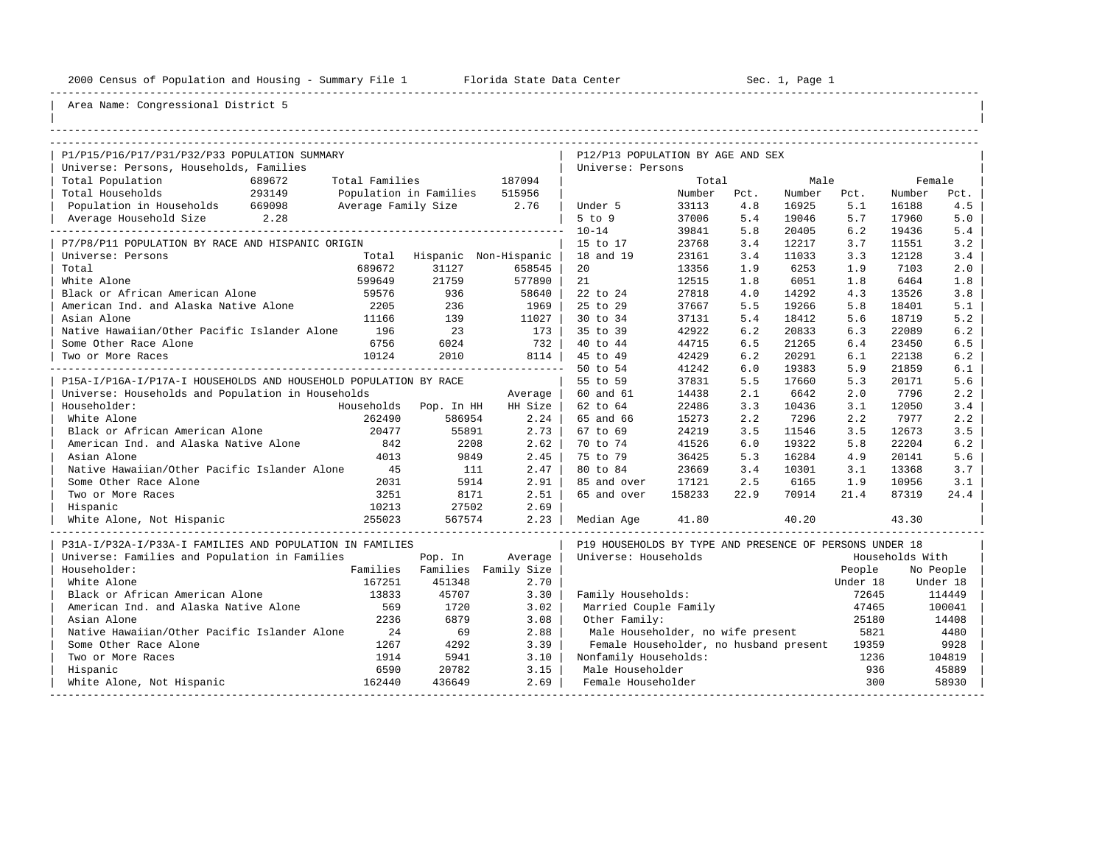----------------------------------------------------------------------------------------------------------------------------------------------------

| |

## Area Name: Congressional District 5

| P1/P15/P16/P17/P31/P32/P33 POPULATION SUMMARY                    |        |                               |         | P12/P13 POPULATION BY AGE AND SEX                       |        |      |        |          |                 |           |
|------------------------------------------------------------------|--------|-------------------------------|---------|---------------------------------------------------------|--------|------|--------|----------|-----------------|-----------|
| Universe: Persons, Households, Families                          |        |                               |         | Universe: Persons                                       |        |      |        |          |                 |           |
| Total Population<br>689672                                       |        | Total Families                | 187094  |                                                         | Total  |      | Male   |          | Female          |           |
| Total Households<br>293149                                       |        | Population in Families 515956 |         |                                                         | Number | Pct. | Number | Pct.     | Number          | Pct.      |
| Population in Households 669098                                  |        | Average Family Size 2.76      |         | Under 5                                                 | 33113  | 4.8  | 16925  | 5.1      | 16188           | 4.5       |
| Average Household Size 2.28                                      |        |                               |         | $5$ to $9$                                              | 37006  | 5.4  | 19046  | 5.7      | 17960           | 5.0       |
|                                                                  |        |                               |         | $10 - 14$                                               | 39841  | 5.8  | 20405  | 6.2      | 19436           | 5.4       |
| P7/P8/P11 POPULATION BY RACE AND HISPANIC ORIGIN                 |        |                               |         | 15 to 17                                                | 23768  | 3.4  | 12217  | 3.7      | 11551           | 3.2       |
| Universe: Persons                                                |        | Total Hispanic Non-Hispanic   |         | 18 and 19                                               | 23161  | 3.4  | 11033  | 3.3      | 12128           | 3.4       |
| Total                                                            | 689672 | 31127                         | 658545  | 20                                                      | 13356  | 1.9  | 6253   | 1.9      | 7103            | 2.0       |
| White Alone                                                      | 599649 | 21759                         | 577890  | 21                                                      | 12515  | 1.8  | 6051   | 1.8      | 6464            | 1.8       |
| Black or African American Alone                                  | 59576  | 936                           | 58640   | 22 to 24                                                | 27818  | 4.0  | 14292  | 4.3      | 13526           | 3.8       |
| American Ind. and Alaska Native Alone                            | 2205   | 236                           | 1969    | 25 to 29                                                | 37667  | 5.5  | 19266  | 5.8      | 18401           | 5.1       |
| Asian Alone                                                      | 11166  | 139                           | 11027   | 30 to 34                                                | 37131  | 5.4  | 18412  | 5.6      | 18719           | 5.2       |
| Native Hawaiian/Other Pacific Islander Alone                     | 196    | 23                            | 173     | 35 to 39                                                | 42922  | 6.2  | 20833  | 6.3      | 22089           | 6.2       |
| Some Other Race Alone                                            | 6756   | 6024                          | 732     | 40 to 44                                                | 44715  | 6.5  | 21265  | 6.4      | 23450           | 6.5       |
| Two or More Races                                                | 10124  | 2010                          | 8114    | 45 to 49                                                | 42429  | 6.2  | 20291  | 6.1      | 22138           | 6.2       |
|                                                                  |        |                               |         | 50 to 54                                                | 41242  | 6.0  | 19383  | 5.9      | 21859           | 6.1       |
| P15A-I/P16A-I/P17A-I HOUSEHOLDS AND HOUSEHOLD POPULATION BY RACE |        |                               |         | 55 to 59                                                | 37831  | 5.5  | 17660  | 5.3      | 20171           | 5.6       |
| Universe: Households and Population in Households                |        |                               | Average | 60 and 61                                               | 14438  | 2.1  | 6642   | 2.0      | 7796            | 2.2       |
| Householder:                                                     |        | Households Pop. In HH         | HH Size | 62 to 64                                                | 22486  | 3.3  | 10436  | 3.1      | 12050           | 3.4       |
| White Alone                                                      | 262490 | 586954                        | 2.24    | 65 and 66                                               | 15273  | 2.2  | 7296   | 2.2      | 7977            | 2.2       |
| Black or African American Alone                                  | 20477  | 55891                         | 2.73    | 67 to 69                                                | 24219  | 3.5  | 11546  | 3.5      | 12673           | 3.5       |
| American Ind. and Alaska Native Alone                            | 842    | 2208                          | 2.62    | 70 to 74                                                | 41526  | 6.0  | 19322  | 5.8      | 22204           | 6.2       |
| Asian Alone                                                      | 4013   | 9849                          | 2.45    | 75 to 79                                                | 36425  | 5.3  | 16284  | 4.9      | 20141           | 5.6       |
| Native Hawaiian/Other Pacific Islander Alone 45                  |        | 111                           | 2.47    | 80 to 84                                                | 23669  | 3.4  | 10301  | 3.1      | 13368           | 3.7       |
| Some Other Race Alone                                            | 2031   | 5914                          | 2.91    | 85 and over                                             | 17121  | 2.5  | 6165   | 1.9      | 10956           | 3.1       |
| Two or More Races                                                | 3251   | 8171                          | 2.51    | 65 and over                                             | 158233 | 22.9 | 70914  | 21.4     | 87319           | 24.4      |
| Hispanic                                                         | 10213  | 27502                         | 2.69    |                                                         |        |      |        |          |                 |           |
| White Alone, Not Hispanic                                        | 255023 | 567574                        | 2.23    | Median Age                                              | 41.80  |      | 40.20  |          | 43.30           |           |
| P31A-I/P32A-I/P33A-I FAMILIES AND POPULATION IN FAMILIES         |        |                               |         | P19 HOUSEHOLDS BY TYPE AND PRESENCE OF PERSONS UNDER 18 |        |      |        |          |                 |           |
| Universe: Families and Population in Families                    |        | Pop. In                       | Average | Universe: Households                                    |        |      |        |          | Households With |           |
| Householder:                                                     |        | Families Families Family Size |         |                                                         |        |      |        | People   |                 | No People |
| White Alone                                                      | 167251 | 451348                        | 2.70    |                                                         |        |      |        | Under 18 |                 | Under 18  |
| Black or African American Alone                                  | 13833  | 45707                         | 3.30    | Family Households:                                      |        |      |        | 72645    |                 | 114449    |
| American Ind. and Alaska Native Alone                            | 569    | 1720                          | 3.02    | Married Couple Family                                   |        |      |        | 47465    |                 | 100041    |
| Asian Alone                                                      | 2236   | 6879                          | 3.08    | Other Family:                                           |        |      |        | 25180    |                 | 14408     |
| Native Hawaiian/Other Pacific Islander Alone                     | 24     | 69                            | 2.88    | Male Householder, no wife present                       |        |      |        | 5821     |                 | 4480      |
| Some Other Race Alone                                            | 1267   | 4292                          | 3.39    | Female Householder, no husband present                  |        |      |        | 19359    |                 | 9928      |
| Two or More Races                                                | 1914   | 5941                          | 3.10    | Nonfamily Households:                                   |        |      |        | 1236     |                 | 104819    |
| Hispanic                                                         | 6590   | 20782                         | 3.15    | Male Householder                                        |        |      |        | 936      |                 | 45889     |
| White Alone, Not Hispanic                                        | 162440 | 436649                        | 2.69    | Female Householder                                      |        |      |        | 300      |                 | 58930     |

-----------------------------------------------------------------------------------------------------------------------------------------------------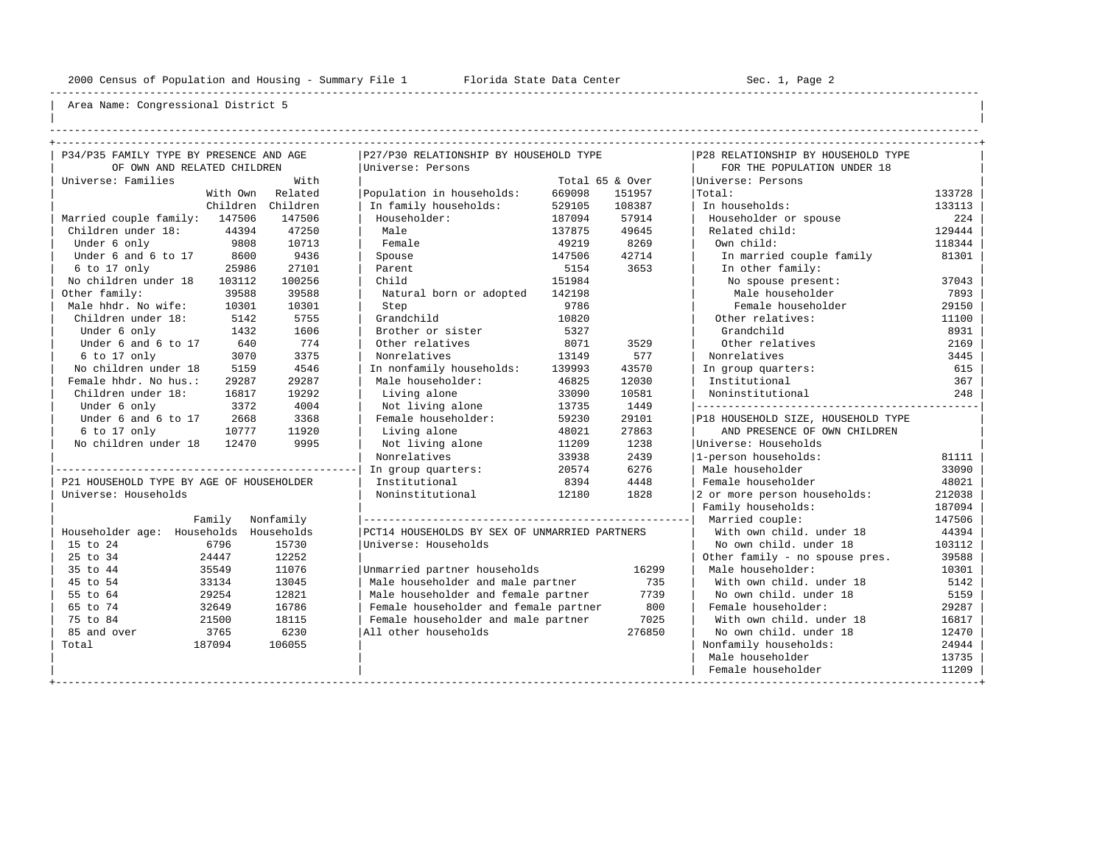----------------------------------------------------------------------------------------------------------------------------------------------------

| | ----------------------------------------------------------------------------------------------------------------------------------------------------

| P34/P35 FAMILY TYPE BY PRESENCE AND AGE  |          |           | P27/P30 RELATIONSHIP BY HOUSEHOLD TYPE        |        |                 | P28 RELATIONSHIP BY HOUSEHOLD TYPE    |        |
|------------------------------------------|----------|-----------|-----------------------------------------------|--------|-----------------|---------------------------------------|--------|
| OF OWN AND RELATED CHILDREN              |          |           | Universe: Persons                             |        |                 | FOR THE POPULATION UNDER 18           |        |
| Universe: Families                       |          | With      |                                               |        | Total 65 & Over | Universe: Persons                     |        |
|                                          | With Own | Related   | Population in households:                     | 669098 | 151957          | Total:                                | 133728 |
|                                          | Children | Children  | In family households:                         | 529105 | 108387          | In households:                        | 133113 |
| Married couple family: 147506            |          | 147506    | Householder:                                  | 187094 | 57914           | Householder or spouse                 | 224    |
| Children under 18:                       | 44394    | 47250     | Male                                          | 137875 | 49645           | Related child:                        | 129444 |
| Under 6 only                             | 9808     | 10713     | Female                                        | 49219  | 8269            | Own child:                            | 118344 |
| Under 6 and 6 to 17                      | 8600     | 9436      | Spouse                                        | 147506 | 42714           | In married couple family              | 81301  |
| 6 to 17 only                             | 25986    | 27101     | Parent                                        | 5154   | 3653            | In other family:                      |        |
| No children under 18                     | 103112   | 100256    | Child                                         | 151984 |                 | No spouse present:                    | 37043  |
| Other family:                            | 39588    | 39588     | Natural born or adopted                       | 142198 |                 | Male householder                      | 7893   |
| Male hhdr. No wife:                      | 10301    | 10301     | Step                                          | 9786   |                 | Female householder                    | 29150  |
| Children under 18:                       | 5142     | 5755      | Grandchild                                    | 10820  |                 | Other relatives:                      | 11100  |
| Under 6 only                             | 1432     | 1606      | Brother or sister                             | 5327   |                 | Grandchild                            | 8931   |
| Under 6 and 6 to 17                      | 640      | 774       | Other relatives                               | 8071   | 3529            | Other relatives                       | 2169   |
| 6 to 17 only                             | 3070     | 3375      | Nonrelatives                                  | 13149  | 577             | Nonrelatives                          | 3445   |
| No children under 18                     | 5159     | 4546      | In nonfamily households:                      | 139993 | 43570           | In group quarters:                    | 615    |
| Female hhdr. No hus.:                    | 29287    | 29287     | Male householder:                             | 46825  | 12030           | Institutional                         | 367    |
| Children under 18:                       | 16817    | 19292     | Living alone                                  | 33090  | 10581           | Noninstitutional                      | 248    |
| Under 6 only                             | 3372     | 4004      | Not living alone                              | 13735  | 1449            | _____________________________________ |        |
| Under 6 and 6 to 17                      | 2668     | 3368      | Female householder:                           | 59230  | 29101           | P18 HOUSEHOLD SIZE, HOUSEHOLD TYPE    |        |
| 6 to 17 only                             | 10777    | 11920     | Living alone                                  | 48021  | 27863           | AND PRESENCE OF OWN CHILDREN          |        |
| No children under 18                     | 12470    | 9995      | Not living alone                              | 11209  | 1238            | Universe: Households                  |        |
|                                          |          |           | Nonrelatives                                  | 33938  | 2439            | 1-person households:                  | 81111  |
|                                          |          |           | In group quarters:                            | 20574  | 6276            | Male householder                      | 33090  |
| P21 HOUSEHOLD TYPE BY AGE OF HOUSEHOLDER |          |           | Institutional                                 | 8394   | 4448            | Female householder                    | 48021  |
| Universe: Households                     |          |           | Noninstitutional                              | 12180  | 1828            | 2 or more person households:          | 212038 |
|                                          |          |           |                                               |        |                 | Family households:                    | 187094 |
|                                          | Family   | Nonfamily |                                               |        |                 | Married couple:                       | 147506 |
| Householder age: Households Households   |          |           | PCT14 HOUSEHOLDS BY SEX OF UNMARRIED PARTNERS |        |                 | With own child, under 18              | 44394  |
| 15 to 24                                 | 6796     | 15730     | Universe: Households                          |        |                 | No own child. under 18                | 103112 |
| 25 to 34                                 | 24447    | 12252     |                                               |        |                 | Other family - no spouse pres.        | 39588  |
| 35 to 44                                 | 35549    | 11076     | Unmarried partner households                  |        | 16299           | Male householder:                     | 10301  |
| 45 to 54                                 | 33134    | 13045     | Male householder and male partner             |        | 735             | With own child, under 18              | 5142   |
| 55 to 64                                 | 29254    | 12821     | Male householder and female partner           |        | 7739            | No own child, under 18                | 5159   |
| 65 to 74                                 | 32649    | 16786     | Female householder and female partner         |        | 800             | Female householder:                   | 29287  |
| 75 to 84                                 | 21500    | 18115     | Female householder and male partner           |        | 7025            | With own child, under 18              | 16817  |
| 85 and over                              | 3765     | 6230      | All other households                          |        | 276850          | No own child, under 18                | 12470  |
| Total                                    | 187094   | 106055    |                                               |        |                 | Nonfamily households:                 | 24944  |
|                                          |          |           |                                               |        |                 | Male householder                      | 13735  |
|                                          |          |           |                                               |        |                 | Female householder                    | 11209  |
|                                          |          |           |                                               |        |                 |                                       |        |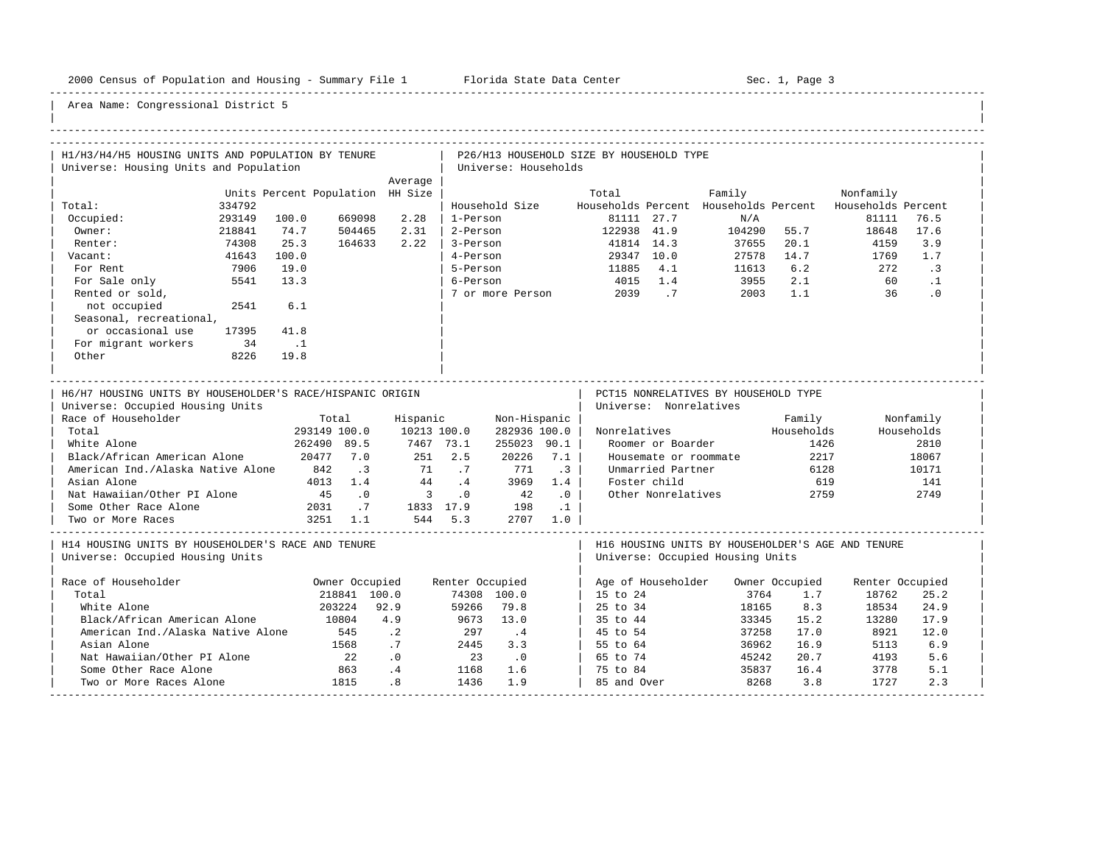-----------------------------------------------------------------------------------------------------------------------------------------------------

| H1/H3/H4/H5 HOUSING UNITS AND POPULATION BY TENURE<br>Universe: Housing Units and Population |                                  |                             |                  | Universe: Households        |                  | P26/H13 HOUSEHOLD SIZE BY HOUSEHOLD TYPE |                        |                                                          |                |                 |            |
|----------------------------------------------------------------------------------------------|----------------------------------|-----------------------------|------------------|-----------------------------|------------------|------------------------------------------|------------------------|----------------------------------------------------------|----------------|-----------------|------------|
|                                                                                              |                                  | Average                     |                  |                             |                  |                                          |                        |                                                          |                |                 |            |
|                                                                                              | Units Percent Population HH Size |                             |                  |                             |                  | Total                                    |                        | Family                                                   |                | Nonfamily       |            |
| 334792<br>Total:                                                                             |                                  |                             |                  | Household Size              |                  |                                          |                        | Households Percent Households Percent Households Percent |                |                 |            |
| 293149<br>Occupied:                                                                          | 669098<br>100.0                  | 2.28                        | 1-Person         |                             |                  |                                          | 81111 27.7             | N/A                                                      |                | 81111           | 76.5       |
| Owner:<br>218841                                                                             | 74.7<br>504465                   | 2.31                        | 2-Person         |                             |                  | 122938 41.9                              |                        | 104290 55.7                                              |                | 18648           | 17.6       |
| 74308<br>Renter:                                                                             | 25.3<br>164633                   | 2.22                        | 3-Person         |                             |                  |                                          | 41814 14.3             | 37655                                                    | 20.1           | 4159            | 3.9        |
| 41643<br>Vacant:                                                                             | 100.0                            |                             | 4-Person         |                             |                  |                                          | 29347 10.0             | 27578                                                    | 14.7           | 1769            | 1.7        |
| 7906<br>For Rent                                                                             | 19.0                             |                             | 5-Person         |                             |                  | 11885                                    | 4.1                    | 11613                                                    | 6.2            | 272             | $\cdot$ 3  |
| For Sale only<br>5541                                                                        | 13.3                             |                             | 6-Person         |                             |                  | 4015 1.4                                 |                        | 3955                                                     | 2.1            | 60              | $\cdot$ 1  |
| Rented or sold,                                                                              |                                  |                             |                  | 7 or more Person            |                  |                                          | 2039.7                 | 2003                                                     | 1.1            | 36              | .0         |
| not occupied<br>2541                                                                         | 6.1                              |                             |                  |                             |                  |                                          |                        |                                                          |                |                 |            |
| Seasonal, recreational,                                                                      |                                  |                             |                  |                             |                  |                                          |                        |                                                          |                |                 |            |
| or occasional use<br>17395                                                                   | 41.8                             |                             |                  |                             |                  |                                          |                        |                                                          |                |                 |            |
| For migrant workers<br>34                                                                    | $\ldots$                         |                             |                  |                             |                  |                                          |                        |                                                          |                |                 |            |
| Other<br>8226                                                                                | 19.8                             |                             |                  |                             |                  |                                          |                        |                                                          |                |                 |            |
|                                                                                              |                                  |                             |                  |                             |                  |                                          |                        |                                                          |                |                 |            |
|                                                                                              |                                  |                             |                  |                             |                  |                                          |                        |                                                          |                |                 |            |
| H6/H7 HOUSING UNITS BY HOUSEHOLDER'S RACE/HISPANIC ORIGIN                                    |                                  |                             |                  |                             |                  |                                          |                        | PCT15 NONRELATIVES BY HOUSEHOLD TYPE                     |                |                 |            |
| Universe: Occupied Housing Units                                                             |                                  |                             |                  |                             |                  |                                          | Universe: Nonrelatives |                                                          |                |                 |            |
| Race of Householder                                                                          | Total                            | Hispanic                    |                  | Non-Hispanic                |                  |                                          |                        |                                                          | Family         |                 | Nonfamily  |
| Total                                                                                        | 293149 100.0                     | 10213 100.0                 |                  | 282936 100.0                |                  | Nonrelatives                             |                        |                                                          | Households     |                 | Households |
| White Alone                                                                                  | 262490 89.5                      | 7467 73.1                   |                  | 255023 90.1                 |                  |                                          | Roomer or Boarder      |                                                          | 1426           |                 | 2810       |
| Black/African American Alone                                                                 | 20477 7.0                        | 251                         | 2.5              | 20226                       | 7.1              |                                          | Housemate or roommate  |                                                          | 2217           |                 | 18067      |
| American Ind./Alaska Native Alone                                                            | 842<br>$\overline{3}$            | 71                          | .7               | 771                         | $\cdot$ 3        |                                          | Unmarried Partner      |                                                          | 6128           |                 | 10171      |
| Asian Alone                                                                                  | 1.4<br>4013                      | 44                          | $\cdot$ 4        | 3969                        | 1.4              |                                          | Foster child           |                                                          | 619            |                 | 141        |
| Nat Hawaiian/Other PI Alone                                                                  | 45<br>$\cdot$ 0                  | $\overline{\phantom{a}}$ 3  | $\overline{0}$ . | 42                          | $\overline{0}$ . |                                          | Other Nonrelatives     |                                                          | 2759           |                 | 2749       |
| Some Other Race Alone                                                                        | 2031<br>$\overline{1}$           |                             |                  |                             | $\ldots$         |                                          |                        |                                                          |                |                 |            |
| Two or More Races                                                                            | 3251 1.1                         | 544 5.3                     |                  | 1833 17.9 198               | 2707 1.0         |                                          |                        |                                                          |                |                 |            |
|                                                                                              |                                  |                             |                  |                             |                  |                                          |                        |                                                          |                |                 |            |
| H14 HOUSING UNITS BY HOUSEHOLDER'S RACE AND TENURE                                           |                                  |                             |                  |                             |                  |                                          |                        | H16 HOUSING UNITS BY HOUSEHOLDER'S AGE AND TENURE        |                |                 |            |
| Universe: Occupied Housing Units                                                             |                                  |                             |                  |                             |                  |                                          |                        | Universe: Occupied Housing Units                         |                |                 |            |
|                                                                                              |                                  |                             |                  |                             |                  |                                          |                        |                                                          |                |                 |            |
| Race of Householder                                                                          | Owner Occupied                   |                             | Renter Occupied  |                             |                  |                                          | Age of Householder     |                                                          | Owner Occupied | Renter Occupied |            |
| Total                                                                                        | 218841 100.0                     |                             |                  | 74308 100.0                 |                  | 15 to 24                                 |                        | 3764                                                     | 1.7            | 18762           | 25.2       |
| White Alone                                                                                  | 203224                           | 92.9                        | 59266            | 79.8                        |                  | 25 to 34                                 |                        | 18165                                                    | 8.3            | 18534           | 24.9       |
| Black/African American Alone                                                                 | 10804                            | 4.9                         | 9673             | 13.0                        |                  | 35 to 44                                 |                        | 33345                                                    | 15.2           | 13280           | 17.9       |
| American Ind./Alaska Native Alone                                                            | 545                              | $\cdot$ . 2                 | 297              | $\cdot$ 4                   |                  | 45 to 54                                 |                        | 37258                                                    | 17.0           | 8921            | 12.0       |
| Asian Alone                                                                                  | 1568                             | .7                          | 2445             | 3.3                         |                  | 55 to 64                                 |                        | 36962                                                    | 16.9           | 5113            | 6.9        |
| Nat Hawaiian/Other PI Alone                                                                  | 22                               | $\overline{\phantom{0}}$ .0 | 23               | $\overline{\phantom{0}}$ .0 |                  | 65 to 74                                 |                        | 45242                                                    | 20.7           | 4193            | 5.6        |
| Some Other Race Alone                                                                        | 863                              | .4                          | 1168             | 1.6                         |                  | 75 to 84                                 |                        | 35837                                                    | 16.4           | 3778            | 5.1        |
| Two or More Races Alone                                                                      | 1815                             | .8 <sub>0</sub>             | 1436             | 1.9                         |                  | 85 and Over                              |                        | 8268                                                     | 3.8            | 1727            | 2.3        |
|                                                                                              |                                  |                             |                  |                             |                  |                                          |                        |                                                          |                |                 |            |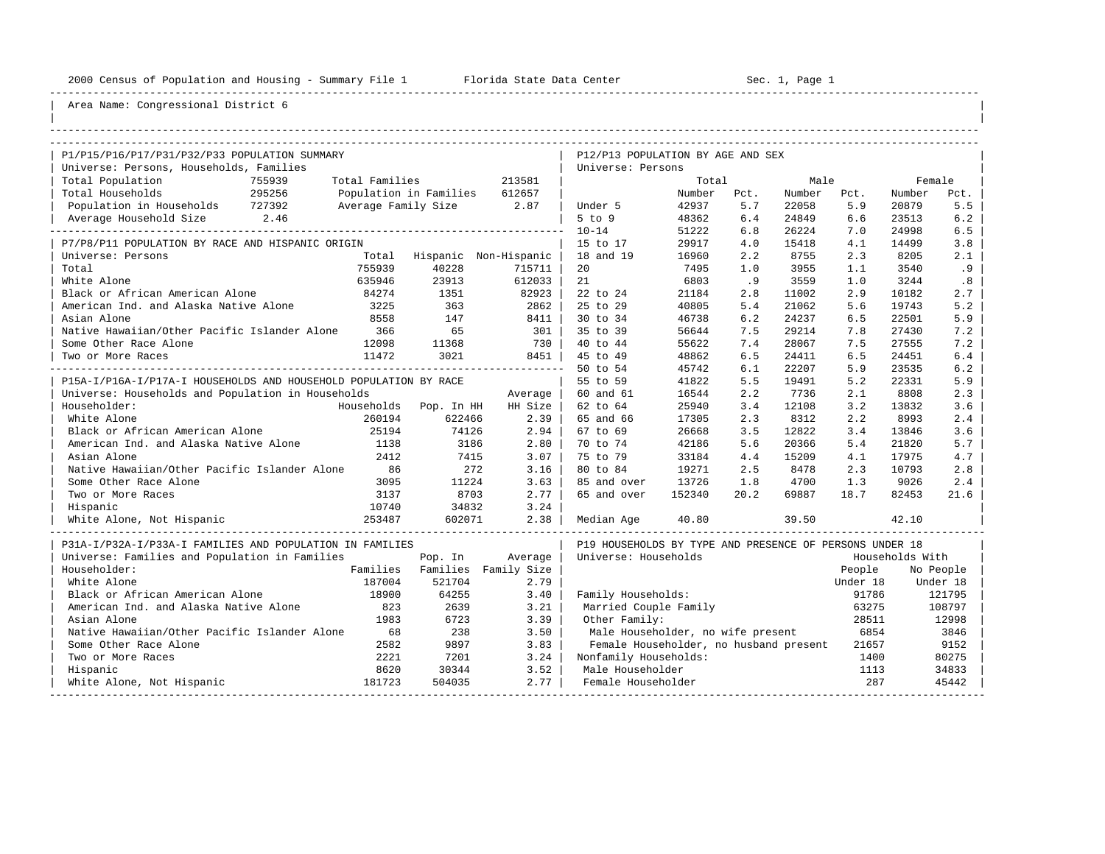----------------------------------------------------------------------------------------------------------------------------------------------------

| |

| P1/P15/P16/P17/P31/P32/P33 POPULATION SUMMARY                    |                 |                     |                        |                       | P12/P13 POPULATION BY AGE AND SEX                       |                 |             |                 |             |                 |             |
|------------------------------------------------------------------|-----------------|---------------------|------------------------|-----------------------|---------------------------------------------------------|-----------------|-------------|-----------------|-------------|-----------------|-------------|
| Universe: Persons, Households, Families                          |                 |                     |                        |                       | Universe: Persons                                       |                 |             |                 |             |                 |             |
| Total Population<br>Total Households                             | 755939          | Total Families      |                        | 213581                |                                                         | Total           |             | Male            |             |                 | Female      |
| Population in Households 727392                                  | 295256          | Average Family Size | Population in Families | 612657<br>2.87        |                                                         | Number<br>42937 | Pct.<br>5.7 | Number<br>22058 | Pct.<br>5.9 | Number<br>20879 | Pct.<br>5.5 |
|                                                                  | 2.46            |                     |                        |                       | Under 5<br>$5$ to $9$                                   | 48362           | 6.4         | 24849           | 6.6         | 23513           | 6.2         |
| Average Household Size                                           | --------------- |                     |                        |                       |                                                         |                 |             |                 |             |                 |             |
|                                                                  |                 |                     |                        |                       | $10 - 14$                                               | 51222<br>29917  | 6.8         | 26224           | 7.0<br>4.1  | 24998           | 6.5         |
| P7/P8/P11 POPULATION BY RACE AND HISPANIC ORIGIN                 |                 |                     |                        |                       | 15 to 17                                                |                 | 4.0<br>2.2  | 15418           | 2.3         | 14499           | 3.8<br>2.1  |
| Universe: Persons                                                |                 | Total               |                        | Hispanic Non-Hispanic | 18 and 19                                               | 16960           |             | 8755            |             | 8205            |             |
| Total                                                            |                 | 755939              | 40228                  | 715711                | 20                                                      | 7495            | 1.0         | 3955            | 1.1         | 3540            | .9          |
| White Alone                                                      |                 | 635946              | 23913                  | 612033                | 21                                                      | 6803            | .9          | 3559            | 1.0         | 3244            | .8          |
| Black or African American Alone                                  |                 | 84274               | 1351                   | 82923                 | 22 to 24                                                | 21184           | 2.8         | 11002           | 2.9         | 10182           | 2.7         |
| American Ind. and Alaska Native Alone                            |                 | 3225                | 363                    | 2862                  | 25 to 29                                                | 40805           | 5.4         | 21062           | 5.6         | 19743           | 5.2         |
| Asian Alone                                                      |                 | 8558                | 147                    | 8411                  | 30 to 34                                                | 46738           | 6.2         | 24237           | 6.5         | 22501           | 5.9         |
| Native Hawaiian/Other Pacific Islander Alone                     |                 | 366                 | 65                     | 301                   | 35 to 39                                                | 56644           | 7.5         | 29214           | 7.8         | 27430           | 7.2         |
| Some Other Race Alone                                            |                 | 12098               | 11368                  | 730                   | 40 to 44                                                | 55622           | 7.4         | 28067           | 7.5         | 27555           | 7.2         |
| Two or More Races                                                |                 | 11472               | 3021                   | 8451                  | 45 to 49                                                | 48862           | 6.5         | 24411           | 6.5         | 24451           | $6.4$       |
|                                                                  |                 |                     |                        |                       | 50 to 54                                                | 45742           | 6.1         | 22207           | 5.9         | 23535           | 6.2         |
| P15A-I/P16A-I/P17A-I HOUSEHOLDS AND HOUSEHOLD POPULATION BY RACE |                 |                     |                        |                       | 55 to 59                                                | 41822           | 5.5         | 19491           | 5.2         | 22331           | 5.9         |
| Universe: Households and Population in Households                |                 |                     |                        | Average               | 60 and 61                                               | 16544           | 2.2         | 7736            | 2.1         | 8808            | 2.3         |
| Householder:                                                     |                 |                     | Households Pop. In HH  | HH Size               | 62 to 64                                                | 25940           | 3.4         | 12108           | 3.2         | 13832           | 3.6         |
| White Alone                                                      |                 | 260194              | 622466                 | 2.39                  | 65 and 66                                               | 17305           | 2.3         | 8312            | 2.2         | 8993            | 2.4         |
| Black or African American Alone                                  |                 | 25194               | 74126                  | 2.94                  | 67 to 69                                                | 26668           | 3.5         | 12822           | 3.4         | 13846           | 3.6         |
| American Ind. and Alaska Native Alone                            |                 | 1138                | 3186                   | 2.80                  | 70 to 74                                                | 42186           | 5.6         | 20366           | 5.4         | 21820           | 5.7         |
| Asian Alone                                                      |                 | 2412                | 7415                   | 3.07                  | 75 to 79                                                | 33184           | 4.4         | 15209           | 4.1         | 17975           | 4.7         |
| Native Hawaiian/Other Pacific Islander Alone                     |                 | 86                  | 272                    | 3.16                  | 80 to 84                                                | 19271           | 2.5         | 8478            | 2.3         | 10793           | 2.8         |
| Some Other Race Alone                                            |                 | 3095                | 11224                  | 3.63                  | 85 and over                                             | 13726           | 1.8         | 4700            | 1.3         | 9026            | 2.4         |
| Two or More Races                                                |                 | 3137                | 8703                   | 2.77                  | 65 and over                                             | 152340          | 20.2        | 69887           | 18.7        | 82453           | 21.6        |
| Hispanic                                                         |                 | 10740               | 34832                  | 3.24                  |                                                         |                 |             |                 |             |                 |             |
| White Alone, Not Hispanic                                        |                 | 253487              | 602071                 | 2.38                  | Median Age                                              | 40.80           |             | 39.50           |             | 42.10           |             |
| P31A-I/P32A-I/P33A-I FAMILIES AND POPULATION IN FAMILIES         |                 |                     |                        |                       | P19 HOUSEHOLDS BY TYPE AND PRESENCE OF PERSONS UNDER 18 |                 |             |                 |             |                 |             |
| Universe: Families and Population in Families                    |                 |                     | Pop. In                | Average               | Universe: Households                                    |                 |             |                 |             | Households With |             |
| Householder:                                                     |                 | Families            |                        | Families Family Size  |                                                         |                 |             |                 | People      |                 | No People   |
| White Alone                                                      |                 | 187004              | 521704                 | 2.79                  |                                                         |                 |             |                 | Under 18    |                 | Under 18    |
| Black or African American Alone                                  |                 | 18900               | 64255                  | 3.40                  | Family Households:                                      |                 |             |                 | 91786       |                 | 121795      |
| American Ind. and Alaska Native Alone                            |                 | 823                 | 2639                   | 3.21                  | Married Couple Family                                   |                 |             |                 | 63275       |                 | 108797      |
| Asian Alone                                                      |                 | 1983                | 6723                   | 3.39                  | Other Family:                                           |                 |             |                 | 28511       |                 | 12998       |
| Native Hawaiian/Other Pacific Islander Alone                     |                 | 68                  | 238                    | 3.50                  | Male Householder, no wife present                       |                 |             |                 | 6854        |                 | 3846        |
| Some Other Race Alone                                            |                 | 2582                | 9897                   | 3.83                  | Female Householder, no husband present                  |                 |             |                 | 21657       |                 | 9152        |
| Two or More Races                                                |                 | 2221                | 7201                   | 3.24                  | Nonfamily Households:                                   |                 |             |                 | 1400        |                 | 80275       |
| Hispanic                                                         |                 | 8620                | 30344                  | 3.52                  | Male Householder                                        |                 |             |                 | 1113        |                 | 34833       |
| White Alone, Not Hispanic                                        |                 | 181723              | 504035                 | 2.77                  | Female Householder                                      |                 |             |                 | 287         |                 | 45442       |
|                                                                  |                 |                     |                        |                       |                                                         |                 |             |                 |             |                 |             |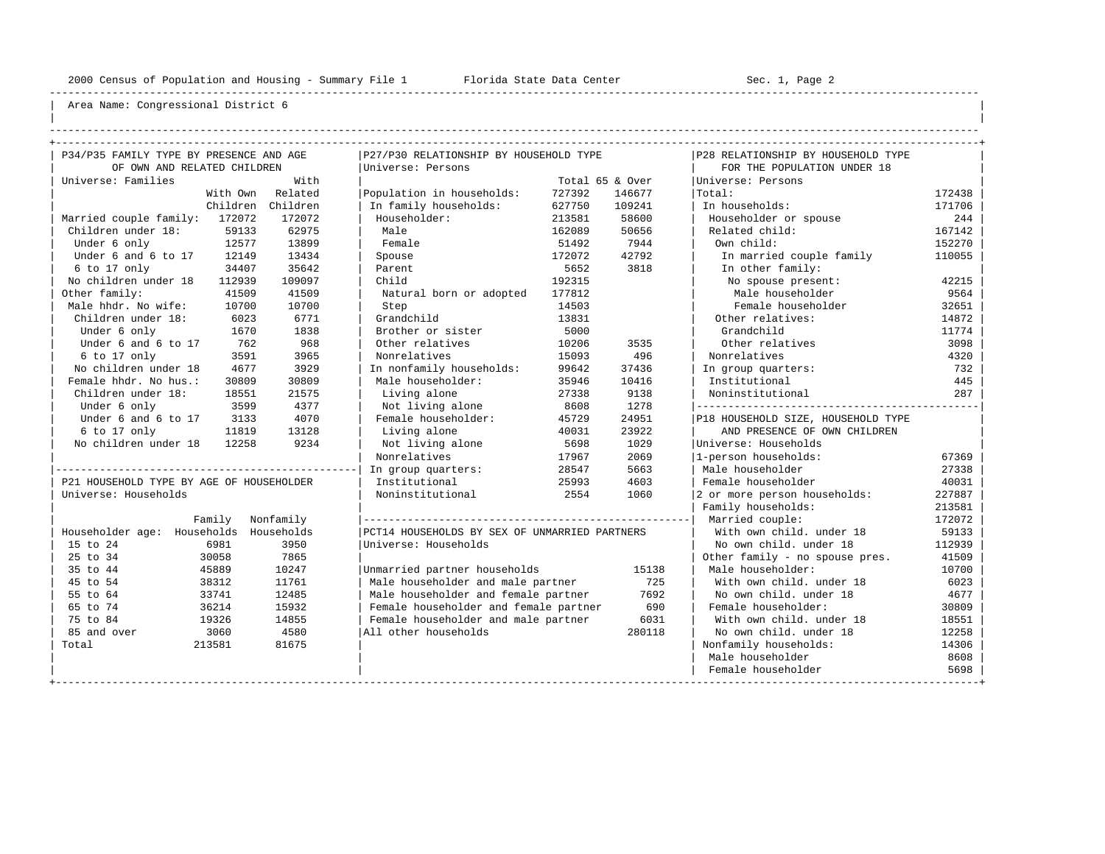----------------------------------------------------------------------------------------------------------------------------------------------------

| | ----------------------------------------------------------------------------------------------------------------------------------------------------

| P34/P35 FAMILY TYPE BY PRESENCE AND AGE<br>P27/P30 RELATIONSHIP BY HOUSEHOLD TYPE<br>P28 RELATIONSHIP BY HOUSEHOLD TYPE<br>OF OWN AND RELATED CHILDREN<br>Universe: Persons<br>FOR THE POPULATION UNDER 18<br>Universe: Families<br>With<br>Total 65 & Over<br>Universe: Persons<br>With Own<br>Related<br>Population in households:<br>727392<br>146677<br>Total:<br>172438<br>Children<br>In family households:<br>627750<br>109241<br>In households:<br>171706<br>Children<br>172072<br>Householder:<br>58600<br>Householder or spouse<br>Married couple family: 172072<br>213581<br>244<br>62975<br>Male<br>167142<br>Children under 18:<br>59133<br>162089<br>50656<br>Related child:<br>13899<br>Female<br>12577<br>51492<br>7944<br>Own child:<br>152270<br>Under 6 only<br>Spouse<br>42792<br>Under 6 and 6 to 17<br>12149<br>13434<br>172072<br>In married couple family<br>110055<br>34407<br>35642<br>5652<br>3818<br>6 to 17 only<br>Parent<br>In other family:<br>No children under 18<br>109097<br>112939<br>Child<br>192315<br>No spouse present:<br>42215<br>Other family:<br>41509<br>41509<br>Male householder<br>9564<br>Natural born or adopted<br>177812<br>Male hhdr. No wife:<br>10700<br>Female householder<br>10700<br>14503<br>32651<br>Step<br>Children under 18:<br>6023<br>6771<br>Grandchild<br>13831<br>Other relatives:<br>14872<br>1838<br>5000<br>1670<br>Brother or sister<br>Grandchild<br>11774<br>Under 6 only<br>968<br>Under 6 and 6 to 17<br>762<br>Other relatives<br>10206<br>3535<br>Other relatives<br>3098<br>3591<br>3965<br>Nonrelatives<br>15093<br>496<br>Nonrelatives<br>4320<br>6 to 17 only<br>No children under 18<br>3929<br>37436<br>4677<br>In nonfamily households:<br>99642<br>In group quarters:<br>732<br>Male householder:<br>Female hhdr. No hus.:<br>30809<br>10416<br>Institutional<br>445<br>30809<br>35946<br>9138<br>Children under 18:<br>18551<br>21575<br>Living alone<br>27338<br>Noninstitutional<br>287<br>3599<br>4377<br>Not living alone<br>8608<br>1278<br>Under 6 only<br>Under 6 and 6 to 17<br>4070<br>Female householder:<br>24951<br>3133<br>45729<br>P18 HOUSEHOLD SIZE, HOUSEHOLD TYPE<br>13128<br>23922<br>6 to 17 only<br>11819<br>Living alone<br>40031<br>AND PRESENCE OF OWN CHILDREN<br>No children under 18<br>12258<br>9234<br>Not living alone<br>5698<br>1029<br>Universe: Households<br>2069<br>1-person households:<br>67369<br>Nonrelatives<br>17967 |
|--------------------------------------------------------------------------------------------------------------------------------------------------------------------------------------------------------------------------------------------------------------------------------------------------------------------------------------------------------------------------------------------------------------------------------------------------------------------------------------------------------------------------------------------------------------------------------------------------------------------------------------------------------------------------------------------------------------------------------------------------------------------------------------------------------------------------------------------------------------------------------------------------------------------------------------------------------------------------------------------------------------------------------------------------------------------------------------------------------------------------------------------------------------------------------------------------------------------------------------------------------------------------------------------------------------------------------------------------------------------------------------------------------------------------------------------------------------------------------------------------------------------------------------------------------------------------------------------------------------------------------------------------------------------------------------------------------------------------------------------------------------------------------------------------------------------------------------------------------------------------------------------------------------------------------------------------------------------------------------------------------------------------------------------------------------------------------------------------------------------------------------------------------------------------------------------------------------------------------------------------------------------------------------------------------------------------------------------------------------------------------------------------------------------------------------------------------|
|                                                                                                                                                                                                                                                                                                                                                                                                                                                                                                                                                                                                                                                                                                                                                                                                                                                                                                                                                                                                                                                                                                                                                                                                                                                                                                                                                                                                                                                                                                                                                                                                                                                                                                                                                                                                                                                                                                                                                                                                                                                                                                                                                                                                                                                                                                                                                                                                                                                        |
|                                                                                                                                                                                                                                                                                                                                                                                                                                                                                                                                                                                                                                                                                                                                                                                                                                                                                                                                                                                                                                                                                                                                                                                                                                                                                                                                                                                                                                                                                                                                                                                                                                                                                                                                                                                                                                                                                                                                                                                                                                                                                                                                                                                                                                                                                                                                                                                                                                                        |
|                                                                                                                                                                                                                                                                                                                                                                                                                                                                                                                                                                                                                                                                                                                                                                                                                                                                                                                                                                                                                                                                                                                                                                                                                                                                                                                                                                                                                                                                                                                                                                                                                                                                                                                                                                                                                                                                                                                                                                                                                                                                                                                                                                                                                                                                                                                                                                                                                                                        |
|                                                                                                                                                                                                                                                                                                                                                                                                                                                                                                                                                                                                                                                                                                                                                                                                                                                                                                                                                                                                                                                                                                                                                                                                                                                                                                                                                                                                                                                                                                                                                                                                                                                                                                                                                                                                                                                                                                                                                                                                                                                                                                                                                                                                                                                                                                                                                                                                                                                        |
|                                                                                                                                                                                                                                                                                                                                                                                                                                                                                                                                                                                                                                                                                                                                                                                                                                                                                                                                                                                                                                                                                                                                                                                                                                                                                                                                                                                                                                                                                                                                                                                                                                                                                                                                                                                                                                                                                                                                                                                                                                                                                                                                                                                                                                                                                                                                                                                                                                                        |
|                                                                                                                                                                                                                                                                                                                                                                                                                                                                                                                                                                                                                                                                                                                                                                                                                                                                                                                                                                                                                                                                                                                                                                                                                                                                                                                                                                                                                                                                                                                                                                                                                                                                                                                                                                                                                                                                                                                                                                                                                                                                                                                                                                                                                                                                                                                                                                                                                                                        |
|                                                                                                                                                                                                                                                                                                                                                                                                                                                                                                                                                                                                                                                                                                                                                                                                                                                                                                                                                                                                                                                                                                                                                                                                                                                                                                                                                                                                                                                                                                                                                                                                                                                                                                                                                                                                                                                                                                                                                                                                                                                                                                                                                                                                                                                                                                                                                                                                                                                        |
|                                                                                                                                                                                                                                                                                                                                                                                                                                                                                                                                                                                                                                                                                                                                                                                                                                                                                                                                                                                                                                                                                                                                                                                                                                                                                                                                                                                                                                                                                                                                                                                                                                                                                                                                                                                                                                                                                                                                                                                                                                                                                                                                                                                                                                                                                                                                                                                                                                                        |
|                                                                                                                                                                                                                                                                                                                                                                                                                                                                                                                                                                                                                                                                                                                                                                                                                                                                                                                                                                                                                                                                                                                                                                                                                                                                                                                                                                                                                                                                                                                                                                                                                                                                                                                                                                                                                                                                                                                                                                                                                                                                                                                                                                                                                                                                                                                                                                                                                                                        |
|                                                                                                                                                                                                                                                                                                                                                                                                                                                                                                                                                                                                                                                                                                                                                                                                                                                                                                                                                                                                                                                                                                                                                                                                                                                                                                                                                                                                                                                                                                                                                                                                                                                                                                                                                                                                                                                                                                                                                                                                                                                                                                                                                                                                                                                                                                                                                                                                                                                        |
|                                                                                                                                                                                                                                                                                                                                                                                                                                                                                                                                                                                                                                                                                                                                                                                                                                                                                                                                                                                                                                                                                                                                                                                                                                                                                                                                                                                                                                                                                                                                                                                                                                                                                                                                                                                                                                                                                                                                                                                                                                                                                                                                                                                                                                                                                                                                                                                                                                                        |
|                                                                                                                                                                                                                                                                                                                                                                                                                                                                                                                                                                                                                                                                                                                                                                                                                                                                                                                                                                                                                                                                                                                                                                                                                                                                                                                                                                                                                                                                                                                                                                                                                                                                                                                                                                                                                                                                                                                                                                                                                                                                                                                                                                                                                                                                                                                                                                                                                                                        |
|                                                                                                                                                                                                                                                                                                                                                                                                                                                                                                                                                                                                                                                                                                                                                                                                                                                                                                                                                                                                                                                                                                                                                                                                                                                                                                                                                                                                                                                                                                                                                                                                                                                                                                                                                                                                                                                                                                                                                                                                                                                                                                                                                                                                                                                                                                                                                                                                                                                        |
|                                                                                                                                                                                                                                                                                                                                                                                                                                                                                                                                                                                                                                                                                                                                                                                                                                                                                                                                                                                                                                                                                                                                                                                                                                                                                                                                                                                                                                                                                                                                                                                                                                                                                                                                                                                                                                                                                                                                                                                                                                                                                                                                                                                                                                                                                                                                                                                                                                                        |
|                                                                                                                                                                                                                                                                                                                                                                                                                                                                                                                                                                                                                                                                                                                                                                                                                                                                                                                                                                                                                                                                                                                                                                                                                                                                                                                                                                                                                                                                                                                                                                                                                                                                                                                                                                                                                                                                                                                                                                                                                                                                                                                                                                                                                                                                                                                                                                                                                                                        |
|                                                                                                                                                                                                                                                                                                                                                                                                                                                                                                                                                                                                                                                                                                                                                                                                                                                                                                                                                                                                                                                                                                                                                                                                                                                                                                                                                                                                                                                                                                                                                                                                                                                                                                                                                                                                                                                                                                                                                                                                                                                                                                                                                                                                                                                                                                                                                                                                                                                        |
|                                                                                                                                                                                                                                                                                                                                                                                                                                                                                                                                                                                                                                                                                                                                                                                                                                                                                                                                                                                                                                                                                                                                                                                                                                                                                                                                                                                                                                                                                                                                                                                                                                                                                                                                                                                                                                                                                                                                                                                                                                                                                                                                                                                                                                                                                                                                                                                                                                                        |
|                                                                                                                                                                                                                                                                                                                                                                                                                                                                                                                                                                                                                                                                                                                                                                                                                                                                                                                                                                                                                                                                                                                                                                                                                                                                                                                                                                                                                                                                                                                                                                                                                                                                                                                                                                                                                                                                                                                                                                                                                                                                                                                                                                                                                                                                                                                                                                                                                                                        |
|                                                                                                                                                                                                                                                                                                                                                                                                                                                                                                                                                                                                                                                                                                                                                                                                                                                                                                                                                                                                                                                                                                                                                                                                                                                                                                                                                                                                                                                                                                                                                                                                                                                                                                                                                                                                                                                                                                                                                                                                                                                                                                                                                                                                                                                                                                                                                                                                                                                        |
|                                                                                                                                                                                                                                                                                                                                                                                                                                                                                                                                                                                                                                                                                                                                                                                                                                                                                                                                                                                                                                                                                                                                                                                                                                                                                                                                                                                                                                                                                                                                                                                                                                                                                                                                                                                                                                                                                                                                                                                                                                                                                                                                                                                                                                                                                                                                                                                                                                                        |
|                                                                                                                                                                                                                                                                                                                                                                                                                                                                                                                                                                                                                                                                                                                                                                                                                                                                                                                                                                                                                                                                                                                                                                                                                                                                                                                                                                                                                                                                                                                                                                                                                                                                                                                                                                                                                                                                                                                                                                                                                                                                                                                                                                                                                                                                                                                                                                                                                                                        |
|                                                                                                                                                                                                                                                                                                                                                                                                                                                                                                                                                                                                                                                                                                                                                                                                                                                                                                                                                                                                                                                                                                                                                                                                                                                                                                                                                                                                                                                                                                                                                                                                                                                                                                                                                                                                                                                                                                                                                                                                                                                                                                                                                                                                                                                                                                                                                                                                                                                        |
|                                                                                                                                                                                                                                                                                                                                                                                                                                                                                                                                                                                                                                                                                                                                                                                                                                                                                                                                                                                                                                                                                                                                                                                                                                                                                                                                                                                                                                                                                                                                                                                                                                                                                                                                                                                                                                                                                                                                                                                                                                                                                                                                                                                                                                                                                                                                                                                                                                                        |
|                                                                                                                                                                                                                                                                                                                                                                                                                                                                                                                                                                                                                                                                                                                                                                                                                                                                                                                                                                                                                                                                                                                                                                                                                                                                                                                                                                                                                                                                                                                                                                                                                                                                                                                                                                                                                                                                                                                                                                                                                                                                                                                                                                                                                                                                                                                                                                                                                                                        |
|                                                                                                                                                                                                                                                                                                                                                                                                                                                                                                                                                                                                                                                                                                                                                                                                                                                                                                                                                                                                                                                                                                                                                                                                                                                                                                                                                                                                                                                                                                                                                                                                                                                                                                                                                                                                                                                                                                                                                                                                                                                                                                                                                                                                                                                                                                                                                                                                                                                        |
| 5663<br>Male householder<br>27338<br>28547<br>In group quarters:<br>4603<br>P21 HOUSEHOLD TYPE BY AGE OF HOUSEHOLDER<br>Female householder                                                                                                                                                                                                                                                                                                                                                                                                                                                                                                                                                                                                                                                                                                                                                                                                                                                                                                                                                                                                                                                                                                                                                                                                                                                                                                                                                                                                                                                                                                                                                                                                                                                                                                                                                                                                                                                                                                                                                                                                                                                                                                                                                                                                                                                                                                             |
| Institutional<br>25993<br>40031                                                                                                                                                                                                                                                                                                                                                                                                                                                                                                                                                                                                                                                                                                                                                                                                                                                                                                                                                                                                                                                                                                                                                                                                                                                                                                                                                                                                                                                                                                                                                                                                                                                                                                                                                                                                                                                                                                                                                                                                                                                                                                                                                                                                                                                                                                                                                                                                                        |
| Universe: Households<br>Noninstitutional<br>2554<br>1060<br>2 or more person households:<br>227887                                                                                                                                                                                                                                                                                                                                                                                                                                                                                                                                                                                                                                                                                                                                                                                                                                                                                                                                                                                                                                                                                                                                                                                                                                                                                                                                                                                                                                                                                                                                                                                                                                                                                                                                                                                                                                                                                                                                                                                                                                                                                                                                                                                                                                                                                                                                                     |
| Family households:<br>213581                                                                                                                                                                                                                                                                                                                                                                                                                                                                                                                                                                                                                                                                                                                                                                                                                                                                                                                                                                                                                                                                                                                                                                                                                                                                                                                                                                                                                                                                                                                                                                                                                                                                                                                                                                                                                                                                                                                                                                                                                                                                                                                                                                                                                                                                                                                                                                                                                           |
| Married couple:<br>172072<br>Nonfamily<br>Family                                                                                                                                                                                                                                                                                                                                                                                                                                                                                                                                                                                                                                                                                                                                                                                                                                                                                                                                                                                                                                                                                                                                                                                                                                                                                                                                                                                                                                                                                                                                                                                                                                                                                                                                                                                                                                                                                                                                                                                                                                                                                                                                                                                                                                                                                                                                                                                                       |
| Householder age: Households Households<br>PCT14 HOUSEHOLDS BY SEX OF UNMARRIED PARTNERS<br>59133<br>With own child, under 18                                                                                                                                                                                                                                                                                                                                                                                                                                                                                                                                                                                                                                                                                                                                                                                                                                                                                                                                                                                                                                                                                                                                                                                                                                                                                                                                                                                                                                                                                                                                                                                                                                                                                                                                                                                                                                                                                                                                                                                                                                                                                                                                                                                                                                                                                                                           |
| 3950<br>No own child. under 18<br>15 to 24<br>6981<br>Universe: Households<br>112939                                                                                                                                                                                                                                                                                                                                                                                                                                                                                                                                                                                                                                                                                                                                                                                                                                                                                                                                                                                                                                                                                                                                                                                                                                                                                                                                                                                                                                                                                                                                                                                                                                                                                                                                                                                                                                                                                                                                                                                                                                                                                                                                                                                                                                                                                                                                                                   |
| 25 to 34<br>30058<br>7865<br>Other family - no spouse pres.<br>41509                                                                                                                                                                                                                                                                                                                                                                                                                                                                                                                                                                                                                                                                                                                                                                                                                                                                                                                                                                                                                                                                                                                                                                                                                                                                                                                                                                                                                                                                                                                                                                                                                                                                                                                                                                                                                                                                                                                                                                                                                                                                                                                                                                                                                                                                                                                                                                                   |
| 35 to 44<br>Male householder:<br>45889<br>10247<br>Unmarried partner households<br>15138<br>10700                                                                                                                                                                                                                                                                                                                                                                                                                                                                                                                                                                                                                                                                                                                                                                                                                                                                                                                                                                                                                                                                                                                                                                                                                                                                                                                                                                                                                                                                                                                                                                                                                                                                                                                                                                                                                                                                                                                                                                                                                                                                                                                                                                                                                                                                                                                                                      |
| 45 to 54<br>11761<br>Male householder and male partner<br>725<br>With own child, under 18<br>38312<br>6023                                                                                                                                                                                                                                                                                                                                                                                                                                                                                                                                                                                                                                                                                                                                                                                                                                                                                                                                                                                                                                                                                                                                                                                                                                                                                                                                                                                                                                                                                                                                                                                                                                                                                                                                                                                                                                                                                                                                                                                                                                                                                                                                                                                                                                                                                                                                             |
| 7692<br>55 to 64<br>33741<br>12485<br>Male householder and female partner<br>No own child. under 18<br>4677                                                                                                                                                                                                                                                                                                                                                                                                                                                                                                                                                                                                                                                                                                                                                                                                                                                                                                                                                                                                                                                                                                                                                                                                                                                                                                                                                                                                                                                                                                                                                                                                                                                                                                                                                                                                                                                                                                                                                                                                                                                                                                                                                                                                                                                                                                                                            |
| 690<br>65 to 74<br>36214<br>15932<br>Female householder and female partner<br>Female householder:<br>30809                                                                                                                                                                                                                                                                                                                                                                                                                                                                                                                                                                                                                                                                                                                                                                                                                                                                                                                                                                                                                                                                                                                                                                                                                                                                                                                                                                                                                                                                                                                                                                                                                                                                                                                                                                                                                                                                                                                                                                                                                                                                                                                                                                                                                                                                                                                                             |
| 75 to 84<br>19326<br>14855<br>6031<br>With own child, under 18<br>Female householder and male partner<br>18551                                                                                                                                                                                                                                                                                                                                                                                                                                                                                                                                                                                                                                                                                                                                                                                                                                                                                                                                                                                                                                                                                                                                                                                                                                                                                                                                                                                                                                                                                                                                                                                                                                                                                                                                                                                                                                                                                                                                                                                                                                                                                                                                                                                                                                                                                                                                         |
| 85 and over<br>4580<br>All other households<br>3060<br>280118<br>No own child, under 18<br>12258                                                                                                                                                                                                                                                                                                                                                                                                                                                                                                                                                                                                                                                                                                                                                                                                                                                                                                                                                                                                                                                                                                                                                                                                                                                                                                                                                                                                                                                                                                                                                                                                                                                                                                                                                                                                                                                                                                                                                                                                                                                                                                                                                                                                                                                                                                                                                       |
| Total<br>213581<br>81675<br>Nonfamily households:<br>14306                                                                                                                                                                                                                                                                                                                                                                                                                                                                                                                                                                                                                                                                                                                                                                                                                                                                                                                                                                                                                                                                                                                                                                                                                                                                                                                                                                                                                                                                                                                                                                                                                                                                                                                                                                                                                                                                                                                                                                                                                                                                                                                                                                                                                                                                                                                                                                                             |
| Male householder<br>8608                                                                                                                                                                                                                                                                                                                                                                                                                                                                                                                                                                                                                                                                                                                                                                                                                                                                                                                                                                                                                                                                                                                                                                                                                                                                                                                                                                                                                                                                                                                                                                                                                                                                                                                                                                                                                                                                                                                                                                                                                                                                                                                                                                                                                                                                                                                                                                                                                               |
| Female householder<br>5698                                                                                                                                                                                                                                                                                                                                                                                                                                                                                                                                                                                                                                                                                                                                                                                                                                                                                                                                                                                                                                                                                                                                                                                                                                                                                                                                                                                                                                                                                                                                                                                                                                                                                                                                                                                                                                                                                                                                                                                                                                                                                                                                                                                                                                                                                                                                                                                                                             |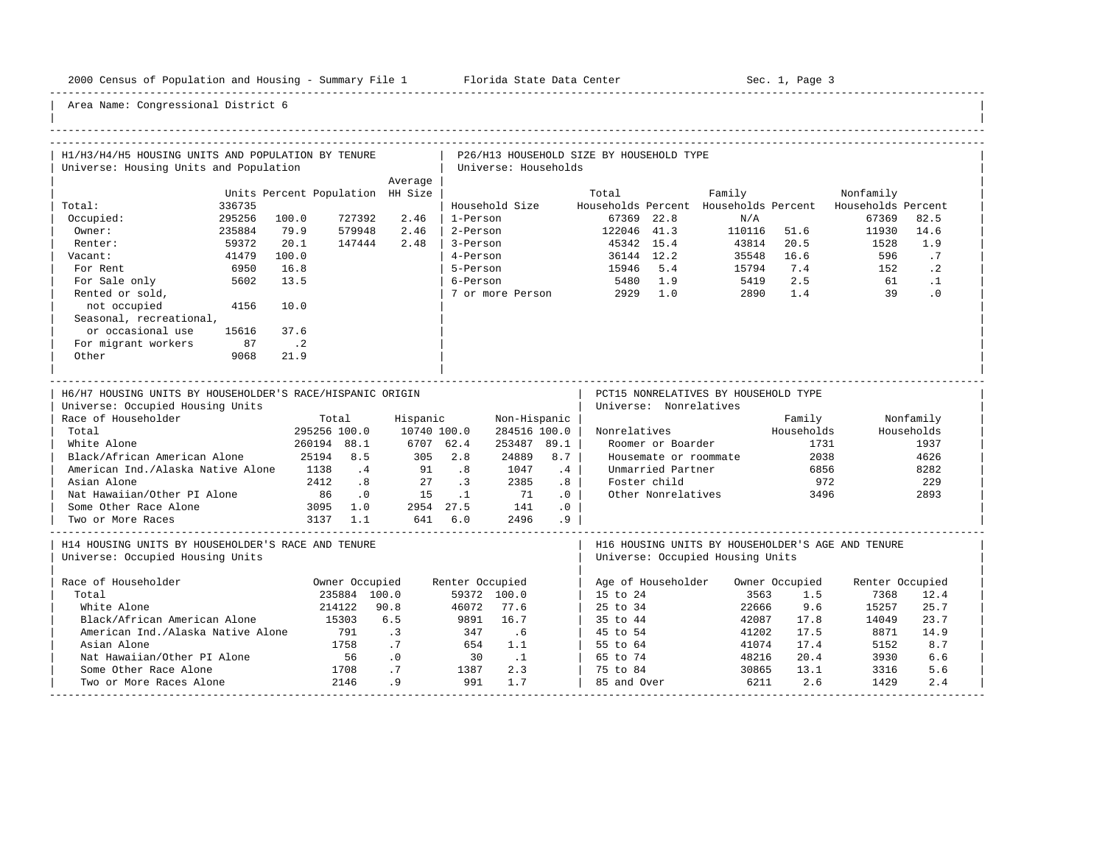-----------------------------------------------------------------------------------------------------------------------------------------------------

| H1/H3/H4/H5 HOUSING UNITS AND POPULATION BY TENURE<br>Universe: Housing Units and Population  |                                   |                                                 |                          | Universe: Households        |                            | P26/H13 HOUSEHOLD SIZE BY HOUSEHOLD TYPE |                        |                                      |                    |                                                                       |
|-----------------------------------------------------------------------------------------------|-----------------------------------|-------------------------------------------------|--------------------------|-----------------------------|----------------------------|------------------------------------------|------------------------|--------------------------------------|--------------------|-----------------------------------------------------------------------|
|                                                                                               |                                   | Average                                         |                          |                             |                            |                                          |                        |                                      |                    |                                                                       |
| Total:<br>336735                                                                              | Units Percent Population HH Size  |                                                 |                          | Household Size              |                            | Total                                    |                        | Family                               |                    | Nonfamily<br>Households Percent Households Percent Households Percent |
| Occupied:<br>295256<br>Owner:<br>235884                                                       | 100.0<br>727392<br>79.9<br>579948 | 2.46<br>2.46                                    | 1-Person<br>2-Person     |                             |                            | 67369 22.8<br>122046 41.3                |                        | N/A                                  |                    | 67369<br>82.5<br>14.6<br>11930                                        |
| 59372<br>Renter:                                                                              | 20.1<br>147444                    | 2.48                                            | 3-Person                 |                             |                            | 45342 15.4                               |                        | 110116 51.6<br>43814 20.5            |                    | 1.9<br>1528                                                           |
| 41479<br>Vacant:<br>For Rent<br>6950                                                          | 100.0<br>16.8                     |                                                 | 4-Person<br>5-Person     |                             |                            | 36144 12.2<br>15946 5.4                  |                        | 35548 16.6<br>15794                  | 7.4                | .7<br>596<br>$\cdot$ 2<br>152                                         |
| 5602<br>For Sale only                                                                         | 13.5                              |                                                 | 6-Person                 |                             |                            | 5480 1.9                                 |                        | 5419                                 | 2.5                | 61<br>$\cdot$ 1                                                       |
| Rented or sold,<br>4156<br>not occupied                                                       | 10.0                              |                                                 |                          |                             |                            | 7 or more Person 2929 1.0                |                        | 2890                                 | 1.4                | 39<br>$\cdot$ 0                                                       |
| Seasonal, recreational,                                                                       |                                   |                                                 |                          |                             |                            |                                          |                        |                                      |                    |                                                                       |
| or occasional use<br>15616<br>For migrant workers<br>87                                       | 37.6<br>$\cdot$ 2                 |                                                 |                          |                             |                            |                                          |                        |                                      |                    |                                                                       |
| Other<br>9068                                                                                 | 21.9                              |                                                 |                          |                             |                            |                                          |                        |                                      |                    |                                                                       |
| H6/H7 HOUSING UNITS BY HOUSEHOLDER'S RACE/HISPANIC ORIGIN<br>Universe: Occupied Housing Units |                                   |                                                 |                          |                             |                            |                                          | Universe: Nonrelatives | PCT15 NONRELATIVES BY HOUSEHOLD TYPE |                    |                                                                       |
| Race of Householder                                                                           | Total                             | Hispanic                                        |                          | Non-Hispanic                |                            |                                          |                        |                                      | Family             | Nonfamily                                                             |
| Total<br>White Alone                                                                          | 295256 100.0<br>260194 88.1       | 10740 100.0<br>6707 62.4                        |                          | 284516 100.0<br>253487 89.1 |                            |                                          | Roomer or Boarder      | Nonrelatives                         | Households<br>1731 | Households<br>1937                                                    |
| Black/African American Alone                                                                  | 25194 8.5                         | 305 2.8                                         |                          | 24889                       | 8.7                        |                                          | Housemate or roommate  |                                      | 2038               | 4626                                                                  |
| American Ind./Alaska Native Alone 1138 .4                                                     |                                   | 91                                              | .8                       | 1047                        | .4                         |                                          | Unmarried Partner      |                                      | 6856               | 8282                                                                  |
| Asian Alone                                                                                   | 2412.8                            | 27                                              | $\overline{\phantom{a}}$ | 2385                        | .8                         |                                          | Foster child           |                                      | 972                | 229                                                                   |
| Nat Hawaiian/Other PI Alone                                                                   | 86.0                              | $\overline{15}$ $\overline{11}$ $\overline{71}$ |                          |                             | $\overline{\phantom{0}}$ . |                                          | Other Nonrelatives     |                                      | 3496               | 2893                                                                  |
| Some Other Race Alone                                                                         | 3095 1.0 2954 27.5 141            |                                                 |                          |                             | .0                         |                                          |                        |                                      |                    |                                                                       |
| Two or More Races                                                                             | 3137 1.1                          | 641 6.0 2496                                    |                          |                             | .9                         |                                          |                        |                                      |                    |                                                                       |
| H14 HOUSING UNITS BY HOUSEHOLDER'S RACE AND TENURE<br>Universe: Occupied Housing Units        |                                   |                                                 |                          |                             |                            |                                          |                        | Universe: Occupied Housing Units     |                    | H16 HOUSING UNITS BY HOUSEHOLDER'S AGE AND TENURE                     |
| Race of Householder                                                                           | Owner Occupied                    |                                                 | Renter Occupied          |                             |                            |                                          |                        | Age of Householder Owner Occupied    |                    | Renter Occupied                                                       |
| Total                                                                                         | 235884 100.0                      |                                                 |                          | 59372 100.0                 |                            | $15 \text{ to } 24$                      |                        | 3563                                 | 1.5                | 7368<br>12.4                                                          |
| White Alone                                                                                   | 214122 90.8                       |                                                 | 46072                    | 77.6                        |                            | 25 to 34                                 |                        | 22666                                | 9.6                | 25.7<br>15257                                                         |
| Black/African American Alone                                                                  | 15303                             | 6.5                                             | 9891                     | 16.7                        |                            | 35 to 44                                 |                        | 42087                                | 17.8               | 14049<br>23.7                                                         |
| American Ind./Alaska Native Alone                                                             | 791                               | $\cdot$ 3                                       | 347                      | .6                          |                            | 45 to 54                                 |                        | 41202                                | 17.5               | 14.9<br>8871                                                          |
| Asian Alone                                                                                   | 1758                              | .7                                              | 654                      | 1.1                         |                            | 55 to 64                                 |                        | 41074                                | 17.4               | 8.7<br>5152                                                           |
| Nat Hawaiian/Other PI Alone                                                                   | 56                                | $\overline{\phantom{0}}$ .0                     | 30                       | $\ldots$                    |                            | 65 to 74                                 |                        | 48216                                | 20.4               | 3930<br>6.6                                                           |
| Some Other Race Alone                                                                         | 1708<br>2146                      | .7                                              | 1387                     | 2.3                         |                            | 75 to 84                                 |                        | 30865                                | 13.1               | 5.6<br>3316                                                           |
| Two or More Races Alone                                                                       |                                   | .9                                              | 991                      | 1.7                         |                            | 85 and Over                              |                        | 6211                                 | 2.6                | 1429<br>2.4                                                           |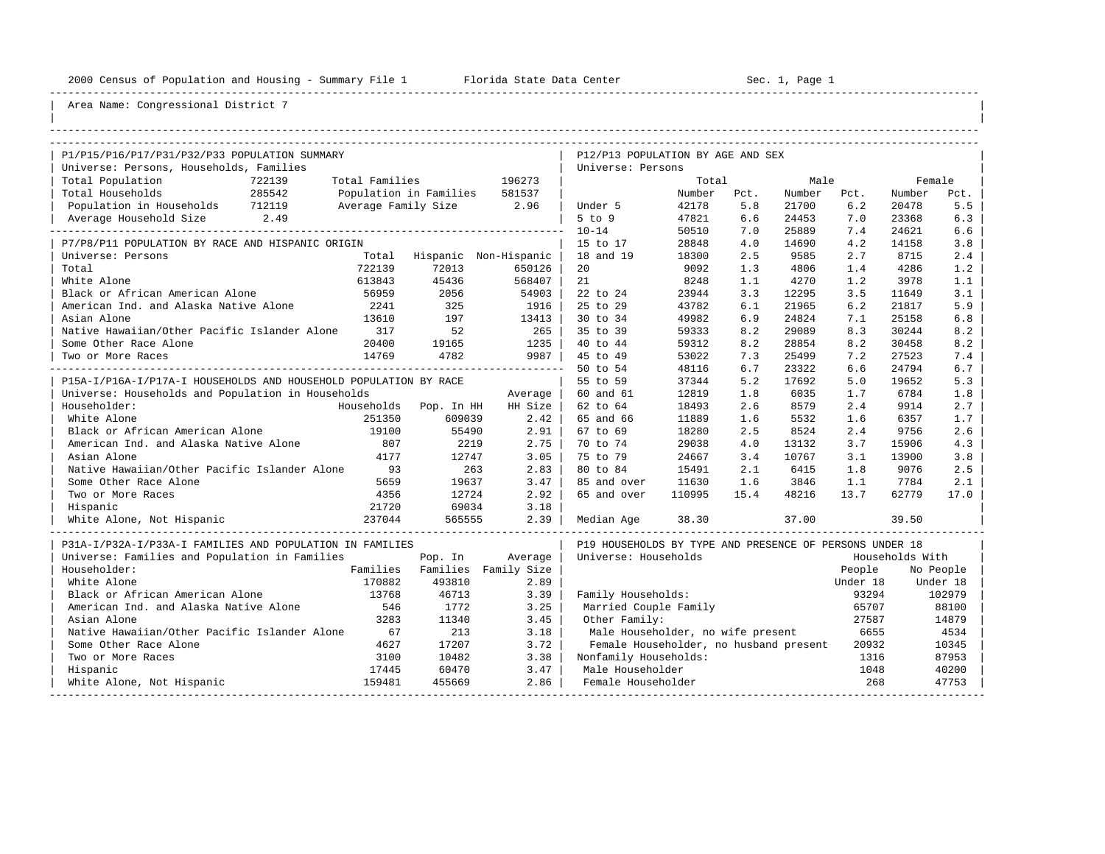----------------------------------------------------------------------------------------------------------------------------------------------------

| |

| P1/P15/P16/P17/P31/P32/P33 POPULATION SUMMARY                    |                        |         |                       | P12/P13 POPULATION BY AGE AND SEX                       |        |      |        |          |                 |           |
|------------------------------------------------------------------|------------------------|---------|-----------------------|---------------------------------------------------------|--------|------|--------|----------|-----------------|-----------|
| Universe: Persons, Households, Families                          |                        |         |                       | Universe: Persons                                       |        |      |        |          |                 |           |
| Total Population<br>722139                                       | Total Families         |         | 196273                |                                                         | Total  |      | Male   |          |                 | Female    |
| Total Households<br>285542                                       | Population in Families |         | 581537                |                                                         | Number | Pct. | Number | Pct.     | Number          | Pct.      |
| Population in Households 712119                                  | Average Family Size    |         | 2.96                  | Under 5                                                 | 42178  | 5.8  | 21700  | 6.2      | 20478           | 5.5       |
| 2.49<br>Average Household Size                                   |                        |         |                       | $5$ to $9$                                              | 47821  | 6.6  | 24453  | 7.0      | 23368           | 6.3       |
| ______________                                                   |                        |         |                       | $10 - 14$                                               | 50510  | 7.0  | 25889  | 7.4      | 24621           | 6.6       |
| P7/P8/P11 POPULATION BY RACE AND HISPANIC ORIGIN                 |                        |         |                       | 15 to 17                                                | 28848  | 4.0  | 14690  | 4.2      | 14158           | 3.8       |
| Universe: Persons                                                | Total                  |         | Hispanic Non-Hispanic | 18 and 19                                               | 18300  | 2.5  | 9585   | 2.7      | 8715            | 2.4       |
| Total                                                            | 722139                 | 72013   | 650126                | 20                                                      | 9092   | 1.3  | 4806   | 1.4      | 4286            | 1.2       |
| White Alone                                                      | 613843                 | 45436   | 568407                | 21                                                      | 8248   | 1.1  | 4270   | 1.2      | 3978            | 1.1       |
| Black or African American Alone                                  | 56959                  | 2056    | 54903                 | 22 to 24                                                | 23944  | 3.3  | 12295  | 3.5      | 11649           | 3.1       |
| American Ind. and Alaska Native Alone                            | 2241                   | 325     | 1916                  | 25 to 29                                                | 43782  | 6.1  | 21965  | 6.2      | 21817           | 5.9       |
| Asian Alone                                                      | 13610                  | 197     | 13413                 | 30 to 34                                                | 49982  | 6.9  | 24824  | 7.1      | 25158           | 6.8       |
| Native Hawaiian/Other Pacific Islander Alone                     | 317                    | 52      | 265                   | 35 to 39                                                | 59333  | 8.2  | 29089  | 8.3      | 30244           | 8.2       |
| Some Other Race Alone                                            | 20400                  | 19165   | 1235                  | 40 to 44                                                | 59312  | 8.2  | 28854  | 8.2      | 30458           | 8.2       |
| Two or More Races                                                | 14769                  | 4782    | 9987                  | 45 to 49                                                | 53022  | 7.3  | 25499  | 7.2      | 27523           | 7.4       |
|                                                                  |                        |         |                       | 50 to 54                                                | 48116  | 6.7  | 23322  | 6.6      | 24794           | 6.7       |
| P15A-I/P16A-I/P17A-I HOUSEHOLDS AND HOUSEHOLD POPULATION BY RACE |                        |         |                       | 55 to 59                                                | 37344  | 5.2  | 17692  | 5.0      | 19652           | 5.3       |
| Universe: Households and Population in Households                |                        |         | Average               | 60 and 61                                               | 12819  | 1.8  | 6035   | 1.7      | 6784            | 1.8       |
| Householder:                                                     | Households Pop. In HH  |         | HH Size               | 62 to 64                                                | 18493  | 2.6  | 8579   | 2.4      | 9914            | 2.7       |
| White Alone                                                      | 251350                 | 609039  | 2.42                  | 65 and 66                                               | 11889  | 1.6  | 5532   | 1.6      | 6357            | 1.7       |
| Black or African American Alone                                  | 19100                  | 55490   | 2.91                  | 67 to 69                                                | 18280  | 2.5  | 8524   | 2.4      | 9756            | 2.6       |
| American Ind. and Alaska Native Alone                            | 807                    | 2219    | 2.75                  | 70 to 74                                                | 29038  | 4.0  | 13132  | 3.7      | 15906           | 4.3       |
| Asian Alone                                                      | 4177                   | 12747   | 3.05                  | 75 to 79                                                | 24667  | 3.4  | 10767  | 3.1      | 13900           | 3.8       |
| Native Hawaiian/Other Pacific Islander Alone                     | 93                     | 263     | 2.83                  | 80 to 84                                                | 15491  | 2.1  | 6415   | 1.8      | 9076            | 2.5       |
| Some Other Race Alone                                            | 5659                   | 19637   | 3.47                  | 85 and over                                             | 11630  | 1.6  | 3846   | 1.1      | 7784            | 2.1       |
| Two or More Races                                                | 4356                   | 12724   | 2.92                  | 65 and over                                             | 110995 | 15.4 | 48216  | 13.7     | 62779           | 17.0      |
| Hispanic                                                         | 21720                  | 69034   | 3.18                  |                                                         |        |      |        |          |                 |           |
| White Alone, Not Hispanic                                        | 237044                 | 565555  | 2.39                  | Median Age                                              | 38.30  |      | 37.00  |          | 39.50           |           |
| P31A-I/P32A-I/P33A-I FAMILIES AND POPULATION IN FAMILIES         |                        |         |                       | P19 HOUSEHOLDS BY TYPE AND PRESENCE OF PERSONS UNDER 18 |        |      |        |          |                 |           |
| Universe: Families and Population in Families                    |                        | Pop. In | Average               | Universe: Households                                    |        |      |        |          | Households With |           |
| Householder:                                                     | Families               |         | Families Family Size  |                                                         |        |      |        | People   |                 | No People |
| White Alone                                                      | 170882                 | 493810  | 2.89                  |                                                         |        |      |        | Under 18 |                 | Under 18  |
| Black or African American Alone                                  | 13768                  | 46713   | 3.39                  | Family Households:                                      |        |      |        | 93294    |                 | 102979    |
| American Ind. and Alaska Native Alone                            | 546                    | 1772    | 3.25                  | Married Couple Family                                   |        |      |        | 65707    |                 | 88100     |
| Asian Alone                                                      | 3283                   | 11340   | 3.45                  | Other Family:                                           |        |      |        | 27587    |                 | 14879     |
| Native Hawaiian/Other Pacific Islander Alone                     | 67                     | 213     | 3.18                  | Male Householder, no wife present                       |        |      |        | 6655     |                 | 4534      |
| Some Other Race Alone                                            | 4627                   | 17207   | 3.72                  | Female Householder, no husband present                  |        |      |        | 20932    |                 | 10345     |
| Two or More Races                                                | 3100                   | 10482   | 3.38                  | Nonfamily Households:                                   |        |      |        | 1316     |                 | 87953     |
| Hispanic                                                         | 17445                  | 60470   | 3.47                  | Male Householder                                        |        |      |        | 1048     |                 | 40200     |
| White Alone, Not Hispanic                                        | 159481                 | 455669  | 2.86                  | Female Householder                                      |        |      |        | 268      |                 | 47753     |
|                                                                  |                        |         |                       |                                                         |        |      |        |          |                 |           |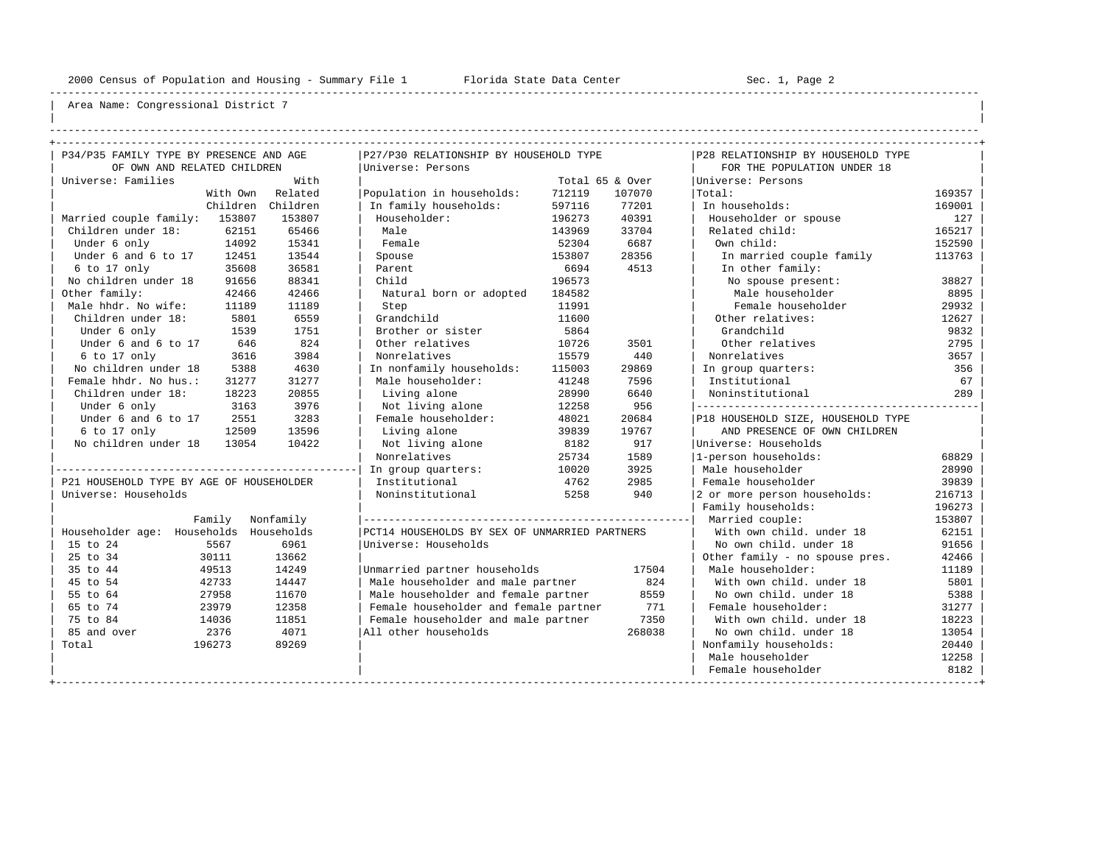----------------------------------------------------------------------------------------------------------------------------------------------------

| | ----------------------------------------------------------------------------------------------------------------------------------------------------

|                                                                        |           | P27/P30 RELATIONSHIP BY HOUSEHOLD TYPE        |        |                 | P28 RELATIONSHIP BY HOUSEHOLD TYPE |        |
|------------------------------------------------------------------------|-----------|-----------------------------------------------|--------|-----------------|------------------------------------|--------|
| P34/P35 FAMILY TYPE BY PRESENCE AND AGE<br>OF OWN AND RELATED CHILDREN |           | Universe: Persons                             |        |                 | FOR THE POPULATION UNDER 18        |        |
| Universe: Families                                                     | With      |                                               |        |                 | Universe: Persons                  |        |
|                                                                        | Related   |                                               |        | Total 65 & Over |                                    | 169357 |
| With Own                                                               |           | Population in households:                     | 712119 | 107070          | Total:                             |        |
| Children                                                               | Children  | In family households:                         | 597116 | 77201           | In households:                     | 169001 |
| Married couple family: 153807                                          | 153807    | Householder:                                  | 196273 | 40391           | Householder or spouse              | 127    |
| Children under 18:<br>62151                                            | 65466     | Male                                          | 143969 | 33704           | Related child:                     | 165217 |
| 14092<br>Under 6 only                                                  | 15341     | Female                                        | 52304  | 6687            | Own child:                         | 152590 |
| Under 6 and 6 to 17<br>12451                                           | 13544     | Spouse                                        | 153807 | 28356           | In married couple family           | 113763 |
| 35608<br>6 to 17 only                                                  | 36581     | Parent                                        | 6694   | 4513            | In other family:                   |        |
| No children under 18<br>91656                                          | 88341     | Child                                         | 196573 |                 | No spouse present:                 | 38827  |
| Other family:<br>42466                                                 | 42466     | Natural born or adopted                       | 184582 |                 | Male householder                   | 8895   |
| Male hhdr. No wife:<br>11189                                           | 11189     | Step                                          | 11991  |                 | Female householder                 | 29932  |
| Children under 18:<br>5801                                             | 6559      | Grandchild                                    | 11600  |                 | Other relatives:                   | 12627  |
| Under 6 only<br>1539                                                   | 1751      | Brother or sister                             | 5864   |                 | Grandchild                         | 9832   |
| Under 6 and 6 to 17<br>646                                             | 824       | Other relatives                               | 10726  | 3501            | Other relatives                    | 2795   |
| 6 to 17 only<br>3616                                                   | 3984      | Nonrelatives                                  | 15579  | 440             | Nonrelatives                       | 3657   |
| No children under 18<br>5388                                           | 4630      | In nonfamily households:                      | 115003 | 29869           | In group quarters:                 | 356    |
| Female hhdr. No hus.:<br>31277                                         | 31277     | Male householder:                             | 41248  | 7596            | Institutional                      | 67     |
| Children under 18:<br>18223                                            | 20855     | Living alone                                  | 28990  | 6640            | Noninstitutional                   | 289    |
| Under 6 only<br>3163                                                   | 3976      | Not living alone                              | 12258  | 956             |                                    |        |
| Under 6 and 6 to 17<br>2551                                            | 3283      | Female householder:                           | 48021  | 20684           | P18 HOUSEHOLD SIZE, HOUSEHOLD TYPE |        |
| 6 to 17 only<br>12509                                                  | 13596     | Living alone                                  | 39839  | 19767           | AND PRESENCE OF OWN CHILDREN       |        |
| No children under 18<br>13054                                          | 10422     | Not living alone                              | 8182   | 917             | Universe: Households               |        |
|                                                                        |           | Nonrelatives                                  | 25734  | 1589            | 1-person households:               | 68829  |
|                                                                        |           | In group quarters:                            | 10020  | 3925            | Male householder                   | 28990  |
| P21 HOUSEHOLD TYPE BY AGE OF HOUSEHOLDER                               |           | Institutional                                 | 4762   | 2985            | Female householder                 | 39839  |
| Universe: Households                                                   |           | Noninstitutional                              | 5258   | 940             | 2 or more person households:       | 216713 |
|                                                                        |           |                                               |        |                 | Family households:                 | 196273 |
| Family                                                                 | Nonfamily |                                               |        |                 | Married couple:                    | 153807 |
| Householder age: Households Households                                 |           | PCT14 HOUSEHOLDS BY SEX OF UNMARRIED PARTNERS |        |                 | With own child, under 18           | 62151  |
| 15 to 24<br>5567                                                       | 6961      | Universe: Households                          |        |                 | No own child, under 18             | 91656  |
| 25 to 34<br>30111                                                      | 13662     |                                               |        |                 | Other family - no spouse pres.     | 42466  |
| 35 to 44<br>49513                                                      | 14249     | Unmarried partner households                  |        | 17504           | Male householder:                  | 11189  |
| 45 to 54<br>42733                                                      | 14447     | Male householder and male partner             |        | 824             | With own child, under 18           | 5801   |
| 55 to 64<br>27958                                                      | 11670     | Male householder and female partner           |        | 8559            | No own child. under 18             | 5388   |
| 65 to 74<br>23979                                                      | 12358     | Female householder and female partner         |        | 771             | Female householder:                | 31277  |
| 75 to 84<br>14036                                                      | 11851     | Female householder and male partner           |        | 7350            | With own child, under 18           | 18223  |
| 85 and over<br>2376                                                    | 4071      | All other households                          |        | 268038          | No own child, under 18             | 13054  |
| Total<br>196273                                                        | 89269     |                                               |        |                 | Nonfamily households:              | 20440  |
|                                                                        |           |                                               |        |                 | Male householder                   | 12258  |
|                                                                        |           |                                               |        |                 | Female householder                 | 8182   |
|                                                                        |           |                                               |        |                 |                                    |        |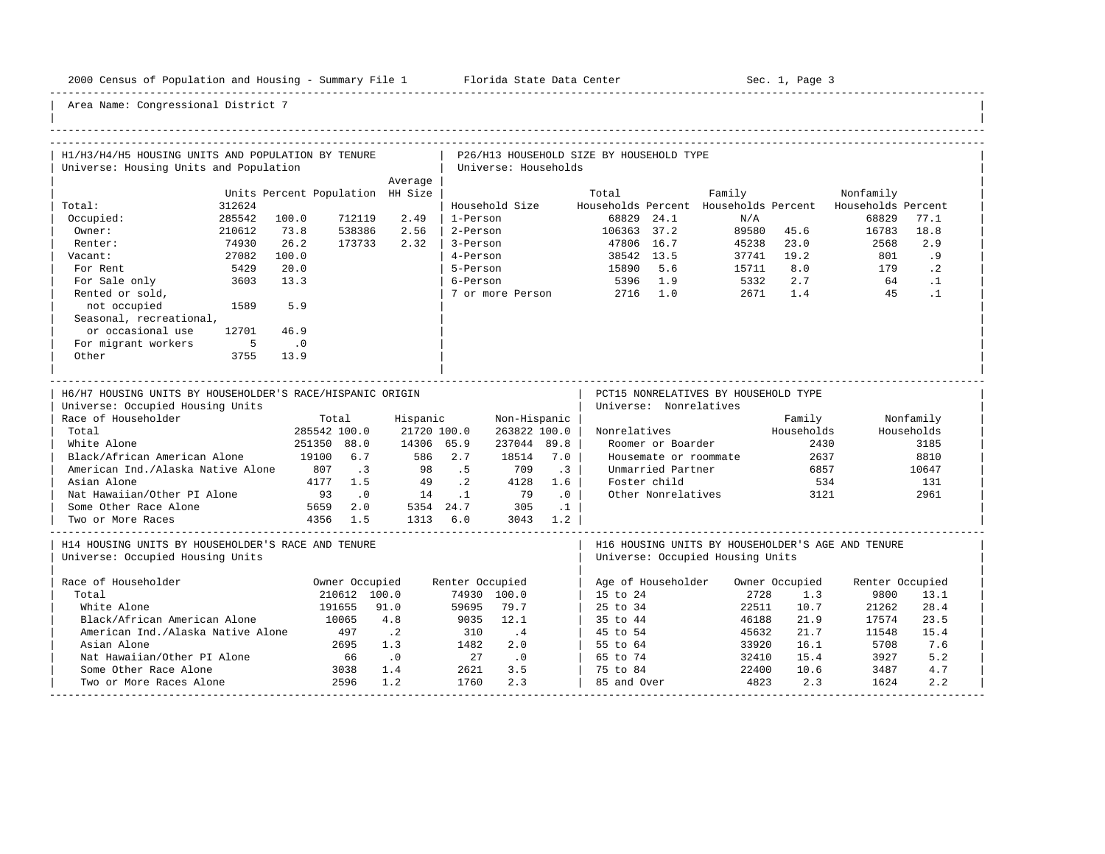-----------------------------------------------------------------------------------------------------------------------------------------------------

| H1/H3/H4/H5 HOUSING UNITS AND POPULATION BY TENURE<br>Universe: Housing Units and Population                                                                                                                                                                                |                                                               |                                                                    | P26/H13 HOUSEHOLD SIZE BY HOUSEHOLD TYPE<br>Universe: Households        |                                                                                                               |                           |                                                                                                                 |                                                                 |                                               |                                                   |                                                                 |
|-----------------------------------------------------------------------------------------------------------------------------------------------------------------------------------------------------------------------------------------------------------------------------|---------------------------------------------------------------|--------------------------------------------------------------------|-------------------------------------------------------------------------|---------------------------------------------------------------------------------------------------------------|---------------------------|-----------------------------------------------------------------------------------------------------------------|-----------------------------------------------------------------|-----------------------------------------------|---------------------------------------------------|-----------------------------------------------------------------|
|                                                                                                                                                                                                                                                                             |                                                               | Average                                                            |                                                                         |                                                                                                               |                           |                                                                                                                 |                                                                 |                                               |                                                   |                                                                 |
| Total:<br>312624                                                                                                                                                                                                                                                            | Units Percent Population HH Size                              |                                                                    | Household Size Mouseholds Percent Households Percent Households Percent |                                                                                                               | Total                     |                                                                                                                 | Family                                                          |                                               | Nonfamily                                         |                                                                 |
| 285542<br>Occupied:<br>Owner:<br>210612                                                                                                                                                                                                                                     | 712119<br>100.0<br>73.8<br>538386                             | 2.49<br>2.56                                                       | 1-Person<br>2-Person                                                    |                                                                                                               | 68829 24.1                |                                                                                                                 | N/A                                                             | 89580 45.6                                    | 68829<br>16783                                    | 77.1<br>18.8                                                    |
| 74930<br>Renter:                                                                                                                                                                                                                                                            | 26.2<br>173733                                                | 2.32                                                               | 3-Person                                                                |                                                                                                               | 106363 37.2<br>47806 16.7 |                                                                                                                 | 89580 45.6<br>45238 23.0                                        |                                               | 2568                                              | 2.9                                                             |
| 27082<br>Vacant:                                                                                                                                                                                                                                                            | 100.0                                                         |                                                                    | 4-Person                                                                |                                                                                                               | 38542 13.5<br>15890 5.6   |                                                                                                                 | 37741 19.2<br>15711 8.0                                         |                                               | 801                                               | .9                                                              |
| 5429<br>For Rent                                                                                                                                                                                                                                                            | 20.0                                                          |                                                                    | 5-Person                                                                |                                                                                                               |                           |                                                                                                                 |                                                                 | 8.0                                           | 179                                               | $\cdot$ 2                                                       |
| For Sale only 3603<br>13.3                                                                                                                                                                                                                                                  |                                                               |                                                                    | 6-Person                                                                |                                                                                                               | 5396 1.9                  |                                                                                                                 | 5332                                                            | 2.7                                           |                                                   | 64.1                                                            |
| Rented or sold,                                                                                                                                                                                                                                                             |                                                               |                                                                    | 7 or more Person 2716 1.0                                               |                                                                                                               |                           |                                                                                                                 |                                                                 | 2671 1.4                                      | 45                                                | $\cdot$ 1                                                       |
| 1589<br>not occupied<br>5.9                                                                                                                                                                                                                                                 |                                                               |                                                                    |                                                                         |                                                                                                               |                           |                                                                                                                 |                                                                 |                                               |                                                   |                                                                 |
| Seasonal, recreational,                                                                                                                                                                                                                                                     |                                                               |                                                                    |                                                                         |                                                                                                               |                           |                                                                                                                 |                                                                 |                                               |                                                   |                                                                 |
| or occasional use<br>12701                                                                                                                                                                                                                                                  | 46.9                                                          |                                                                    |                                                                         |                                                                                                               |                           |                                                                                                                 |                                                                 |                                               |                                                   |                                                                 |
| For migrant workers<br>$\overline{5}$<br>$\sim$ 0                                                                                                                                                                                                                           |                                                               |                                                                    |                                                                         |                                                                                                               |                           |                                                                                                                 |                                                                 |                                               |                                                   |                                                                 |
| Other<br>3755                                                                                                                                                                                                                                                               | 13.9                                                          |                                                                    |                                                                         |                                                                                                               |                           |                                                                                                                 |                                                                 |                                               |                                                   |                                                                 |
| H6/H7 HOUSING UNITS BY HOUSEHOLDER'S RACE/HISPANIC ORIGIN<br>Universe: Occupied Housing Units<br>Race of Householder<br>Total<br>White Alone<br>Black/African American Alone<br>American Ind./Alaska Native Alone 807 .3<br>Asian Alone<br>Nat Hawaiian/Other PI Alone 93 0 | Total<br>285542 100.0<br>251350 88.0<br>19100 6.7<br>4177 1.5 | Hispanic<br>21720 100.0<br>14306 65.9<br>586 2.7<br>98 .5<br>49 .2 | 18514<br>709<br>4128<br>$14$ $1$ $79$                                   | Non-Hispanic  <br>263822 100.0  <br>237044 89.8  <br>7.0<br>$\cdot$ . 3<br>1.6<br>$\overline{\phantom{0}}$ .0 | Foster child              | Universe: Nonrelatives<br>Roomer or Boarder<br>Housemate or roommate<br>Unmarried Partner<br>Other Nonrelatives | PCT15 NONRELATIVES BY HOUSEHOLD TYPE<br>Nonrelatives Households | Family<br>2430<br>2637<br>6857<br>534<br>3121 |                                                   | Nonfamily<br>Households<br>3185<br>8810<br>10647<br>131<br>2961 |
| H14 HOUSING UNITS BY HOUSEHOLDER'S RACE AND TENURE<br>Universe: Occupied Housing Units                                                                                                                                                                                      |                                                               |                                                                    |                                                                         |                                                                                                               |                           |                                                                                                                 | Universe: Occupied Housing Units                                |                                               | H16 HOUSING UNITS BY HOUSEHOLDER'S AGE AND TENURE |                                                                 |
| Race of Householder                                                                                                                                                                                                                                                         | Owner Occupied                                                |                                                                    | Renter Occupied                                                         |                                                                                                               |                           |                                                                                                                 | Age of Householder Owner Occupied                               |                                               | Renter Occupied                                   |                                                                 |
| Total                                                                                                                                                                                                                                                                       | 210612 100.0                                                  |                                                                    | 74930 100.0                                                             |                                                                                                               | 15 to 24                  |                                                                                                                 | 2728                                                            | 1.3                                           | 9800                                              | 13.1                                                            |
| White Alone<br>Black/African American Alone                                                                                                                                                                                                                                 | 191655 91.0<br>10065                                          | 4.8                                                                | 59695<br>79.7<br>9035<br>9035<br>12.1                                   |                                                                                                               | 25 to 34                  |                                                                                                                 | 22511<br>46188                                                  | 10.7<br>21.9                                  | 21262<br>17574                                    | 28.4<br>23.5                                                    |
| American Ind./Alaska Native Alone 497 .2                                                                                                                                                                                                                                    |                                                               |                                                                    | $\cdot$ 4                                                               |                                                                                                               | 35 to 44                  |                                                                                                                 | 45632                                                           | 21.7                                          | 11548                                             | 15.4                                                            |
| Asian Alone                                                                                                                                                                                                                                                                 | 2695 1.3                                                      | $310$<br>$1482$                                                    | 2.0                                                                     |                                                                                                               | 55 to 64                  | 45 to 54                                                                                                        | 33920                                                           | 16.1                                          | 5708                                              | 7.6                                                             |
| Nat Hawaiian/Other PI Alone                                                                                                                                                                                                                                                 |                                                               |                                                                    |                                                                         |                                                                                                               | 65 to 74                  |                                                                                                                 | 32410                                                           | 15.4                                          | 3927                                              | 5.2                                                             |
| Some Other Race Alone                                                                                                                                                                                                                                                       |                                                               |                                                                    | 27 .0<br>3.5                                                            |                                                                                                               | 75 to 84                  |                                                                                                                 | 22400                                                           | 10.6                                          | 3487                                              | 4.7                                                             |
| Two or More Races Alone                                                                                                                                                                                                                                                     | $66$ . 0<br>3038 1.4<br>2596 1.2                              |                                                                    | 2621<br>1760<br>2.3                                                     |                                                                                                               | 85 and Over               |                                                                                                                 | 4823                                                            | 2.3                                           | 1624                                              | 2.2                                                             |
|                                                                                                                                                                                                                                                                             |                                                               |                                                                    |                                                                         |                                                                                                               |                           |                                                                                                                 |                                                                 |                                               |                                                   |                                                                 |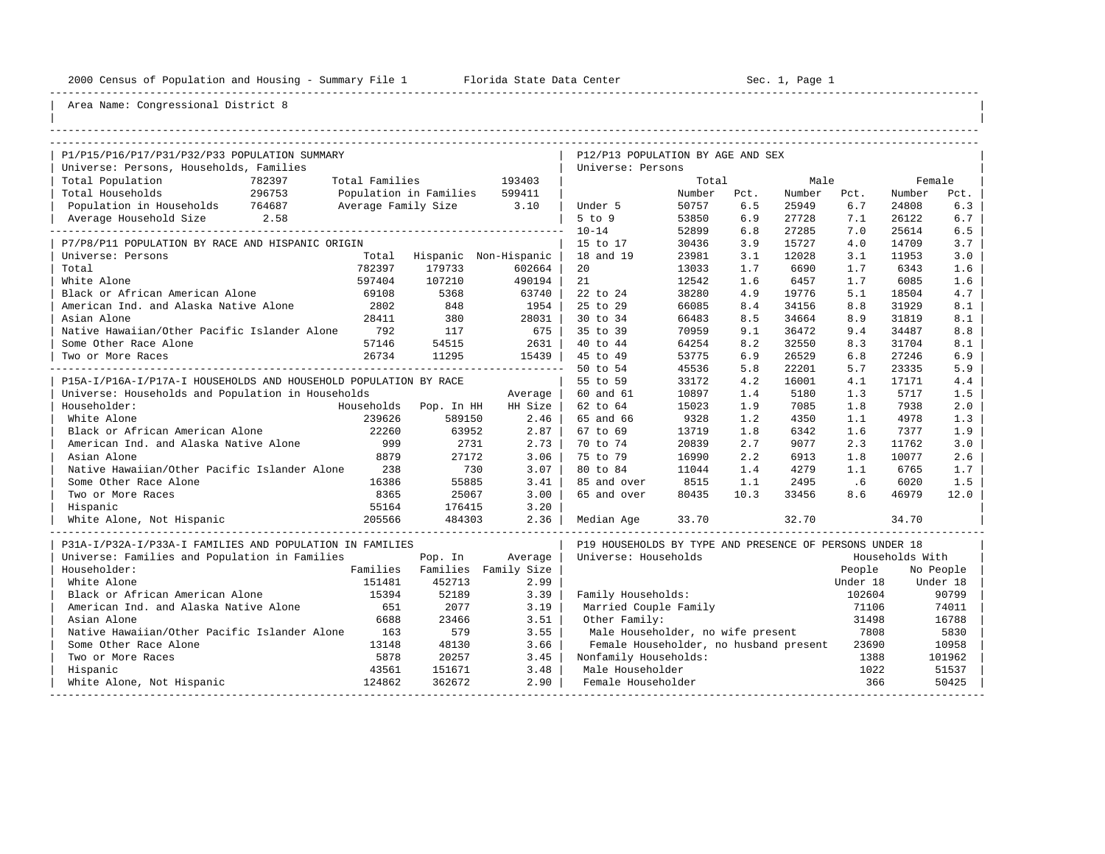----------------------------------------------------------------------------------------------------------------------------------------------------

| |

## Area Name: Congressional District 8

| P1/P15/P16/P17/P31/P32/P33 POPULATION SUMMARY                    |                |                               |         | P12/P13 POPULATION BY AGE AND SEX                       |        |      |        |          |                 |           |  |  |
|------------------------------------------------------------------|----------------|-------------------------------|---------|---------------------------------------------------------|--------|------|--------|----------|-----------------|-----------|--|--|
| Universe: Persons, Households, Families                          |                |                               |         | Universe: Persons                                       |        |      |        |          |                 |           |  |  |
| Total Population<br>782397                                       | Total Families |                               | 193403  |                                                         | Total  |      | Male   |          | Female          |           |  |  |
| Total Households<br>296753                                       |                | Population in Families 599411 |         |                                                         | Number | Pct. | Number | Pct.     | Number          | Pct.      |  |  |
| Population in Households 764687                                  |                | Average Family Size 3.10      |         | Under 5                                                 | 50757  | 6.5  | 25949  | 6.7      | 24808           | 6.3       |  |  |
| Average Household Size 2.58                                      |                |                               |         | $5$ to $9$                                              | 53850  | 6.9  | 27728  | 7.1      | 26122           | 6.7       |  |  |
|                                                                  |                |                               |         | $10 - 14$                                               | 52899  | 6.8  | 27285  | 7.0      | 25614           | 6.5       |  |  |
| P7/P8/P11 POPULATION BY RACE AND HISPANIC ORIGIN                 |                |                               |         | 15 to 17                                                | 30436  | 3.9  | 15727  | 4.0      | 14709           | 3.7       |  |  |
| Universe: Persons                                                |                | Total Hispanic Non-Hispanic   |         | 18 and 19                                               | 23981  | 3.1  | 12028  | 3.1      | 11953           | 3.0       |  |  |
| Total                                                            | 782397         | 179733                        | 602664  | 20                                                      | 13033  | 1.7  | 6690   | 1.7      | 6343            | 1.6       |  |  |
| White Alone                                                      | 597404         | 107210                        | 490194  | 21                                                      | 12542  | 1.6  | 6457   | 1.7      | 6085            | 1.6       |  |  |
| Black or African American Alone                                  | 69108          | 5368                          | 63740   | 22 to 24                                                | 38280  | 4.9  | 19776  | 5.1      | 18504           | 4.7       |  |  |
| American Ind. and Alaska Native Alone                            | 2802           | 848                           | 1954    | 25 to 29                                                | 66085  | 8.4  | 34156  | 8.8      | 31929           | 8.1       |  |  |
| Asian Alone                                                      | 28411          | 380                           | 28031   | 30 to 34                                                | 66483  | 8.5  | 34664  | 8.9      | 31819           | 8.1       |  |  |
| Native Hawaiian/Other Pacific Islander Alone 792                 |                | 117                           | 675     | 35 to 39                                                | 70959  | 9.1  | 36472  | 9.4      | 34487           | 8.8       |  |  |
| Some Other Race Alone                                            | 57146          | 54515                         | 2631    | 40 to 44                                                | 64254  | 8.2  | 32550  | 8.3      | 31704           | 8.1       |  |  |
| Two or More Races                                                | 26734          | 11295                         | 15439   | 45 to 49                                                | 53775  | 6.9  | 26529  | 6.8      | 27246           | 6.9       |  |  |
|                                                                  |                |                               |         | 50 to 54                                                | 45536  | 5.8  | 22201  | 5.7      | 23335           | 5.9       |  |  |
| P15A-I/P16A-I/P17A-I HOUSEHOLDS AND HOUSEHOLD POPULATION BY RACE |                |                               |         | 55 to 59                                                | 33172  | 4.2  | 16001  | 4.1      | 17171           | 4.4       |  |  |
| Universe: Households and Population in Households                |                |                               | Average | 60 and 61                                               | 10897  | 1.4  | 5180   | 1.3      | 5717            | 1.5       |  |  |
| Householder:                                                     |                | Households Pop. In HH         | HH Size | 62 to 64                                                | 15023  | 1.9  | 7085   | 1.8      | 7938            | 2.0       |  |  |
| White Alone                                                      | 239626         | 589150                        | 2.46    | 65 and 66                                               | 9328   | 1.2  | 4350   | 1.1      | 4978            | 1.3       |  |  |
| Black or African American Alone                                  | 22260          | 63952                         | 2.87    | 67 to 69                                                | 13719  | 1.8  | 6342   | 1.6      | 7377            | 1.9       |  |  |
| American Ind. and Alaska Native Alone                            | 999            | 2731                          | 2.73    | 70 to 74                                                | 20839  | 2.7  | 9077   | 2.3      | 11762           | 3.0       |  |  |
| Asian Alone                                                      | 8879           | 27172                         | 3.06    | 75 to 79                                                | 16990  | 2.2  | 6913   | 1.8      | 10077           | 2.6       |  |  |
| Native Hawaiian/Other Pacific Islander Alone 238                 |                | 730                           | 3.07    | 80 to 84                                                | 11044  | 1.4  | 4279   | 1.1      | 6765            | 1.7       |  |  |
| Some Other Race Alone                                            | 16386          | 55885                         | 3.41    | 85 and over                                             | 8515   | 1.1  | 2495   | .6       | 6020            | 1.5       |  |  |
| Two or More Races                                                | 8365           | 25067                         | 3.00    | 65 and over                                             | 80435  | 10.3 | 33456  | 8.6      | 46979           | 12.0      |  |  |
| Hispanic                                                         | 55164          | 176415                        | 3.20    |                                                         |        |      |        |          |                 |           |  |  |
| White Alone, Not Hispanic                                        | 205566         | 484303                        | 2.36    | Median Aqe                                              | 33.70  |      | 32.70  |          | 34.70           |           |  |  |
| P31A-I/P32A-I/P33A-I FAMILIES AND POPULATION IN FAMILIES         |                |                               |         | P19 HOUSEHOLDS BY TYPE AND PRESENCE OF PERSONS UNDER 18 |        |      |        |          |                 |           |  |  |
| Universe: Families and Population in Families                    |                | Pop. In                       | Average | Universe: Households                                    |        |      |        |          | Households With |           |  |  |
| Householder:                                                     |                | Families Families Family Size |         |                                                         |        |      |        | People   |                 | No People |  |  |
| White Alone                                                      | 151481         | 452713                        | 2.99    |                                                         |        |      |        | Under 18 |                 | Under 18  |  |  |
| Black or African American Alone                                  | 15394          | 52189                         | 3.39    | Family Households:                                      |        |      |        | 102604   |                 | 90799     |  |  |
| American Ind. and Alaska Native Alone                            | 651            | 2077                          | 3.19    | Married Couple Family                                   |        |      |        | 71106    |                 | 74011     |  |  |
| Asian Alone                                                      | 6688           | 23466                         | 3.51    | Other Family:                                           |        |      |        | 31498    |                 | 16788     |  |  |
| Native Hawaiian/Other Pacific Islander Alone                     | 163            | 579                           | 3.55    | Male Householder, no wife present                       |        |      |        | 7808     |                 | 5830      |  |  |
| Some Other Race Alone                                            | 13148          | 48130                         | 3.66    | Female Householder, no husband present                  |        |      |        | 23690    |                 | 10958     |  |  |
| Two or More Races                                                | 5878           | 20257                         | 3.45    | Nonfamily Households:                                   |        |      |        | 1388     |                 | 101962    |  |  |
| Hispanic                                                         | 43561          | 151671                        | 3.48    | Male Householder                                        |        |      |        | 1022     |                 | 51537     |  |  |
| White Alone, Not Hispanic                                        | 124862         | 362672                        | 2.90    | Female Householder                                      |        |      |        | 366      |                 | 50425     |  |  |

-----------------------------------------------------------------------------------------------------------------------------------------------------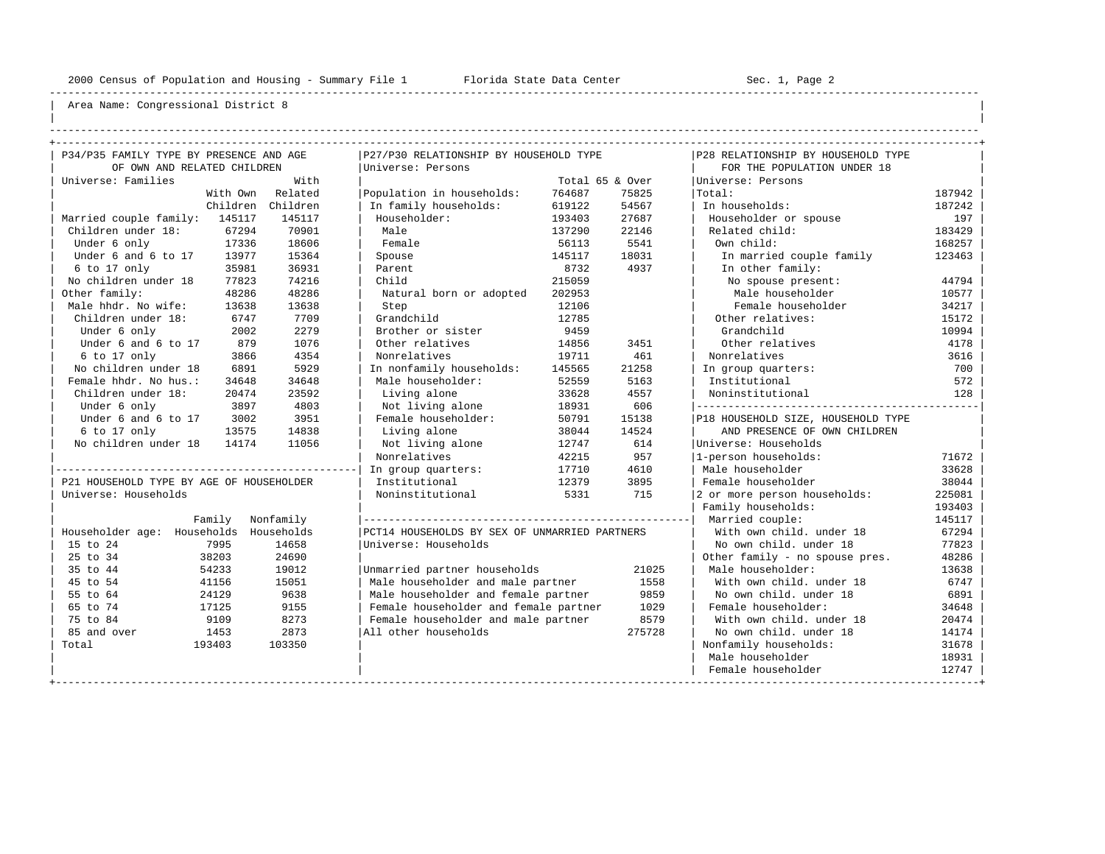----------------------------------------------------------------------------------------------------------------------------------------------------

| | ----------------------------------------------------------------------------------------------------------------------------------------------------

| P34/P35 FAMILY TYPE BY PRESENCE AND AGE  |           | P27/P30 RELATIONSHIP BY HOUSEHOLD TYPE        |                 |        | P28 RELATIONSHIP BY HOUSEHOLD TYPE |        |
|------------------------------------------|-----------|-----------------------------------------------|-----------------|--------|------------------------------------|--------|
| OF OWN AND RELATED CHILDREN              |           | Universe: Persons                             |                 |        | FOR THE POPULATION UNDER 18        |        |
| Universe: Families                       | With      |                                               | Total 65 & Over |        | Universe: Persons                  |        |
| With Own                                 | Related   | Population in households:                     | 764687          | 75825  | Total:                             | 187942 |
| Children                                 | Children  | In family households:                         | 619122          | 54567  | In households:                     | 187242 |
| Married couple family: 145117            | 145117    | Householder:                                  | 193403          | 27687  | Householder or spouse              | 197    |
| Children under 18:<br>67294              | 70901     | Male                                          | 137290          | 22146  | Related child:                     | 183429 |
| 17336<br>Under 6 only                    | 18606     | Female                                        | 56113           | 5541   | Own child:                         | 168257 |
| Under 6 and 6 to 17<br>13977             | 15364     | Spouse                                        | 145117          | 18031  | In married couple family           | 123463 |
| 6 to 17 only<br>35981                    | 36931     | Parent                                        | 8732            | 4937   | In other family:                   |        |
| No children under 18<br>77823            | 74216     | Child                                         | 215059          |        | No spouse present:                 | 44794  |
| Other family:<br>48286                   | 48286     | Natural born or adopted                       | 202953          |        | Male householder                   | 10577  |
| Male hhdr. No wife:<br>13638             | 13638     | Step                                          | 12106           |        | Female householder                 | 34217  |
| Children under 18:<br>6747               | 7709      | Grandchild                                    | 12785           |        | Other relatives:                   | 15172  |
| Under 6 only<br>2002                     | 2279      | Brother or sister                             | 9459            |        | Grandchild                         | 10994  |
| Under 6 and 6 to 17<br>879               | 1076      | Other relatives                               | 14856           | 3451   | Other relatives                    | 4178   |
| 6 to 17 only<br>3866                     | 4354      | Nonrelatives                                  | 19711           | 461    | Nonrelatives                       | 3616   |
| No children under 18<br>6891             | 5929      | In nonfamily households:                      | 145565          | 21258  | In group quarters:                 | 700    |
| Female hhdr. No hus.:<br>34648           | 34648     | Male householder:                             | 52559           | 5163   | Institutional                      | 572    |
| Children under 18:<br>20474              | 23592     | Living alone                                  | 33628           | 4557   | Noninstitutional                   | 128    |
| Under 6 only<br>3897                     | 4803      | Not living alone                              | 18931           | 606    |                                    |        |
| Under 6 and 6 to 17<br>3002              | 3951      | Female householder:                           | 50791           | 15138  | P18 HOUSEHOLD SIZE, HOUSEHOLD TYPE |        |
| 6 to 17 only<br>13575                    | 14838     | Living alone                                  | 38044           | 14524  | AND PRESENCE OF OWN CHILDREN       |        |
| No children under 18<br>14174            | 11056     | Not living alone                              | 12747           | 614    | Universe: Households               |        |
|                                          |           | Nonrelatives                                  | 42215           | 957    | 1-person households:               | 71672  |
|                                          |           | In group quarters:                            | 17710           | 4610   | Male householder                   | 33628  |
| P21 HOUSEHOLD TYPE BY AGE OF HOUSEHOLDER |           | Institutional                                 | 12379           | 3895   | Female householder                 | 38044  |
| Universe: Households                     |           | Noninstitutional                              | 5331            | 715    | 2 or more person households:       | 225081 |
|                                          |           |                                               |                 |        | Family households:                 | 193403 |
| Family                                   | Nonfamily |                                               |                 |        | Married couple:                    | 145117 |
| Householder age: Households Households   |           | PCT14 HOUSEHOLDS BY SEX OF UNMARRIED PARTNERS |                 |        | With own child, under 18           | 67294  |
| 15 to 24<br>7995                         | 14658     | Universe: Households                          |                 |        | No own child, under 18             | 77823  |
| 25 to 34<br>38203                        | 24690     |                                               |                 |        | Other family - no spouse pres.     | 48286  |
| 35 to 44<br>54233                        | 19012     | Unmarried partner households                  |                 | 21025  | Male householder:                  | 13638  |
| 45 to 54<br>41156                        | 15051     | Male householder and male partner             |                 | 1558   | With own child, under 18           | 6747   |
| 55 to 64<br>24129                        | 9638      | Male householder and female partner           |                 | 9859   | No own child. under 18             | 6891   |
| 65 to 74<br>17125                        | 9155      | Female householder and female partner         |                 | 1029   | Female householder:                | 34648  |
| 75 to 84<br>9109                         | 8273      | Female householder and male partner           |                 | 8579   | With own child, under 18           | 20474  |
| 85 and over<br>1453                      | 2873      | All other households                          |                 | 275728 | No own child, under 18             | 14174  |
| Total<br>193403                          | 103350    |                                               |                 |        | Nonfamily households:              | 31678  |
|                                          |           |                                               |                 |        | Male householder                   | 18931  |
|                                          |           |                                               |                 |        | Female householder                 | 12747  |
|                                          |           |                                               |                 |        |                                    |        |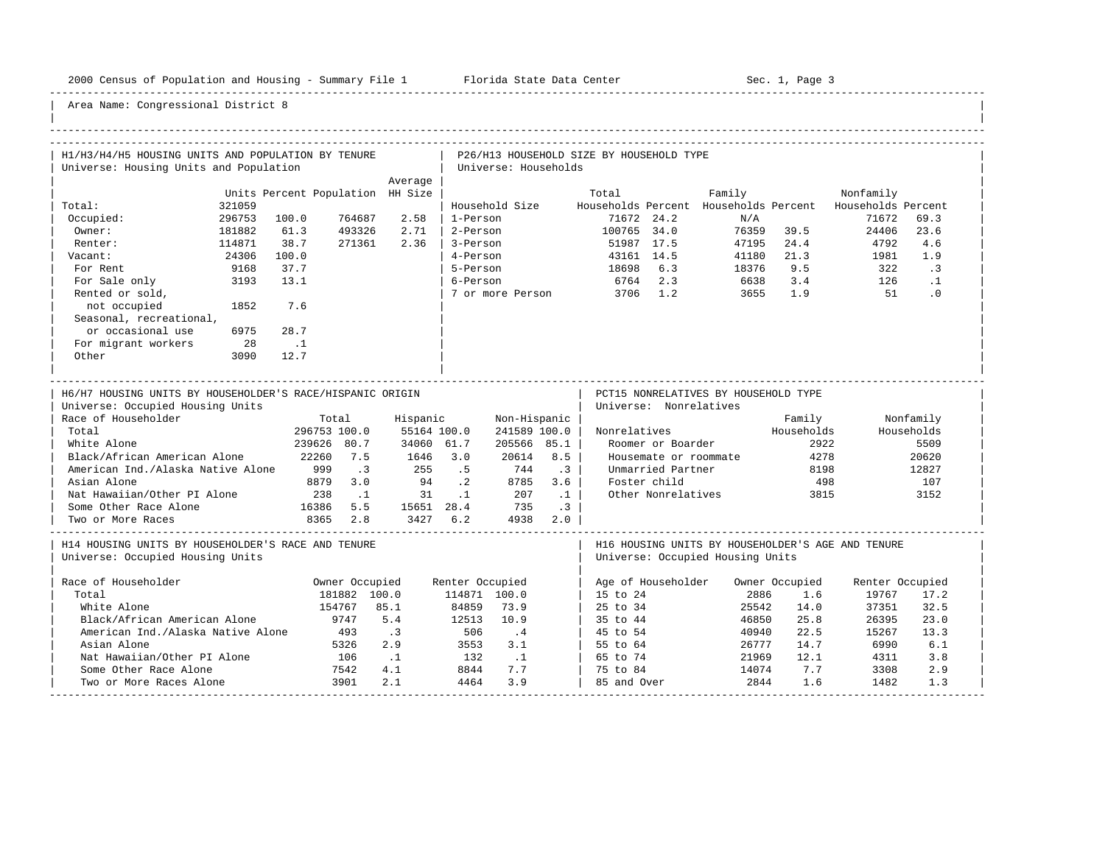-----------------------------------------------------------------------------------------------------------------------------------------------------

| H1/H3/H4/H5 HOUSING UNITS AND POPULATION BY TENURE                                                                   |        |                                  |                          |                              |                 |                      |           | P26/H13 HOUSEHOLD SIZE BY HOUSEHOLD TYPE |                        |                                                                                       |            |                 |            |
|----------------------------------------------------------------------------------------------------------------------|--------|----------------------------------|--------------------------|------------------------------|-----------------|----------------------|-----------|------------------------------------------|------------------------|---------------------------------------------------------------------------------------|------------|-----------------|------------|
| Universe: Housing Units and Population                                                                               |        |                                  |                          |                              |                 | Universe: Households |           |                                          |                        |                                                                                       |            |                 |            |
|                                                                                                                      |        |                                  |                          | Average                      |                 |                      |           |                                          |                        |                                                                                       |            |                 |            |
|                                                                                                                      |        | Units Percent Population HH Size |                          |                              |                 |                      |           | Total                                    |                        | Family                                                                                |            | Nonfamily       |            |
| Total:                                                                                                               | 321059 |                                  |                          |                              |                 | Household Size       |           |                                          |                        | Households Percent Households Percent Households Percent                              |            |                 |            |
| Occupied:                                                                                                            | 296753 | 100.0                            | 764687                   | 2.58                         | 1-Person        |                      |           |                                          | 71672 24.2             | N/A                                                                                   |            | 71672           | 69.3       |
| Owner:                                                                                                               | 181882 | 61.3                             | 493326                   | 2.71                         | 2-Person        |                      |           | 100765 34.0                              |                        |                                                                                       | 76359 39.5 | 24406           | 23.6       |
| Renter:                                                                                                              | 114871 | 38.7                             | 271361                   | 2.36                         | 3-Person        |                      |           | 51987 17.5                               |                        | 47195                                                                                 | 24.4       | 4792            | 4.6        |
| Vacant:                                                                                                              | 24306  | 100.0                            |                          |                              | 4-Person        |                      |           | 43161 14.5                               |                        | 41180 2<br>18376                                                                      | 21.3       | 1981            | 1.9        |
| For Rent                                                                                                             | 9168   | 37.7                             |                          |                              | 5-Person        |                      |           | 18698 6.3                                |                        |                                                                                       | 9.5        | 322             | $\cdot$ 3  |
| For Sale only                                                                                                        | 3193   | 13.1                             |                          |                              | 6-Person        |                      |           | 6764 2.3                                 |                        | 6638                                                                                  | 3.4        | 126             | $\ldots$   |
| Rented or sold,                                                                                                      |        |                                  |                          |                              |                 | 7 or more Person     |           | 3706 1.2                                 |                        | 3655                                                                                  | 1.9        | 51              | $\cdot$ 0  |
| not occupied                                                                                                         | 1852   | 7.6                              |                          |                              |                 |                      |           |                                          |                        |                                                                                       |            |                 |            |
| Seasonal, recreational,                                                                                              |        |                                  |                          |                              |                 |                      |           |                                          |                        |                                                                                       |            |                 |            |
| or occasional use                                                                                                    | 6975   | 28.7                             |                          |                              |                 |                      |           |                                          |                        |                                                                                       |            |                 |            |
| For migrant workers                                                                                                  | 28     | $\ldots$                         |                          |                              |                 |                      |           |                                          |                        |                                                                                       |            |                 |            |
| Other                                                                                                                | 3090   | 12.7                             |                          |                              |                 |                      |           |                                          |                        |                                                                                       |            |                 |            |
|                                                                                                                      |        |                                  |                          |                              |                 |                      |           |                                          |                        |                                                                                       |            |                 |            |
| H6/H7 HOUSING UNITS BY HOUSEHOLDER'S RACE/HISPANIC ORIGIN<br>Universe: Occupied Housing Units<br>Race of Householder |        |                                  | Total                    | Hispanic                     |                 | Non-Hispanic         |           |                                          | Universe: Nonrelatives | PCT15 NONRELATIVES BY HOUSEHOLD TYPE                                                  | Family     |                 | Nonfamily  |
| Total                                                                                                                |        | 296753 100.0                     |                          | 55164 100.0                  |                 | 241589 100.0         |           |                                          |                        | Nonrelatives Households                                                               |            |                 | Households |
| White Alone                                                                                                          |        | 239626 80.7                      |                          | 34060 61.7                   |                 | 205566 85.1          |           |                                          | Roomer or Boarder      |                                                                                       | 2922       |                 | 5509       |
| Black/African American Alone                                                                                         |        | 22260 7.5                        |                          | 1646 3.0                     |                 | 20614                | 8.5       |                                          |                        | Housemate or roommate                                                                 | 4278       |                 | 20620      |
| American Ind./Alaska Native Alone 999                                                                                |        |                                  | $\overline{\phantom{a}}$ | 255 .5                       |                 | 744                  | $\cdot$ 3 |                                          | Unmarried Partner      |                                                                                       | 8198       |                 | 12827      |
| Asian Alone                                                                                                          |        | 8879 3.0                         |                          | 94.2                         |                 | 8785                 | 3.6       |                                          | Foster child           |                                                                                       | 498        |                 | 107        |
| Nat Hawaiian/Other PI Alone 238 1                                                                                    |        |                                  |                          |                              |                 | 31 .1 207            | $\cdot$ 1 |                                          | Other Nonrelatives     |                                                                                       | 3815       |                 | 3152       |
| Some Other Race Alone                                                                                                |        | 16386 5.5 15651 28.4 735         |                          |                              |                 |                      | $\cdot$ 3 |                                          |                        |                                                                                       |            |                 |            |
| Two or More Races                                                                                                    |        | 8365 2.8                         |                          | 3427 6.2 4938 2.0            |                 |                      |           |                                          |                        |                                                                                       |            |                 |            |
| H14 HOUSING UNITS BY HOUSEHOLDER'S RACE AND TENURE<br>Universe: Occupied Housing Units                               |        |                                  |                          |                              |                 |                      |           |                                          |                        | H16 HOUSING UNITS BY HOUSEHOLDER'S AGE AND TENURE<br>Universe: Occupied Housing Units |            |                 |            |
| Race of Householder                                                                                                  |        |                                  | Owner Occupied           |                              | Renter Occupied |                      |           |                                          |                        | Age of Householder Owner Occupied                                                     |            | Renter Occupied |            |
| Total                                                                                                                |        |                                  | 181882 100.0             |                              | 114871 100.0    |                      |           | 15 to 24                                 |                        | 2886                                                                                  | 1.6        | 19767           | 17.2       |
| White Alone                                                                                                          |        |                                  | 154767                   | 85.1                         | 84859           | 73.9                 |           | 25 to 34                                 |                        | 25542                                                                                 | 14.0       | 37351           | 32.5       |
| Black/African American Alone                                                                                         |        | 9747                             |                          | 5.4                          | 12513           | 10.9                 |           | 35 to 44                                 |                        | 46850                                                                                 | 25.8       | 26395           | 23.0       |
| American Ind./Alaska Native Alone                                                                                    |        |                                  | 493                      | $\overline{\phantom{a}}$ . 3 | $3550$<br>3550  | $\cdot$ 4            |           | 45 to 54                                 |                        | 40940                                                                                 | 22.5       | 15267           | 13.3       |
| Asian Alone                                                                                                          |        |                                  | 5326                     | 2.9                          |                 | 3553 3.1             |           | 55 to 64                                 |                        | 26777                                                                                 | 14.7       | 6990            | 6.1        |
| Nat Hawaiian/Other PI Alone                                                                                          |        |                                  | 106                      | $\ldots$                     | 132 .1          |                      |           | 65 to 74                                 |                        | 21969                                                                                 | 12.1       | 4311            | 3.8        |
| Some Other Race Alone                                                                                                |        | $7542$<br>3901                   |                          | 4.1                          | 8844            | 7.7                  |           | 75 to 84                                 |                        | 14074                                                                                 | 7.7        | 3308            | 2.9        |
| Two or More Races Alone                                                                                              |        |                                  | 3901                     | 2.1                          | 4464            | 3.9                  |           | 85 and Over                              |                        | 2844                                                                                  | 1.6        | 1482            | 1.3        |
|                                                                                                                      |        |                                  |                          |                              |                 |                      |           |                                          |                        |                                                                                       |            |                 |            |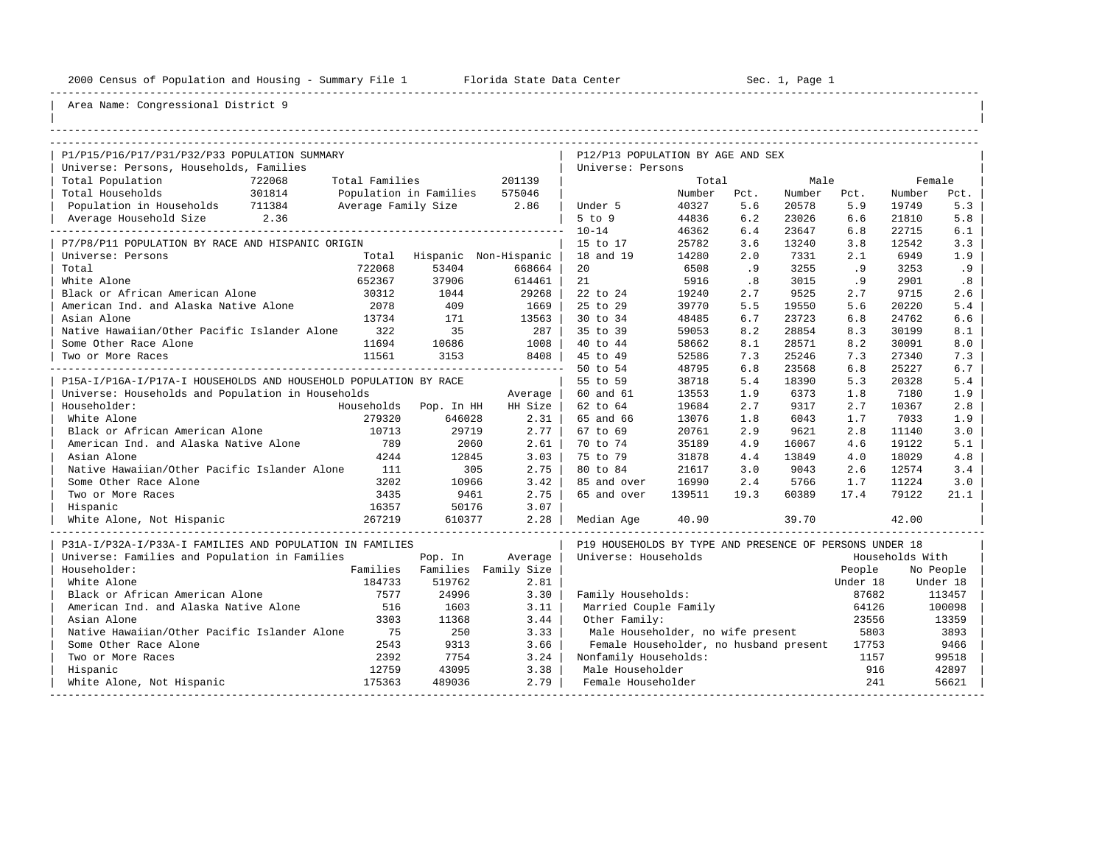----------------------------------------------------------------------------------------------------------------------------------------------------

| |

| P1/P15/P16/P17/P31/P32/P33 POPULATION SUMMARY                    |        |                     |                        |                       | P12/P13 POPULATION BY AGE AND SEX                       |                 |             |                 |             |                 |            |
|------------------------------------------------------------------|--------|---------------------|------------------------|-----------------------|---------------------------------------------------------|-----------------|-------------|-----------------|-------------|-----------------|------------|
| Universe: Persons, Households, Families                          |        |                     |                        |                       | Universe: Persons                                       |                 |             |                 |             |                 |            |
| Total Population                                                 | 722068 | Total Families      |                        | 201139                |                                                         | Total           |             | Male            |             |                 | Female     |
| Total Households                                                 | 301814 |                     | Population in Families | 575046                |                                                         | Number<br>40327 | Pct.<br>5.6 | Number<br>20578 | Pct.<br>5.9 | Number<br>19749 | Pct.       |
| Population in Households 711384                                  | 2.36   | Average Family Size |                        | 2.86                  | Under 5<br>$5$ to $9$                                   | 44836           | 6.2         | 23026           | 6.6         | 21810           | 5.3<br>5.8 |
| Average Household Size<br>---------------                        |        |                     |                        |                       | $10 - 14$                                               | 46362           | 6.4         | 23647           | 6.8         | 22715           | 6.1        |
| P7/P8/P11 POPULATION BY RACE AND HISPANIC ORIGIN                 |        |                     |                        |                       | 15 to 17                                                | 25782           | 3.6         | 13240           | 3.8         | 12542           | 3.3        |
| Universe: Persons                                                |        | Total               |                        | Hispanic Non-Hispanic | 18 and 19                                               | 14280           | 2.0         | 7331            | 2.1         | 6949            | 1.9        |
| Total                                                            |        | 722068              | 53404                  | 668664                | 20                                                      | 6508            | .9          | 3255            | .9          | 3253            | .9         |
| White Alone                                                      |        | 652367              | 37906                  | 614461                | 21                                                      | 5916            | .8          | 3015            | .9          | 2901            | .8         |
| Black or African American Alone                                  |        | 30312               | 1044                   | 29268                 | 22 to 24                                                | 19240           | 2.7         | 9525            | 2.7         | 9715            | 2.6        |
| American Ind. and Alaska Native Alone                            |        | 2078                | 409                    | 1669                  | 25 to 29                                                | 39770           | 5.5         | 19550           | 5.6         | 20220           | 5.4        |
| Asian Alone                                                      |        | 13734               | 171                    | 13563                 | 30 to 34                                                | 48485           | 6.7         | 23723           | 6.8         | 24762           | 6.6        |
| Native Hawaiian/Other Pacific Islander Alone                     |        | 322                 | 35                     | 287                   | 35 to 39                                                | 59053           | 8.2         | 28854           | 8.3         | 30199           | 8.1        |
| Some Other Race Alone                                            |        | 11694               | 10686                  | 1008                  | 40 to 44                                                | 58662           | 8.1         | 28571           | 8.2         | 30091           | 8.0        |
| Two or More Races                                                |        | 11561               | 3153                   | 8408                  | 45 to 49                                                | 52586           | 7.3         | 25246           | 7.3         | 27340           | 7.3        |
|                                                                  |        |                     |                        |                       | 50 to 54                                                | 48795           | 6.8         | 23568           | 6.8         | 25227           | 6.7        |
| P15A-I/P16A-I/P17A-I HOUSEHOLDS AND HOUSEHOLD POPULATION BY RACE |        |                     |                        |                       | 55 to 59                                                | 38718           | 5.4         | 18390           | 5.3         | 20328           | 5.4        |
| Universe: Households and Population in Households                |        |                     |                        | Average               | 60 and 61                                               | 13553           | 1.9         | 6373            | 1.8         | 7180            | 1.9        |
| Householder:                                                     |        |                     | Households Pop. In HH  | HH Size               | 62 to 64                                                | 19684           | 2.7         | 9317            | 2.7         | 10367           | 2.8        |
| White Alone                                                      |        | 279320              | 646028                 | 2.31                  | 65 and 66                                               | 13076           | 1.8         | 6043            | 1.7         | 7033            | 1.9        |
| Black or African American Alone                                  |        | 10713               | 29719                  | 2.77                  | 67 to 69                                                | 20761           | 2.9         | 9621            | 2.8         | 11140           | 3.0        |
| American Ind. and Alaska Native Alone                            |        | 789                 | 2060                   | 2.61                  | 70 to 74                                                | 35189           | 4.9         | 16067           | 4.6         | 19122           | 5.1        |
| Asian Alone                                                      |        | 4244                | 12845                  | 3.03                  | 75 to 79                                                | 31878           | 4.4         | 13849           | 4.0         | 18029           | 4.8        |
| Native Hawaiian/Other Pacific Islander Alone                     |        | 111                 | 305                    | 2.75                  | 80 to 84                                                | 21617           | 3.0         | 9043            | 2.6         | 12574           | 3.4        |
| Some Other Race Alone                                            |        | 3202                | 10966                  | 3.42                  | 85 and over                                             | 16990           | 2.4         | 5766            | 1.7         | 11224           | 3.0        |
| Two or More Races                                                |        | 3435                | 9461                   | 2.75                  | 65 and over                                             | 139511          | 19.3        | 60389           | 17.4        | 79122           | 21.1       |
| Hispanic                                                         |        | 16357               | 50176                  | 3.07                  |                                                         |                 |             |                 |             |                 |            |
| White Alone, Not Hispanic                                        |        | 267219              | 610377                 | 2.28                  | Median Age                                              | 40.90           |             | 39.70           |             | 42.00           |            |
| P31A-I/P32A-I/P33A-I FAMILIES AND POPULATION IN FAMILIES         |        |                     |                        |                       | P19 HOUSEHOLDS BY TYPE AND PRESENCE OF PERSONS UNDER 18 |                 |             |                 |             |                 |            |
| Universe: Families and Population in Families                    |        |                     | Pop. In                | Average               | Universe: Households                                    |                 |             |                 |             | Households With |            |
| Householder:                                                     |        | Families            |                        | Families Family Size  |                                                         |                 |             |                 | People      |                 | No People  |
| White Alone                                                      |        | 184733              | 519762                 | 2.81                  |                                                         |                 |             |                 | Under 18    |                 | Under 18   |
| Black or African American Alone                                  |        | 7577                | 24996                  | 3.30                  | Family Households:                                      |                 |             |                 | 87682       |                 | 113457     |
| American Ind. and Alaska Native Alone                            |        | 516                 | 1603                   | 3.11                  | Married Couple Family                                   |                 |             |                 | 64126       |                 | 100098     |
| Asian Alone                                                      |        | 3303                | 11368                  | 3.44                  | Other Family:                                           |                 |             |                 | 23556       |                 | 13359      |
| Native Hawaiian/Other Pacific Islander Alone                     |        | 75                  | 250                    | 3.33                  | Male Householder, no wife present                       |                 |             |                 | 5803        |                 | 3893       |
| Some Other Race Alone                                            |        | 2543                | 9313                   | 3.66                  | Female Householder, no husband present                  |                 |             |                 | 17753       |                 | 9466       |
| Two or More Races                                                |        | 2392                | 7754                   | 3.24                  | Nonfamily Households:                                   |                 |             |                 | 1157        |                 | 99518      |
| Hispanic                                                         |        | 12759               | 43095                  | 3.38                  | Male Householder                                        |                 |             |                 | 916         |                 | 42897      |
| White Alone, Not Hispanic                                        |        | 175363              | 489036                 | 2.79                  | Female Householder                                      |                 |             |                 | 241         |                 | 56621      |
|                                                                  |        |                     |                        |                       |                                                         |                 |             |                 |             |                 |            |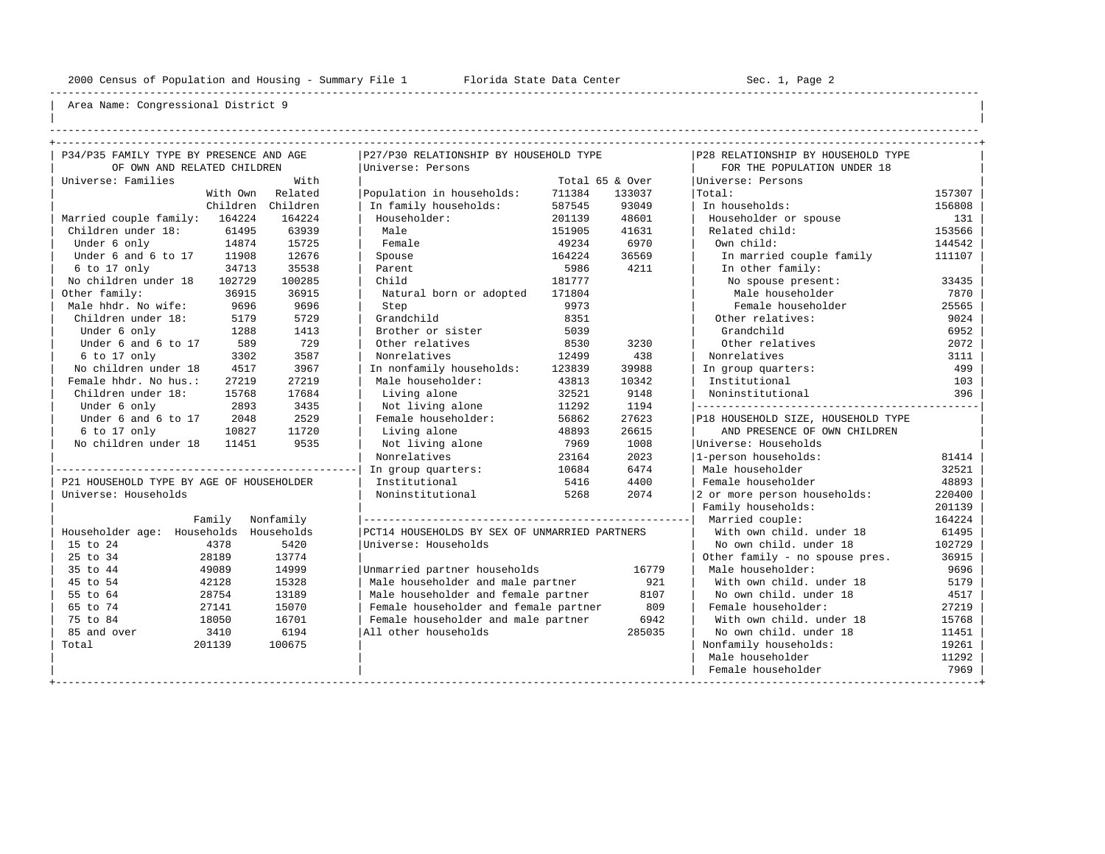----------------------------------------------------------------------------------------------------------------------------------------------------

| | ----------------------------------------------------------------------------------------------------------------------------------------------------

| P34/P35 FAMILY TYPE BY PRESENCE AND AGE  |          |            | P27/P30 RELATIONSHIP BY HOUSEHOLD TYPE        |        |                 | P28 RELATIONSHIP BY HOUSEHOLD TYPE |        |
|------------------------------------------|----------|------------|-----------------------------------------------|--------|-----------------|------------------------------------|--------|
| OF OWN AND RELATED CHILDREN              |          |            | Universe: Persons                             |        |                 | FOR THE POPULATION UNDER 18        |        |
| Universe: Families                       |          | With       |                                               |        | Total 65 & Over | Universe: Persons                  |        |
|                                          | With Own | Related    | Population in households:                     | 711384 | 133037          | Total:                             | 157307 |
|                                          | Children | Children   | In family households:                         | 587545 | 93049           | In households:                     | 156808 |
| Married couple family:                   | 164224   | 164224     | Householder:                                  | 201139 | 48601           | Householder or spouse              | 131    |
| Children under 18:                       | 61495    | 63939      | Male                                          | 151905 | 41631           | Related child:                     | 153566 |
| Under 6 only                             | 14874    | 15725      | Female                                        | 49234  | 6970            | Own child:                         | 144542 |
| Under 6 and 6 to 17                      | 11908    | 12676      | Spouse                                        | 164224 | 36569           | In married couple family           | 111107 |
| 6 to 17 only                             | 34713    | 35538      | Parent                                        | 5986   | 4211            | In other family:                   |        |
| No children under 18                     | 102729   | 100285     | Child                                         | 181777 |                 | No spouse present:                 | 33435  |
| Other family:                            | 36915    | 36915      | Natural born or adopted                       | 171804 |                 | Male householder                   | 7870   |
| Male hhdr. No wife:                      | 9696     | 9696       | Step                                          | 9973   |                 | Female householder                 | 25565  |
| Children under 18:                       | 5179     | 5729       | Grandchild                                    | 8351   |                 | Other relatives:                   | 9024   |
| Under 6 only                             | 1288     | 1413       | Brother or sister                             | 5039   |                 | Grandchild                         | 6952   |
| Under 6 and 6 to 17                      | 589      | 729        | Other relatives                               | 8530   | 3230            | Other relatives                    | 2072   |
| 6 to 17 only                             | 3302     | 3587       | Nonrelatives                                  | 12499  | 438             | Nonrelatives                       | 3111   |
| No children under 18                     | 4517     | 3967       | In nonfamily households:                      | 123839 | 39988           | In group quarters:                 | 499    |
| Female hhdr. No hus.:                    | 27219    | 27219      | Male householder:                             | 43813  | 10342           | Institutional                      | 103    |
| Children under 18:                       | 15768    | 17684      | Living alone                                  | 32521  | 9148            | Noninstitutional                   | 396    |
| Under 6 only                             | 2893     | 3435       | Not living alone                              | 11292  | 1194            | ---------------------------------- |        |
| Under 6 and 6 to 17                      | 2048     | 2529       | Female householder:                           | 56862  | 27623           | P18 HOUSEHOLD SIZE, HOUSEHOLD TYPE |        |
| 6 to 17 only                             | 10827    | 11720      | Living alone                                  | 48893  | 26615           | AND PRESENCE OF OWN CHILDREN       |        |
| No children under 18                     | 11451    | 9535       | Not living alone                              | 7969   | 1008            | Universe: Households               |        |
|                                          |          |            | Nonrelatives                                  | 23164  | 2023            | 1-person households:               | 81414  |
|                                          |          |            | In group quarters:                            | 10684  | 6474            | Male householder                   | 32521  |
| P21 HOUSEHOLD TYPE BY AGE OF HOUSEHOLDER |          |            | Institutional                                 | 5416   | 4400            | Female householder                 | 48893  |
| Universe: Households                     |          |            | Noninstitutional                              | 5268   | 2074            | 2 or more person households:       | 220400 |
|                                          |          |            |                                               |        |                 | Family households:                 | 201139 |
|                                          | Family   | Nonfamily  |                                               |        |                 | Married couple:                    | 164224 |
| Householder age: Households              |          | Households | PCT14 HOUSEHOLDS BY SEX OF UNMARRIED PARTNERS |        |                 | With own child, under 18           | 61495  |
| 15 to 24                                 | 4378     | 5420       | Universe: Households                          |        |                 | No own child. under 18             | 102729 |
| 25 to 34                                 | 28189    | 13774      |                                               |        |                 | Other family - no spouse pres.     | 36915  |
| 35 to 44                                 | 49089    | 14999      | Unmarried partner households                  |        | 16779           | Male householder:                  | 9696   |
| 45 to 54                                 | 42128    | 15328      | Male householder and male partner             |        | 921             | With own child, under 18           | 5179   |
| 55 to 64                                 | 28754    | 13189      | Male householder and female partner           |        | 8107            | No own child, under 18             | 4517   |
| 65 to 74                                 | 27141    | 15070      | Female householder and female partner         |        | 809             | Female householder:                | 27219  |
| 75 to 84                                 | 18050    | 16701      | Female householder and male partner           |        | 6942            | With own child, under 18           | 15768  |
| 85 and over                              | 3410     | 6194       | All other households                          |        | 285035          | No own child. under 18             | 11451  |
| Total                                    | 201139   | 100675     |                                               |        |                 | Nonfamily households:              | 19261  |
|                                          |          |            |                                               |        |                 | Male householder                   | 11292  |
|                                          |          |            |                                               |        |                 |                                    |        |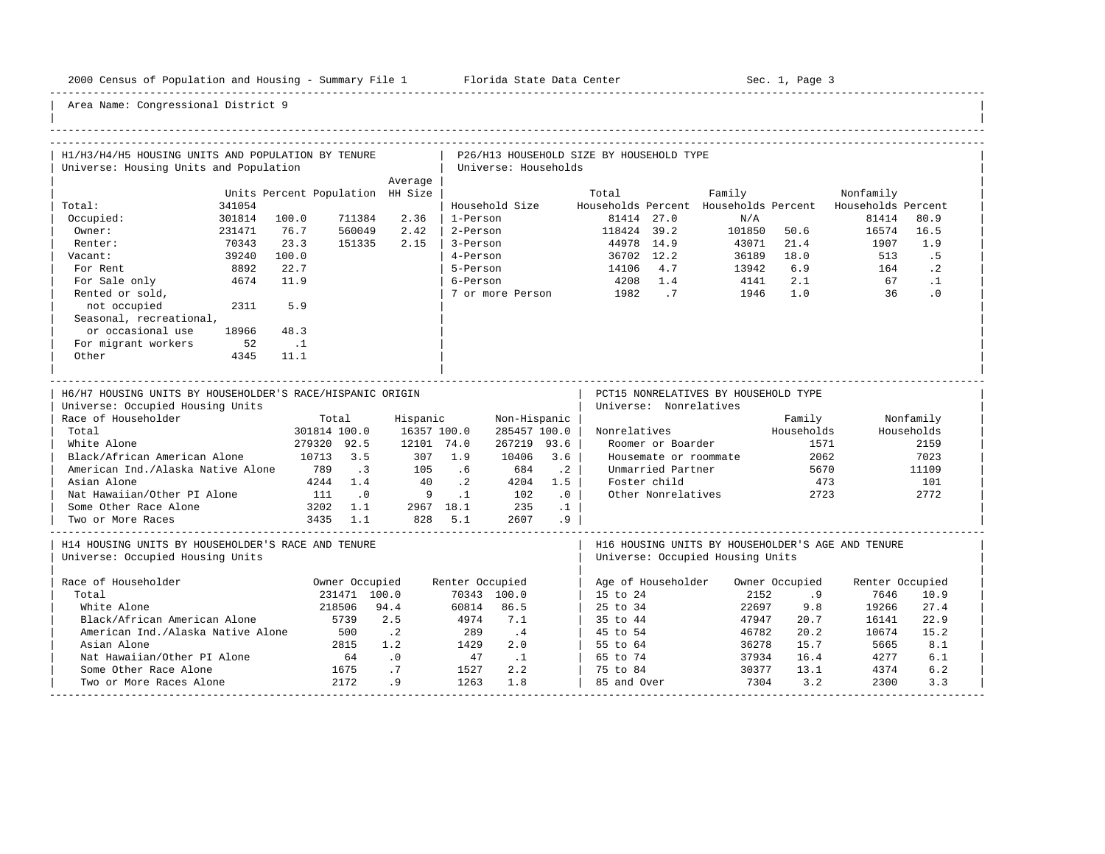-----------------------------------------------------------------------------------------------------------------------------------------------------

| H1/H3/H4/H5 HOUSING UNITS AND POPULATION BY TENURE                                                                                                                                                                                                                                                                |                                  |                                                                                  |                                              |                                                                                                                  |                                    |                                                                            |                                                                 | P26/H13 HOUSEHOLD SIZE BY HOUSEHOLD TYPE |                                                                                                        |                                                                                       |                                               |                 |                                                                 |
|-------------------------------------------------------------------------------------------------------------------------------------------------------------------------------------------------------------------------------------------------------------------------------------------------------------------|----------------------------------|----------------------------------------------------------------------------------|----------------------------------------------|------------------------------------------------------------------------------------------------------------------|------------------------------------|----------------------------------------------------------------------------|-----------------------------------------------------------------|------------------------------------------|--------------------------------------------------------------------------------------------------------|---------------------------------------------------------------------------------------|-----------------------------------------------|-----------------|-----------------------------------------------------------------|
| Universe: Housing Units and Population                                                                                                                                                                                                                                                                            |                                  |                                                                                  |                                              | Average                                                                                                          |                                    | Universe: Households                                                       |                                                                 |                                          |                                                                                                        |                                                                                       |                                               |                 |                                                                 |
|                                                                                                                                                                                                                                                                                                                   | Units Percent Population HH Size |                                                                                  |                                              |                                                                                                                  |                                    |                                                                            |                                                                 | Total                                    |                                                                                                        | Family                                                                                |                                               | Nonfamily       |                                                                 |
| Total:<br>341054                                                                                                                                                                                                                                                                                                  |                                  |                                                                                  |                                              |                                                                                                                  |                                    | Household Size                                                             |                                                                 |                                          |                                                                                                        | Households Percent Households Percent Households Percent                              |                                               |                 |                                                                 |
| 301814<br>Occupied:                                                                                                                                                                                                                                                                                               | 100.0                            |                                                                                  | 711384                                       | 2.36                                                                                                             | 1-Person                           |                                                                            |                                                                 |                                          | 81414 27.0                                                                                             | N/A                                                                                   |                                               | 81414           | 80.9                                                            |
| Owner:<br>231471                                                                                                                                                                                                                                                                                                  | 76.7                             |                                                                                  | 560049                                       | 2.42                                                                                                             |                                    | 2-Person                                                                   |                                                                 | 118424 39.2                              |                                                                                                        | 101850 50.6                                                                           |                                               | 16574           | 16.5                                                            |
| Renter:<br>70343                                                                                                                                                                                                                                                                                                  | 23.3                             |                                                                                  | 151335                                       | 2.15                                                                                                             | 3-Person                           |                                                                            |                                                                 | 44978 14.9                               |                                                                                                        | 43071                                                                                 | 21.4                                          | 1907            | 1.9                                                             |
| 39240<br>Vacant:                                                                                                                                                                                                                                                                                                  | 100.0                            |                                                                                  |                                              |                                                                                                                  | 4-Person                           |                                                                            |                                                                 |                                          | 36702 12.2                                                                                             | 36189 18.0                                                                            |                                               | 513             | . 5                                                             |
| For Rent<br>8892                                                                                                                                                                                                                                                                                                  | 22.7                             |                                                                                  |                                              |                                                                                                                  | 5-Person                           |                                                                            |                                                                 | 14106 4.7                                |                                                                                                        | 13942                                                                                 | 6.9                                           | 164             | $\cdot$ 2                                                       |
| 4674<br>For Sale only                                                                                                                                                                                                                                                                                             | 11.9                             |                                                                                  |                                              |                                                                                                                  | 6-Person                           |                                                                            |                                                                 | 4208 1.4                                 |                                                                                                        | 4141                                                                                  | 2.1                                           | 67              | $\cdot$ 1                                                       |
| Rented or sold,                                                                                                                                                                                                                                                                                                   |                                  |                                                                                  |                                              |                                                                                                                  |                                    | 7 or more Person                                                           |                                                                 | 1982.7                                   |                                                                                                        | 1946                                                                                  | 1.0                                           | 36              | .0                                                              |
| not occupied<br>2311                                                                                                                                                                                                                                                                                              | 5.9                              |                                                                                  |                                              |                                                                                                                  |                                    |                                                                            |                                                                 |                                          |                                                                                                        |                                                                                       |                                               |                 |                                                                 |
| Seasonal, recreational,                                                                                                                                                                                                                                                                                           |                                  |                                                                                  |                                              |                                                                                                                  |                                    |                                                                            |                                                                 |                                          |                                                                                                        |                                                                                       |                                               |                 |                                                                 |
| or occasional use<br>18966                                                                                                                                                                                                                                                                                        | 48.3                             |                                                                                  |                                              |                                                                                                                  |                                    |                                                                            |                                                                 |                                          |                                                                                                        |                                                                                       |                                               |                 |                                                                 |
| For migrant workers<br>52                                                                                                                                                                                                                                                                                         | $\ldots$                         |                                                                                  |                                              |                                                                                                                  |                                    |                                                                            |                                                                 |                                          |                                                                                                        |                                                                                       |                                               |                 |                                                                 |
| Other<br>4345                                                                                                                                                                                                                                                                                                     | 11.1                             |                                                                                  |                                              |                                                                                                                  |                                    |                                                                            |                                                                 |                                          |                                                                                                        |                                                                                       |                                               |                 |                                                                 |
|                                                                                                                                                                                                                                                                                                                   |                                  |                                                                                  |                                              |                                                                                                                  |                                    |                                                                            |                                                                 |                                          |                                                                                                        |                                                                                       |                                               |                 |                                                                 |
| H6/H7 HOUSING UNITS BY HOUSEHOLDER'S RACE/HISPANIC ORIGIN<br>Universe: Occupied Housing Units<br>Race of Householder<br>Total<br>White Alone<br>Black/African American Alone<br>American Ind./Alaska Native Alone 789<br>Asian Alone<br>Nat Hawaiian/Other PI Alone<br>Some Other Race Alone<br>Two or More Races | 3202 1.1                         | Total<br>301814 100.0<br>279320 92.5<br>10713 3.5<br>4244 1.4<br>111<br>3435 1.1 | $\overline{3}$<br>$\overline{\phantom{0}}$ . | Hispanic<br>16357 100.0<br>12101 74.0<br>307 1.9<br>105<br>40<br>$\overline{9}$<br>2967 18.1 235<br>828 5.1 2607 | $.6 \,$<br>$\cdot$ . 2<br>$\ldots$ | Non-Hispanic<br>285457 100.0<br>267219 93.6<br>10406<br>684<br>4204<br>102 | 3.6<br>$\cdot$ . 2<br>1.5<br>$\overline{0}$ .<br>$\ldots$<br>.9 | Nonrelatives                             | Universe: Nonrelatives<br>Roomer or Boarder<br>Unmarried Partner<br>Foster child<br>Other Nonrelatives | PCT15 NONRELATIVES BY HOUSEHOLD TYPE<br>Households<br>Housemate or roommate           | Family<br>1571<br>2062<br>5670<br>473<br>2723 |                 | Nonfamily<br>Households<br>2159<br>7023<br>11109<br>101<br>2772 |
| H14 HOUSING UNITS BY HOUSEHOLDER'S RACE AND TENURE<br>Universe: Occupied Housing Units                                                                                                                                                                                                                            |                                  |                                                                                  |                                              |                                                                                                                  |                                    |                                                                            |                                                                 |                                          |                                                                                                        | H16 HOUSING UNITS BY HOUSEHOLDER'S AGE AND TENURE<br>Universe: Occupied Housing Units |                                               |                 |                                                                 |
| Race of Householder                                                                                                                                                                                                                                                                                               |                                  | Owner Occupied                                                                   |                                              |                                                                                                                  | Renter Occupied                    |                                                                            |                                                                 |                                          |                                                                                                        | Age of Householder Owner Occupied                                                     |                                               | Renter Occupied |                                                                 |
| Total                                                                                                                                                                                                                                                                                                             |                                  |                                                                                  | 231471 100.0                                 |                                                                                                                  |                                    | 70343 100.0                                                                |                                                                 | 15 to 24                                 |                                                                                                        | 2152                                                                                  | .9                                            | 7646            | 10.9                                                            |
| White Alone                                                                                                                                                                                                                                                                                                       |                                  | 218506                                                                           |                                              | 94.4                                                                                                             |                                    | 60814 86.5                                                                 |                                                                 | 25 to 34                                 |                                                                                                        | 22697                                                                                 | 9.8                                           | 19266           | 27.4                                                            |
| Black/African American Alone                                                                                                                                                                                                                                                                                      |                                  | 5739                                                                             |                                              | 2.5                                                                                                              | 4974                               | 7.1                                                                        |                                                                 | 35 to 44                                 |                                                                                                        | 47947                                                                                 | 20.7                                          | 16141           | 22.9                                                            |
| American Ind./Alaska Native Alone                                                                                                                                                                                                                                                                                 |                                  | 500                                                                              |                                              | $\cdot$ . 2                                                                                                      | 289                                | $\cdot$ 4                                                                  |                                                                 | 45 to 54                                 |                                                                                                        | 46782                                                                                 | 20.2                                          | 10674           | 15.2                                                            |
| Asian Alone                                                                                                                                                                                                                                                                                                       |                                  |                                                                                  | 2815                                         | 1.2                                                                                                              | 1429                               | 2.0                                                                        |                                                                 | 55 to 64                                 |                                                                                                        | 36278                                                                                 | 15.7                                          | 5665            | 8.1                                                             |
| Nat Hawaiian/Other PI Alone                                                                                                                                                                                                                                                                                       |                                  | 64                                                                               |                                              | $\cdot$ 0                                                                                                        | 47                                 | $\ldots$                                                                   |                                                                 | 65 to 74                                 |                                                                                                        | 37934                                                                                 | 16.4                                          | 4277            | 6.1                                                             |
| Some Other Race Alone                                                                                                                                                                                                                                                                                             |                                  |                                                                                  |                                              | .7                                                                                                               | 1527                               | 2.2                                                                        |                                                                 | 75 to 84                                 |                                                                                                        | 30377                                                                                 | 13.1                                          | 4374            | 6.2                                                             |
| Two or More Races Alone                                                                                                                                                                                                                                                                                           |                                  | $rac{64}{1675}$<br>2172                                                          |                                              | .9                                                                                                               | 1263                               | 1.8                                                                        |                                                                 | 85 and Over                              |                                                                                                        | 7304                                                                                  | 3.2                                           | 2300            | 3.3                                                             |
|                                                                                                                                                                                                                                                                                                                   |                                  |                                                                                  |                                              |                                                                                                                  |                                    |                                                                            |                                                                 |                                          |                                                                                                        |                                                                                       |                                               |                 |                                                                 |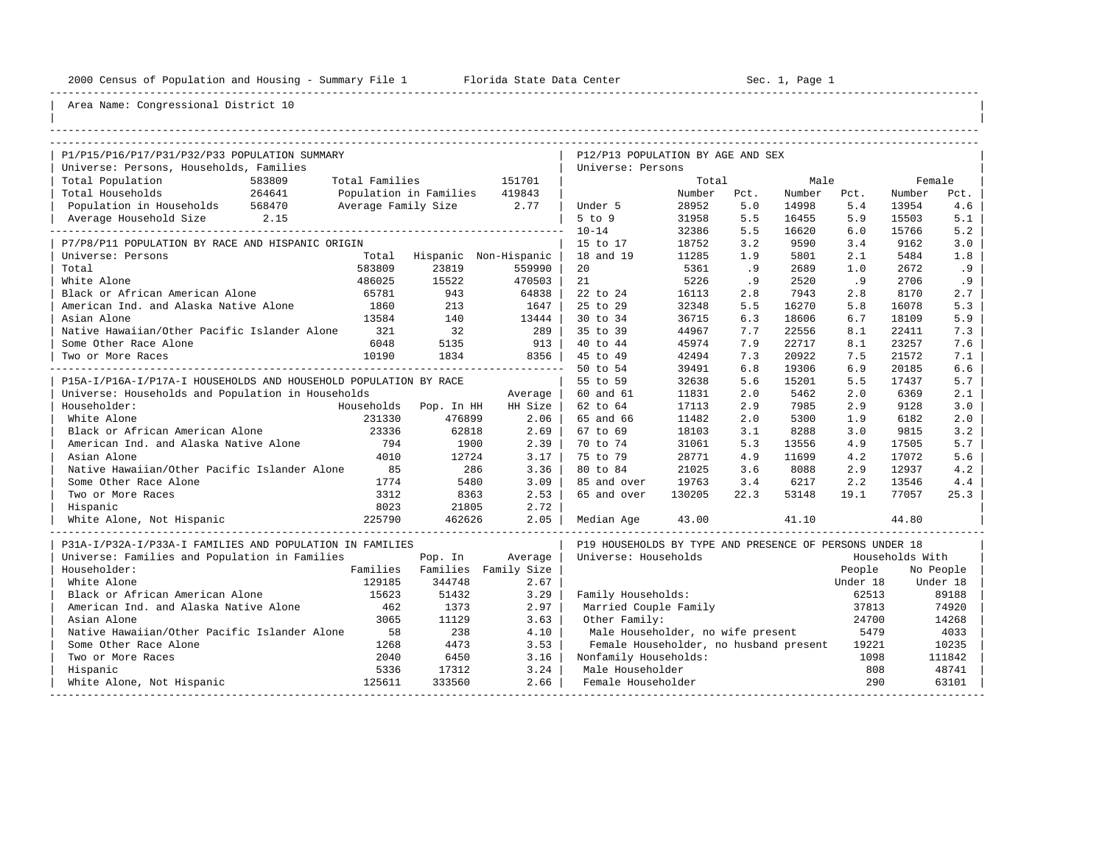----------------------------------------------------------------------------------------------------------------------------------------------------

| |

| P1/P15/P16/P17/P31/P32/P33 POPULATION SUMMARY                    |        |                               |                                 | P12/P13 POPULATION BY AGE AND SEX                       |        |      |        |          |                 |           |
|------------------------------------------------------------------|--------|-------------------------------|---------------------------------|---------------------------------------------------------|--------|------|--------|----------|-----------------|-----------|
| Universe: Persons, Households, Families                          |        |                               |                                 | Universe: Persons                                       |        |      |        |          |                 |           |
| Total Population<br>583809                                       |        | Total Families                | 151701                          |                                                         | Total  |      | Male   |          |                 | Female    |
| 264641<br>Total Households                                       |        | Population in Families 419843 |                                 |                                                         | Number | Pct. | Number | Pct.     | Number          | Pct.      |
| Population in Households 568470                                  |        | Average Family Size 2.77      |                                 | Under 5                                                 | 28952  | 5.0  | 14998  | 5.4      | 13954           | 4.6       |
|                                                                  |        |                               |                                 | $5$ to $9$                                              | 31958  | 5.5  | 16455  | 5.9      | 15503           | 5.1       |
|                                                                  |        |                               |                                 | $10 - 14$                                               | 32386  | 5.5  | 16620  | 6.0      | 15766           | 5.2       |
| P7/P8/P11 POPULATION BY RACE AND HISPANIC ORIGIN                 |        |                               |                                 | 15 to 17                                                | 18752  | 3.2  | 9590   | 3.4      | 9162            | 3.0       |
| Universe: Persons                                                |        |                               | Total Hispanic Non-Hispanic     | 18 and 19                                               | 11285  | 1.9  | 5801   | 2.1      | 5484            | 1.8       |
| Total                                                            | 583809 | 23819                         | 559990                          | 20                                                      | 5361   | .9   | 2689   | 1.0      | 2672            | .9        |
| White Alone                                                      | 486025 | 15522                         | 470503                          | 21                                                      | 5226   | .9   | 2520   | .9       | 2706            | .9        |
| Black or African American Alone                                  | 65781  | 943                           | 64838                           | 22 to 24                                                | 16113  | 2.8  | 7943   | 2.8      | 8170            | 2.7       |
| American Ind. and Alaska Native Alone 1860                       |        | 213                           | 1647                            | 25 to 29                                                | 32348  | 5.5  | 16270  | 5.8      | 16078           | 5.3       |
| Asian Alone                                                      | 13584  | 140                           | 13444                           | 30 to 34                                                | 36715  | 6.3  | 18606  | 6.7      | 18109           | 5.9       |
| Native Hawaiian/Other Pacific Islander Alone                     | 321    | 32                            | 289                             | 35 to 39                                                | 44967  | 7.7  | 22556  | 8.1      | 22411           | 7.3       |
| Some Other Race Alone                                            | 6048   | 5135                          | 913                             | 40 to 44                                                | 45974  | 7.9  | 22717  | 8.1      | 23257           | 7.6       |
| Two or More Races                                                | 10190  | 1834                          | 8356                            | 45 to 49                                                | 42494  | 7.3  | 20922  | 7.5      | 21572           | 7.1       |
|                                                                  |        |                               | ------------------------------- | 50 to 54                                                | 39491  | 6.8  | 19306  | 6.9      | 20185           | 6.6       |
| P15A-I/P16A-I/P17A-I HOUSEHOLDS AND HOUSEHOLD POPULATION BY RACE |        |                               |                                 | 55 to 59                                                | 32638  | 5.6  | 15201  | 5.5      | 17437           | 5.7       |
| Universe: Households and Population in Households                |        |                               | Average                         | 60 and 61                                               | 11831  | 2.0  | 5462   | 2.0      | 6369            | 2.1       |
| Householder:                                                     |        | Households Pop. In HH         | HH Size                         | 62 to 64                                                | 17113  | 2.9  | 7985   | 2.9      | 9128            | 3.0       |
| White Alone                                                      | 231330 | 476899                        | 2.06                            | 65 and 66                                               | 11482  | 2.0  | 5300   | 1.9      | 6182            | 2.0       |
| Black or African American Alone                                  | 23336  | 62818                         | 2.69                            | 67 to 69                                                | 18103  | 3.1  | 8288   | 3.0      | 9815            | 3.2       |
| American Ind. and Alaska Native Alone 794                        |        | 1900                          | 2.39                            | 70 to 74                                                | 31061  | 5.3  | 13556  | 4.9      | 17505           | 5.7       |
| Asian Alone                                                      | 4010   | 12724                         | 3.17                            | 75 to 79                                                | 28771  | 4.9  | 11699  | 4.2      | 17072           | 5.6       |
| Native Hawaiian/Other Pacific Islander Alone                     | 85     | 286                           | 3.36                            | 80 to 84                                                | 21025  | 3.6  | 8088   | 2.9      | 12937           | 4.2       |
| Some Other Race Alone                                            | 1774   | 5480                          | 3.09                            | 85 and over                                             | 19763  | 3.4  | 6217   | 2.2      | 13546           | 4.4       |
| Two or More Races                                                | 3312   | 8363                          | 2.53                            | 65 and over                                             | 130205 | 22.3 | 53148  | 19.1     | 77057           | 25.3      |
| Hispanic                                                         | 8023   | 21805                         | 2.72                            |                                                         |        |      |        |          |                 |           |
| White Alone, Not Hispanic                                        | 225790 | 462626                        | 2.05                            | Median Age                                              | 43.00  |      | 41.10  |          | 44.80           |           |
| P31A-I/P32A-I/P33A-I FAMILIES AND POPULATION IN FAMILIES         |        |                               |                                 | P19 HOUSEHOLDS BY TYPE AND PRESENCE OF PERSONS UNDER 18 |        |      |        |          |                 |           |
| Universe: Families and Population in Families                    |        | Pop. In                       | Average                         | Universe: Households                                    |        |      |        |          | Households With |           |
| Householder:                                                     |        |                               | Families Families Family Size   |                                                         |        |      |        | People   |                 | No People |
| White Alone                                                      | 129185 | 344748                        | 2.67                            |                                                         |        |      |        | Under 18 |                 | Under 18  |
| Black or African American Alone                                  | 15623  | 51432                         | 3.29                            | Family Households:                                      |        |      |        | 62513    |                 | 89188     |
| American Ind. and Alaska Native Alone                            | 462    | 1373                          | 2.97                            | Married Couple Family                                   |        |      |        | 37813    |                 | 74920     |
| Asian Alone                                                      | 3065   | 11129                         | 3.63                            | Other Family:                                           |        |      |        | 24700    |                 | 14268     |
| Native Hawaiian/Other Pacific Islander Alone                     | 58     | 238                           | 4.10                            | Male Householder, no wife present                       |        |      |        | 5479     |                 | 4033      |
| Some Other Race Alone                                            | 1268   | 4473                          | 3.53                            | Female Householder, no husband present                  |        |      |        | 19221    |                 | 10235     |
| Two or More Races                                                | 2040   | 6450                          | 3.16                            | Nonfamily Households:                                   |        |      |        | 1098     |                 | 111842    |
| Hispanic                                                         | 5336   | 17312                         | 3.24                            | Male Householder                                        |        |      |        | 808      |                 | 48741     |
| White Alone, Not Hispanic                                        | 125611 | 333560                        | 2.66                            | Female Householder                                      |        |      |        | 290      |                 | 63101     |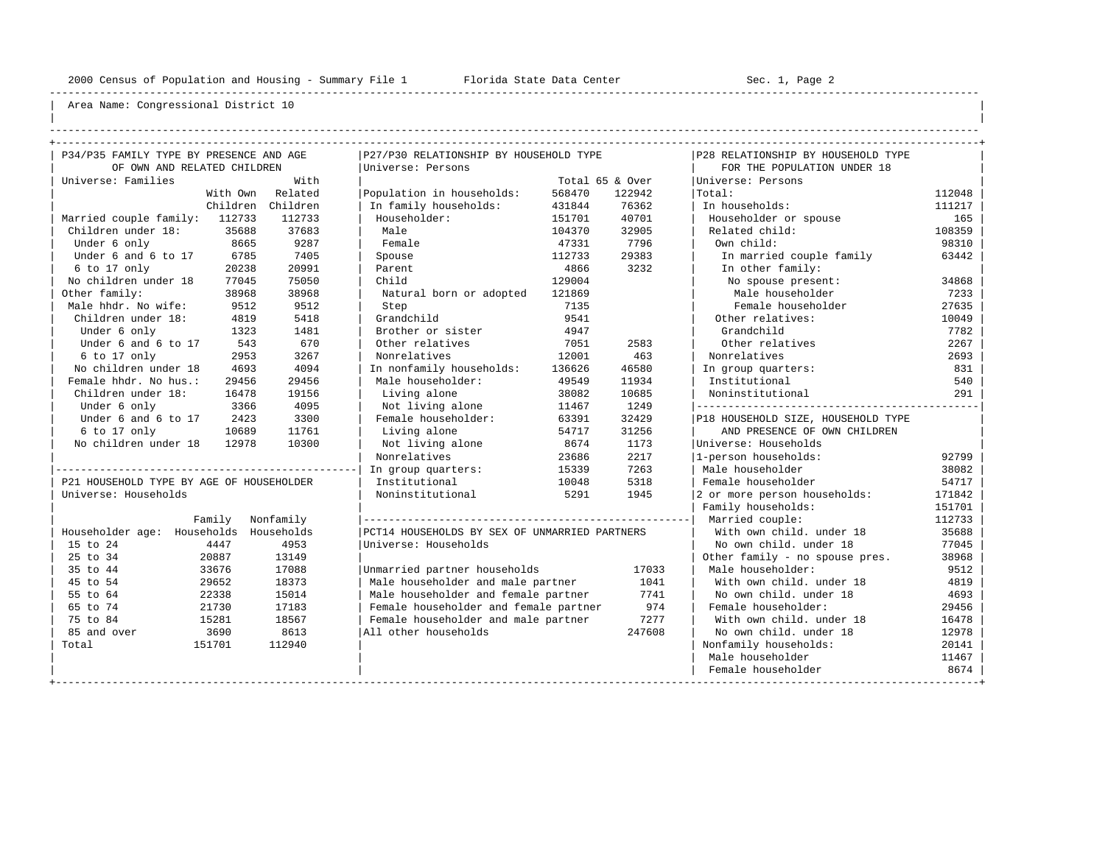----------------------------------------------------------------------------------------------------------------------------------------------------

| | ----------------------------------------------------------------------------------------------------------------------------------------------------

| P34/P35 FAMILY TYPE BY PRESENCE AND AGE  |                  | P27/P30 RELATIONSHIP BY HOUSEHOLD TYPE        |        |                 | P28 RELATIONSHIP BY HOUSEHOLD TYPE |        |
|------------------------------------------|------------------|-----------------------------------------------|--------|-----------------|------------------------------------|--------|
| OF OWN AND RELATED CHILDREN              |                  | Universe: Persons                             |        |                 | FOR THE POPULATION UNDER 18        |        |
| Universe: Families                       | With             |                                               |        | Total 65 & Over | Universe: Persons                  |        |
|                                          | With Own Related | Population in households:                     | 568470 | 122942          | Total:                             | 112048 |
| Children                                 | Children         | In family households:                         | 431844 | 76362           | In households:                     | 111217 |
| Married couple family: 112733            | 112733           | Householder:                                  | 151701 | 40701           | Householder or spouse              | 165    |
| Children under 18:<br>35688              | 37683            | Male                                          | 104370 | 32905           | Related child:                     | 108359 |
| Under 6 only<br>8665                     | 9287             | Female                                        | 47331  | 7796            | Own child:                         | 98310  |
| Under 6 and 6 to 17<br>6785              | 7405             | Spouse                                        | 112733 | 29383           | In married couple family           | 63442  |
| $6$ to $17$ only<br>20238                | 20991            | Parent                                        | 4866   | 3232            | In other family:                   |        |
| No children under 18<br>77045            | 75050            | Child                                         | 129004 |                 | No spouse present:                 | 34868  |
| Other family:<br>38968                   | 38968            | Natural born or adopted                       | 121869 |                 | Male householder                   | 7233   |
| Male hhdr. No wife:<br>9512              | 9512             | Step                                          | 7135   |                 | Female householder                 | 27635  |
| Children under 18:<br>4819               | 5418             | Grandchild                                    | 9541   |                 | Other relatives:                   | 10049  |
| Under 6 only<br>1323                     | 1481             | Brother or sister                             | 4947   |                 | Grandchild                         | 7782   |
| Under 6 and 6 to 17<br>543               | 670              | Other relatives                               | 7051   | 2583            | Other relatives                    | 2267   |
| 6 to 17 only<br>2953                     | 3267             | Nonrelatives                                  | 12001  | 463             | Nonrelatives                       | 2693   |
| No children under 18<br>4693             | 4094             | In nonfamily households:                      | 136626 | 46580           | In group quarters:                 | 831    |
| Female hhdr. No hus.:<br>29456           | 29456            | Male householder:                             | 49549  | 11934           | Institutional                      | 540    |
| Children under 18:<br>16478              | 19156            | Living alone                                  | 38082  | 10685           | Noninstitutional                   | 291    |
| Under 6 only<br>3366                     | 4095             | Not living alone                              | 11467  | 1249            |                                    |        |
| Under 6 and 6 to 17<br>2423              | 3300             | Female householder:                           | 63391  | 32429           | P18 HOUSEHOLD SIZE, HOUSEHOLD TYPE |        |
| 6 to 17 only<br>10689                    | 11761            | Living alone                                  | 54717  | 31256           | AND PRESENCE OF OWN CHILDREN       |        |
| No children under 18<br>12978            | 10300            | Not living alone                              | 8674   | 1173            | Universe: Households               |        |
|                                          |                  | Nonrelatives                                  | 23686  | 2217            | 1-person households:               | 92799  |
|                                          |                  | In group quarters:                            | 15339  | 7263            | Male householder                   | 38082  |
| P21 HOUSEHOLD TYPE BY AGE OF HOUSEHOLDER |                  | Institutional                                 | 10048  | 5318            | Female householder                 | 54717  |
| Universe: Households                     |                  | Noninstitutional                              | 5291   | 1945            | 2 or more person households:       | 171842 |
|                                          |                  |                                               |        |                 | Family households:                 | 151701 |
| Family                                   | Nonfamily        |                                               |        |                 | Married couple:                    | 112733 |
| Householder age: Households              | Households       | PCT14 HOUSEHOLDS BY SEX OF UNMARRIED PARTNERS |        |                 | With own child, under 18           | 35688  |
| 15 to 24<br>4447                         | 4953             | Universe: Households                          |        |                 | No own child, under 18             | 77045  |
| 25 to 34<br>20887                        | 13149            |                                               |        |                 | Other family - no spouse pres.     | 38968  |
| 35 to 44<br>33676                        | 17088            | Unmarried partner households                  |        | 17033           | Male householder:                  | 9512   |
| 45 to 54<br>29652                        | 18373            | Male householder and male partner             |        | 1041            | With own child, under 18           | 4819   |
| 22338<br>55 to 64                        | 15014            | Male householder and female partner           |        | 7741            | No own child. under 18             | 4693   |
| 65 to 74<br>21730                        | 17183            | Female householder and female partner         |        | 974             | Female householder:                | 29456  |
| 75 to 84<br>15281                        | 18567            | Female householder and male partner           |        | 7277            | With own child, under 18           | 16478  |
| 85 and over<br>3690                      | 8613             | All other households                          |        | 247608          | No own child, under 18             | 12978  |
| Total<br>151701                          | 112940           |                                               |        |                 | Nonfamily households:              | 20141  |
|                                          |                  |                                               |        |                 | Male householder                   | 11467  |
|                                          |                  |                                               |        |                 | Female householder                 | 8674   |
|                                          |                  |                                               |        |                 |                                    |        |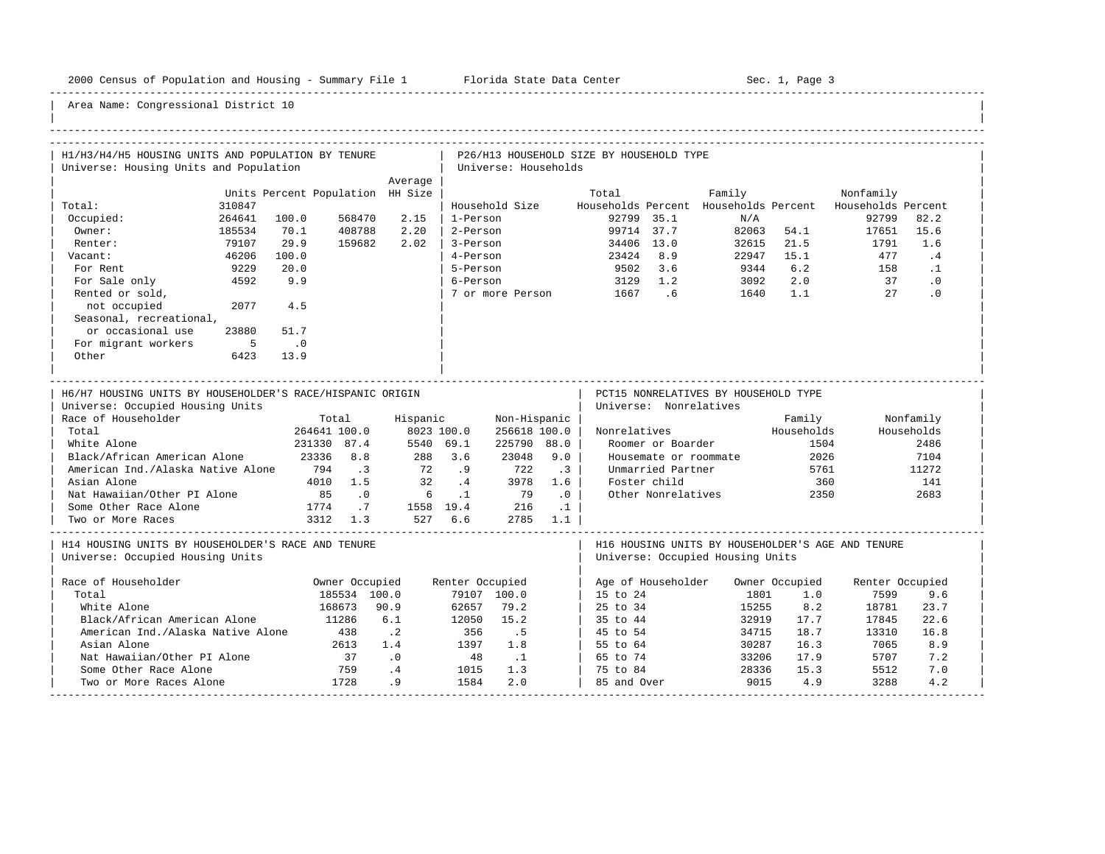-----------------------------------------------------------------------------------------------------------------------------------------------------

| H1/H3/H4/H5 HOUSING UNITS AND POPULATION BY TENURE                                                                                                                                                                                                                                                            |                |                                                                        |                                                                            |                                                 |                                                        |                                                                                            |                                                                     | P26/H13 HOUSEHOLD SIZE BY HOUSEHOLD TYPE |                                                                                                                                 |                                                                                       |                                                             |                    |                                                                 |  |
|---------------------------------------------------------------------------------------------------------------------------------------------------------------------------------------------------------------------------------------------------------------------------------------------------------------|----------------|------------------------------------------------------------------------|----------------------------------------------------------------------------|-------------------------------------------------|--------------------------------------------------------|--------------------------------------------------------------------------------------------|---------------------------------------------------------------------|------------------------------------------|---------------------------------------------------------------------------------------------------------------------------------|---------------------------------------------------------------------------------------|-------------------------------------------------------------|--------------------|-----------------------------------------------------------------|--|
| Universe: Housing Units and Population                                                                                                                                                                                                                                                                        |                |                                                                        |                                                                            |                                                 |                                                        | Universe: Households                                                                       |                                                                     |                                          |                                                                                                                                 |                                                                                       |                                                             |                    |                                                                 |  |
|                                                                                                                                                                                                                                                                                                               |                |                                                                        |                                                                            | Average                                         |                                                        |                                                                                            |                                                                     |                                          |                                                                                                                                 |                                                                                       |                                                             |                    |                                                                 |  |
|                                                                                                                                                                                                                                                                                                               |                | Units Percent Population HH Size                                       |                                                                            |                                                 |                                                        |                                                                                            |                                                                     | Total                                    |                                                                                                                                 | Family                                                                                |                                                             | Nonfamily          |                                                                 |  |
| Total:                                                                                                                                                                                                                                                                                                        | 310847         |                                                                        |                                                                            |                                                 |                                                        | Household Size                                                                             |                                                                     |                                          |                                                                                                                                 | Households Percent Households Percent                                                 |                                                             | Households Percent |                                                                 |  |
| Occupied:                                                                                                                                                                                                                                                                                                     | 264641         | 100.0<br>70.1                                                          | 568470                                                                     | 2.15<br>2.20                                    | 1-Person                                               |                                                                                            |                                                                     |                                          | 92799 35.1<br>99714 37.7                                                                                                        | N/A                                                                                   | 82063 54.1                                                  | 92799              | 82.2<br>15.6                                                    |  |
| Owner:                                                                                                                                                                                                                                                                                                        | 185534         |                                                                        | 408788                                                                     |                                                 | 2-Person                                               |                                                                                            |                                                                     |                                          |                                                                                                                                 |                                                                                       |                                                             | 17651              |                                                                 |  |
| Renter:                                                                                                                                                                                                                                                                                                       | 79107<br>46206 | 29.9<br>100.0                                                          | 159682                                                                     | 2.02                                            | 3-Person<br>4-Person                                   |                                                                                            |                                                                     |                                          | 34406 13.0<br>23424 8.9                                                                                                         | 32615                                                                                 | 21.5<br>15.1                                                | 1791<br>477        | 1.6<br>.4                                                       |  |
| Vacant:                                                                                                                                                                                                                                                                                                       |                |                                                                        |                                                                            |                                                 |                                                        |                                                                                            |                                                                     |                                          |                                                                                                                                 | 22947                                                                                 |                                                             |                    |                                                                 |  |
| For Rent                                                                                                                                                                                                                                                                                                      | 9229           | 20.0                                                                   |                                                                            |                                                 | 5-Person                                               |                                                                                            |                                                                     |                                          | 9502 3.6                                                                                                                        | 9344                                                                                  | 6.2                                                         | 158                | $\cdot$ 1                                                       |  |
| For Sale only                                                                                                                                                                                                                                                                                                 | 4592           | 9.9                                                                    |                                                                            |                                                 | 6-Person                                               |                                                                                            |                                                                     |                                          | 3129 1.2                                                                                                                        | 3092                                                                                  | 2.0                                                         | 37<br>27           | $\cdot$ 0<br>.0                                                 |  |
| Rented or sold,                                                                                                                                                                                                                                                                                               |                |                                                                        |                                                                            |                                                 |                                                        | 7 or more Person                                                                           |                                                                     | 1667.6                                   |                                                                                                                                 | 1640                                                                                  | 1.1                                                         |                    |                                                                 |  |
| not occupied                                                                                                                                                                                                                                                                                                  | 2077           | 4.5                                                                    |                                                                            |                                                 |                                                        |                                                                                            |                                                                     |                                          |                                                                                                                                 |                                                                                       |                                                             |                    |                                                                 |  |
| Seasonal, recreational,                                                                                                                                                                                                                                                                                       |                |                                                                        |                                                                            |                                                 |                                                        |                                                                                            |                                                                     |                                          |                                                                                                                                 |                                                                                       |                                                             |                    |                                                                 |  |
| or occasional use                                                                                                                                                                                                                                                                                             | 23880          | 51.7                                                                   |                                                                            |                                                 |                                                        |                                                                                            |                                                                     |                                          |                                                                                                                                 |                                                                                       |                                                             |                    |                                                                 |  |
| For migrant workers<br>Other                                                                                                                                                                                                                                                                                  | 5<br>6423      | $\cdot$ 0<br>13.9                                                      |                                                                            |                                                 |                                                        |                                                                                            |                                                                     |                                          |                                                                                                                                 |                                                                                       |                                                             |                    |                                                                 |  |
|                                                                                                                                                                                                                                                                                                               |                |                                                                        |                                                                            |                                                 |                                                        |                                                                                            |                                                                     |                                          |                                                                                                                                 |                                                                                       |                                                             |                    |                                                                 |  |
| H6/H7 HOUSING UNITS BY HOUSEHOLDER'S RACE/HISPANIC ORIGIN<br>Universe: Occupied Housing Units<br>Race of Householder<br>Total<br>White Alone<br>Black/African American Alone<br>American Ind./Alaska Native Alone<br>Asian Alone<br>Nat Hawaiian/Other PI Alone<br>Some Other Race Alone<br>Two or More Races |                | Total<br>264641 100.0<br>231330 87.4<br>23336 8.8<br>794<br>85<br>1774 | $\overline{\phantom{a}}$<br>4010 1.5<br>$\overline{0}$ .<br>.7<br>3312 1.3 | Hispanic<br>288 3.6<br>72<br>32<br>6<br>527 6.6 | 8023 100.0<br>5540 69.1<br>.9<br>$\cdot$ 4<br>$\ldots$ | Non-Hispanic<br>256618 100.0<br>225790 88.0<br>23048<br>722<br>3978<br>79<br>1558 19.4 216 | 9.0<br>$\cdot$ 3<br>1.6<br>$\overline{0}$<br>$\ldots$ 1<br>2785 1.1 | Nonrelatives                             | Universe: Nonrelatives<br>Roomer or Boarder<br>Housemate or roommate<br>Unmarried Partner<br>Foster child<br>Other Nonrelatives | PCT15 NONRELATIVES BY HOUSEHOLD TYPE                                                  | Family<br>Households<br>1504<br>2026<br>5761<br>360<br>2350 |                    | Nonfamily<br>Households<br>2486<br>7104<br>11272<br>141<br>2683 |  |
| H14 HOUSING UNITS BY HOUSEHOLDER'S RACE AND TENURE<br>Universe: Occupied Housing Units                                                                                                                                                                                                                        |                |                                                                        |                                                                            |                                                 |                                                        |                                                                                            |                                                                     |                                          |                                                                                                                                 | H16 HOUSING UNITS BY HOUSEHOLDER'S AGE AND TENURE<br>Universe: Occupied Housing Units |                                                             |                    |                                                                 |  |
| Race of Householder                                                                                                                                                                                                                                                                                           |                |                                                                        | Owner Occupied                                                             |                                                 | Renter Occupied                                        |                                                                                            |                                                                     |                                          | Age of Householder                                                                                                              |                                                                                       | Owner Occupied                                              | Renter Occupied    |                                                                 |  |
| Total                                                                                                                                                                                                                                                                                                         |                |                                                                        | 185534 100.0                                                               |                                                 |                                                        | 79107 100.0                                                                                |                                                                     | 15 to 24                                 |                                                                                                                                 | 1801                                                                                  | 1.0                                                         | 7599               | 9.6                                                             |  |
| White Alone                                                                                                                                                                                                                                                                                                   |                |                                                                        | 168673                                                                     | 90.9                                            | 62657                                                  | 79.2                                                                                       |                                                                     | 25 to 34                                 |                                                                                                                                 | 15255                                                                                 | 8.2                                                         | 18781              | 23.7                                                            |  |
| Black/African American Alone                                                                                                                                                                                                                                                                                  |                | 11286                                                                  |                                                                            | 6.1                                             | 12050                                                  | 15.2                                                                                       |                                                                     | 35 to 44                                 |                                                                                                                                 | 32919                                                                                 | 17.7                                                        | 17845              | 22.6                                                            |  |
| American Ind./Alaska Native Alone                                                                                                                                                                                                                                                                             |                |                                                                        | 438                                                                        | $\cdot$ 2                                       | 356                                                    | .5                                                                                         |                                                                     | 45 to 54                                 |                                                                                                                                 | 34715                                                                                 | 18.7                                                        | 13310              | 16.8                                                            |  |
| Asian Alone                                                                                                                                                                                                                                                                                                   |                |                                                                        | 2613                                                                       | 1.4                                             | 1397                                                   | 1.8                                                                                        |                                                                     | 55 to 64                                 |                                                                                                                                 | 30287                                                                                 | 16.3                                                        | 7065               | 8.9                                                             |  |
| Nat Hawaiian/Other PI Alone                                                                                                                                                                                                                                                                                   |                |                                                                        | 37                                                                         | $\cdot$ 0                                       | 48                                                     | $\cdot$ 1                                                                                  |                                                                     | 65 to 74                                 |                                                                                                                                 | 33206                                                                                 | 17.9                                                        | 5707               | 7.2                                                             |  |
| Some Other Race Alone                                                                                                                                                                                                                                                                                         |                |                                                                        | 759                                                                        | .4                                              | 1015                                                   | 1.3                                                                                        |                                                                     | 75 to 84                                 |                                                                                                                                 | 28336                                                                                 | 15.3                                                        | 5512               | 7.0                                                             |  |
| Two or More Races Alone                                                                                                                                                                                                                                                                                       |                |                                                                        | 1728                                                                       | .9                                              | 1584                                                   | 2.0                                                                                        |                                                                     | 85 and Over                              |                                                                                                                                 | 9015                                                                                  | 4.9                                                         | 3288               | 4.2                                                             |  |
|                                                                                                                                                                                                                                                                                                               |                |                                                                        |                                                                            |                                                 |                                                        |                                                                                            |                                                                     |                                          |                                                                                                                                 |                                                                                       |                                                             |                    |                                                                 |  |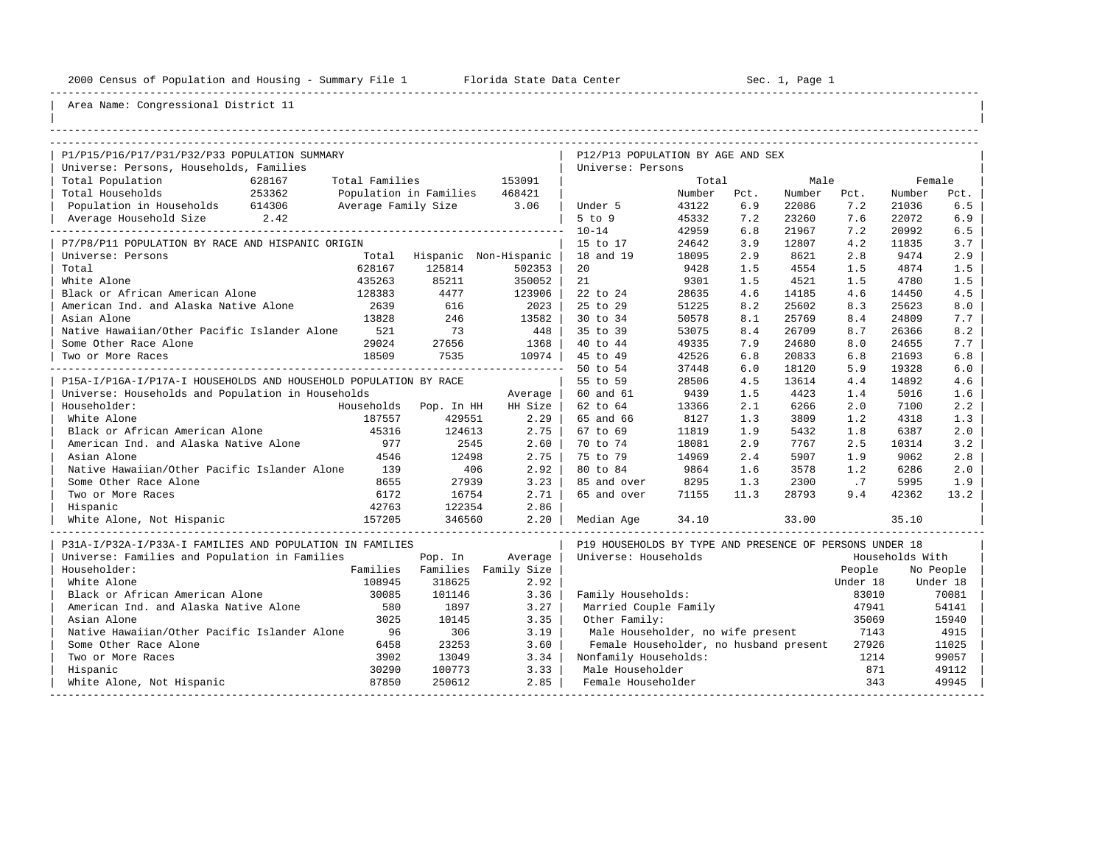----------------------------------------------------------------------------------------------------------------------------------------------------

| |

## Area Name: Congressional District 11

| P1/P15/P16/P17/P31/P32/P33 POPULATION SUMMARY                    |                |                               |         | P12/P13 POPULATION BY AGE AND SEX                       |        |      |        |          |                 |           |
|------------------------------------------------------------------|----------------|-------------------------------|---------|---------------------------------------------------------|--------|------|--------|----------|-----------------|-----------|
| Universe: Persons, Households, Families                          |                |                               |         | Universe: Persons                                       |        |      |        |          |                 |           |
| Total Population<br>628167                                       | Total Families |                               | 153091  |                                                         | Total  |      | Male   |          | Female          |           |
| Total Households<br>253362                                       |                | Population in Families 468421 |         |                                                         | Number | Pct. | Number | Pct.     | Number          | Pct.      |
| Population in Households 614306                                  |                | Average Family Size 3.06      |         | Under 5                                                 | 43122  | 6.9  | 22086  | 7.2      | 21036           | 6.5       |
| Average Household Size 2.42                                      |                |                               |         | $5$ to $9$                                              | 45332  | 7.2  | 23260  | 7.6      | 22072           | 6.9       |
|                                                                  |                |                               |         | $10 - 14$                                               | 42959  | 6.8  | 21967  | 7.2      | 20992           | 6.5       |
| P7/P8/P11 POPULATION BY RACE AND HISPANIC ORIGIN                 |                |                               |         | 15 to 17                                                | 24642  | 3.9  | 12807  | 4.2      | 11835           | 3.7       |
| Universe: Persons                                                |                | Total Hispanic Non-Hispanic   |         | 18 and 19                                               | 18095  | 2.9  | 8621   | 2.8      | 9474            | 2.9       |
| Total                                                            | 628167         | 125814                        | 502353  | 20                                                      | 9428   | 1.5  | 4554   | 1.5      | 4874            | 1.5       |
| White Alone                                                      | 435263         | 85211                         | 350052  | 21                                                      | 9301   | 1.5  | 4521   | 1.5      | 4780            | 1.5       |
| Black or African American Alone                                  | 128383         | 4477                          | 123906  | 22 to 24                                                | 28635  | 4.6  | 14185  | 4.6      | 14450           | 4.5       |
| American Ind. and Alaska Native Alone                            | 2639           | 616                           | 2023    | 25 to 29                                                | 51225  | 8.2  | 25602  | 8.3      | 25623           | 8.0       |
| Asian Alone                                                      | 13828          | 246                           | 13582   | 30 to 34                                                | 50578  | 8.1  | 25769  | 8.4      | 24809           | 7.7       |
| Native Hawaiian/Other Pacific Islander Alone                     | 521            | 73                            | 448     | 35 to 39                                                | 53075  | 8.4  | 26709  | 8.7      | 26366           | 8.2       |
| Some Other Race Alone                                            | 29024          | 27656                         | 1368    | 40 to 44                                                | 49335  | 7.9  | 24680  | 8.0      | 24655           | 7.7       |
| Two or More Races                                                | 18509          | 7535                          | 10974   | 45 to 49                                                | 42526  | 6.8  | 20833  | 6.8      | 21693           | 6.8       |
|                                                                  |                |                               |         | 50 to 54                                                | 37448  | 6.0  | 18120  | 5.9      | 19328           | 6.0       |
| P15A-I/P16A-I/P17A-I HOUSEHOLDS AND HOUSEHOLD POPULATION BY RACE |                |                               |         | 55 to 59                                                | 28506  | 4.5  | 13614  | 4.4      | 14892           | 4.6       |
| Universe: Households and Population in Households                |                |                               | Average | 60 and 61                                               | 9439   | 1.5  | 4423   | 1.4      | 5016            | 1.6       |
| Householder:                                                     |                | Households Pop. In HH         | HH Size | 62 to 64                                                | 13366  | 2.1  | 6266   | 2.0      | 7100            | 2.2       |
| White Alone                                                      | 187557         | 429551                        | 2.29    | 65 and 66                                               | 8127   | 1.3  | 3809   | 1.2      | 4318            | 1.3       |
| Black or African American Alone                                  | 45316          | 124613                        | 2.75    | 67 to 69                                                | 11819  | 1.9  | 5432   | 1.8      | 6387            | 2.0       |
| American Ind. and Alaska Native Alone                            | 977            | 2545                          | 2.60    | 70 to 74                                                | 18081  | 2.9  | 7767   | 2.5      | 10314           | 3.2       |
| Asian Alone                                                      | 4546           | 12498                         | 2.75    | 75 to 79                                                | 14969  | 2.4  | 5907   | 1.9      | 9062            | 2.8       |
| Native Hawaiian/Other Pacific Islander Alone                     | 139            | 406                           | 2.92    | 80 to 84                                                | 9864   | 1.6  | 3578   | 1.2      | 6286            | 2.0       |
| Some Other Race Alone                                            | 8655           | 27939                         | 3.23    | 85 and over                                             | 8295   | 1.3  | 2300   | .7       | 5995            | 1.9       |
| Two or More Races                                                | 6172           | 16754                         | 2.71    | 65 and over                                             | 71155  | 11.3 | 28793  | 9.4      | 42362           | 13.2      |
| Hispanic                                                         | 42763          | 122354                        | 2.86    |                                                         |        |      |        |          |                 |           |
| 157205<br>White Alone, Not Hispanic                              |                | 346560                        | 2.20    | Median Age                                              | 34.10  |      | 33.00  |          | 35.10           |           |
| P31A-I/P32A-I/P33A-I FAMILIES AND POPULATION IN FAMILIES         |                |                               |         | P19 HOUSEHOLDS BY TYPE AND PRESENCE OF PERSONS UNDER 18 |        |      |        |          |                 |           |
| Universe: Families and Population in Families                    |                | Pop. In                       | Average | Universe: Households                                    |        |      |        |          | Households With |           |
| Householder:                                                     |                | Families Families Family Size |         |                                                         |        |      |        | People   |                 | No People |
| White Alone                                                      | 108945         | 318625                        | 2.92    |                                                         |        |      |        | Under 18 |                 | Under 18  |
| Black or African American Alone                                  | 30085          | 101146                        | 3.36    | Family Households:                                      |        |      |        | 83010    |                 | 70081     |
| American Ind. and Alaska Native Alone                            | 580            | 1897                          | 3.27    | Married Couple Family                                   |        |      |        | 47941    |                 | 54141     |
| Asian Alone                                                      | 3025           | 10145                         | 3.35    | Other Family:                                           |        |      |        | 35069    |                 | 15940     |
| Native Hawaiian/Other Pacific Islander Alone                     | 96             | 306                           | 3.19    | Male Householder, no wife present                       |        |      |        | 7143     |                 | 4915      |
| Some Other Race Alone                                            | 6458           | 23253                         | 3.60    | Female Householder, no husband present                  |        |      |        | 27926    |                 | 11025     |
| Two or More Races                                                | 3902           | 13049                         | 3.34    | Nonfamily Households:                                   |        |      |        | 1214     |                 | 99057     |
| Hispanic                                                         | 30290          | 100773                        | 3.33    | Male Householder                                        |        |      |        | 871      |                 | 49112     |
| White Alone, Not Hispanic                                        | 87850          | 250612                        | 2.85    | Female Householder                                      |        |      |        | 343      |                 | 49945     |

-----------------------------------------------------------------------------------------------------------------------------------------------------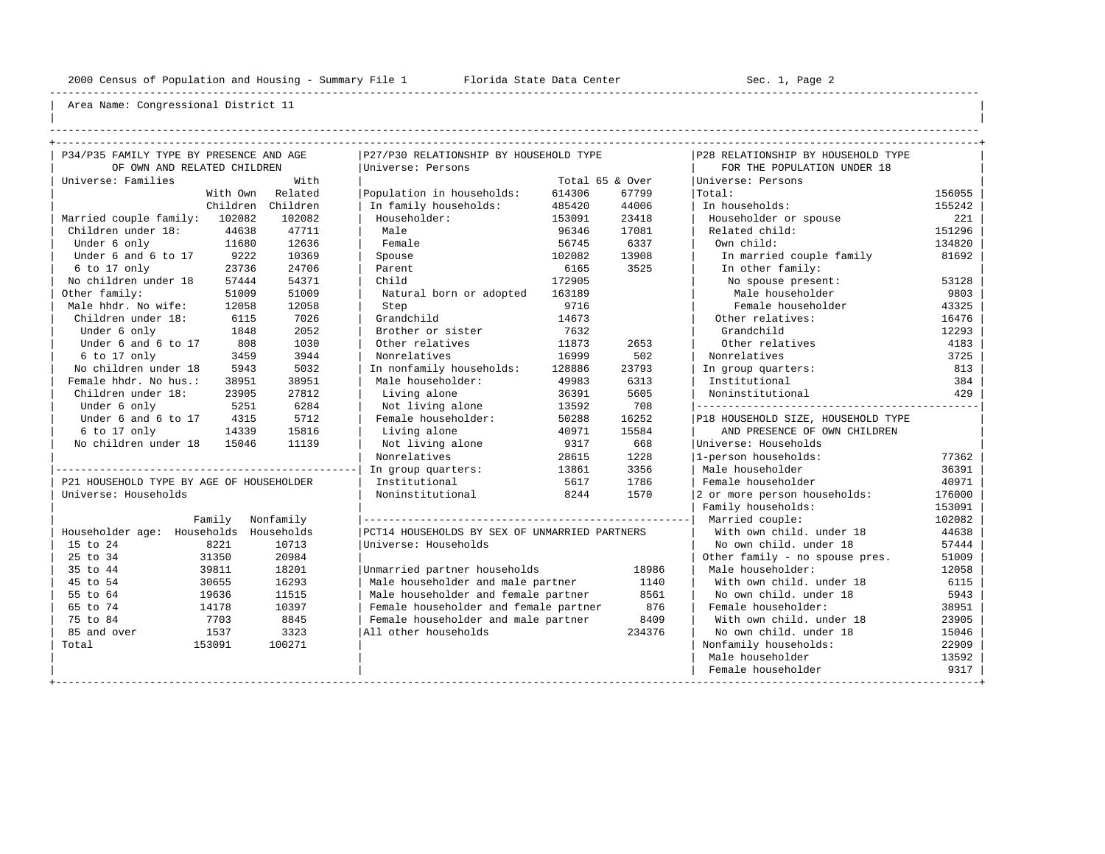----------------------------------------------------------------------------------------------------------------------------------------------------

| | ----------------------------------------------------------------------------------------------------------------------------------------------------

| P34/P35 FAMILY TYPE BY PRESENCE AND AGE  |           | P27/P30 RELATIONSHIP BY HOUSEHOLD TYPE        |                 |        | P28 RELATIONSHIP BY HOUSEHOLD TYPE |        |
|------------------------------------------|-----------|-----------------------------------------------|-----------------|--------|------------------------------------|--------|
| OF OWN AND RELATED CHILDREN              |           | Universe: Persons                             |                 |        | FOR THE POPULATION UNDER 18        |        |
| Universe: Families                       | With      |                                               | Total 65 & Over |        | Universe: Persons                  |        |
| With Own                                 | Related   | Population in households:                     | 614306          | 67799  | Total:                             | 156055 |
| Children                                 | Children  | In family households:                         | 485420          | 44006  | In households:                     | 155242 |
| 102082<br>Married couple family:         | 102082    | Householder:                                  | 153091          | 23418  | Householder or spouse              | 221    |
| Children under 18:<br>44638              | 47711     | Male                                          | 96346           | 17081  | Related child:                     | 151296 |
| Under 6 only<br>11680                    | 12636     | Female                                        | 56745           | 6337   | Own child:                         | 134820 |
| Under 6 and 6 to 17<br>9222              | 10369     | Spouse                                        | 102082          | 13908  | In married couple family           | 81692  |
| 23736<br>6 to 17 only                    | 24706     | Parent                                        | 6165            | 3525   | In other family:                   |        |
| No children under 18<br>57444            | 54371     | Child                                         | 172905          |        | No spouse present:                 | 53128  |
| Other family:<br>51009                   | 51009     | Natural born or adopted                       | 163189          |        | Male householder                   | 9803   |
| Male hhdr. No wife:<br>12058             | 12058     | Step                                          | 9716            |        | Female householder                 | 43325  |
| Children under 18:<br>6115               | 7026      | Grandchild                                    | 14673           |        | Other relatives:                   | 16476  |
| Under 6 only<br>1848                     | 2052      | Brother or sister                             | 7632            |        | Grandchild                         | 12293  |
| Under 6 and 6 to 17<br>808               | 1030      | Other relatives                               | 11873           | 2653   | Other relatives                    | 4183   |
| 6 to 17 only<br>3459                     | 3944      | Nonrelatives                                  | 16999           | 502    | Nonrelatives                       | 3725   |
| No children under 18<br>5943             | 5032      | In nonfamily households:                      | 128886          | 23793  | In group quarters:                 | 813    |
| Female hhdr. No hus.:<br>38951           | 38951     | Male householder:                             | 49983           | 6313   | Institutional                      | 384    |
| Children under 18:<br>23905              | 27812     | Living alone                                  | 36391           | 5605   | Noninstitutional                   | 429    |
| Under 6 only<br>5251                     | 6284      | Not living alone                              | 13592           | 708    |                                    |        |
| Under 6 and 6 to 17<br>4315              | 5712      | Female householder:                           | 50288           | 16252  | P18 HOUSEHOLD SIZE, HOUSEHOLD TYPE |        |
| 6 to 17 only<br>14339                    | 15816     | Living alone                                  | 40971           | 15584  | AND PRESENCE OF OWN CHILDREN       |        |
| No children under 18<br>15046            | 11139     | Not living alone                              | 9317            | 668    | Universe: Households               |        |
|                                          |           | Nonrelatives                                  | 28615           | 1228   | 1-person households:               | 77362  |
|                                          |           | In group quarters:                            | 13861           | 3356   | Male householder                   | 36391  |
| P21 HOUSEHOLD TYPE BY AGE OF HOUSEHOLDER |           | Institutional                                 | 5617            | 1786   | Female householder                 | 40971  |
| Universe: Households                     |           | Noninstitutional                              | 8244            | 1570   | 2 or more person households:       | 176000 |
|                                          |           |                                               |                 |        | Family households:                 | 153091 |
| Family                                   | Nonfamily |                                               |                 |        | Married couple:                    | 102082 |
| Householder age: Households Households   |           | PCT14 HOUSEHOLDS BY SEX OF UNMARRIED PARTNERS |                 |        | With own child, under 18           | 44638  |
| 15 to 24<br>8221                         | 10713     | Universe: Households                          |                 |        | No own child, under 18             | 57444  |
| 25 to 34<br>31350                        | 20984     |                                               |                 |        | Other family - no spouse pres.     | 51009  |
| 35 to 44<br>39811                        | 18201     | Unmarried partner households                  |                 | 18986  | Male householder:                  | 12058  |
| 45 to 54<br>30655                        | 16293     | Male householder and male partner             |                 | 1140   | With own child, under 18           | 6115   |
| 55 to 64<br>19636                        | 11515     | Male householder and female partner           |                 | 8561   | No own child, under 18             | 5943   |
| 65 to 74<br>14178                        | 10397     | Female householder and female partner         |                 | 876    | Female householder:                | 38951  |
| 75 to 84<br>7703                         | 8845      | Female householder and male partner           |                 | 8409   | With own child, under 18           | 23905  |
| 85 and over<br>1537                      | 3323      | All other households                          |                 | 234376 | No own child, under 18             | 15046  |
| Total<br>153091                          | 100271    |                                               |                 |        | Nonfamily households:              | 22909  |
|                                          |           |                                               |                 |        | Male householder                   | 13592  |
|                                          |           |                                               |                 |        | Female householder                 | 9317   |
|                                          |           |                                               |                 |        |                                    |        |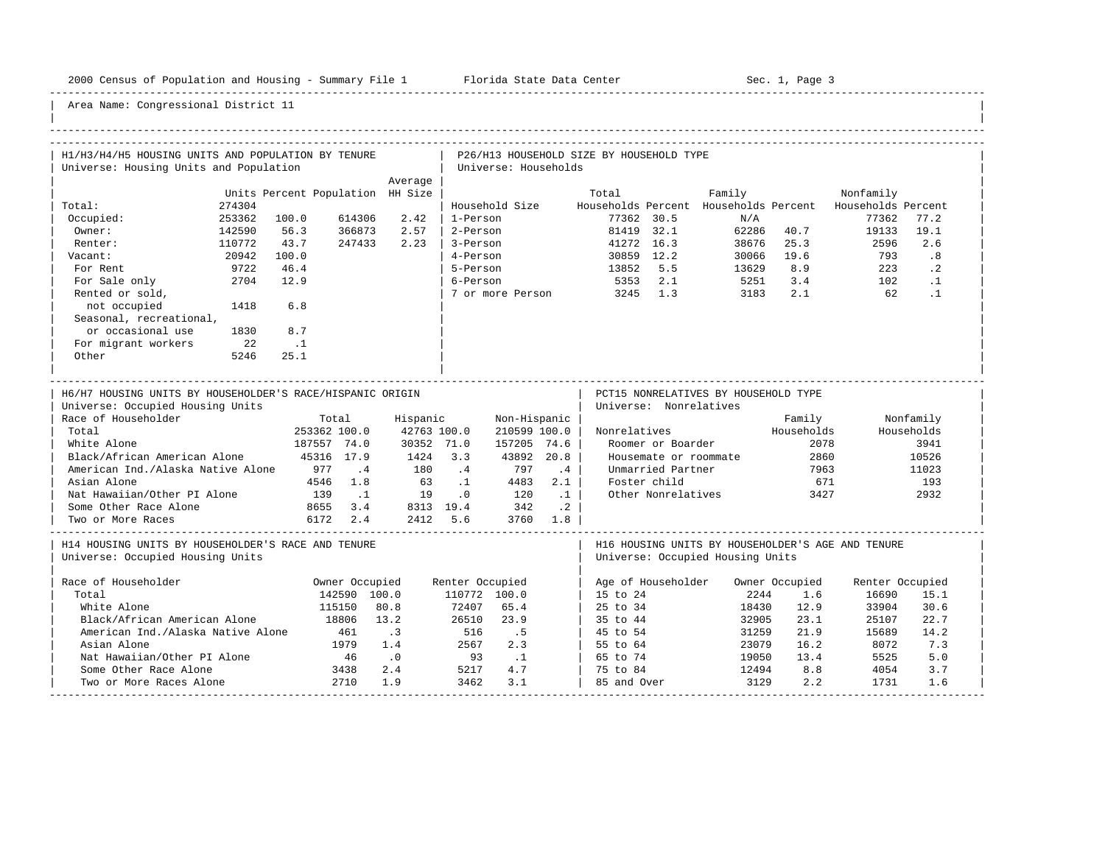-----------------------------------------------------------------------------------------------------------------------------------------------------

| H1/H3/H4/H5 HOUSING UNITS AND POPULATION BY TENURE                                                                                                                                                                                                                                           |                                  |                                                                                     |                                                                                                           |                                      |                                                                                 |                       | P26/H13 HOUSEHOLD SIZE BY HOUSEHOLD TYPE |                                                                                                                                 |                                                                                       |                                                             |                 |                                                                  |
|----------------------------------------------------------------------------------------------------------------------------------------------------------------------------------------------------------------------------------------------------------------------------------------------|----------------------------------|-------------------------------------------------------------------------------------|-----------------------------------------------------------------------------------------------------------|--------------------------------------|---------------------------------------------------------------------------------|-----------------------|------------------------------------------|---------------------------------------------------------------------------------------------------------------------------------|---------------------------------------------------------------------------------------|-------------------------------------------------------------|-----------------|------------------------------------------------------------------|
| Universe: Housing Units and Population                                                                                                                                                                                                                                                       |                                  |                                                                                     |                                                                                                           |                                      | Universe: Households                                                            |                       |                                          |                                                                                                                                 |                                                                                       |                                                             |                 |                                                                  |
|                                                                                                                                                                                                                                                                                              |                                  |                                                                                     | Average                                                                                                   |                                      |                                                                                 |                       |                                          |                                                                                                                                 |                                                                                       |                                                             |                 |                                                                  |
|                                                                                                                                                                                                                                                                                              | Units Percent Population HH Size |                                                                                     |                                                                                                           |                                      |                                                                                 |                       | Total                                    |                                                                                                                                 | Family                                                                                |                                                             | Nonfamily       |                                                                  |
| Total:<br>274304                                                                                                                                                                                                                                                                             |                                  |                                                                                     |                                                                                                           |                                      | Household Size                                                                  |                       |                                          |                                                                                                                                 | Households Percent Households Percent Households Percent                              |                                                             |                 |                                                                  |
| 253362<br>Occupied:                                                                                                                                                                                                                                                                          | 100.0                            | 614306                                                                              | 2.42                                                                                                      | 1-Person                             |                                                                                 |                       |                                          | 77362 30.5                                                                                                                      | N/A                                                                                   |                                                             | 77362           | 77.2                                                             |
| Owner:<br>142590                                                                                                                                                                                                                                                                             | 56.3                             | 366873                                                                              | 2.57                                                                                                      | 2-Person                             |                                                                                 |                       |                                          | 81419 32.1                                                                                                                      |                                                                                       | 62286 40.7                                                  | 19133           | 19.1                                                             |
| Renter:<br>110772                                                                                                                                                                                                                                                                            | 43.7                             | 247433                                                                              | 2.23                                                                                                      | 3-Person                             |                                                                                 |                       |                                          | 41272 16.3                                                                                                                      | 38676                                                                                 | 25.3                                                        | 2596            | 2.6                                                              |
| 20942<br>Vacant:                                                                                                                                                                                                                                                                             | 100.0                            |                                                                                     |                                                                                                           | 4-Person                             |                                                                                 |                       |                                          | 30859 12.2                                                                                                                      |                                                                                       | 30066 19.6                                                  | 793             | .8                                                               |
| 9722<br>For Rent                                                                                                                                                                                                                                                                             | 46.4                             |                                                                                     |                                                                                                           | 5-Person                             |                                                                                 |                       | 13852 5.5                                |                                                                                                                                 | 13629                                                                                 | 8.9                                                         | 223             | $\cdot$ 2                                                        |
| 2704<br>For Sale only                                                                                                                                                                                                                                                                        | 12.9                             |                                                                                     |                                                                                                           | 6-Person                             |                                                                                 |                       |                                          | 5353 2.1                                                                                                                        | 5251                                                                                  | 3.4                                                         | 102             | $\cdot$ 1                                                        |
| Rented or sold,                                                                                                                                                                                                                                                                              |                                  |                                                                                     |                                                                                                           |                                      | 7 or more Person                                                                |                       | 3245 1.3                                 |                                                                                                                                 | 3183                                                                                  | 2.1                                                         | 62              | $\cdot$ 1                                                        |
| not occupied<br>1418                                                                                                                                                                                                                                                                         | 6.8                              |                                                                                     |                                                                                                           |                                      |                                                                                 |                       |                                          |                                                                                                                                 |                                                                                       |                                                             |                 |                                                                  |
| Seasonal, recreational,                                                                                                                                                                                                                                                                      |                                  |                                                                                     |                                                                                                           |                                      |                                                                                 |                       |                                          |                                                                                                                                 |                                                                                       |                                                             |                 |                                                                  |
| or occasional use<br>1830                                                                                                                                                                                                                                                                    | 8.7                              |                                                                                     |                                                                                                           |                                      |                                                                                 |                       |                                          |                                                                                                                                 |                                                                                       |                                                             |                 |                                                                  |
| For migrant workers<br>22                                                                                                                                                                                                                                                                    | $\ldots$                         |                                                                                     |                                                                                                           |                                      |                                                                                 |                       |                                          |                                                                                                                                 |                                                                                       |                                                             |                 |                                                                  |
| Other<br>5246                                                                                                                                                                                                                                                                                | 25.1                             |                                                                                     |                                                                                                           |                                      |                                                                                 |                       |                                          |                                                                                                                                 |                                                                                       |                                                             |                 |                                                                  |
|                                                                                                                                                                                                                                                                                              |                                  |                                                                                     |                                                                                                           |                                      |                                                                                 |                       |                                          |                                                                                                                                 |                                                                                       |                                                             |                 |                                                                  |
| H6/H7 HOUSING UNITS BY HOUSEHOLDER'S RACE/HISPANIC ORIGIN<br>Universe: Occupied Housing Units<br>Race of Householder<br>Total<br>White Alone<br>Black/African American Alone<br>American Ind./Alaska Native Alone 977<br>Asian Alone<br>Nat Hawaiian/Other PI Alone<br>Some Other Race Alone | 45316 17.9                       | Total<br>253362 100.0<br>187557 74.0<br>$\cdot$ 4<br>4546 1.8<br>139 .1<br>8655 3.4 | Hispanic<br>42763 100.0<br>30352 71.0<br>1424<br>180<br>63<br>19<br>8313 19.4 342 .2<br>2412 5.6 3760 1.8 | 3.3<br>.4<br>$\ldots$ 1<br>$\cdot$ 0 | Non-Hispanic<br>210599 100.0<br>157205 74.6<br>43892 20.8<br>797<br>4483<br>120 | .4<br>2.1<br>$\ldots$ | Nonrelatives                             | Universe: Nonrelatives<br>Roomer or Boarder<br>Housemate or roommate<br>Unmarried Partner<br>Foster child<br>Other Nonrelatives | PCT15 NONRELATIVES BY HOUSEHOLD TYPE                                                  | Family<br>Households<br>2078<br>2860<br>7963<br>671<br>3427 |                 | Nonfamily<br>Households<br>3941<br>10526<br>11023<br>193<br>2932 |
| Two or More Races                                                                                                                                                                                                                                                                            |                                  | 6172 2.4                                                                            |                                                                                                           |                                      |                                                                                 |                       |                                          |                                                                                                                                 |                                                                                       |                                                             |                 |                                                                  |
| H14 HOUSING UNITS BY HOUSEHOLDER'S RACE AND TENURE<br>Universe: Occupied Housing Units                                                                                                                                                                                                       |                                  |                                                                                     |                                                                                                           |                                      |                                                                                 |                       |                                          |                                                                                                                                 | H16 HOUSING UNITS BY HOUSEHOLDER'S AGE AND TENURE<br>Universe: Occupied Housing Units |                                                             |                 |                                                                  |
| Race of Householder                                                                                                                                                                                                                                                                          |                                  | Owner Occupied                                                                      |                                                                                                           | Renter Occupied                      |                                                                                 |                       |                                          | Age of Householder                                                                                                              |                                                                                       | Owner Occupied                                              | Renter Occupied |                                                                  |
| Total                                                                                                                                                                                                                                                                                        |                                  | 142590 100.0                                                                        |                                                                                                           | 110772 100.0                         |                                                                                 |                       | 15 to 24                                 |                                                                                                                                 | 2244                                                                                  | 1.6                                                         | 16690           | 15.1                                                             |
| White Alone                                                                                                                                                                                                                                                                                  |                                  | 115150                                                                              | 80.8                                                                                                      | 72407                                | 65.4                                                                            |                       | 25 to 34                                 |                                                                                                                                 | 18430                                                                                 | 12.9                                                        | 33904           | 30.6                                                             |
| Black/African American Alone                                                                                                                                                                                                                                                                 |                                  | 18806                                                                               | 13.2                                                                                                      | 26510                                | 23.9                                                                            |                       | 35 to 44                                 |                                                                                                                                 | 32905                                                                                 | 23.1                                                        | 25107           | 22.7                                                             |
| American Ind./Alaska Native Alone                                                                                                                                                                                                                                                            |                                  | 461                                                                                 | $\cdot$ 3                                                                                                 | 516                                  | $\cdot$ 5                                                                       |                       | 45 to 54                                 |                                                                                                                                 | 31259                                                                                 | 21.9                                                        | 15689           | 14.2                                                             |
| Asian Alone                                                                                                                                                                                                                                                                                  |                                  | 1979                                                                                | 1.4                                                                                                       | 2567                                 | 2.3                                                                             |                       | 55 to 64                                 |                                                                                                                                 | 23079                                                                                 | 16.2                                                        | 8072            | 7.3                                                              |
| Nat Hawaiian/Other PI Alone                                                                                                                                                                                                                                                                  |                                  | 46                                                                                  | $\overline{\phantom{0}}$ .0                                                                               | 93                                   | $\ldots$                                                                        |                       | 65 to 74                                 |                                                                                                                                 | 19050                                                                                 | 13.4                                                        | 5525            | 5.0                                                              |
| Some Other Race Alone                                                                                                                                                                                                                                                                        |                                  |                                                                                     | 2.4                                                                                                       | 5217                                 | 4.7                                                                             |                       | 75 to 84                                 |                                                                                                                                 | 12494                                                                                 | 8.8                                                         | 4054            | 3.7                                                              |
| Two or More Races Alone                                                                                                                                                                                                                                                                      |                                  | 3438<br>2710<br>2710                                                                | 1.9                                                                                                       | 3462                                 | 3.1                                                                             |                       | 85 and Over                              |                                                                                                                                 | 3129                                                                                  | 2.2                                                         | 1731            | 1.6                                                              |
|                                                                                                                                                                                                                                                                                              |                                  |                                                                                     |                                                                                                           |                                      |                                                                                 |                       |                                          |                                                                                                                                 |                                                                                       |                                                             |                 |                                                                  |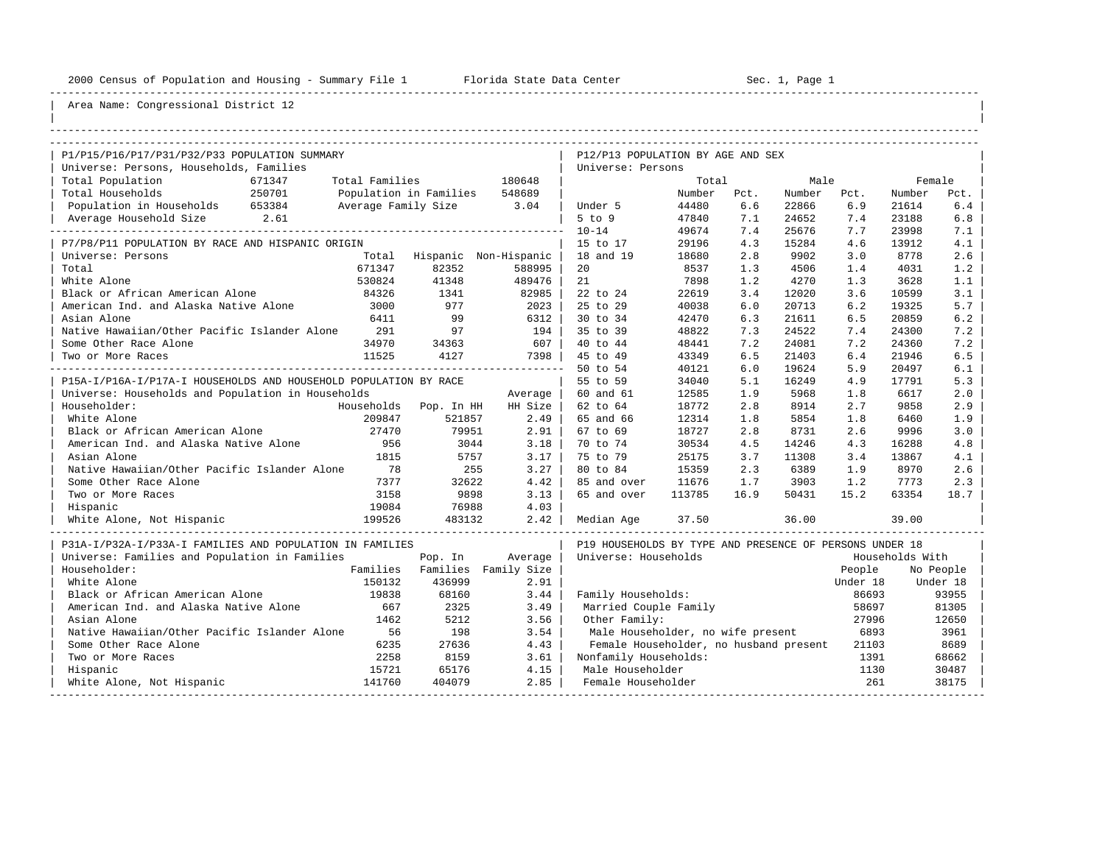----------------------------------------------------------------------------------------------------------------------------------------------------

| |

## Area Name: Congressional District 12

| P1/P15/P16/P17/P31/P32/P33 POPULATION SUMMARY                    |                               |                               |         | P12/P13 POPULATION BY AGE AND SEX                       |        |      |        |          |                 |           |
|------------------------------------------------------------------|-------------------------------|-------------------------------|---------|---------------------------------------------------------|--------|------|--------|----------|-----------------|-----------|
| Universe: Persons, Households, Families                          |                               |                               |         | Universe: Persons                                       |        |      |        |          |                 |           |
| Total Population                                                 | 671347                        | Total Families                | 180648  |                                                         | Total  |      | Male   |          | Female          |           |
| Total Households<br>250701                                       | Population in Families 548689 |                               |         |                                                         | Number | Pct. | Number | Pct.     | Number          | Pct.      |
| Population in Households 653384                                  | -<br>Average Family Size 3.04 |                               |         | Under 5                                                 | 44480  | 6.6  | 22866  | 6.9      | 21614           | 6.4       |
| Average Household Size 2.61                                      |                               |                               |         | $5$ to $9$                                              | 47840  | 7.1  | 24652  | 7.4      | 23188           | 6.8       |
|                                                                  |                               |                               |         | $10 - 14$                                               | 49674  | 7.4  | 25676  | 7.7      | 23998           | 7.1       |
| P7/P8/P11 POPULATION BY RACE AND HISPANIC ORIGIN                 |                               |                               |         | 15 to 17                                                | 29196  | 4.3  | 15284  | 4.6      | 13912           | 4.1       |
| Universe: Persons                                                | Total                         | Hispanic Non-Hispanic         |         | 18 and 19                                               | 18680  | 2.8  | 9902   | 3.0      | 8778            | 2.6       |
| Total                                                            | 671347                        | 82352                         | 588995  | 20                                                      | 8537   | 1.3  | 4506   | 1.4      | 4031            | 1.2       |
| White Alone                                                      | 530824                        | 41348                         | 489476  | 21                                                      | 7898   | 1.2  | 4270   | 1.3      | 3628            | 1.1       |
| Black or African American Alone                                  | 84326                         | 1341                          | 82985   | 22 to 24                                                | 22619  | 3.4  | 12020  | 3.6      | 10599           | 3.1       |
| American Ind. and Alaska Native Alone                            | 3000                          | 977                           | 2023    | 25 to 29                                                | 40038  | 6.0  | 20713  | 6.2      | 19325           | 5.7       |
| Asian Alone                                                      | 6411                          | 99                            | 6312    | 30 to 34                                                | 42470  | 6.3  | 21611  | 6.5      | 20859           | 6.2       |
| Native Hawaiian/Other Pacific Islander Alone                     | 291                           | 97                            | 194     | 35 to 39                                                | 48822  | 7.3  | 24522  | 7.4      | 24300           | 7.2       |
| Some Other Race Alone                                            | 34970                         | 34363                         | 607     | 40 to 44                                                | 48441  | 7.2  | 24081  | 7.2      | 24360           | 7.2       |
| Two or More Races                                                | 11525                         | 4127                          | 7398    | 45 to 49                                                | 43349  | 6.5  | 21403  | 6.4      | 21946           | 6.5       |
|                                                                  |                               |                               |         | 50 to 54                                                | 40121  | 6.0  | 19624  | 5.9      | 20497           | 6.1       |
| P15A-I/P16A-I/P17A-I HOUSEHOLDS AND HOUSEHOLD POPULATION BY RACE |                               |                               |         | 55 to 59                                                | 34040  | 5.1  | 16249  | 4.9      | 17791           | 5.3       |
| Universe: Households and Population in Households                |                               |                               | Average | 60 and 61                                               | 12585  | 1.9  | 5968   | 1.8      | 6617            | 2.0       |
| Householder:                                                     |                               | Households Pop. In HH         | HH Size | 62 to 64                                                | 18772  | 2.8  | 8914   | 2.7      | 9858            | 2.9       |
| White Alone                                                      | 209847                        | 521857                        | 2.49    | 65 and 66                                               | 12314  | 1.8  | 5854   | 1.8      | 6460            | 1.9       |
| Black or African American Alone                                  | 27470                         | 79951                         | 2.91    | 67 to 69                                                | 18727  | 2.8  | 8731   | 2.6      | 9996            | 3.0       |
| American Ind. and Alaska Native Alone 956                        |                               | 3044                          | 3.18    | 70 to 74                                                | 30534  | 4.5  | 14246  | 4.3      | 16288           | 4.8       |
| Asian Alone                                                      | 1815                          | 5757                          | 3.17    | 75 to 79                                                | 25175  | 3.7  | 11308  | 3.4      | 13867           | 4.1       |
| Native Hawaiian/Other Pacific Islander Alone 78                  |                               | 255                           | 3.27    | 80 to 84                                                | 15359  | 2.3  | 6389   | 1.9      | 8970            | 2.6       |
| Some Other Race Alone                                            | 7377                          | 32622                         | 4.42    | 85 and over                                             | 11676  | 1.7  | 3903   | 1.2      | 7773            | 2.3       |
| Two or More Races                                                | 3158                          | 9898                          | 3.13    | 65 and over                                             | 113785 | 16.9 | 50431  | 15.2     | 63354           | 18.7      |
| Hispanic                                                         | 19084                         | 76988                         | 4.03    |                                                         |        |      |        |          |                 |           |
| White Alone, Not Hispanic                                        | 199526                        | 483132                        | 2.42    | Median Age                                              | 37.50  |      | 36.00  |          | 39.00           |           |
| P31A-I/P32A-I/P33A-I FAMILIES AND POPULATION IN FAMILIES         |                               |                               |         | P19 HOUSEHOLDS BY TYPE AND PRESENCE OF PERSONS UNDER 18 |        |      |        |          |                 |           |
| Universe: Families and Population in Families                    |                               | Pop. In                       | Average | Universe: Households                                    |        |      |        |          | Households With |           |
| Householder:                                                     |                               | Families Families Family Size |         |                                                         |        |      |        | People   |                 | No People |
| White Alone                                                      | 150132                        | 436999                        | 2.91    |                                                         |        |      |        | Under 18 | Under 18        |           |
| Black or African American Alone                                  | 19838                         | 68160                         | 3.44    | Family Households:                                      |        |      |        | 86693    |                 | 93955     |
| American Ind. and Alaska Native Alone                            | 667                           | 2325                          | 3.49    | Married Couple Family                                   |        |      |        | 58697    |                 | 81305     |
| Asian Alone                                                      | 1462                          | 5212                          | 3.56    | Other Family:                                           |        |      |        | 27996    |                 | 12650     |
| Native Hawaiian/Other Pacific Islander Alone                     | 56                            | 198                           | 3.54    | Male Householder, no wife present                       |        |      |        | 6893     |                 | 3961      |
| Some Other Race Alone                                            | 6235                          | 27636                         | 4.43    | Female Householder, no husband present                  |        |      |        | 21103    |                 | 8689      |
| Two or More Races                                                | 2258                          | 8159                          | 3.61    | Nonfamily Households:                                   |        |      |        | 1391     |                 | 68662     |
| Hispanic                                                         | 15721                         | 65176                         | 4.15    | Male Householder                                        |        |      |        | 1130     |                 | 30487     |
| White Alone, Not Hispanic                                        | 141760                        | 404079                        | 2.85    | Female Householder                                      |        |      |        | 261      |                 | 38175     |

-----------------------------------------------------------------------------------------------------------------------------------------------------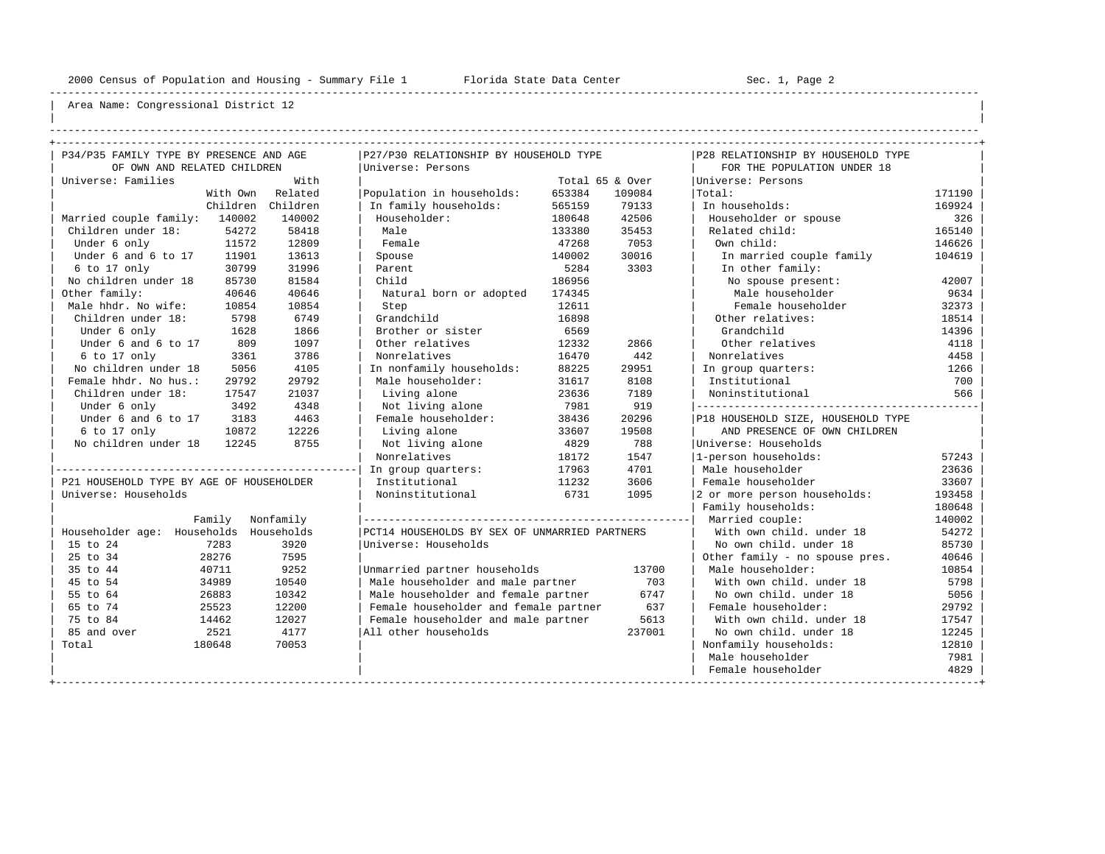----------------------------------------------------------------------------------------------------------------------------------------------------

| | ----------------------------------------------------------------------------------------------------------------------------------------------------

| P34/P35 FAMILY TYPE BY PRESENCE AND AGE  |                 |                | P27/P30 RELATIONSHIP BY HOUSEHOLD TYPE        |                  |                           | P28 RELATIONSHIP BY HOUSEHOLD TYPE |                  |  |  |  |
|------------------------------------------|-----------------|----------------|-----------------------------------------------|------------------|---------------------------|------------------------------------|------------------|--|--|--|
| OF OWN AND RELATED CHILDREN              |                 | With           | Universe: Persons                             |                  |                           | FOR THE POPULATION UNDER 18        |                  |  |  |  |
| Universe: Families                       | With Own        | Related        |                                               |                  | Total 65 & Over<br>109084 | Universe: Persons<br> Total:       |                  |  |  |  |
|                                          | Children        | Children       | Population in households:                     | 653384<br>565159 | 79133                     | In households:                     | 171190<br>169924 |  |  |  |
| Married couple family: 140002            |                 | 140002         | In family households:<br>Householder:         |                  | 42506                     | Householder or spouse              |                  |  |  |  |
|                                          | 54272           |                | Male                                          | 180648           | 35453                     |                                    | 326<br>165140    |  |  |  |
| Children under 18:                       |                 | 58418          |                                               | 133380           | 7053                      | Related child:                     |                  |  |  |  |
| Under 6 only<br>Under 6 and 6 to 17      | 11572           | 12809<br>13613 | Female                                        | 47268            |                           | Own child:                         | 146626           |  |  |  |
|                                          | 11901<br>30799  | 31996          | Spouse                                        | 140002<br>5284   | 30016<br>3303             | In married couple family           | 104619           |  |  |  |
| 6 to 17 only                             |                 |                | Parent                                        |                  |                           | In other family:                   |                  |  |  |  |
| No children under 18                     | 85730           | 81584          | Child                                         | 186956           |                           | No spouse present:                 | 42007            |  |  |  |
| Other family:                            | 40646           | 40646          | Natural born or adopted                       | 174345           |                           | Male householder                   | 9634             |  |  |  |
| Male hhdr. No wife:                      | 10854           | 10854          | Step                                          | 12611            |                           | Female householder                 | 32373            |  |  |  |
| Children under 18:                       | 5798            | 6749           | Grandchild                                    | 16898            |                           | Other relatives:                   | 18514            |  |  |  |
| Under 6 only                             | 1628            | 1866           | Brother or sister                             | 6569             |                           | Grandchild                         | 14396            |  |  |  |
| Under 6 and 6 to 17                      | 809             | 1097           | Other relatives                               | 12332            | 2866                      | Other relatives                    | 4118             |  |  |  |
| 6 to 17 only                             | 3361            | 3786           | Nonrelatives                                  | 16470            | 442                       | Nonrelatives                       | 4458             |  |  |  |
| No children under 18                     | 5056            | 4105           | In nonfamily households:                      | 88225            | 29951                     | In group quarters:                 | 1266             |  |  |  |
| Female hhdr. No hus.:                    | 29792           | 29792          | Male householder:                             | 31617            | 8108                      | Institutional                      | 700              |  |  |  |
| Children under 18:                       | 17547           | 21037          | Living alone                                  | 23636            | 7189                      | Noninstitutional                   | 566              |  |  |  |
| Under 6 only                             | 3492            | 4348           | Not living alone                              | 7981             | 919                       |                                    |                  |  |  |  |
| Under 6 and 6 to 17                      | 3183            | 4463           | Female householder:                           | 38436            | 20296                     | P18 HOUSEHOLD SIZE, HOUSEHOLD TYPE |                  |  |  |  |
| 6 to 17 only                             | 10872           | 12226          | Living alone                                  | 33607            | 19508                     | AND PRESENCE OF OWN CHILDREN       |                  |  |  |  |
| No children under 18                     | 12245           | 8755           | Not living alone                              | 4829             | 788                       | Universe: Households               |                  |  |  |  |
|                                          |                 |                | Nonrelatives                                  | 18172            | 1547                      | 1-person households:               | 57243            |  |  |  |
|                                          |                 |                | In group quarters:                            | 17963            | 4701                      | Male householder                   | 23636            |  |  |  |
| P21 HOUSEHOLD TYPE BY AGE OF HOUSEHOLDER |                 |                | Institutional                                 | 11232            | 3606                      | Female householder                 | 33607            |  |  |  |
| Universe: Households                     |                 |                | Noninstitutional                              | 6731             | 1095                      | 2 or more person households:       | 193458           |  |  |  |
|                                          |                 |                |                                               |                  |                           | Family households:                 | 180648           |  |  |  |
|                                          | Family          | Nonfamily      |                                               |                  |                           | Married couple:                    | 140002           |  |  |  |
| Householder age: Households Households   |                 |                | PCT14 HOUSEHOLDS BY SEX OF UNMARRIED PARTNERS |                  |                           | With own child, under 18           | 54272            |  |  |  |
| 15 to 24                                 | 7283            | 3920           | Universe: Households                          |                  |                           | No own child, under 18             | 85730            |  |  |  |
| 25 to 34                                 | 28276           | 7595           |                                               |                  |                           | Other family - no spouse pres.     | 40646            |  |  |  |
| 35 to 44                                 | 40711           | 9252           | Unmarried partner households                  |                  | 13700                     | Male householder:                  | 10854            |  |  |  |
| 45 to 54                                 | 34989           | 10540          | Male householder and male partner             |                  | 703                       | With own child, under 18           | 5798             |  |  |  |
| 55 to 64                                 | 26883           | 10342          | Male householder and female partner           |                  | 6747                      | No own child. under 18             | 5056             |  |  |  |
| 65 to 74                                 | 25523           | 12200          | Female householder and female partner         |                  | 637                       | Female householder:                | 29792            |  |  |  |
| 75 to 84                                 | 14462           | 12027          | Female householder and male partner           |                  | 5613                      | With own child, under 18           | 17547            |  |  |  |
| 85 and over                              | 2521<br>4177    |                | All other households                          |                  | 237001                    | No own child, under 18             | 12245            |  |  |  |
| Total                                    | 180648<br>70053 |                |                                               |                  |                           | Nonfamily households:              | 12810            |  |  |  |
|                                          |                 |                |                                               |                  |                           | Male householder                   | 7981             |  |  |  |
|                                          |                 |                |                                               |                  |                           | Female householder                 | 4829             |  |  |  |
|                                          |                 |                |                                               |                  |                           |                                    |                  |  |  |  |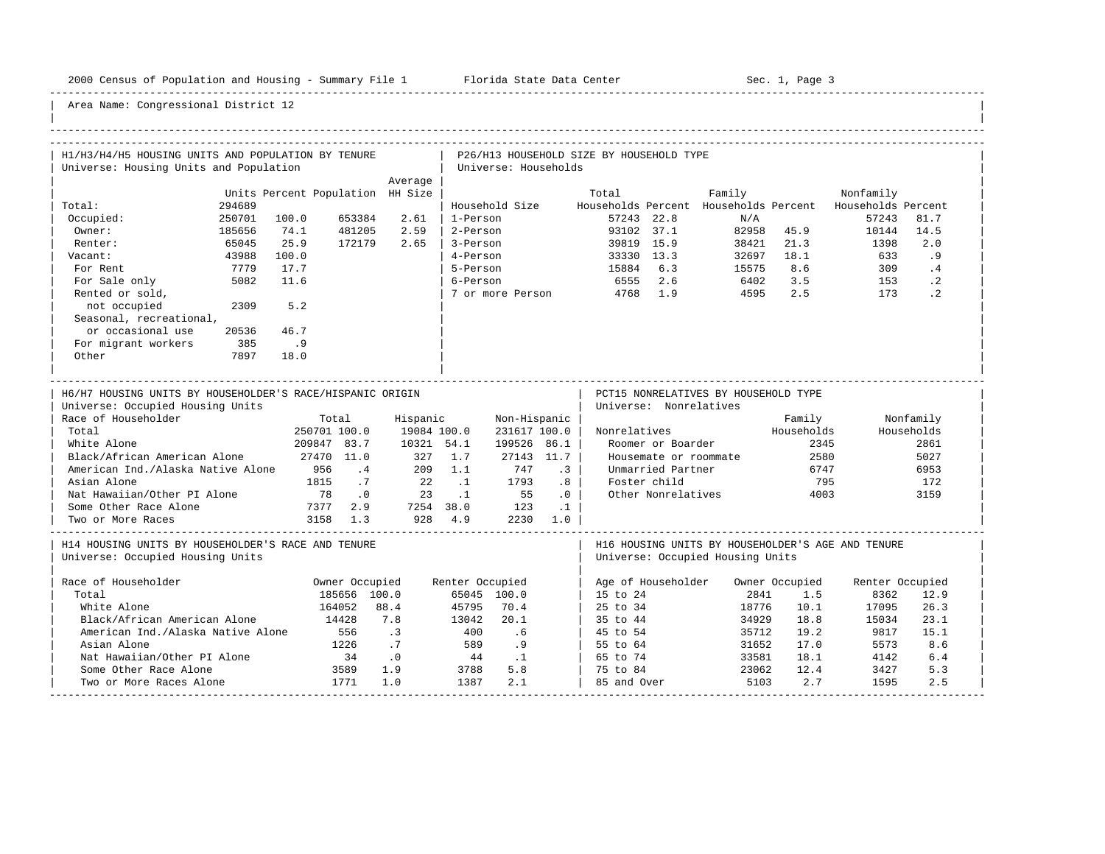-----------------------------------------------------------------------------------------------------------------------------------------------------

| H1/H3/H4/H5 HOUSING UNITS AND POPULATION BY TENURE                                                                                                                                                                                                                                                            |        |                                                                                                                                    |                                                 |                                                                     |                                |                                                                      |                                                                              | P26/H13 HOUSEHOLD SIZE BY HOUSEHOLD TYPE |                                                                                                        |                                                                                          |                                               |                 |                                                                |
|---------------------------------------------------------------------------------------------------------------------------------------------------------------------------------------------------------------------------------------------------------------------------------------------------------------|--------|------------------------------------------------------------------------------------------------------------------------------------|-------------------------------------------------|---------------------------------------------------------------------|--------------------------------|----------------------------------------------------------------------|------------------------------------------------------------------------------|------------------------------------------|--------------------------------------------------------------------------------------------------------|------------------------------------------------------------------------------------------|-----------------------------------------------|-----------------|----------------------------------------------------------------|
| Universe: Housing Units and Population                                                                                                                                                                                                                                                                        |        |                                                                                                                                    |                                                 |                                                                     |                                | Universe: Households                                                 |                                                                              |                                          |                                                                                                        |                                                                                          |                                               |                 |                                                                |
|                                                                                                                                                                                                                                                                                                               |        |                                                                                                                                    |                                                 | Average                                                             |                                |                                                                      |                                                                              |                                          |                                                                                                        |                                                                                          |                                               |                 |                                                                |
|                                                                                                                                                                                                                                                                                                               |        | Units Percent Population HH Size                                                                                                   |                                                 |                                                                     |                                |                                                                      |                                                                              | Total                                    |                                                                                                        | Family                                                                                   |                                               | Nonfamily       |                                                                |
| Total:                                                                                                                                                                                                                                                                                                        | 294689 |                                                                                                                                    |                                                 |                                                                     |                                | Household Size                                                       |                                                                              |                                          |                                                                                                        | Households Percent Households Percent Households Percent                                 |                                               |                 |                                                                |
| Occupied:                                                                                                                                                                                                                                                                                                     | 250701 | 100.0                                                                                                                              | 653384                                          | 2.61                                                                | 1-Person                       |                                                                      |                                                                              |                                          | 57243 22.8                                                                                             | N/A                                                                                      |                                               | 57243           | 81.7                                                           |
| Owner:                                                                                                                                                                                                                                                                                                        | 185656 | 74.1                                                                                                                               | 481205                                          | 2.59                                                                | 2-Person                       |                                                                      |                                                                              |                                          | 93102 37.1                                                                                             |                                                                                          | 82958 45.9                                    | 10144           | 14.5                                                           |
| Renter:                                                                                                                                                                                                                                                                                                       | 65045  | 25.9                                                                                                                               | 172179                                          | 2.65                                                                | 3-Person                       |                                                                      |                                                                              |                                          | 39819 15.9                                                                                             | 38421                                                                                    | 21.3                                          | 1398            | 2.0                                                            |
| Vacant:                                                                                                                                                                                                                                                                                                       | 43988  | 100.0                                                                                                                              |                                                 |                                                                     | 4-Person                       |                                                                      |                                                                              |                                          | 33330 13.3                                                                                             |                                                                                          | 32697 18.1                                    | 633             | .9                                                             |
| For Rent                                                                                                                                                                                                                                                                                                      | 7779   | 17.7                                                                                                                               |                                                 |                                                                     | 5-Person                       |                                                                      |                                                                              | 15884 6.3                                |                                                                                                        | 15575                                                                                    | 8.6                                           | 309             | $\cdot$ 4                                                      |
| For Sale only                                                                                                                                                                                                                                                                                                 | 5082   | 11.6                                                                                                                               |                                                 |                                                                     | 6-Person                       |                                                                      |                                                                              | 6555 2.6                                 |                                                                                                        | 6402                                                                                     | 3.5                                           | 153             | $\cdot$ 2                                                      |
| Rented or sold,                                                                                                                                                                                                                                                                                               |        |                                                                                                                                    |                                                 |                                                                     |                                | 7 or more Person                                                     |                                                                              | 4768 1.9                                 |                                                                                                        | 4595                                                                                     | 2.5                                           | 173             | $\cdot$ 2                                                      |
| not occupied                                                                                                                                                                                                                                                                                                  | 2309   | 5.2                                                                                                                                |                                                 |                                                                     |                                |                                                                      |                                                                              |                                          |                                                                                                        |                                                                                          |                                               |                 |                                                                |
| Seasonal, recreational,                                                                                                                                                                                                                                                                                       |        |                                                                                                                                    |                                                 |                                                                     |                                |                                                                      |                                                                              |                                          |                                                                                                        |                                                                                          |                                               |                 |                                                                |
| or occasional use                                                                                                                                                                                                                                                                                             | 20536  | 46.7                                                                                                                               |                                                 |                                                                     |                                |                                                                      |                                                                              |                                          |                                                                                                        |                                                                                          |                                               |                 |                                                                |
| For migrant workers                                                                                                                                                                                                                                                                                           | 385    | .9                                                                                                                                 |                                                 |                                                                     |                                |                                                                      |                                                                              |                                          |                                                                                                        |                                                                                          |                                               |                 |                                                                |
| Other                                                                                                                                                                                                                                                                                                         | 7897   | 18.0                                                                                                                               |                                                 |                                                                     |                                |                                                                      |                                                                              |                                          |                                                                                                        |                                                                                          |                                               |                 |                                                                |
|                                                                                                                                                                                                                                                                                                               |        |                                                                                                                                    |                                                 |                                                                     |                                |                                                                      |                                                                              |                                          |                                                                                                        |                                                                                          |                                               |                 |                                                                |
| H6/H7 HOUSING UNITS BY HOUSEHOLDER'S RACE/HISPANIC ORIGIN<br>Universe: Occupied Housing Units<br>Race of Householder<br>Total<br>White Alone<br>Black/African American Alone<br>American Ind./Alaska Native Alone<br>Asian Alone<br>Nat Hawaiian/Other PI Alone<br>Some Other Race Alone<br>Two or More Races |        | 250701 100.0<br>209847 83.7<br>27470 11.0<br>956<br>1815<br>78<br>7377  2.9  7254  38.0  123  .1<br>3158  1.3  928  4.9  2230  1.0 | Total<br>.4<br>.7<br>$\overline{\phantom{0}}$ . | Hispanic<br>19084 100.0<br>10321 54.1<br>327 1.7<br>209<br>22<br>23 | 1.1<br>$\ldots$ 1<br>$\cdot$ 1 | Non-Hispanic  <br>231617 100.0  <br>199526 86.1<br>747<br>1793<br>55 | $27143$ 11.7<br>$\cdot$ 3<br>.8<br>$\overline{\phantom{0}}$ .0<br>$\ldots$ 1 |                                          | Universe: Nonrelatives<br>Roomer or Boarder<br>Unmarried Partner<br>Foster child<br>Other Nonrelatives | PCT15 NONRELATIVES BY HOUSEHOLD TYPE<br>Nonrelatives Mouseholds<br>Housemate or roommate | Family<br>2345<br>2580<br>6747<br>795<br>4003 |                 | Nonfamily<br>Households<br>2861<br>5027<br>6953<br>172<br>3159 |
| H14 HOUSING UNITS BY HOUSEHOLDER'S RACE AND TENURE<br>Universe: Occupied Housing Units                                                                                                                                                                                                                        |        |                                                                                                                                    |                                                 |                                                                     |                                |                                                                      |                                                                              |                                          |                                                                                                        | H16 HOUSING UNITS BY HOUSEHOLDER'S AGE AND TENURE<br>Universe: Occupied Housing Units    |                                               |                 |                                                                |
| Race of Householder                                                                                                                                                                                                                                                                                           |        |                                                                                                                                    | Owner Occupied                                  |                                                                     | Renter Occupied                |                                                                      |                                                                              |                                          |                                                                                                        | Age of Householder Owner Occupied                                                        |                                               | Renter Occupied |                                                                |
| Total                                                                                                                                                                                                                                                                                                         |        |                                                                                                                                    | 185656 100.0                                    |                                                                     |                                | 65045 100.0                                                          |                                                                              | 15 to 24                                 |                                                                                                        | 2841                                                                                     | 1.5                                           | 8362            | 12.9                                                           |
| White Alone                                                                                                                                                                                                                                                                                                   |        |                                                                                                                                    | 164052                                          | 88.4                                                                | 45795                          | 70.4                                                                 |                                                                              | 25 to 34                                 |                                                                                                        | 18776                                                                                    | 10.1                                          | 17095           | 26.3                                                           |
| Black/African American Alone                                                                                                                                                                                                                                                                                  |        | 14428                                                                                                                              |                                                 | 7.8                                                                 | 13042                          | 20.1                                                                 |                                                                              | 35 to 44                                 |                                                                                                        | 34929                                                                                    | 18.8                                          | 15034           | 23.1                                                           |
| American Ind./Alaska Native Alone                                                                                                                                                                                                                                                                             |        |                                                                                                                                    | 556                                             | $\cdot$ 3                                                           | 400                            | .6                                                                   |                                                                              | 45 to 54                                 |                                                                                                        | 35712                                                                                    | 19.2                                          | 9817            | 15.1                                                           |
| Asian Alone                                                                                                                                                                                                                                                                                                   |        |                                                                                                                                    | 1226                                            | $\cdot$ 7                                                           | 589                            | .9                                                                   |                                                                              | 55 to 64                                 |                                                                                                        | 31652                                                                                    | 17.0                                          | 5573            | 8.6                                                            |
| Nat Hawaiian/Other PI Alone                                                                                                                                                                                                                                                                                   |        |                                                                                                                                    | 34                                              | $\overline{\phantom{0}}$ .0                                         | 44.1                           |                                                                      |                                                                              | 65 to 74                                 |                                                                                                        | 33581                                                                                    | 18.1                                          | 4142            | 6.4                                                            |
| Some Other Race Alone                                                                                                                                                                                                                                                                                         |        |                                                                                                                                    | 3589                                            | 1.9                                                                 | 3788                           | 5.8                                                                  |                                                                              | 75 to 84                                 |                                                                                                        | 23062                                                                                    | 12.4                                          | 3427            | 5.3                                                            |
| Two or More Races Alone                                                                                                                                                                                                                                                                                       |        | $\frac{1}{1771}$                                                                                                                   |                                                 | 1.0                                                                 | 1387                           | 2.1                                                                  |                                                                              | 85 and Over                              |                                                                                                        | 5103                                                                                     | 2.7                                           | 1595            | 2.5                                                            |
|                                                                                                                                                                                                                                                                                                               |        |                                                                                                                                    |                                                 |                                                                     |                                |                                                                      |                                                                              |                                          |                                                                                                        |                                                                                          |                                               |                 |                                                                |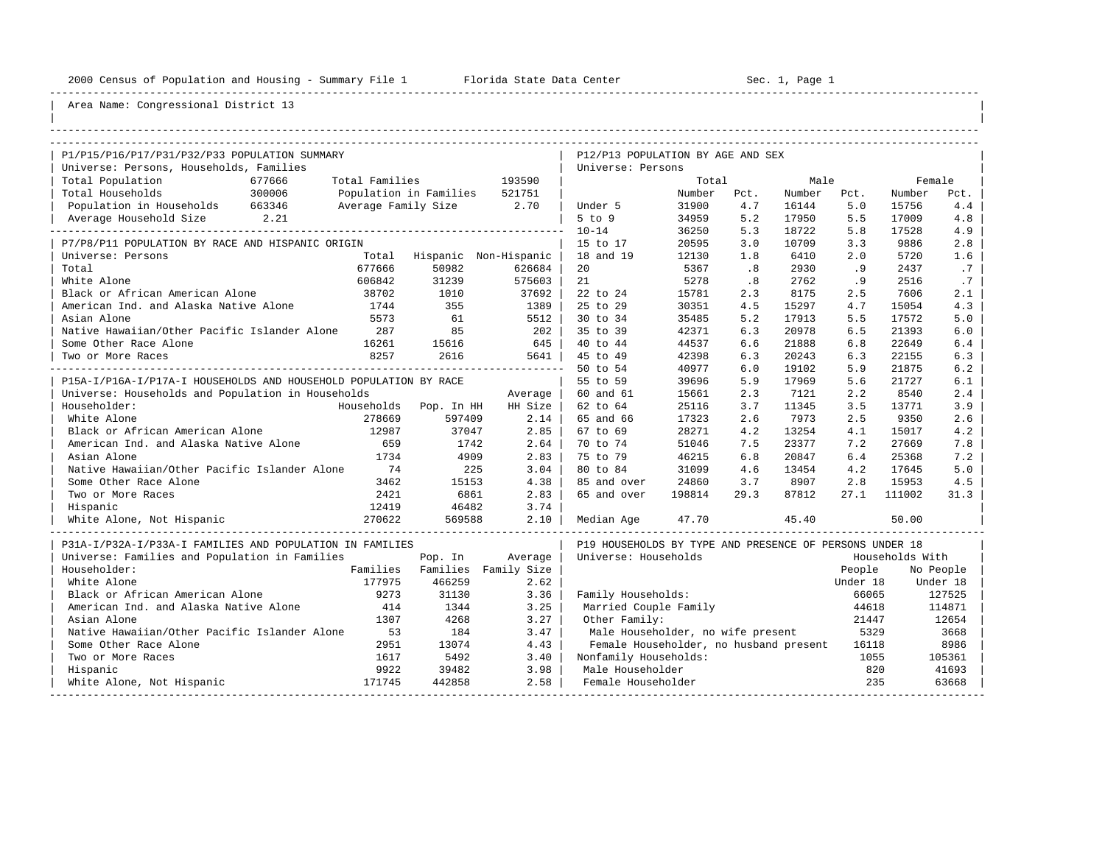----------------------------------------------------------------------------------------------------------------------------------------------------

| |

| P1/P15/P16/P17/P31/P32/P33 POPULATION SUMMARY                    |        |                               |         |                               | P12/P13 POPULATION BY AGE AND SEX                       |        |      |        |          |                 |           |
|------------------------------------------------------------------|--------|-------------------------------|---------|-------------------------------|---------------------------------------------------------|--------|------|--------|----------|-----------------|-----------|
| Universe: Persons, Households, Families                          |        |                               |         |                               | Universe: Persons                                       |        |      |        |          |                 |           |
| Total Population<br>300006                                       | 677666 | Total Families                |         | 193590                        |                                                         | Total  |      | Male   |          |                 | Female    |
| Total Households                                                 |        | Population in Families 521751 |         |                               |                                                         | Number | Pct. | Number | Pct.     | Number          | Pct.      |
| Population in Households 663346                                  |        | Average Family Size 2.70      |         |                               | Under 5                                                 | 31900  | 4.7  | 16144  | 5.0      | 15756           | 4.4       |
| Average Household Size 2.21<br>------------------                |        |                               |         |                               | $5$ to $9$                                              | 34959  | 5.2  | 17950  | 5.5      | 17009           | 4.8       |
|                                                                  |        |                               |         |                               | $10 - 14$                                               | 36250  | 5.3  | 18722  | 5.8      | 17528           | 4.9       |
| P7/P8/P11 POPULATION BY RACE AND HISPANIC ORIGIN                 |        |                               |         |                               | 15 to 17                                                | 20595  | 3.0  | 10709  | 3.3      | 9886            | 2.8       |
| Universe: Persons                                                |        |                               |         | Total Hispanic Non-Hispanic   | 18 and 19                                               | 12130  | 1.8  | 6410   | 2.0      | 5720            | 1.6       |
| Total                                                            |        | 677666                        | 50982   | 626684                        | 20                                                      | 5367   | .8   | 2930   | .9       | 2437            | .7        |
| White Alone                                                      |        | 606842                        | 31239   | 575603                        | 21                                                      | 5278   | .8   | 2762   | .9       | 2516            | .7        |
| Black or African American Alone                                  |        | 38702                         | 1010    | 37692                         | 22 to 24                                                | 15781  | 2.3  | 8175   | 2.5      | 7606            | 2.1       |
| American Ind. and Alaska Native Alone                            |        | 1744                          | 355     | 1389                          | 25 to 29                                                | 30351  | 4.5  | 15297  | 4.7      | 15054           | 4.3       |
| Asian Alone                                                      |        | 5573                          | 61      | 5512                          | 30 to 34                                                | 35485  | 5.2  | 17913  | 5.5      | 17572           | 5.0       |
| Native Hawaiian/Other Pacific Islander Alone                     |        | 287                           | 85      | 202                           | 35 to 39                                                | 42371  | 6.3  | 20978  | 6.5      | 21393           | 6.0       |
| Some Other Race Alone                                            |        | 16261                         | 15616   | 645                           | 40 to 44                                                | 44537  | 6.6  | 21888  | 6.8      | 22649           | 6.4       |
| Two or More Races                                                |        | 8257                          | 2616    | $5641$                        | 45 to 49                                                | 42398  | 6.3  | 20243  | 6.3      | 22155           | 6.3       |
|                                                                  |        |                               |         |                               | 50 to 54                                                | 40977  | 6.0  | 19102  | 5.9      | 21875           | 6.2       |
| P15A-I/P16A-I/P17A-I HOUSEHOLDS AND HOUSEHOLD POPULATION BY RACE |        |                               |         |                               | 55 to 59                                                | 39696  | 5.9  | 17969  | 5.6      | 21727           | 6.1       |
| Universe: Households and Population in Households                |        |                               |         | Average                       | 60 and 61                                               | 15661  | 2.3  | 7121   | 2.2      | 8540            | 2.4       |
| Householder:                                                     |        | Households Pop. In HH         |         | HH Size                       | 62 to 64                                                | 25116  | 3.7  | 11345  | 3.5      | 13771           | 3.9       |
| White Alone                                                      |        | 278669                        | 597409  | 2.14                          | 65 and 66                                               | 17323  | 2.6  | 7973   | 2.5      | 9350            | 2.6       |
| Black or African American Alone                                  |        | 12987                         | 37047   | 2.85                          | 67 to 69                                                | 28271  | 4.2  | 13254  | 4.1      | 15017           | 4.2       |
| American Ind. and Alaska Native Alone 659                        |        |                               | 1742    | 2.64                          | 70 to 74                                                | 51046  | 7.5  | 23377  | 7.2      | 27669           | 7.8       |
| Asian Alone                                                      |        | 1734                          | 4909    | 2.83                          | 75 to 79                                                | 46215  | 6.8  | 20847  | 6.4      | 25368           | 7.2       |
| Native Hawaiian/Other Pacific Islander Alone                     |        | 74                            | 225     | 3.04                          | 80 to 84                                                | 31099  | 4.6  | 13454  | 4.2      | 17645           | 5.0       |
| Some Other Race Alone                                            |        | 3462                          | 15153   | 4.38                          | 85 and over                                             | 24860  | 3.7  | 8907   | 2.8      | 15953           | 4.5       |
| Two or More Races                                                |        | 2421                          | 6861    | 2.83                          | 65 and over                                             | 198814 | 29.3 | 87812  | 27.1     | 111002          | 31.3      |
| Hispanic                                                         |        | 12419                         | 46482   | 3.74                          |                                                         |        |      |        |          |                 |           |
| White Alone, Not Hispanic                                        |        | 270622                        | 569588  | 2.10                          | Median Aqe                                              | 47.70  |      | 45.40  |          | 50.00           |           |
| P31A-I/P32A-I/P33A-I FAMILIES AND POPULATION IN FAMILIES         |        |                               |         |                               | P19 HOUSEHOLDS BY TYPE AND PRESENCE OF PERSONS UNDER 18 |        |      |        |          |                 |           |
| Universe: Families and Population in Families                    |        |                               | Pop. In | Average                       | Universe: Households                                    |        |      |        |          | Households With |           |
| Householder:                                                     |        |                               |         | Families Families Family Size |                                                         |        |      |        | People   |                 | No People |
| White Alone                                                      |        | 177975                        | 466259  | 2.62                          |                                                         |        |      |        | Under 18 |                 | Under 18  |
| Black or African American Alone                                  |        | 9273                          | 31130   | 3.36                          | Family Households:                                      |        |      |        | 66065    |                 | 127525    |
| American Ind. and Alaska Native Alone                            |        | 414                           | 1344    | 3.25                          | Married Couple Family                                   |        |      |        | 44618    |                 | 114871    |
| Asian Alone                                                      |        | 1307                          | 4268    | 3.27                          | Other Family:                                           |        |      |        | 21447    |                 | 12654     |
| Native Hawaiian/Other Pacific Islander Alone                     |        | 53                            | 184     | 3.47                          | Male Householder, no wife present 5329                  |        |      |        |          |                 | 3668      |
| Some Other Race Alone                                            |        | 2951                          | 13074   | 4.43                          | Female Householder, no husband present                  |        |      |        | 16118    |                 | 8986      |
| Two or More Races                                                |        | 1617                          | 5492    | 3.40                          | Nonfamily Households:                                   |        |      |        | 1055     |                 | 105361    |
| Hispanic                                                         |        | 9922                          | 39482   | 3.98                          | Male Householder                                        |        |      |        | 820      |                 | 41693     |
| White Alone, Not Hispanic                                        |        | 171745                        | 442858  | 2.58                          | Female Householder                                      |        |      |        | 235      |                 | 63668     |
|                                                                  |        |                               |         |                               |                                                         |        |      |        |          |                 |           |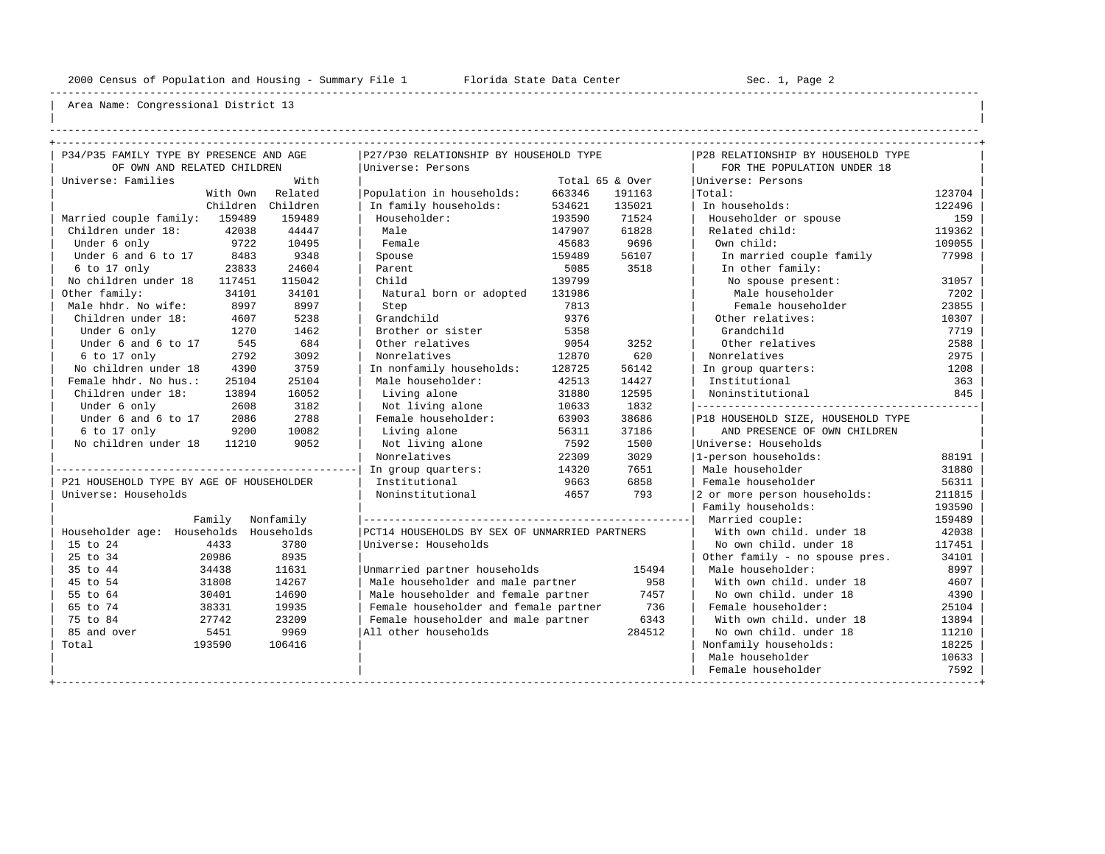----------------------------------------------------------------------------------------------------------------------------------------------------

| | ----------------------------------------------------------------------------------------------------------------------------------------------------

| P34/P35 FAMILY TYPE BY PRESENCE AND AGE  |           |                                                             |        |                 | P28 RELATIONSHIP BY HOUSEHOLD TYPE |        |
|------------------------------------------|-----------|-------------------------------------------------------------|--------|-----------------|------------------------------------|--------|
| OF OWN AND RELATED CHILDREN              |           | P27/P30 RELATIONSHIP BY HOUSEHOLD TYPE<br>Universe: Persons |        |                 | FOR THE POPULATION UNDER 18        |        |
| Universe: Families                       | With      |                                                             |        | Total 65 & Over |                                    |        |
|                                          | Related   |                                                             |        |                 | Universe: Persons                  | 123704 |
| With Own                                 |           | Population in households:                                   | 663346 | 191163          | Total:                             |        |
| Children                                 | Children  | In family households:                                       | 534621 | 135021          | In households:                     | 122496 |
| Married couple family: 159489            | 159489    | Householder:                                                | 193590 | 71524           | Householder or spouse              | 159    |
| Children under 18:<br>42038              | 44447     | Male                                                        | 147907 | 61828           | Related child:                     | 119362 |
| 9722<br>Under 6 only                     | 10495     | Female                                                      | 45683  | 9696            | Own child:                         | 109055 |
| Under 6 and 6 to 17<br>8483              | 9348      | Spouse                                                      | 159489 | 56107           | In married couple family           | 77998  |
| 23833<br>6 to 17 only                    | 24604     | Parent                                                      | 5085   | 3518            | In other family:                   |        |
| No children under 18<br>117451           | 115042    | Child                                                       | 139799 |                 | No spouse present:                 | 31057  |
| Other family:<br>34101                   | 34101     | Natural born or adopted                                     | 131986 |                 | Male householder                   | 7202   |
| Male hhdr. No wife:<br>8997              | 8997      | Step                                                        | 7813   |                 | Female householder                 | 23855  |
| Children under 18:<br>4607               | 5238      | Grandchild                                                  | 9376   |                 | Other relatives:                   | 10307  |
| Under 6 only<br>1270                     | 1462      | Brother or sister                                           | 5358   |                 | Grandchild                         | 7719   |
| Under 6 and 6 to 17<br>545               | 684       | Other relatives                                             | 9054   | 3252            | Other relatives                    | 2588   |
| 6 to 17 only<br>2792                     | 3092      | Nonrelatives                                                | 12870  | 620             | Nonrelatives                       | 2975   |
| No children under 18<br>4390             | 3759      | In nonfamily households:                                    | 128725 | 56142           | In group quarters:                 | 1208   |
| Female hhdr. No hus.:<br>25104           | 25104     | Male householder:                                           | 42513  | 14427           | Institutional                      | 363    |
| Children under 18:<br>13894              | 16052     | Living alone                                                | 31880  | 12595           | Noninstitutional                   | 845    |
| Under 6 only<br>2608                     | 3182      | Not living alone                                            | 10633  | 1832            |                                    |        |
| Under 6 and 6 to 17<br>2086              | 2788      | Female householder:                                         | 63903  | 38686           | P18 HOUSEHOLD SIZE, HOUSEHOLD TYPE |        |
| 6 to 17 only<br>9200                     | 10082     | Living alone                                                | 56311  | 37186           | AND PRESENCE OF OWN CHILDREN       |        |
| No children under 18<br>11210            | 9052      | Not living alone                                            | 7592   | 1500            | Universe: Households               |        |
|                                          |           | Nonrelatives                                                | 22309  | 3029            | 1-person households:               | 88191  |
|                                          |           | In group quarters:                                          | 14320  | 7651            | Male householder                   | 31880  |
| P21 HOUSEHOLD TYPE BY AGE OF HOUSEHOLDER |           | Institutional                                               | 9663   | 6858            | Female householder                 | 56311  |
| Universe: Households                     |           | Noninstitutional                                            | 4657   | 793             | 2 or more person households:       | 211815 |
|                                          |           |                                                             |        |                 | Family households:                 | 193590 |
| Family                                   | Nonfamily |                                                             |        |                 | Married couple:                    | 159489 |
| Householder age: Households Households   |           | PCT14 HOUSEHOLDS BY SEX OF UNMARRIED PARTNERS               |        |                 | With own child, under 18           | 42038  |
| 15 to 24<br>4433                         | 3780      | Universe: Households                                        |        |                 | No own child, under 18             | 117451 |
| 25 to 34<br>20986                        | 8935      |                                                             |        |                 | Other family - no spouse pres.     | 34101  |
| 35 to 44<br>34438                        | 11631     | Unmarried partner households                                |        | 15494           | Male householder:                  | 8997   |
| 45 to 54<br>31808                        | 14267     | Male householder and male partner                           |        | 958             | With own child, under 18           | 4607   |
| 55 to 64<br>30401                        | 14690     | Male householder and female partner                         |        | 7457            | No own child. under 18             | 4390   |
| 65 to 74<br>38331                        | 19935     | Female householder and female partner                       |        | 736             | Female householder:                | 25104  |
| 75 to 84<br>27742                        | 23209     | Female householder and male partner                         |        | 6343            | With own child, under 18           | 13894  |
| 85 and over<br>5451                      | 9969      | All other households                                        |        | 284512          | No own child, under 18             | 11210  |
| Total<br>193590                          | 106416    |                                                             |        |                 | Nonfamily households:              | 18225  |
|                                          |           |                                                             |        |                 | Male householder                   | 10633  |
|                                          |           |                                                             |        |                 | Female householder                 | 7592   |
|                                          |           |                                                             |        |                 |                                    |        |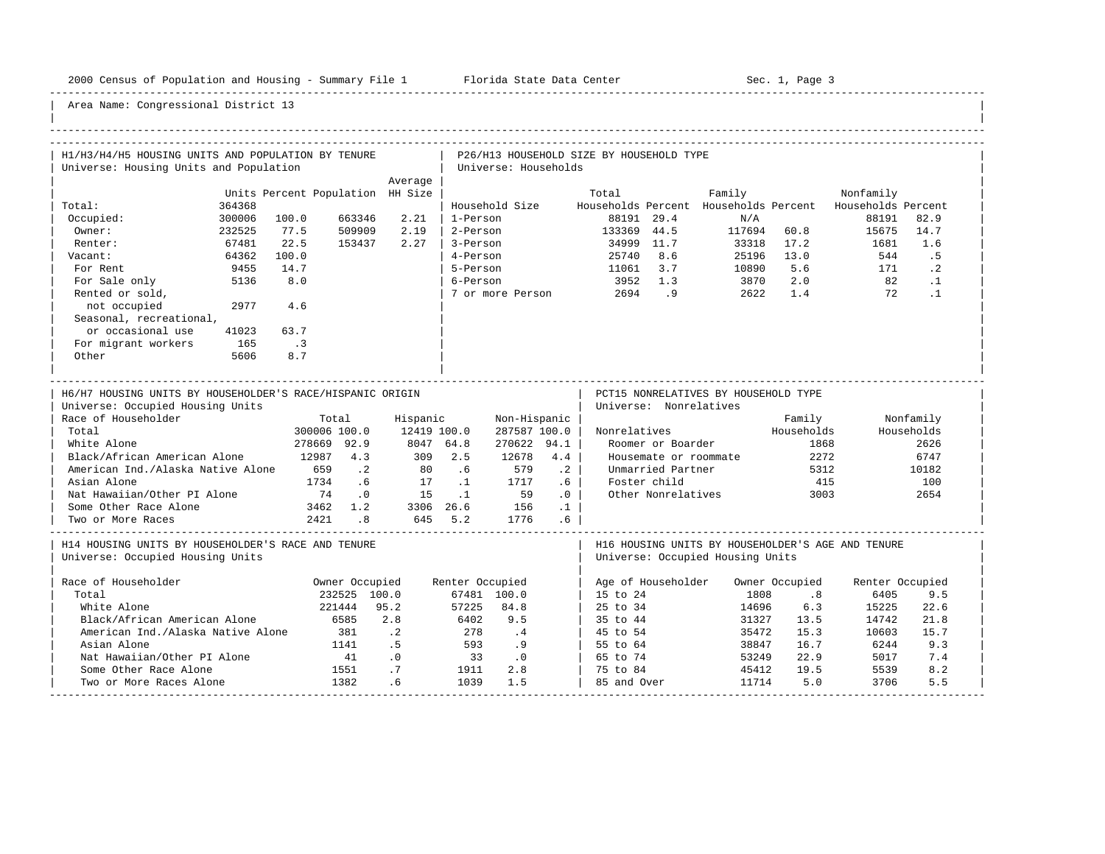-----------------------------------------------------------------------------------------------------------------------------------------------------

| H1/H3/H4/H5 HOUSING UNITS AND POPULATION BY TENURE        |        |                                  |                            |                |                 |                             |                 | P26/H13 HOUSEHOLD SIZE BY HOUSEHOLD TYPE |                        |                                                          |            |                 |            |
|-----------------------------------------------------------|--------|----------------------------------|----------------------------|----------------|-----------------|-----------------------------|-----------------|------------------------------------------|------------------------|----------------------------------------------------------|------------|-----------------|------------|
| Universe: Housing Units and Population                    |        |                                  |                            |                |                 | Universe: Households        |                 |                                          |                        |                                                          |            |                 |            |
|                                                           |        |                                  |                            | Average        |                 |                             |                 |                                          |                        |                                                          |            |                 |            |
|                                                           |        | Units Percent Population HH Size |                            |                |                 |                             |                 | Total                                    |                        | Family                                                   |            | Nonfamily       |            |
| Total:                                                    | 364368 |                                  |                            |                |                 | Household Size              |                 |                                          |                        | Households Percent Households Percent Households Percent |            |                 |            |
| Occupied:                                                 | 300006 | 100.0                            | 663346                     | 2.21           | 1-Person        |                             |                 |                                          | 88191 29.4             | N/A                                                      |            | 88191           | 82.9       |
| Owner:                                                    | 232525 | 77.5                             | 509909                     | 2.19           | 2-Person        |                             |                 | 133369 44.5                              |                        | 117694 60.8                                              |            | 15675           | 14.7       |
| Renter:                                                   | 67481  | 22.5                             | 153437                     | 2.27           | 3-Person        |                             |                 |                                          | 34999 11.7             | 33318 17.2                                               |            | 1681            | 1.6        |
| Vacant:                                                   | 64362  | 100.0                            |                            |                | 4-Person        |                             |                 |                                          | 25740 8.6              |                                                          | 25196 13.0 | 544             | .5         |
| For Rent                                                  | 9455   | 14.7                             |                            |                | 5-Person        |                             |                 | 11061 3.7                                |                        | 10890                                                    | 5.6        | 171             | $\cdot$ 2  |
| For Sale only                                             | 5136   | 8.0                              |                            |                | 6-Person        |                             |                 | 3952 1.3                                 |                        | 3870                                                     | 2.0        | 82              | $\cdot$ 1  |
| Rented or sold,                                           |        |                                  |                            |                |                 | 7 or more Person            |                 |                                          | 2694.9                 | 2622                                                     | 1.4        | 72              | $\cdot$ 1  |
| not occupied                                              | 2977   | 4.6                              |                            |                |                 |                             |                 |                                          |                        |                                                          |            |                 |            |
| Seasonal, recreational,                                   |        |                                  |                            |                |                 |                             |                 |                                          |                        |                                                          |            |                 |            |
| or occasional use                                         | 41023  | 63.7                             |                            |                |                 |                             |                 |                                          |                        |                                                          |            |                 |            |
| For migrant workers                                       | 165    | $\overline{\phantom{a}}$         |                            |                |                 |                             |                 |                                          |                        |                                                          |            |                 |            |
| Other                                                     | 5606   | 8.7                              |                            |                |                 |                             |                 |                                          |                        |                                                          |            |                 |            |
|                                                           |        |                                  |                            |                |                 |                             |                 |                                          |                        |                                                          |            |                 |            |
| H6/H7 HOUSING UNITS BY HOUSEHOLDER'S RACE/HISPANIC ORIGIN |        |                                  |                            |                |                 |                             |                 |                                          |                        | PCT15 NONRELATIVES BY HOUSEHOLD TYPE                     |            |                 |            |
| Universe: Occupied Housing Units                          |        |                                  |                            |                |                 |                             |                 |                                          | Universe: Nonrelatives |                                                          |            |                 |            |
| Race of Householder                                       |        |                                  | Total                      | Hispanic       |                 | Non-Hispanic                |                 |                                          |                        |                                                          | Family     |                 | Nonfamily  |
| Total                                                     |        | 300006 100.0                     |                            | 12419 100.0    |                 | 287587 100.0                |                 | Nonrelatives                             |                        |                                                          | Households |                 | Households |
| White Alone                                               |        | 278669 92.9                      |                            | 8047 64.8      |                 | 270622 94.1                 |                 |                                          | Roomer or Boarder      |                                                          | 1868       |                 | 2626       |
| Black/African American Alone                              |        | 12987 4.3                        |                            | 309            | 2.5             | 12678                       | 4.4             |                                          |                        | Housemate or roommate                                    | 2272       |                 | 6747       |
| American Ind./Alaska Native Alone                         |        | 659                              | $\cdot$ . 2                | 80             | .6              | 579                         | $\cdot$ 2       |                                          | Unmarried Partner      |                                                          | 5312       |                 | 10182      |
| Asian Alone                                               |        | 1734                             | .6                         | 17             | $\ldots$        | 1717                        | .6 <sub>5</sub> |                                          | Foster child           |                                                          | 415        |                 | 100        |
| Nat Hawaiian/Other PI Alone                               |        | 74                               | $\overline{\phantom{0}}$ . | $15 \qquad .1$ |                 | 59                          | $\cdot$ 0       |                                          | Other Nonrelatives     |                                                          | 3003       |                 | 2654       |
| Some Other Race Alone                                     |        | 3462 1.2                         |                            | 3306 26.6 156  |                 |                             | $\ldots$ 1      |                                          |                        |                                                          |            |                 |            |
| Two or More Races                                         |        | 2421 .8                          |                            | 645 5.2 1776   |                 |                             | $.6\phantom{0}$ |                                          |                        |                                                          |            |                 |            |
|                                                           |        |                                  |                            |                |                 |                             |                 |                                          |                        |                                                          |            |                 |            |
| H14 HOUSING UNITS BY HOUSEHOLDER'S RACE AND TENURE        |        |                                  |                            |                |                 |                             |                 |                                          |                        | H16 HOUSING UNITS BY HOUSEHOLDER'S AGE AND TENURE        |            |                 |            |
| Universe: Occupied Housing Units                          |        |                                  |                            |                |                 |                             |                 |                                          |                        | Universe: Occupied Housing Units                         |            |                 |            |
|                                                           |        |                                  |                            |                |                 |                             |                 |                                          |                        |                                                          |            |                 |            |
| Race of Householder                                       |        |                                  | Owner Occupied             |                | Renter Occupied |                             |                 |                                          |                        | Age of Householder Owner Occupied                        |            | Renter Occupied |            |
| Total                                                     |        |                                  | 232525 100.0               |                |                 | 67481 100.0                 |                 | 15 to 24                                 |                        | 1808                                                     | .8         | 6405            | 9.5        |
| White Alone                                               |        |                                  | 221444                     | 95.2           |                 | 57225 84.8                  |                 | 25 to 34                                 |                        | 14696                                                    | 6.3        | 15225           | 22.6       |
| Black/African American Alone                              |        | 6585                             |                            | 2.8            | 6402            | 9.5                         |                 | 35 to 44                                 |                        | 31327                                                    | 13.5       | 14742           | 21.8       |
| American Ind./Alaska Native Alone                         |        |                                  | 381                        | $\cdot$ . 2    | 278             | $\cdot$ 4                   |                 | 45 to 54                                 |                        | 35472                                                    | 15.3       | 10603           | 15.7       |
| Asian Alone                                               |        |                                  | 1141                       | .5             | 593             | .9                          |                 | 55 to 64                                 |                        | 38847                                                    | 16.7       | 6244            | 9.3        |
| Nat Hawaiian/Other PI Alone                               |        |                                  | 41                         | $\cdot$ 0      | 33              | $\overline{\phantom{0}}$ .0 |                 | 65 to 74                                 |                        | 53249                                                    | 22.9       | 5017            | 7.4        |
| Some Other Race Alone                                     |        |                                  | 1551                       | .7             | 1911            | 2.8                         |                 | 75 to 84                                 |                        | 45412                                                    | 19.5       | 5539            | 8.2        |
| Two or More Races Alone                                   |        |                                  | 1382                       | .6             | 1039            | 1.5                         |                 | 85 and Over                              |                        | 11714                                                    | 5.0        | 3706            | 5.5        |
|                                                           |        |                                  |                            |                |                 |                             |                 |                                          |                        |                                                          |            |                 |            |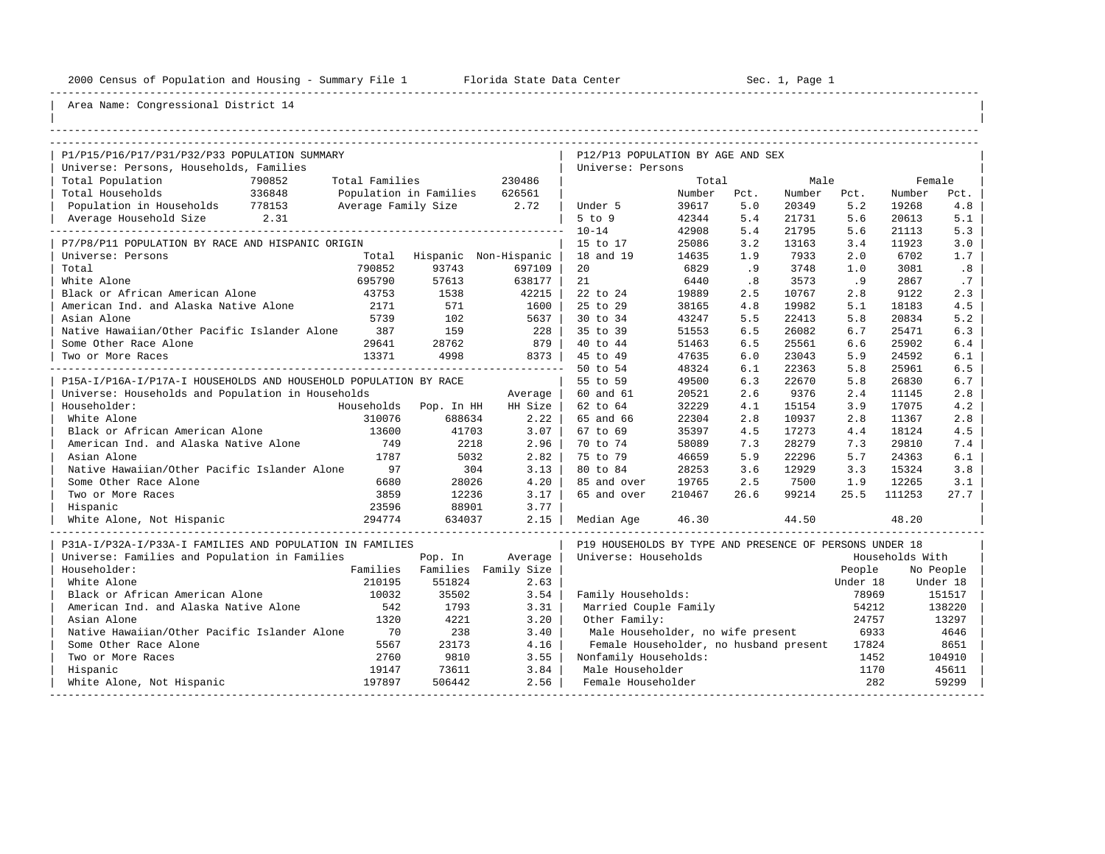----------------------------------------------------------------------------------------------------------------------------------------------------

| |

## Area Name: Congressional District 14

| P1/P15/P16/P17/P31/P32/P33 POPULATION SUMMARY                    |                |                               |                               | P12/P13 POPULATION BY AGE AND SEX                       |        |      |        |          |                 |           |
|------------------------------------------------------------------|----------------|-------------------------------|-------------------------------|---------------------------------------------------------|--------|------|--------|----------|-----------------|-----------|
| Universe: Persons, Households, Families                          |                |                               |                               | Universe: Persons                                       |        |      |        |          |                 |           |
| Total Population<br>790852                                       | Total Families |                               | 230486                        |                                                         | Total  |      | Male   |          |                 | Female    |
| Total Households<br>336848                                       |                | Population in Families 626561 |                               |                                                         | Number | Pct. | Number | Pct.     | Number          | Pct.      |
| Population in Households 778153                                  |                | Average Family Size 2.72      |                               | Under 5                                                 | 39617  | 5.0  | 20349  | 5.2      | 19268           | 4.8       |
| Average Household Size 2.31                                      |                |                               |                               | $5$ to $9$                                              | 42344  | 5.4  | 21731  | 5.6      | 20613           | 5.1       |
|                                                                  |                |                               |                               | $10 - 14$                                               | 42908  | 5.4  | 21795  | 5.6      | 21113           | 5.3       |
| P7/P8/P11 POPULATION BY RACE AND HISPANIC ORIGIN                 |                |                               |                               | 15 to 17                                                | 25086  | 3.2  | 13163  | 3.4      | 11923           | 3.0       |
| Universe: Persons                                                |                | Total Hispanic Non-Hispanic   |                               | 18 and 19                                               | 14635  | 1.9  | 7933   | 2.0      | 6702            | 1.7       |
| Total                                                            | 790852         | 93743                         | 697109                        | 20                                                      | 6829   | .9   | 3748   | 1.0      | 3081            | .8        |
| White Alone                                                      | 695790         | 57613                         | 638177                        | 21                                                      | 6440   | .8   | 3573   | .9       | 2867            | .7        |
| Black or African American Alone                                  | 43753          | 1538                          | 42215                         | 22 to 24                                                | 19889  | 2.5  | 10767  | 2.8      | 9122            | 2.3       |
| American Ind. and Alaska Native Alone                            | 2171           | 571                           | 1600                          | 25 to 29                                                | 38165  | 4.8  | 19982  | 5.1      | 18183           | 4.5       |
| Asian Alone                                                      | 5739           | 102                           | 5637                          | 30 to 34                                                | 43247  | 5.5  | 22413  | 5.8      | 20834           | 5.2       |
| Native Hawaiian/Other Pacific Islander Alone                     | 387            | 159                           | 228                           | 35 to 39                                                | 51553  | 6.5  | 26082  | 6.7      | 25471           | 6.3       |
| Some Other Race Alone                                            | 29641          | 28762                         | 879                           | 40 to 44                                                | 51463  | 6.5  | 25561  | 6.6      | 25902           | 6.4       |
| Two or More Races                                                | 13371          | 4998                          | 8373                          | 45 to 49                                                | 47635  | 6.0  | 23043  | 5.9      | 24592           | 6.1       |
|                                                                  |                |                               |                               | 50 to 54                                                | 48324  | 6.1  | 22363  | 5.8      | 25961           | 6.5       |
| P15A-I/P16A-I/P17A-I HOUSEHOLDS AND HOUSEHOLD POPULATION BY RACE |                |                               |                               | 55 to 59                                                | 49500  | 6.3  | 22670  | 5.8      | 26830           | 6.7       |
| Universe: Households and Population in Households                |                |                               | Average                       | 60 and 61                                               | 20521  | 2.6  | 9376   | 2.4      | 11145           | 2.8       |
| Householder:                                                     |                | Households Pop. In HH         | HH Size                       | 62 to 64                                                | 32229  | 4.1  | 15154  | 3.9      | 17075           | 4.2       |
| White Alone                                                      | 310076         | 688634                        | 2.22                          | 65 and 66                                               | 22304  | 2.8  | 10937  | 2.8      | 11367           | 2.8       |
| Black or African American Alone                                  | 13600          | 41703                         | 3.07                          | 67 to 69                                                | 35397  | 4.5  | 17273  | 4.4      | 18124           | 4.5       |
| American Ind. and Alaska Native Alone                            | 749            | 2218                          | 2.96                          | 70 to 74                                                | 58089  | 7.3  | 28279  | 7.3      | 29810           | 7.4       |
| Asian Alone                                                      | 1787           | 5032                          | 2.82                          | 75 to 79                                                | 46659  | 5.9  | 22296  | 5.7      | 24363           | 6.1       |
| Native Hawaiian/Other Pacific Islander Alone                     | 97             | 304                           | 3.13                          | 80 to 84                                                | 28253  | 3.6  | 12929  | 3.3      | 15324           | 3.8       |
| Some Other Race Alone                                            | 6680           | 28026                         | 4.20                          | 85 and over                                             | 19765  | 2.5  | 7500   | 1.9      | 12265           | 3.1       |
| Two or More Races                                                | 3859           | 12236                         | 3.17                          | 65 and over                                             | 210467 | 26.6 | 99214  | 25.5     | 111253          | 27.7      |
| Hispanic                                                         | 23596          | 88901                         | 3.77                          |                                                         |        |      |        |          |                 |           |
| White Alone, Not Hispanic                                        | 294774         | 634037                        | 2.15                          | Median Age                                              | 46.30  |      | 44.50  |          | 48.20           |           |
| P31A-I/P32A-I/P33A-I FAMILIES AND POPULATION IN FAMILIES         |                |                               |                               | P19 HOUSEHOLDS BY TYPE AND PRESENCE OF PERSONS UNDER 18 |        |      |        |          |                 |           |
| Universe: Families and Population in Families                    |                | Pop. In                       | Average                       | Universe: Households                                    |        |      |        |          | Households With |           |
| Householder:                                                     |                |                               | Families Families Family Size |                                                         |        |      |        | People   |                 | No People |
| White Alone                                                      | 210195         | 551824                        | 2.63                          |                                                         |        |      |        | Under 18 |                 | Under 18  |
| Black or African American Alone                                  | 10032          | 35502                         | 3.54                          | Family Households:                                      |        |      |        | 78969    |                 | 151517    |
| American Ind. and Alaska Native Alone                            | 542            | 1793                          | 3.31                          | Married Couple Family                                   |        |      |        | 54212    |                 | 138220    |
| Asian Alone                                                      | 1320           | 4221                          | 3.20                          | Other Family:                                           |        |      |        | 24757    |                 | 13297     |
| Native Hawaiian/Other Pacific Islander Alone                     | 70             | 238                           | 3.40                          | Male Householder, no wife present                       |        |      |        | 6933     |                 | 4646      |
| Some Other Race Alone                                            | 5567           | 23173                         | 4.16                          | Female Householder, no husband present                  |        |      |        | 17824    |                 | 8651      |
| Two or More Races                                                | 2760           | 9810                          | 3.55                          | Nonfamily Households:                                   |        |      |        | 1452     |                 | 104910    |
| Hispanic                                                         | 19147          | 73611                         | 3.84                          | Male Householder                                        |        |      |        | 1170     |                 | 45611     |
| White Alone, Not Hispanic                                        | 197897         | 506442                        | 2.56                          | Female Householder                                      |        |      |        | 282      |                 | 59299     |

-----------------------------------------------------------------------------------------------------------------------------------------------------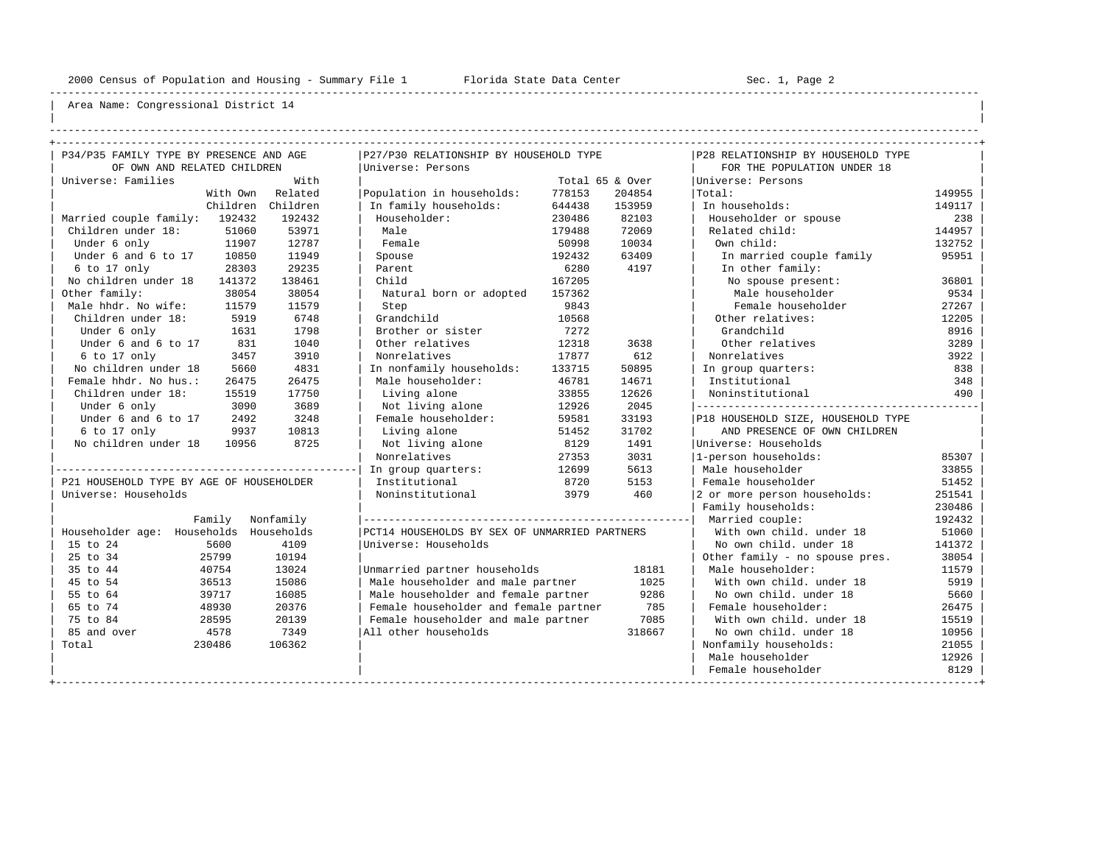----------------------------------------------------------------------------------------------------------------------------------------------------

| | ----------------------------------------------------------------------------------------------------------------------------------------------------

| P34/P35 FAMILY TYPE BY PRESENCE AND AGE  |           | P27/P30 RELATIONSHIP BY HOUSEHOLD TYPE        |        |                 | P28 RELATIONSHIP BY HOUSEHOLD TYPE |        |
|------------------------------------------|-----------|-----------------------------------------------|--------|-----------------|------------------------------------|--------|
| OF OWN AND RELATED CHILDREN              |           | Universe: Persons                             |        |                 | FOR THE POPULATION UNDER 18        |        |
| Universe: Families                       | With      |                                               |        | Total 65 & Over | Universe: Persons                  |        |
| With Own                                 | Related   | Population in households:                     | 778153 | 204854          | Total:                             | 149955 |
| Children                                 | Children  | In family households:                         | 644438 | 153959          | In households:                     | 149117 |
| Married couple family: 192432            | 192432    | Householder:                                  | 230486 | 82103           | Householder or spouse              | 238    |
| Children under 18:<br>51060              | 53971     | Male                                          | 179488 | 72069           | Related child:                     | 144957 |
| Under 6 only<br>11907                    | 12787     | Female                                        | 50998  | 10034           | Own child:                         | 132752 |
| Under 6 and 6 to 17<br>10850             | 11949     | Spouse                                        | 192432 | 63409           | In married couple family           | 95951  |
| 28303<br>6 to 17 only                    | 29235     | Parent                                        | 6280   | 4197            | In other family:                   |        |
| No children under 18<br>141372           | 138461    | Child                                         | 167205 |                 | No spouse present:                 | 36801  |
| Other family:<br>38054                   | 38054     | Natural born or adopted                       | 157362 |                 | Male householder                   | 9534   |
| Male hhdr. No wife:<br>11579             | 11579     | Step                                          | 9843   |                 | Female householder                 | 27267  |
| Children under 18:<br>5919               | 6748      | Grandchild                                    | 10568  |                 | Other relatives:                   | 12205  |
| Under 6 only<br>1631                     | 1798      | Brother or sister                             | 7272   |                 | Grandchild                         | 8916   |
| Under 6 and 6 to 17<br>831               | 1040      | Other relatives                               | 12318  | 3638            | Other relatives                    | 3289   |
| 6 to 17 only<br>3457                     | 3910      | Nonrelatives                                  | 17877  | 612             | Nonrelatives                       | 3922   |
| No children under 18<br>5660             | 4831      | In nonfamily households:                      | 133715 | 50895           | In group quarters:                 | 838    |
| Female hhdr. No hus.:<br>26475           | 26475     | Male householder:                             | 46781  | 14671           | Institutional                      | 348    |
| Children under 18:<br>15519              | 17750     | Living alone                                  | 33855  | 12626           | Noninstitutional                   | 490    |
| Under 6 only<br>3090                     | 3689      | Not living alone                              | 12926  | 2045            |                                    |        |
| Under 6 and 6 to 17<br>2492              | 3248      | Female householder:                           | 59581  | 33193           | P18 HOUSEHOLD SIZE, HOUSEHOLD TYPE |        |
| 6 to 17 only<br>9937                     | 10813     | Living alone                                  | 51452  | 31702           | AND PRESENCE OF OWN CHILDREN       |        |
| No children under 18<br>10956            | 8725      | Not living alone                              | 8129   | 1491            | Universe: Households               |        |
|                                          |           | Nonrelatives                                  | 27353  | 3031            | 1-person households:               | 85307  |
|                                          |           | In group quarters:                            | 12699  | 5613            | Male householder                   | 33855  |
| P21 HOUSEHOLD TYPE BY AGE OF HOUSEHOLDER |           | Institutional                                 | 8720   | 5153            | Female householder                 | 51452  |
| Universe: Households                     |           | Noninstitutional                              | 3979   | 460             | 2 or more person households:       | 251541 |
|                                          |           |                                               |        |                 | Family households:                 | 230486 |
| Family                                   | Nonfamily |                                               |        |                 | Married couple:                    | 192432 |
| Householder age: Households Households   |           | PCT14 HOUSEHOLDS BY SEX OF UNMARRIED PARTNERS |        |                 | With own child, under 18           | 51060  |
| 5600<br>15 to 24                         | 4109      | Universe: Households                          |        |                 | No own child, under 18             | 141372 |
| 25 to 34<br>25799                        | 10194     |                                               |        |                 | Other family - no spouse pres.     | 38054  |
| 35 to 44<br>40754                        | 13024     | Unmarried partner households                  |        | 18181           | Male householder:                  | 11579  |
| 45 to 54<br>36513                        | 15086     | Male householder and male partner             |        | 1025            | With own child, under 18           | 5919   |
| 55 to 64<br>39717                        | 16085     | Male householder and female partner           |        | 9286            | No own child. under 18             | 5660   |
| 65 to 74<br>48930                        | 20376     | Female householder and female partner         |        | 785             | Female householder:                | 26475  |
| 75 to 84<br>28595                        | 20139     | Female householder and male partner           |        | 7085            | With own child, under 18           | 15519  |
| 85 and over<br>4578                      | 7349      | All other households                          |        | 318667          | No own child, under 18             | 10956  |
| Total<br>230486                          | 106362    |                                               |        |                 | Nonfamily households:              | 21055  |
|                                          |           |                                               |        |                 | Male householder                   | 12926  |
|                                          |           |                                               |        |                 | Female householder                 | 8129   |
|                                          |           |                                               |        |                 |                                    |        |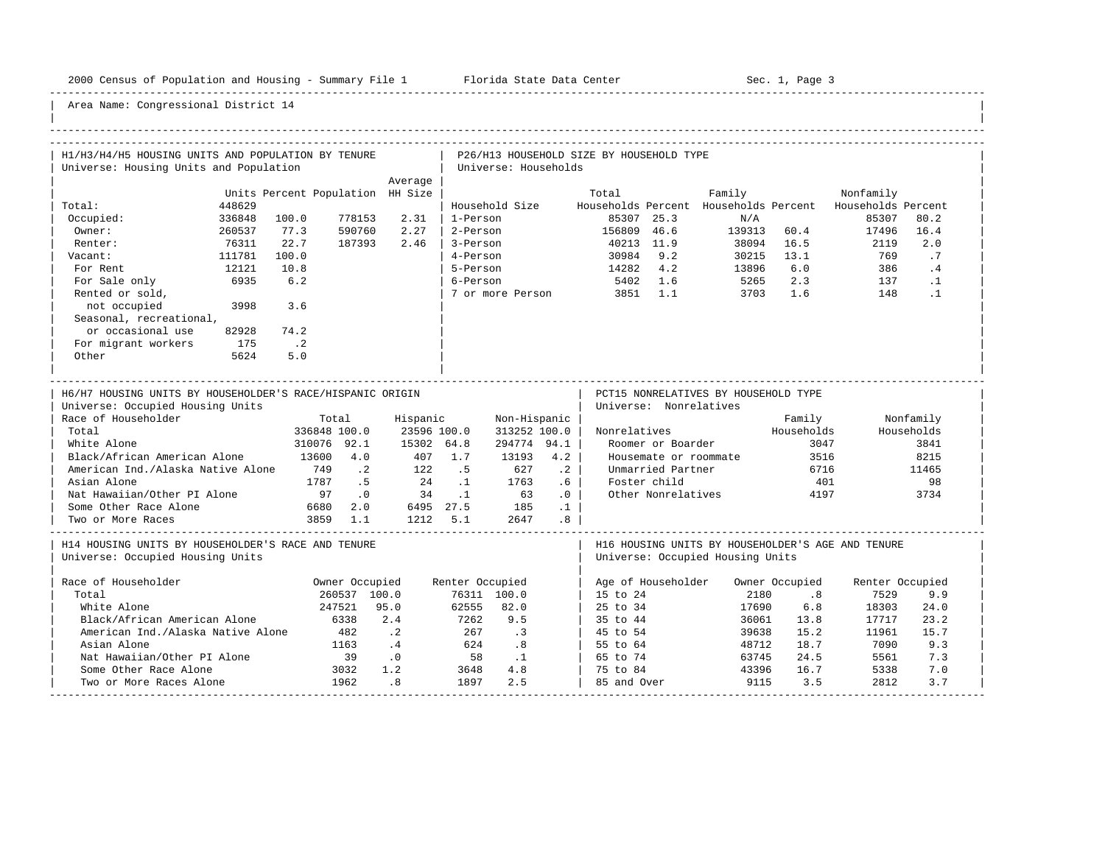-----------------------------------------------------------------------------------------------------------------------------------------------------

| H1/H3/H4/H5 HOUSING UNITS AND POPULATION BY TENURE                                                                                                                                                                                                                                                            |        |                                        |                                                                                              |                                                                  |                                                    |                                                                                                    |                                                                           |                                          |                                                                                                                                 |                                       |                                                             |                                                   |                                                                |  |
|---------------------------------------------------------------------------------------------------------------------------------------------------------------------------------------------------------------------------------------------------------------------------------------------------------------|--------|----------------------------------------|----------------------------------------------------------------------------------------------|------------------------------------------------------------------|----------------------------------------------------|----------------------------------------------------------------------------------------------------|---------------------------------------------------------------------------|------------------------------------------|---------------------------------------------------------------------------------------------------------------------------------|---------------------------------------|-------------------------------------------------------------|---------------------------------------------------|----------------------------------------------------------------|--|
| Universe: Housing Units and Population                                                                                                                                                                                                                                                                        |        |                                        |                                                                                              |                                                                  |                                                    | Universe: Households                                                                               |                                                                           | P26/H13 HOUSEHOLD SIZE BY HOUSEHOLD TYPE |                                                                                                                                 |                                       |                                                             |                                                   |                                                                |  |
|                                                                                                                                                                                                                                                                                                               |        |                                        |                                                                                              | Average                                                          |                                                    |                                                                                                    |                                                                           |                                          |                                                                                                                                 |                                       |                                                             |                                                   |                                                                |  |
|                                                                                                                                                                                                                                                                                                               |        | Units Percent Population HH Size       |                                                                                              |                                                                  |                                                    |                                                                                                    |                                                                           | Total                                    |                                                                                                                                 | Family                                |                                                             | Nonfamily                                         |                                                                |  |
| Total:                                                                                                                                                                                                                                                                                                        | 448629 |                                        |                                                                                              |                                                                  |                                                    | Household Size                                                                                     |                                                                           |                                          |                                                                                                                                 | Households Percent Households Percent |                                                             | Households Percent                                |                                                                |  |
| Occupied:                                                                                                                                                                                                                                                                                                     | 336848 | 100.0                                  | 778153                                                                                       | 2.31                                                             | 1-Person                                           |                                                                                                    |                                                                           |                                          | 85307 25.3                                                                                                                      | N/A                                   |                                                             | 85307                                             | 80.2                                                           |  |
| Owner:                                                                                                                                                                                                                                                                                                        | 260537 | 77.3                                   | 590760                                                                                       | 2.27                                                             | 2-Person                                           |                                                                                                    |                                                                           | 156809 46.6                              |                                                                                                                                 | 139313 60.4                           |                                                             | 17496                                             | 16.4                                                           |  |
| Renter:                                                                                                                                                                                                                                                                                                       | 76311  | 22.7                                   | 187393                                                                                       | 2.46                                                             | 3-Person                                           |                                                                                                    |                                                                           |                                          | 40213 11.9                                                                                                                      | 38094                                 | 16.5                                                        | 2119                                              | 2.0                                                            |  |
| Vacant:                                                                                                                                                                                                                                                                                                       | 111781 | 100.0                                  |                                                                                              |                                                                  | 4-Person                                           |                                                                                                    |                                                                           |                                          | 30984 9.2                                                                                                                       | 30215                                 | 13.1                                                        | 769                                               | .7                                                             |  |
| For Rent                                                                                                                                                                                                                                                                                                      | 12121  | 10.8                                   |                                                                                              |                                                                  | 5-Person                                           |                                                                                                    |                                                                           | 14282 4.2                                |                                                                                                                                 | 13896                                 | 6.0                                                         | 386                                               | .4                                                             |  |
| For Sale only                                                                                                                                                                                                                                                                                                 | 6935   | 6.2                                    |                                                                                              |                                                                  | 6-Person                                           |                                                                                                    |                                                                           |                                          | 5402 1.6                                                                                                                        | 5265                                  | 2.3                                                         | 137                                               | $\cdot$ 1                                                      |  |
| Rented or sold,                                                                                                                                                                                                                                                                                               |        |                                        |                                                                                              |                                                                  |                                                    | 7 or more Person                                                                                   |                                                                           |                                          | 3851 1.1                                                                                                                        | 3703                                  | 1.6                                                         | 148                                               | $\cdot$ 1                                                      |  |
| not occupied                                                                                                                                                                                                                                                                                                  | 3998   | 3.6                                    |                                                                                              |                                                                  |                                                    |                                                                                                    |                                                                           |                                          |                                                                                                                                 |                                       |                                                             |                                                   |                                                                |  |
| Seasonal, recreational,                                                                                                                                                                                                                                                                                       |        |                                        |                                                                                              |                                                                  |                                                    |                                                                                                    |                                                                           |                                          |                                                                                                                                 |                                       |                                                             |                                                   |                                                                |  |
| or occasional use                                                                                                                                                                                                                                                                                             | 82928  | 74.2                                   |                                                                                              |                                                                  |                                                    |                                                                                                    |                                                                           |                                          |                                                                                                                                 |                                       |                                                             |                                                   |                                                                |  |
| For migrant workers                                                                                                                                                                                                                                                                                           | 175    | $\cdot$ . 2                            |                                                                                              |                                                                  |                                                    |                                                                                                    |                                                                           |                                          |                                                                                                                                 |                                       |                                                             |                                                   |                                                                |  |
| Other                                                                                                                                                                                                                                                                                                         | 5624   | 5.0                                    |                                                                                              |                                                                  |                                                    |                                                                                                    |                                                                           |                                          |                                                                                                                                 |                                       |                                                             |                                                   |                                                                |  |
|                                                                                                                                                                                                                                                                                                               |        |                                        |                                                                                              |                                                                  |                                                    |                                                                                                    |                                                                           |                                          |                                                                                                                                 |                                       |                                                             |                                                   |                                                                |  |
| H6/H7 HOUSING UNITS BY HOUSEHOLDER'S RACE/HISPANIC ORIGIN<br>Universe: Occupied Housing Units<br>Race of Householder<br>Total<br>White Alone<br>Black/African American Alone<br>American Ind./Alaska Native Alone<br>Asian Alone<br>Nat Hawaiian/Other PI Alone<br>Some Other Race Alone<br>Two or More Races |        | 13600 4.0<br>749<br>1787<br>97<br>6680 | Total<br>336848 100.0<br>310076 92.1<br>$\cdot$ 2<br>.5<br>$\overline{0}$<br>2.0<br>3859 1.1 | Hispanic<br>23596 100.0<br>15302 64.8<br>407<br>122<br>2.4<br>34 | 1.7<br>. 5<br>$\ldots$ 1<br>$\ldots$<br>$1212$ 5.1 | Non-Hispanic<br>313252 100.0<br>294774 94.1<br>13193<br>627<br>1763<br>63<br>6495 27.5 185<br>2647 | 4.2<br>$\cdot$ 2<br>$.6\phantom{0}$<br>.0<br>$\cdot$ 1<br>.8 <sub>0</sub> | Nonrelatives                             | Universe: Nonrelatives<br>Roomer or Boarder<br>Housemate or roommate<br>Unmarried Partner<br>Foster child<br>Other Nonrelatives | PCT15 NONRELATIVES BY HOUSEHOLD TYPE  | Family<br>Households<br>3047<br>3516<br>6716<br>401<br>4197 |                                                   | Nonfamily<br>Households<br>3841<br>8215<br>11465<br>98<br>3734 |  |
| H14 HOUSING UNITS BY HOUSEHOLDER'S RACE AND TENURE<br>Universe: Occupied Housing Units                                                                                                                                                                                                                        |        |                                        |                                                                                              |                                                                  |                                                    |                                                                                                    |                                                                           |                                          |                                                                                                                                 | Universe: Occupied Housing Units      |                                                             | H16 HOUSING UNITS BY HOUSEHOLDER'S AGE AND TENURE |                                                                |  |
| Race of Householder                                                                                                                                                                                                                                                                                           |        |                                        | Owner Occupied                                                                               |                                                                  | Renter Occupied                                    |                                                                                                    |                                                                           |                                          | Age of Householder                                                                                                              |                                       | Owner Occupied                                              | Renter Occupied                                   |                                                                |  |
| Total                                                                                                                                                                                                                                                                                                         |        |                                        | 260537 100.0                                                                                 |                                                                  |                                                    | 76311 100.0                                                                                        |                                                                           | 15 to 24                                 |                                                                                                                                 | 2180                                  | .8                                                          | 7529                                              | 9.9                                                            |  |
| White Alone                                                                                                                                                                                                                                                                                                   |        |                                        | 247521                                                                                       | 95.0                                                             | 62555                                              | 82.0                                                                                               |                                                                           | 25 to 34                                 |                                                                                                                                 | 17690                                 | 6.8                                                         | 18303                                             | 24.0                                                           |  |
| Black/African American Alone                                                                                                                                                                                                                                                                                  |        |                                        | 6338                                                                                         | 2.4                                                              | 7262                                               | 9.5                                                                                                |                                                                           | 35 to 44                                 |                                                                                                                                 | 36061                                 | 13.8                                                        | 17717                                             | 23.2                                                           |  |
| American Ind./Alaska Native Alone                                                                                                                                                                                                                                                                             |        |                                        | 482                                                                                          | $\cdot$ 2                                                        | 267                                                | $\cdot$ 3                                                                                          |                                                                           | 45 to 54                                 |                                                                                                                                 | 39638                                 | 15.2                                                        | 11961                                             | 15.7                                                           |  |
| Asian Alone                                                                                                                                                                                                                                                                                                   |        |                                        | 1163                                                                                         | $\cdot$ 4                                                        | 624                                                | $\overline{\phantom{0}}$ .8                                                                        |                                                                           | 55 to 64                                 |                                                                                                                                 | 48712                                 | 18.7                                                        | 7090                                              | 9.3                                                            |  |
| Nat Hawaiian/Other PI Alone                                                                                                                                                                                                                                                                                   |        |                                        | 39                                                                                           | $\overline{\phantom{0}}$ .0                                      | 58                                                 | $\cdot$ 1                                                                                          |                                                                           | 65 to 74                                 |                                                                                                                                 | 63745                                 | 24.5                                                        | 5561                                              | 7.3                                                            |  |
| Some Other Race Alone                                                                                                                                                                                                                                                                                         |        |                                        | 3032                                                                                         | 1.2                                                              | 3648                                               | 4.8                                                                                                |                                                                           | 75 to 84                                 |                                                                                                                                 | 43396                                 | 16.7                                                        | 5338                                              | 7.0                                                            |  |
| Two or More Races Alone                                                                                                                                                                                                                                                                                       |        |                                        | 1962                                                                                         | .8                                                               | 1897                                               | 2.5                                                                                                |                                                                           | 85 and Over                              |                                                                                                                                 | 9115                                  | 3.5                                                         | 2812                                              | 3.7                                                            |  |
|                                                                                                                                                                                                                                                                                                               |        |                                        |                                                                                              |                                                                  |                                                    |                                                                                                    |                                                                           |                                          |                                                                                                                                 |                                       |                                                             |                                                   |                                                                |  |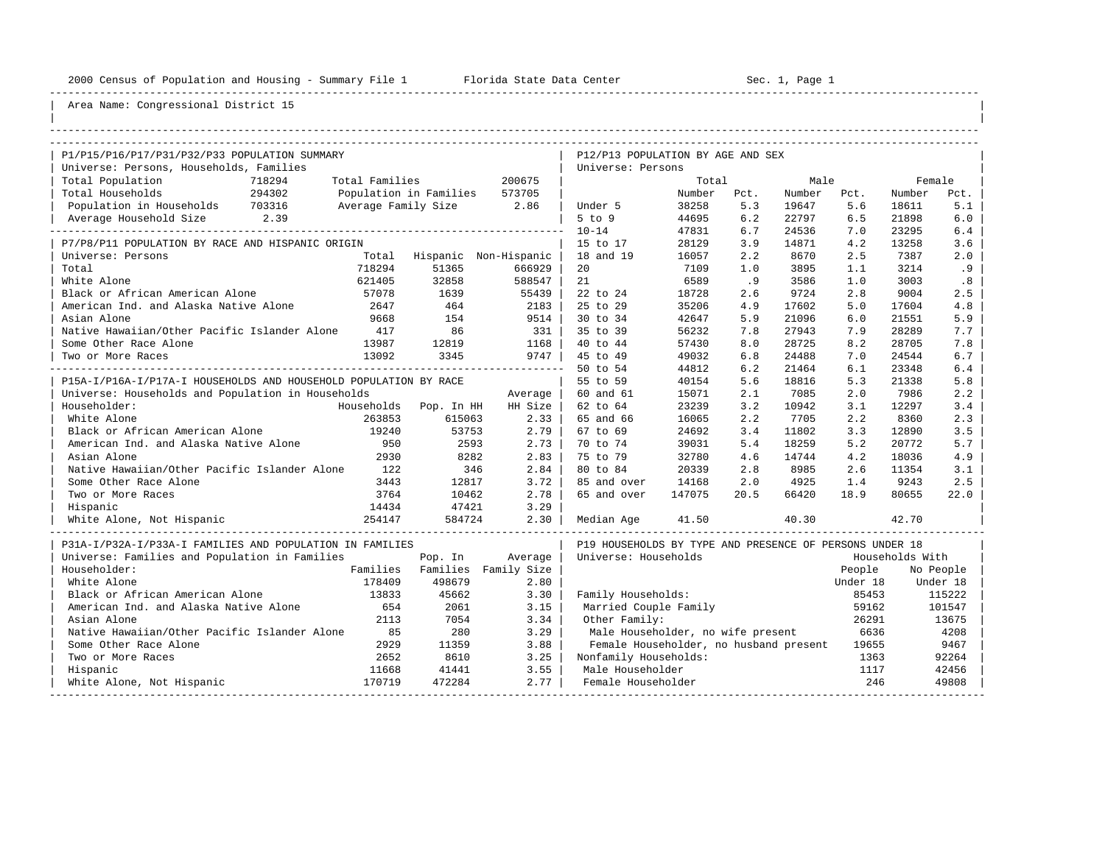----------------------------------------------------------------------------------------------------------------------------------------------------

| |

## Area Name: Congressional District 15

| P1/P15/P16/P17/P31/P32/P33 POPULATION SUMMARY                    |                |                               |         | P12/P13 POPULATION BY AGE AND SEX                       |        |      |        |          |                 |           |
|------------------------------------------------------------------|----------------|-------------------------------|---------|---------------------------------------------------------|--------|------|--------|----------|-----------------|-----------|
| Universe: Persons, Households, Families                          |                |                               |         | Universe: Persons                                       |        |      |        |          |                 |           |
| Total Population<br>718294                                       | Total Families |                               | 200675  |                                                         | Total  |      | Male   |          | Female          |           |
| Total Households<br>294302                                       |                | Population in Families 573705 |         |                                                         | Number | Pct. | Number | Pct.     | Number          | Pct.      |
| Population in Households 703316                                  |                | Average Family Size 2.86      |         | Under 5                                                 | 38258  | 5.3  | 19647  | 5.6      | 18611           | 5.1       |
| Average Household Size 2.39                                      |                |                               |         | $5$ to $9$                                              | 44695  | 6.2  | 22797  | 6.5      | 21898           | 6.0       |
|                                                                  |                |                               |         | $10 - 14$                                               | 47831  | 6.7  | 24536  | 7.0      | 23295           | 6.4       |
| P7/P8/P11 POPULATION BY RACE AND HISPANIC ORIGIN                 |                |                               |         | 15 to 17                                                | 28129  | 3.9  | 14871  | 4.2      | 13258           | 3.6       |
| Universe: Persons                                                |                | Total Hispanic Non-Hispanic   |         | 18 and 19                                               | 16057  | 2.2  | 8670   | 2.5      | 7387            | 2.0       |
| Total                                                            | 718294         | 51365                         | 666929  | 20                                                      | 7109   | 1.0  | 3895   | 1.1      | 3214            | .9        |
| White Alone                                                      | 621405         | 32858                         | 588547  | 21                                                      | 6589   | .9   | 3586   | 1.0      | 3003            | .8        |
| Black or African American Alone                                  | 57078          | 1639                          | 55439   | 22 to 24                                                | 18728  | 2.6  | 9724   | 2.8      | 9004            | 2.5       |
| American Ind. and Alaska Native Alone                            | 2647           | 464                           | 2183    | 25 to 29                                                | 35206  | 4.9  | 17602  | 5.0      | 17604           | 4.8       |
| Asian Alone                                                      | 9668           | 154                           | 9514    | 30 to 34                                                | 42647  | 5.9  | 21096  | 6.0      | 21551           | 5.9       |
| Native Hawaiian/Other Pacific Islander Alone                     | 417            | 86                            | 331     | 35 to 39                                                | 56232  | 7.8  | 27943  | 7.9      | 28289           | 7.7       |
| Some Other Race Alone                                            | 13987          | 12819                         | 1168    | 40 to 44                                                | 57430  | 8.0  | 28725  | 8.2      | 28705           | 7.8       |
| Two or More Races                                                | 13092          | 3345                          | 9747    | 45 to 49                                                | 49032  | 6.8  | 24488  | 7.0      | 24544           | 6.7       |
|                                                                  |                |                               |         | 50 to 54                                                | 44812  | 6.2  | 21464  | 6.1      | 23348           | 6.4       |
| P15A-I/P16A-I/P17A-I HOUSEHOLDS AND HOUSEHOLD POPULATION BY RACE |                |                               |         | 55 to 59                                                | 40154  | 5.6  | 18816  | 5.3      | 21338           | 5.8       |
| Universe: Households and Population in Households                |                |                               | Average | 60 and 61                                               | 15071  | 2.1  | 7085   | 2.0      | 7986            | 2.2       |
| Householder:                                                     |                | Households Pop. In HH         | HH Size | 62 to 64                                                | 23239  | 3.2  | 10942  | 3.1      | 12297           | 3.4       |
| White Alone                                                      | 263853         | 615063                        | 2.33    | 65 and 66                                               | 16065  | 2.2  | 7705   | 2.2      | 8360            | 2.3       |
| Black or African American Alone                                  | 19240          | 53753                         | 2.79    | 67 to 69                                                | 24692  | 3.4  | 11802  | 3.3      | 12890           | 3.5       |
| American Ind. and Alaska Native Alone                            | 950            | 2593                          | 2.73    | 70 to 74                                                | 39031  | 5.4  | 18259  | 5.2      | 20772           | 5.7       |
| Asian Alone                                                      | 2930           | 8282                          | 2.83    | 75 to 79                                                | 32780  | 4.6  | 14744  | 4.2      | 18036           | 4.9       |
| Native Hawaiian/Other Pacific Islander Alone                     | 122            | 346                           | 2.84    | 80 to 84                                                | 20339  | 2.8  | 8985   | 2.6      | 11354           | 3.1       |
| Some Other Race Alone                                            | 3443           | 12817                         | 3.72    | 85 and over                                             | 14168  | 2.0  | 4925   | 1.4      | 9243            | 2.5       |
| Two or More Races                                                | 3764           | 10462                         | 2.78    | 65 and over                                             | 147075 | 20.5 | 66420  | 18.9     | 80655           | 22.0      |
| Hispanic                                                         | 14434          | 47421                         | 3.29    |                                                         |        |      |        |          |                 |           |
| 254147<br>White Alone, Not Hispanic                              |                | 584724                        | 2.30    | Median Age                                              | 41.50  |      | 40.30  |          | 42.70           |           |
| P31A-I/P32A-I/P33A-I FAMILIES AND POPULATION IN FAMILIES         |                |                               |         | P19 HOUSEHOLDS BY TYPE AND PRESENCE OF PERSONS UNDER 18 |        |      |        |          |                 |           |
| Universe: Families and Population in Families                    |                | Pop. In                       | Average | Universe: Households                                    |        |      |        |          | Households With |           |
| Householder:                                                     |                | Families Families Family Size |         |                                                         |        |      |        | People   |                 | No People |
| White Alone                                                      | 178409         | 498679                        | 2.80    |                                                         |        |      |        | Under 18 |                 | Under 18  |
| Black or African American Alone                                  | 13833          | 45662                         | 3.30    | Family Households:                                      |        |      |        | 85453    |                 | 115222    |
| American Ind. and Alaska Native Alone                            | 654            | 2061                          | 3.15    | Married Couple Family                                   |        |      |        | 59162    |                 | 101547    |
| Asian Alone                                                      | 2113           | 7054                          | 3.34    | Other Family:                                           |        |      |        | 26291    |                 | 13675     |
| Native Hawaiian/Other Pacific Islander Alone                     | 85             | 280                           | 3.29    | Male Householder, no wife present                       |        |      |        | 6636     |                 | 4208      |
| Some Other Race Alone                                            | 2929           | 11359                         | 3.88    | Female Householder, no husband present                  |        |      |        | 19655    |                 | 9467      |
| Two or More Races                                                | 2652           | 8610                          | 3.25    | Nonfamily Households:                                   |        |      |        | 1363     |                 | 92264     |
| Hispanic                                                         | 11668          | 41441                         | 3.55    | Male Householder                                        |        |      |        | 1117     |                 | 42456     |
| White Alone, Not Hispanic                                        | 170719         | 472284                        | 2.77    | Female Householder                                      |        |      |        | 246      |                 | 49808     |

-----------------------------------------------------------------------------------------------------------------------------------------------------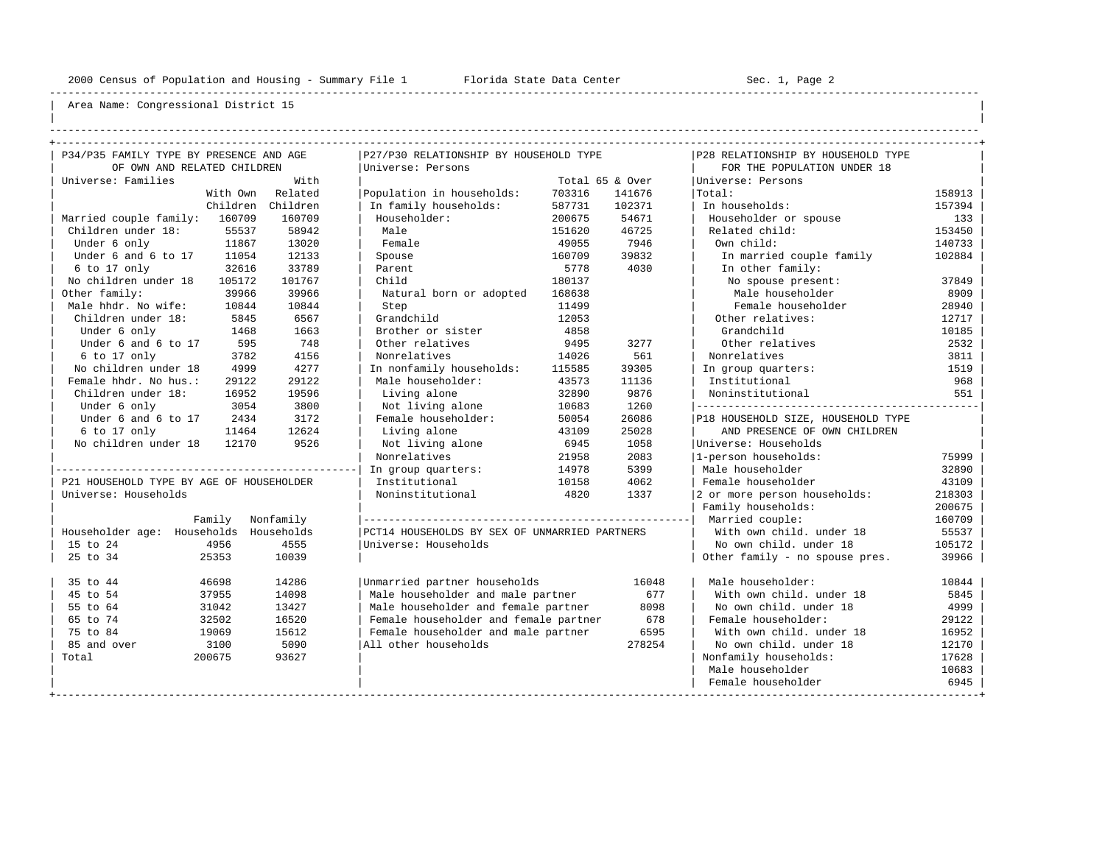----------------------------------------------------------------------------------------------------------------------------------------------------

| | ----------------------------------------------------------------------------------------------------------------------------------------------------

| P34/P35 FAMILY TYPE BY PRESENCE AND AGE  |            | P27/P30 RELATIONSHIP BY HOUSEHOLD TYPE        |        |                 | P28 RELATIONSHIP BY HOUSEHOLD TYPE |        |
|------------------------------------------|------------|-----------------------------------------------|--------|-----------------|------------------------------------|--------|
| OF OWN AND RELATED CHILDREN              |            | Universe: Persons                             |        |                 | FOR THE POPULATION UNDER 18        |        |
| Universe: Families                       | With       |                                               |        | Total 65 & Over | Universe: Persons                  |        |
| With Own                                 | Related    | Population in households:                     | 703316 | 141676          | Total:                             | 158913 |
| Children                                 | Children   | In family households:                         | 587731 | 102371          | In households:                     | 157394 |
| Married couple family: 160709            | 160709     | Householder:                                  | 200675 | 54671           | Householder or spouse              | 133    |
| Children under 18:<br>55537              | 58942      | Male                                          | 151620 | 46725           | Related child:                     | 153450 |
| 11867<br>Under 6 only                    | 13020      | Female                                        | 49055  | 7946            | Own child:                         | 140733 |
| Under 6 and 6 to 17<br>11054             | 12133      | Spouse                                        | 160709 | 39832           | In married couple family           | 102884 |
| $6$ to 17 only<br>32616                  | 33789      | Parent                                        | 5778   | 4030            | In other family:                   |        |
| No children under 18<br>105172           | 101767     | Child                                         | 180137 |                 | No spouse present:                 | 37849  |
| Other family:<br>39966                   | 39966      | Natural born or adopted                       | 168638 |                 | Male householder                   | 8909   |
| Male hhdr. No wife:<br>10844             | 10844      | Step                                          | 11499  |                 | Female householder                 | 28940  |
| Children under 18:<br>5845               | 6567       | Grandchild                                    | 12053  |                 | Other relatives:                   | 12717  |
| Under 6 only<br>1468                     | 1663       | Brother or sister                             | 4858   |                 | Grandchild                         | 10185  |
| Under 6 and 6 to 17<br>595               | 748        | Other relatives                               | 9495   | 3277            | Other relatives                    | 2532   |
| 6 to 17 only<br>3782                     | 4156       | Nonrelatives                                  | 14026  | 561             | Nonrelatives                       | 3811   |
| No children under 18<br>4999             | 4277       | In nonfamily households:                      | 115585 | 39305           | In group quarters:                 | 1519   |
| Female hhdr. No hus.:<br>29122           | 29122      | Male householder:                             | 43573  | 11136           | Institutional                      | 968    |
| Children under 18:<br>16952              | 19596      | Living alone                                  | 32890  | 9876            | Noninstitutional                   | 551    |
| Under 6 only<br>3054                     | 3800       | Not living alone                              | 10683  | 1260            | -----------------------------      |        |
| Under 6 and 6 to 17<br>2434              | 3172       | Female householder:                           | 50054  | 26086           | P18 HOUSEHOLD SIZE, HOUSEHOLD TYPE |        |
| 6 to 17 only<br>11464                    | 12624      | Living alone                                  | 43109  | 25028           | AND PRESENCE OF OWN CHILDREN       |        |
| No children under 18 12170               | 9526       | Not living alone                              | 6945   | 1058            | Universe: Households               |        |
|                                          |            | Nonrelatives                                  | 21958  | 2083            | 1-person households:               | 75999  |
|                                          |            | In group quarters:                            | 14978  | 5399            | Male householder                   | 32890  |
| P21 HOUSEHOLD TYPE BY AGE OF HOUSEHOLDER |            | Institutional                                 | 10158  | 4062            | Female householder                 | 43109  |
| Universe: Households                     |            | Noninstitutional                              | 4820   | 1337            | 2 or more person households:       | 218303 |
|                                          |            |                                               |        |                 | Family households:                 | 200675 |
| Family                                   | Nonfamily  |                                               |        |                 | Married couple:                    | 160709 |
| Householder age: Households              | Households | PCT14 HOUSEHOLDS BY SEX OF UNMARRIED PARTNERS |        |                 | With own child, under 18           | 55537  |
| 4956<br>15 to 24                         | 4555       | Universe: Households                          |        |                 | No own child. under 18             | 105172 |
| 25 to 34<br>25353                        | 10039      |                                               |        |                 | Other family - no spouse pres.     | 39966  |
| 35 to 44<br>46698                        | 14286      | Unmarried partner households                  |        | 16048           | Male householder:                  | 10844  |
| 45 to 54<br>37955                        | 14098      | Male householder and male partner             |        | 677             | With own child, under 18           | 5845   |
| 55 to 64<br>31042                        | 13427      | Male householder and female partner           |        | 8098            | No own child, under 18             | 4999   |
| 65 to 74<br>32502                        | 16520      | Female householder and female partner         |        | 678             | Female householder:                | 29122  |
| 75 to 84<br>19069                        | 15612      | Female householder and male partner           |        | 6595            | With own child, under 18           | 16952  |
| 85 and over<br>3100                      | 5090       | All other households                          |        | 278254          | No own child. under 18             | 12170  |
| 200675<br>Total                          | 93627      |                                               |        |                 | Nonfamily households:              | 17628  |
|                                          |            |                                               |        |                 | Male householder                   | 10683  |
|                                          |            |                                               |        |                 | Female householder                 | 6945   |
|                                          |            |                                               |        |                 |                                    |        |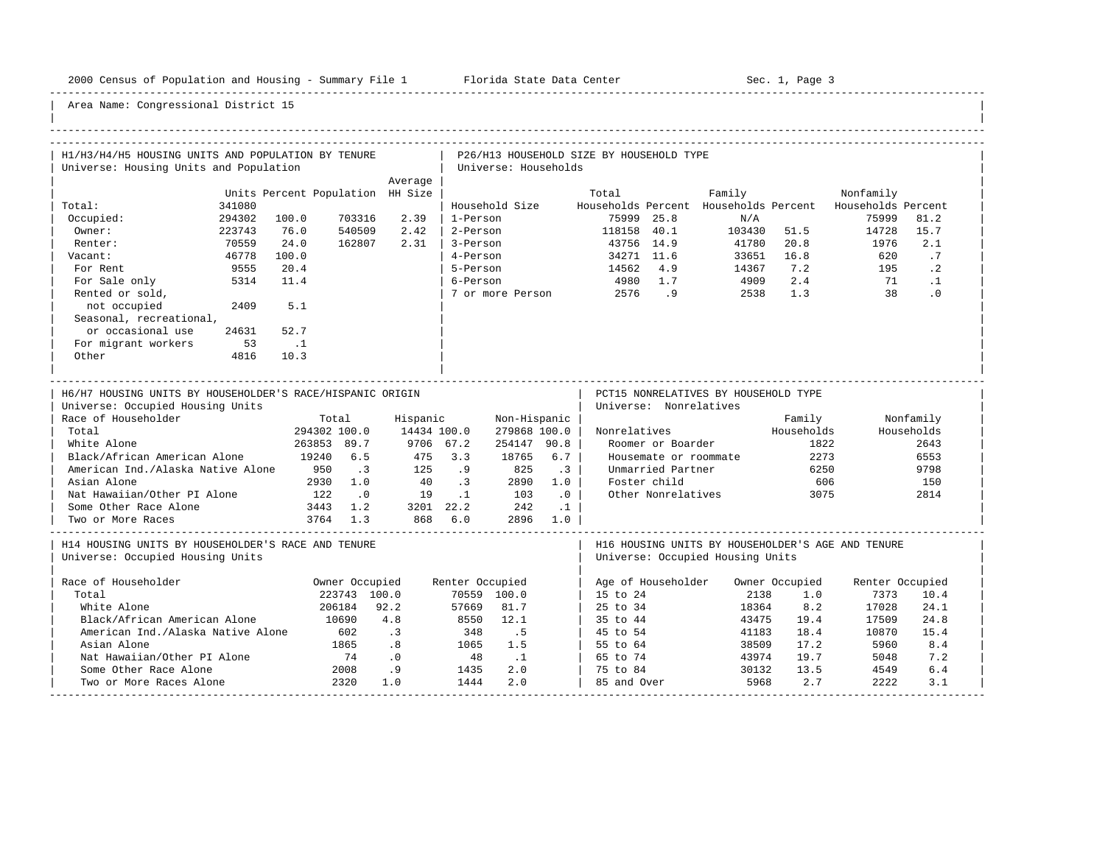-----------------------------------------------------------------------------------------------------------------------------------------------------

| H1/H3/H4/H5 HOUSING UNITS AND POPULATION BY TENURE<br>Universe: Housing Units and Population                                                                                                                                                                                                                  |        |                                                                |                                                                       |                                                   |                                                              | Universe: Households                                                                        |                                                                   | P26/H13 HOUSEHOLD SIZE BY HOUSEHOLD TYPE |                                                                                                                                 |                                                                                       |                                                             |                    |                                                                |  |
|---------------------------------------------------------------------------------------------------------------------------------------------------------------------------------------------------------------------------------------------------------------------------------------------------------------|--------|----------------------------------------------------------------|-----------------------------------------------------------------------|---------------------------------------------------|--------------------------------------------------------------|---------------------------------------------------------------------------------------------|-------------------------------------------------------------------|------------------------------------------|---------------------------------------------------------------------------------------------------------------------------------|---------------------------------------------------------------------------------------|-------------------------------------------------------------|--------------------|----------------------------------------------------------------|--|
|                                                                                                                                                                                                                                                                                                               |        |                                                                |                                                                       | Average                                           |                                                              |                                                                                             |                                                                   |                                          |                                                                                                                                 |                                                                                       |                                                             |                    |                                                                |  |
|                                                                                                                                                                                                                                                                                                               |        | Units Percent Population HH Size                               |                                                                       |                                                   |                                                              |                                                                                             |                                                                   | Total                                    |                                                                                                                                 | Family                                                                                |                                                             | Nonfamily          |                                                                |  |
| Total:                                                                                                                                                                                                                                                                                                        | 341080 |                                                                |                                                                       |                                                   |                                                              | Household Size                                                                              |                                                                   |                                          |                                                                                                                                 | Households Percent Households Percent                                                 |                                                             | Households Percent |                                                                |  |
| Occupied:                                                                                                                                                                                                                                                                                                     | 294302 | 100.0                                                          | 703316                                                                | 2.39                                              | 1-Person                                                     |                                                                                             |                                                                   |                                          | 75999 25.8                                                                                                                      | N/A                                                                                   |                                                             | 75999              | 81.2                                                           |  |
| Owner:                                                                                                                                                                                                                                                                                                        | 223743 | 76.0                                                           | 540509                                                                | 2.42                                              | 2-Person                                                     |                                                                                             |                                                                   | 118158 40.1                              |                                                                                                                                 | 103430 51.5                                                                           |                                                             | 14728              | 15.7                                                           |  |
| Renter:                                                                                                                                                                                                                                                                                                       | 70559  | 24.0                                                           | 162807                                                                | 2.31                                              | 3-Person                                                     |                                                                                             |                                                                   |                                          | 43756 14.9                                                                                                                      | 41780                                                                                 | 20.8                                                        | 1976               | 2.1                                                            |  |
| Vacant:                                                                                                                                                                                                                                                                                                       | 46778  | 100.0                                                          |                                                                       |                                                   | 4-Person                                                     |                                                                                             |                                                                   |                                          | 34271 11.6                                                                                                                      | 33651                                                                                 | 16.8                                                        | 620                | .7                                                             |  |
| For Rent                                                                                                                                                                                                                                                                                                      | 9555   | 20.4                                                           |                                                                       |                                                   | 5-Person                                                     |                                                                                             |                                                                   | 14562 4.9                                |                                                                                                                                 | 14367                                                                                 | 7.2                                                         | 195                | $\cdot$ 2                                                      |  |
| For Sale only                                                                                                                                                                                                                                                                                                 | 5314   | 11.4                                                           |                                                                       |                                                   | 6-Person                                                     |                                                                                             |                                                                   |                                          | 4980 1.7                                                                                                                        | 4909                                                                                  | 2.4                                                         | 71                 | $\cdot$ 1                                                      |  |
| Rented or sold,                                                                                                                                                                                                                                                                                               |        |                                                                |                                                                       |                                                   |                                                              | 7 or more Person                                                                            |                                                                   |                                          | 2576 .9                                                                                                                         | 2538                                                                                  | 1.3                                                         | 38                 | .0                                                             |  |
| not occupied                                                                                                                                                                                                                                                                                                  | 2409   | 5.1                                                            |                                                                       |                                                   |                                                              |                                                                                             |                                                                   |                                          |                                                                                                                                 |                                                                                       |                                                             |                    |                                                                |  |
| Seasonal, recreational,                                                                                                                                                                                                                                                                                       |        |                                                                |                                                                       |                                                   |                                                              |                                                                                             |                                                                   |                                          |                                                                                                                                 |                                                                                       |                                                             |                    |                                                                |  |
| or occasional use                                                                                                                                                                                                                                                                                             | 24631  | 52.7                                                           |                                                                       |                                                   |                                                              |                                                                                             |                                                                   |                                          |                                                                                                                                 |                                                                                       |                                                             |                    |                                                                |  |
| For migrant workers                                                                                                                                                                                                                                                                                           | 53     | $\ldots$                                                       |                                                                       |                                                   |                                                              |                                                                                             |                                                                   |                                          |                                                                                                                                 |                                                                                       |                                                             |                    |                                                                |  |
| Other                                                                                                                                                                                                                                                                                                         | 4816   | 10.3                                                           |                                                                       |                                                   |                                                              |                                                                                             |                                                                   |                                          |                                                                                                                                 |                                                                                       |                                                             |                    |                                                                |  |
|                                                                                                                                                                                                                                                                                                               |        |                                                                |                                                                       |                                                   |                                                              |                                                                                             |                                                                   |                                          |                                                                                                                                 |                                                                                       |                                                             |                    |                                                                |  |
| H6/H7 HOUSING UNITS BY HOUSEHOLDER'S RACE/HISPANIC ORIGIN<br>Universe: Occupied Housing Units<br>Race of Householder<br>Total<br>White Alone<br>Black/African American Alone<br>American Ind./Alaska Native Alone<br>Asian Alone<br>Nat Hawaiian/Other PI Alone<br>Some Other Race Alone<br>Two or More Races |        | 294302 100.0<br>263853 89.7<br>19240 6.5<br>950<br>2930<br>122 | Total<br>$\cdot$ 3<br>1.0<br>$\overline{0}$ .<br>3443 1.2<br>3764 1.3 | Hispanic<br>14434 100.0<br>475<br>125<br>40<br>19 | 9706 67.2<br>3.3<br>.9<br>$\cdot$ 3<br>$\ldots$ 1<br>868 6.0 | Non-Hispanic<br>279868 100.0<br>254147 90.8<br>18765<br>825<br>2890<br>103<br>3201 22.2 242 | 6.7<br>$\cdot$ 3<br>1.0<br>$\overline{0}$<br>$\ldots$<br>2896 1.0 | Nonrelatives                             | Universe: Nonrelatives<br>Roomer or Boarder<br>Housemate or roommate<br>Unmarried Partner<br>Foster child<br>Other Nonrelatives | PCT15 NONRELATIVES BY HOUSEHOLD TYPE                                                  | Family<br>Households<br>1822<br>2273<br>6250<br>606<br>3075 |                    | Nonfamily<br>Households<br>2643<br>6553<br>9798<br>150<br>2814 |  |
| H14 HOUSING UNITS BY HOUSEHOLDER'S RACE AND TENURE<br>Universe: Occupied Housing Units                                                                                                                                                                                                                        |        |                                                                |                                                                       |                                                   |                                                              |                                                                                             |                                                                   |                                          |                                                                                                                                 | H16 HOUSING UNITS BY HOUSEHOLDER'S AGE AND TENURE<br>Universe: Occupied Housing Units |                                                             |                    |                                                                |  |
| Race of Householder                                                                                                                                                                                                                                                                                           |        |                                                                | Owner Occupied                                                        |                                                   | Renter Occupied                                              |                                                                                             |                                                                   |                                          | Age of Householder                                                                                                              |                                                                                       | Owner Occupied                                              | Renter Occupied    |                                                                |  |
| Total                                                                                                                                                                                                                                                                                                         |        |                                                                | 223743 100.0                                                          |                                                   |                                                              | 70559 100.0                                                                                 |                                                                   | 15 to 24                                 |                                                                                                                                 | 2138                                                                                  | 1.0                                                         | 7373               | 10.4                                                           |  |
| White Alone                                                                                                                                                                                                                                                                                                   |        |                                                                | 206184                                                                | 92.2                                              | 57669                                                        | 81.7                                                                                        |                                                                   | 25 to 34                                 |                                                                                                                                 | 18364                                                                                 | 8.2                                                         | 17028              | 24.1                                                           |  |
| Black/African American Alone                                                                                                                                                                                                                                                                                  |        | 10690                                                          |                                                                       | 4.8                                               | 8550                                                         | 12.1                                                                                        |                                                                   | 35 to 44                                 |                                                                                                                                 | 43475                                                                                 | 19.4                                                        | 17509              | 24.8                                                           |  |
| American Ind./Alaska Native Alone                                                                                                                                                                                                                                                                             |        |                                                                | 602                                                                   | $\cdot$ 3                                         | 348                                                          | .5                                                                                          |                                                                   | 45 to 54                                 |                                                                                                                                 | 41183                                                                                 | 18.4                                                        | 10870              | 15.4                                                           |  |
| Asian Alone                                                                                                                                                                                                                                                                                                   |        |                                                                | 1865                                                                  | .8                                                | 1065                                                         | 1.5                                                                                         |                                                                   | 55 to 64                                 |                                                                                                                                 | 38509                                                                                 | 17.2                                                        | 5960               | 8.4                                                            |  |
| Nat Hawaiian/Other PI Alone                                                                                                                                                                                                                                                                                   |        |                                                                | 74                                                                    | $\cdot$ 0                                         | 48                                                           | $\ldots$                                                                                    |                                                                   | 65 to 74                                 |                                                                                                                                 | 43974                                                                                 | 19.7                                                        | 5048               | 7.2                                                            |  |
| Some Other Race Alone                                                                                                                                                                                                                                                                                         |        |                                                                | 2008                                                                  | .9                                                | 1435                                                         | 2.0                                                                                         |                                                                   | 75 to 84                                 |                                                                                                                                 | 30132                                                                                 | 13.5                                                        | 4549               | 6.4                                                            |  |
| Two or More Races Alone                                                                                                                                                                                                                                                                                       |        |                                                                | 2320                                                                  | 1.0                                               | 1444                                                         | 2.0                                                                                         |                                                                   | 85 and Over                              |                                                                                                                                 | 5968                                                                                  | 2.7                                                         | 2222               | 3.1                                                            |  |
|                                                                                                                                                                                                                                                                                                               |        |                                                                |                                                                       |                                                   |                                                              |                                                                                             |                                                                   |                                          |                                                                                                                                 |                                                                                       |                                                             |                    |                                                                |  |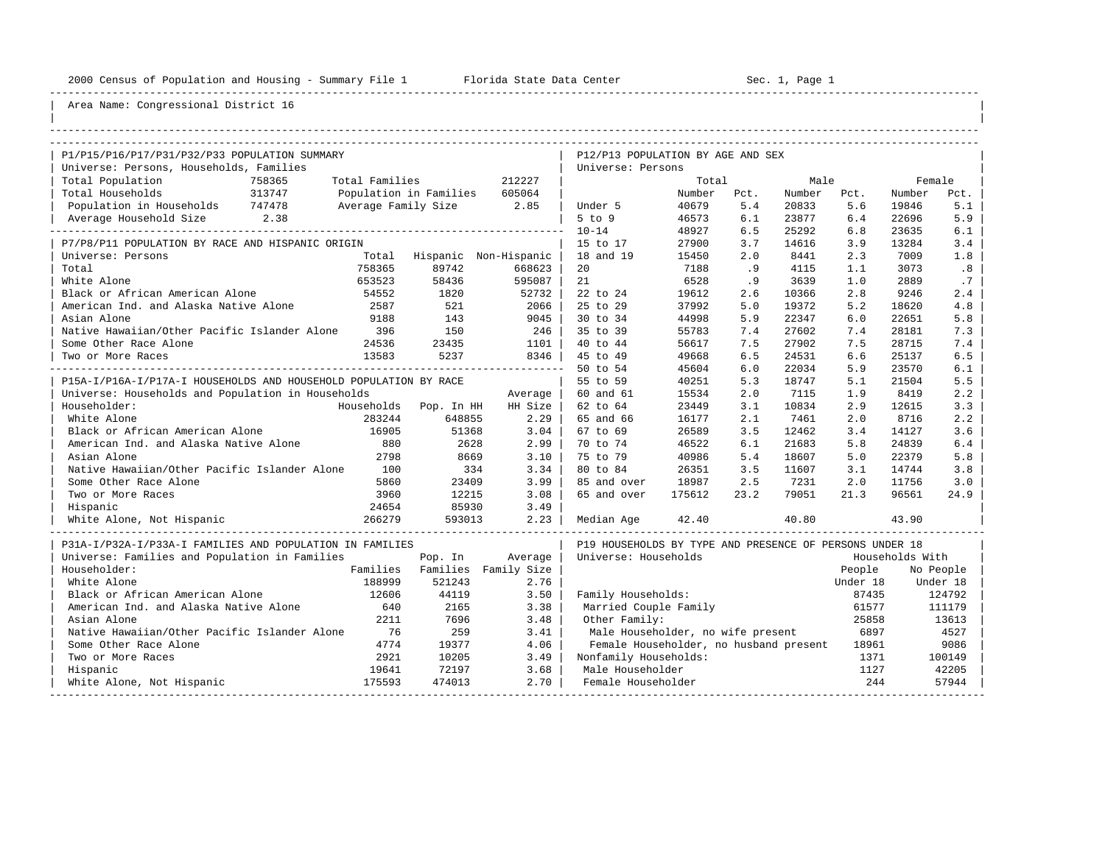----------------------------------------------------------------------------------------------------------------------------------------------------

| |

## Area Name: Congressional District 16

| P1/P15/P16/P17/P31/P32/P33 POPULATION SUMMARY                    |                |                               |         | P12/P13 POPULATION BY AGE AND SEX                       |        |      |        |          |                 |           |
|------------------------------------------------------------------|----------------|-------------------------------|---------|---------------------------------------------------------|--------|------|--------|----------|-----------------|-----------|
| Universe: Persons, Households, Families                          |                |                               |         | Universe: Persons                                       |        |      |        |          |                 |           |
| Total Population<br>758365                                       | Total Families |                               | 212227  |                                                         | Total  |      | Male   |          | Female          |           |
| Total Households<br>313747                                       |                | Population in Families 605064 |         |                                                         | Number | Pct. | Number | Pct.     | Number          | Pct.      |
| Population in Households 747478                                  |                | Average Family Size 2.85      |         | Under 5                                                 | 40679  | 5.4  | 20833  | 5.6      | 19846           | 5.1       |
| Average Household Size 2.38                                      |                |                               |         | $5$ to $9$                                              | 46573  | 6.1  | 23877  | 6.4      | 22696           | 5.9       |
|                                                                  |                |                               |         | $10 - 14$                                               | 48927  | 6.5  | 25292  | 6.8      | 23635           | 6.1       |
| P7/P8/P11 POPULATION BY RACE AND HISPANIC ORIGIN                 |                |                               |         | 15 to 17                                                | 27900  | 3.7  | 14616  | 3.9      | 13284           | 3.4       |
| Universe: Persons                                                |                | Total Hispanic Non-Hispanic   |         | 18 and 19                                               | 15450  | 2.0  | 8441   | 2.3      | 7009            | 1.8       |
| Total                                                            | 758365         | 89742                         | 668623  | 20                                                      | 7188   | .9   | 4115   | 1.1      | 3073            | .8        |
| White Alone                                                      | 653523         | 58436                         | 595087  | 21                                                      | 6528   | .9   | 3639   | 1.0      | 2889            | .7        |
| Black or African American Alone                                  | 54552          | 1820                          | 52732   | 22 to 24                                                | 19612  | 2.6  | 10366  | 2.8      | 9246            | 2.4       |
| American Ind. and Alaska Native Alone                            | 2587           | 521                           | 2066    | 25 to 29                                                | 37992  | 5.0  | 19372  | 5.2      | 18620           | 4.8       |
| Asian Alone                                                      | 9188           | 143                           | 9045    | 30 to 34                                                | 44998  | 5.9  | 22347  | 6.0      | 22651           | 5.8       |
| Native Hawaiian/Other Pacific Islander Alone                     | 396            | 150                           | 246     | 35 to 39                                                | 55783  | 7.4  | 27602  | 7.4      | 28181           | 7.3       |
| Some Other Race Alone                                            | 24536          | 23435                         | 1101    | 40 to 44                                                | 56617  | 7.5  | 27902  | 7.5      | 28715           | 7.4       |
| Two or More Races                                                | 13583          | 5237                          | 8346    | 45 to 49                                                | 49668  | 6.5  | 24531  | 6.6      | 25137           | 6.5       |
|                                                                  |                |                               |         | 50 to 54                                                | 45604  | 6.0  | 22034  | 5.9      | 23570           | 6.1       |
| P15A-I/P16A-I/P17A-I HOUSEHOLDS AND HOUSEHOLD POPULATION BY RACE |                |                               |         | 55 to 59                                                | 40251  | 5.3  | 18747  | 5.1      | 21504           | 5.5       |
| Universe: Households and Population in Households                |                |                               | Average | 60 and 61                                               | 15534  | 2.0  | 7115   | 1.9      | 8419            | 2.2       |
| Householder:                                                     |                | Households Pop. In HH         | HH Size | 62 to 64                                                | 23449  | 3.1  | 10834  | 2.9      | 12615           | 3.3       |
| White Alone                                                      | 283244         | 648855                        | 2.29    | 65 and 66                                               | 16177  | 2.1  | 7461   | 2.0      | 8716            | 2.2       |
| Black or African American Alone                                  | 16905          | 51368                         | 3.04    | 67 to 69                                                | 26589  | 3.5  | 12462  | 3.4      | 14127           | 3.6       |
| American Ind. and Alaska Native Alone                            | 880            | 2628                          | 2.99    | 70 to 74                                                | 46522  | 6.1  | 21683  | 5.8      | 24839           | 6.4       |
| Asian Alone                                                      | 2798           | 8669                          | 3.10    | 75 to 79                                                | 40986  | 5.4  | 18607  | 5.0      | 22379           | 5.8       |
| Native Hawaiian/Other Pacific Islander Alone                     | 100            | 334                           | 3.34    | 80 to 84                                                | 26351  | 3.5  | 11607  | 3.1      | 14744           | 3.8       |
| Some Other Race Alone                                            | 5860           | 23409                         | 3.99    | 85 and over                                             | 18987  | 2.5  | 7231   | 2.0      | 11756           | 3.0       |
| Two or More Races                                                | 3960           | 12215                         | 3.08    | 65 and over                                             | 175612 | 23.2 | 79051  | 21.3     | 96561           | 24.9      |
| Hispanic                                                         | 24654          | 85930                         | 3.49    |                                                         |        |      |        |          |                 |           |
| 266279<br>White Alone, Not Hispanic                              |                | 593013                        | 2.23    | Median Age                                              | 42.40  |      | 40.80  |          | 43.90           |           |
| P31A-I/P32A-I/P33A-I FAMILIES AND POPULATION IN FAMILIES         |                |                               |         | P19 HOUSEHOLDS BY TYPE AND PRESENCE OF PERSONS UNDER 18 |        |      |        |          |                 |           |
| Universe: Families and Population in Families                    |                | Pop. In                       | Average | Universe: Households                                    |        |      |        |          | Households With |           |
| Householder:                                                     |                | Families Families Family Size |         |                                                         |        |      |        | People   |                 | No People |
| White Alone                                                      | 188999         | 521243                        | 2.76    |                                                         |        |      |        | Under 18 |                 | Under 18  |
| Black or African American Alone                                  | 12606          | 44119                         | 3.50    | Family Households:                                      |        |      |        | 87435    |                 | 124792    |
| American Ind. and Alaska Native Alone                            | 640            | 2165                          | 3.38    | Married Couple Family                                   |        |      |        | 61577    |                 | 111179    |
| Asian Alone                                                      | 2211           | 7696                          | 3.48    | Other Family:                                           |        |      |        | 25858    |                 | 13613     |
| Native Hawaiian/Other Pacific Islander Alone                     | 76             | 259                           | 3.41    | Male Householder, no wife present                       |        |      |        | 6897     |                 | 4527      |
| Some Other Race Alone                                            | 4774           | 19377                         | 4.06    | Female Householder, no husband present                  |        |      |        | 18961    |                 | 9086      |
| Two or More Races                                                | 2921           | 10205                         | 3.49    | Nonfamily Households:                                   |        |      |        | 1371     |                 | 100149    |
| Hispanic                                                         | 19641          | 72197                         | 3.68    | Male Householder                                        |        |      |        | 1127     |                 | 42205     |
| White Alone, Not Hispanic                                        | 175593         | 474013                        | 2.70    | Female Householder                                      |        |      |        | 244      |                 | 57944     |

-----------------------------------------------------------------------------------------------------------------------------------------------------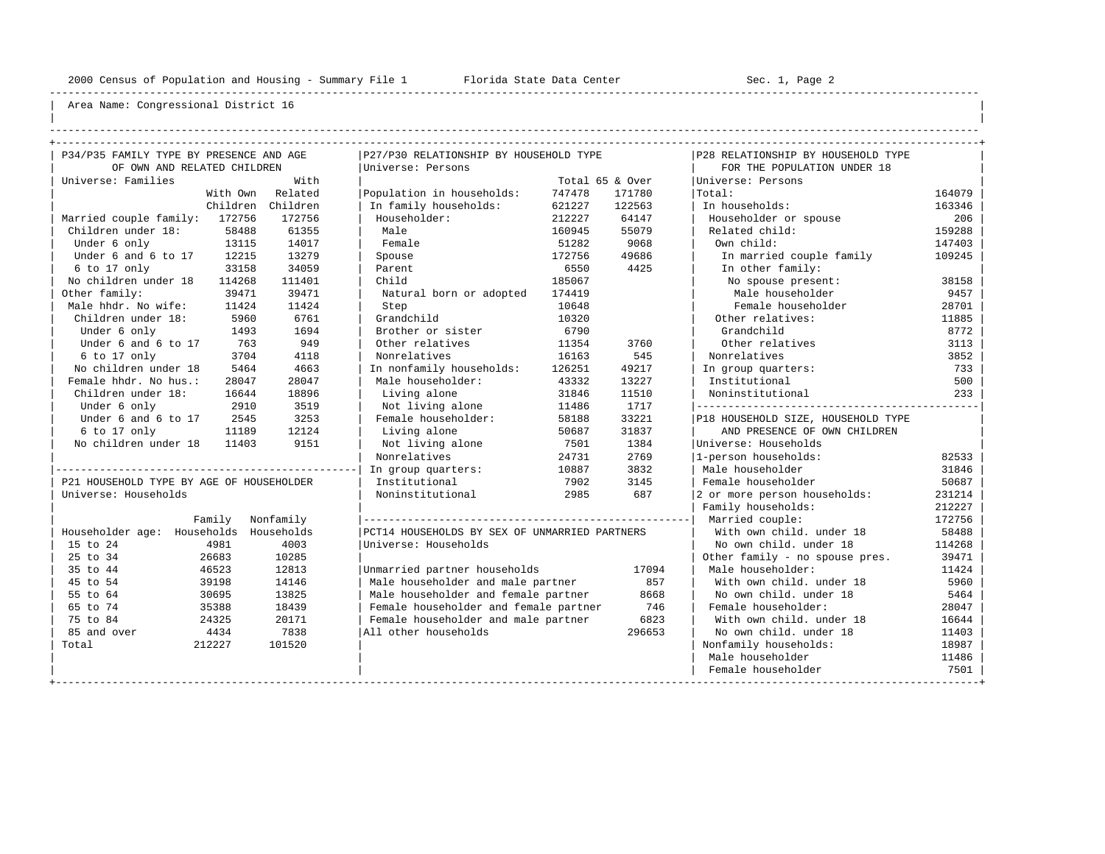----------------------------------------------------------------------------------------------------------------------------------------------------

| | ----------------------------------------------------------------------------------------------------------------------------------------------------

| P34/P35 FAMILY TYPE BY PRESENCE AND AGE  |                  | P27/P30 RELATIONSHIP BY HOUSEHOLD TYPE        |        |                 | P28 RELATIONSHIP BY HOUSEHOLD TYPE |        |
|------------------------------------------|------------------|-----------------------------------------------|--------|-----------------|------------------------------------|--------|
| OF OWN AND RELATED CHILDREN              |                  | Universe: Persons                             |        |                 | FOR THE POPULATION UNDER 18        |        |
| Universe: Families                       | With             |                                               |        | Total 65 & Over | Universe: Persons                  |        |
|                                          | With Own Related | Population in households:                     | 747478 | 171780          | Total:                             | 164079 |
| Children                                 | Children         | In family households:                         | 621227 | 122563          | In households:                     | 163346 |
| Married couple family: 172756            | 172756           | Householder:                                  | 212227 | 64147           | Householder or spouse              | 206    |
| Children under 18:<br>58488              | 61355            | Male                                          | 160945 | 55079           | Related child:                     | 159288 |
| Under 6 only<br>13115                    | 14017            | Female                                        | 51282  | 9068            | Own child:                         | 147403 |
| 12215<br>Under 6 and 6 to 17             | 13279            | Spouse                                        | 172756 | 49686           | In married couple family           | 109245 |
| $6$ to $17$ only<br>33158                | 34059            | Parent                                        | 6550   | 4425            | In other family:                   |        |
| No children under 18<br>114268           | 111401           | Child                                         | 185067 |                 | No spouse present:                 | 38158  |
| Other family:<br>39471                   | 39471            | Natural born or adopted                       | 174419 |                 | Male householder                   | 9457   |
| Male hhdr. No wife:<br>11424             | 11424            | Step                                          | 10648  |                 | Female householder                 | 28701  |
| Children under 18:<br>5960               | 6761             | Grandchild                                    | 10320  |                 | Other relatives:                   | 11885  |
| Under 6 only<br>1493                     | 1694             | Brother or sister                             | 6790   |                 | Grandchild                         | 8772   |
| Under 6 and 6 to 17<br>763               | 949              | Other relatives                               | 11354  | 3760            | Other relatives                    | 3113   |
| 6 to 17 only<br>3704                     | 4118             | Nonrelatives                                  | 16163  | 545             | Nonrelatives                       | 3852   |
| No children under 18<br>5464             | 4663             | In nonfamily households:                      | 126251 | 49217           | In group quarters:                 | 733    |
| Female hhdr. No hus.:<br>28047           | 28047            | Male householder:                             | 43332  | 13227           | Institutional                      | 500    |
| Children under 18:<br>16644              | 18896            | Living alone                                  | 31846  | 11510           | Noninstitutional                   | 233    |
| 2910<br>Under 6 only                     | 3519             | Not living alone                              | 11486  | 1717            |                                    |        |
| Under 6 and 6 to 17<br>2545              | 3253             | Female householder:                           | 58188  | 33221           | P18 HOUSEHOLD SIZE, HOUSEHOLD TYPE |        |
| 6 to 17 only<br>11189                    | 12124            | Living alone                                  | 50687  | 31837           | AND PRESENCE OF OWN CHILDREN       |        |
| No children under 18<br>11403            | 9151             | Not living alone                              | 7501   | 1384            | Universe: Households               |        |
|                                          |                  | Nonrelatives                                  | 24731  | 2769            | 1-person households:               | 82533  |
|                                          |                  | In group quarters:                            | 10887  | 3832            | Male householder                   | 31846  |
| P21 HOUSEHOLD TYPE BY AGE OF HOUSEHOLDER |                  | Institutional                                 | 7902   | 3145            | Female householder                 | 50687  |
| Universe: Households                     |                  | Noninstitutional                              | 2985   | 687             | 2 or more person households:       | 231214 |
|                                          |                  |                                               |        |                 | Family households:                 | 212227 |
| Family                                   | Nonfamily        |                                               |        |                 | Married couple:                    | 172756 |
| Householder age: Households              | Households       | PCT14 HOUSEHOLDS BY SEX OF UNMARRIED PARTNERS |        |                 | With own child, under 18           | 58488  |
| 4981<br>15 to 24                         | 4003             | Universe: Households                          |        |                 | No own child, under 18             | 114268 |
| 25 to 34<br>26683                        | 10285            |                                               |        |                 | Other family - no spouse pres.     | 39471  |
| 35 to 44<br>46523                        | 12813            | Unmarried partner households                  |        | 17094           | Male householder:                  | 11424  |
| 45 to 54<br>39198                        | 14146            | Male householder and male partner             |        | 857             | With own child, under 18           | 5960   |
| 55 to 64<br>30695                        | 13825            | Male householder and female partner           |        | 8668            | No own child. under 18             | 5464   |
| 65 to 74<br>35388                        | 18439            | Female householder and female partner         |        | 746             | Female householder:                | 28047  |
| 75 to 84<br>24325                        | 20171            | Female householder and male partner           |        | 6823            | With own child, under 18           | 16644  |
| 85 and over<br>4434                      | 7838             | All other households                          |        | 296653          | No own child, under 18             | 11403  |
| 212227<br>Total                          | 101520           |                                               |        |                 | Nonfamily households:              | 18987  |
|                                          |                  |                                               |        |                 | Male householder                   | 11486  |
|                                          |                  |                                               |        |                 | Female householder                 | 7501   |
|                                          |                  |                                               |        |                 |                                    |        |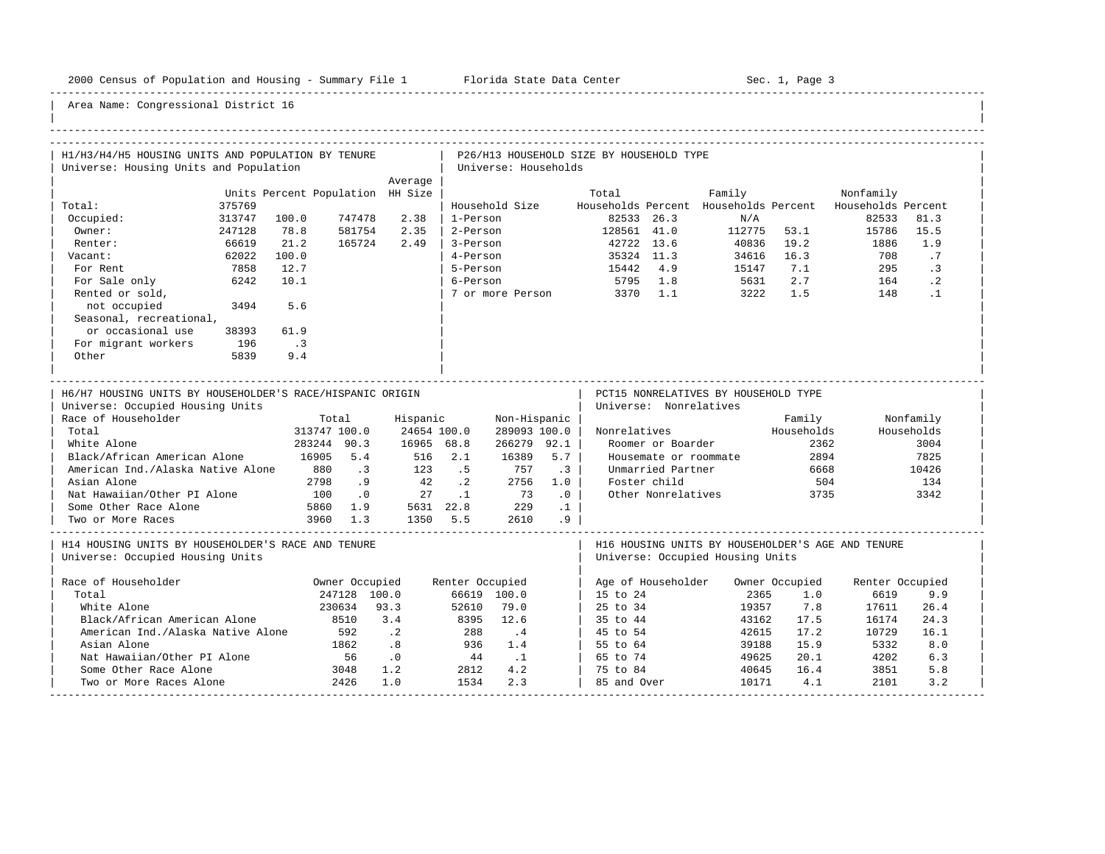-----------------------------------------------------------------------------------------------------------------------------------------------------

| H1/H3/H4/H5 HOUSING UNITS AND POPULATION BY TENURE                                                                                                                                                 |                                                                                                                  |                                                                 |                                                                      |                                                                           |                               | P26/H13 HOUSEHOLD SIZE BY HOUSEHOLD TYPE                                           |                                                                                                                                 |                                                                                                             |                                                              |                                                                                       |                                                                  |
|----------------------------------------------------------------------------------------------------------------------------------------------------------------------------------------------------|------------------------------------------------------------------------------------------------------------------|-----------------------------------------------------------------|----------------------------------------------------------------------|---------------------------------------------------------------------------|-------------------------------|------------------------------------------------------------------------------------|---------------------------------------------------------------------------------------------------------------------------------|-------------------------------------------------------------------------------------------------------------|--------------------------------------------------------------|---------------------------------------------------------------------------------------|------------------------------------------------------------------|
| Universe: Housing Units and Population                                                                                                                                                             |                                                                                                                  |                                                                 |                                                                      | Universe: Households                                                      |                               |                                                                                    |                                                                                                                                 |                                                                                                             |                                                              |                                                                                       |                                                                  |
| Total:<br>375769<br>Occupied:<br>313747<br>Owner:<br>247128<br>66619<br>Renter:<br>62022<br>Vacant:<br>7858<br>For Rent<br>For Sale only<br>6242<br>Rented or sold,                                | Units Percent Population HH Size<br>747478<br>100.0<br>78.8<br>581754<br>21.2<br>165724<br>100.0<br>12.7<br>10.1 | Average<br>2.38<br>2.35<br>2.49                                 | 1-Person<br>2-Person<br>3-Person<br>4-Person<br>5-Person<br>6-Person | Household Size<br>7 or more Person                                        |                               | Total<br>82533<br>128561 41.0<br>42722 13.6<br>35324 11.3<br>15442<br>5795<br>3370 | 26.3<br>4.9<br>1.8<br>1.1                                                                                                       | Family<br>Households Percent Households Percent<br>N/A<br>112775<br>40836<br>34616<br>15147<br>5631<br>3222 | 53.1<br>19.2<br>16.3<br>7.1<br>2.7<br>1.5                    | Nonfamily<br>Households Percent<br>82533<br>15786<br>1886<br>708<br>295<br>164<br>148 | 81.3<br>15.5<br>1.9<br>.7<br>$\cdot$ 3<br>$\cdot$ 2<br>$\cdot$ 1 |
| not occupied<br>3494<br>Seasonal, recreational,<br>or occasional use<br>38393<br>For migrant workers<br>196<br>Other<br>5839                                                                       | 5.6<br>61.9<br>$\cdot$ 3<br>9.4                                                                                  |                                                                 |                                                                      |                                                                           |                               |                                                                                    |                                                                                                                                 |                                                                                                             |                                                              |                                                                                       |                                                                  |
| H6/H7 HOUSING UNITS BY HOUSEHOLDER'S RACE/HISPANIC ORIGIN                                                                                                                                          |                                                                                                                  |                                                                 |                                                                      |                                                                           |                               |                                                                                    |                                                                                                                                 | PCT15 NONRELATIVES BY HOUSEHOLD TYPE                                                                        |                                                              |                                                                                       |                                                                  |
| Universe: Occupied Housing Units<br>Race of Householder<br>Total<br>White Alone<br>Black/African American Alone<br>American Ind./Alaska Native Alone<br>Asian Alone<br>Nat Hawaiian/Other PI Alone | Total<br>313747 100.0<br>283244 90.3<br>16905<br>5.4<br>880<br>$\cdot$ 3<br>.9<br>2798<br>100<br>$\cdot$ 0       | Hispanic<br>24654 100.0<br>16965 68.8<br>516<br>123<br>42<br>27 | 2.1<br>.5<br>$\cdot$ . 2<br>$\cdot$ 1                                | Non-Hispanic<br>289093 100.0<br>266279 92.1<br>16389<br>757<br>2756<br>73 | 5.7<br>$\cdot$ 3<br>1.0<br>.0 | Nonrelatives                                                                       | Universe: Nonrelatives<br>Roomer or Boarder<br>Housemate or roommate<br>Unmarried Partner<br>Foster child<br>Other Nonrelatives |                                                                                                             | Family<br>Households<br>2362<br>2894<br>6668<br>504<br>3735  |                                                                                       | Nonfamily<br>Households<br>3004<br>7825<br>10426<br>134<br>3342  |
| Some Other Race Alone                                                                                                                                                                              | 5860<br>1.9                                                                                                      | 5631 22.8                                                       |                                                                      | 229                                                                       | $\cdot$ 1                     |                                                                                    |                                                                                                                                 |                                                                                                             |                                                              |                                                                                       |                                                                  |
| Two or More Races<br>H14 HOUSING UNITS BY HOUSEHOLDER'S RACE AND TENURE<br>Universe: Occupied Housing Units                                                                                        | 3960<br>1.3                                                                                                      | 1350                                                            | 5.5                                                                  | 2610                                                                      | . 9                           |                                                                                    |                                                                                                                                 | H16 HOUSING UNITS BY HOUSEHOLDER'S AGE AND TENURE<br>Universe: Occupied Housing Units                       |                                                              |                                                                                       |                                                                  |
| Race of Householder<br>Total<br>White Alone<br>Black/African American Alone<br>American Ind./Alaska Native Alone<br>Asian Alone<br>Nat Hawaiian/Other PI Alone                                     | Owner Occupied<br>247128 100.0<br>230634<br>8510<br>592<br>1862<br>56                                            | 93.3<br>3.4<br>$\cdot$ 2<br>.8<br>.0                            | Renter Occupied<br>52610<br>8395<br>288<br>936<br>44                 | 66619 100.0<br>79.0<br>12.6<br>$\cdot$ 4<br>1.4<br>$\overline{1}$         |                               | 15 to 24<br>25 to 34<br>35 to 44<br>45 to 54<br>55 to 64<br>65 to 74               | Age of Householder                                                                                                              | 2365<br>19357<br>43162<br>42615<br>39188<br>49625                                                           | Owner Occupied<br>1.0<br>7.8<br>17.5<br>17.2<br>15.9<br>20.1 | Renter Occupied<br>6619<br>17611<br>16174<br>10729<br>5332<br>4202                    | 9.9<br>26.4<br>24.3<br>16.1<br>8.0<br>6.3                        |
| Some Other Race Alone<br>Two or More Races Alone                                                                                                                                                   | 3048<br>2426                                                                                                     | 1.2<br>1.0                                                      | 2812<br>1534                                                         | 4.2<br>2.3                                                                |                               | 75 to 84<br>85 and Over                                                            |                                                                                                                                 | 40645<br>10171                                                                                              | 16.4<br>4.1                                                  | 3851<br>2101                                                                          | 5.8<br>3.2                                                       |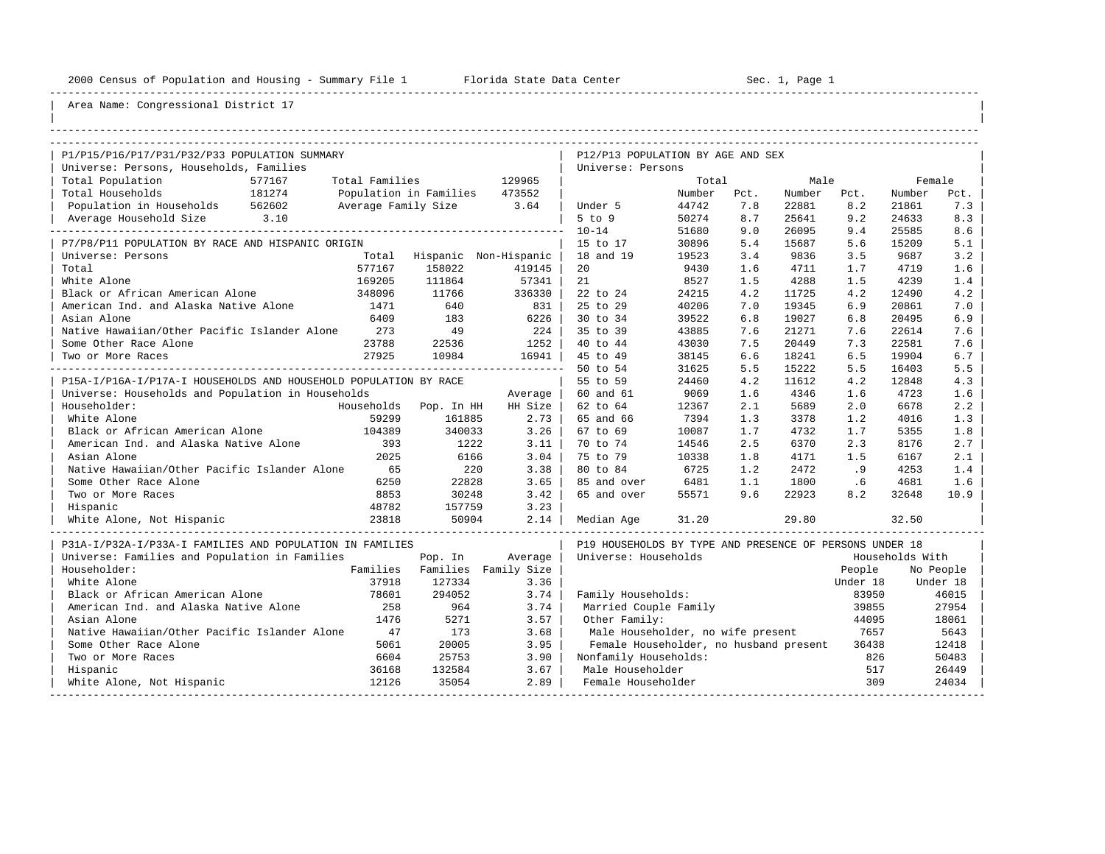----------------------------------------------------------------------------------------------------------------------------------------------------

| |

| P1/P15/P16/P17/P31/P32/P33 POPULATION SUMMARY<br>P12/P13 POPULATION BY AGE AND SEX<br>Universe: Persons, Households, Families<br>Universe: Persons<br>Total Population<br>577167<br>Total Families<br>129965<br>Male<br>Female<br>Total<br>Total Households<br>181274<br>Population in Families<br>473552<br>Number<br>Pct.<br>Number<br>Pct.<br>Number<br>Pct.<br>Population in Households<br>562602<br>Average Family Size<br>3.64<br>44742<br>7.8<br>22881<br>8.2<br>21861<br>7.3<br>Under 5<br>3.10<br>$5$ to $9$<br>50274<br>8.7<br>9.2<br>8.3<br>Average Household Size<br>25641<br>24633<br>$10 - 14$<br>51680<br>9.0<br>26095<br>9.4<br>25585<br>8.6<br>30896<br>5.6<br>15209<br>5.1<br>P7/P8/P11 POPULATION BY RACE AND HISPANIC ORIGIN<br>15 to 17<br>5.4<br>15687<br>3.4<br>3.2<br>Universe: Persons<br>18 and 19<br>19523<br>9836<br>3.5<br>9687<br>Total<br>Hispanic Non-Hispanic<br>1.6<br>Total<br>577167<br>158022<br>419145<br>20<br>9430<br>1.6<br>4711<br>1.7<br>4719<br>White Alone<br>21<br>8527<br>1.5<br>4288<br>169205<br>111864<br>57341<br>1.5<br>4239<br>1.4<br>4.2<br>Black or African American Alone<br>348096<br>11766<br>336330<br>22 to 24<br>24215<br>4.2<br>11725<br>4.2<br>12490<br>25 to 29<br>American Ind. and Alaska Native Alone<br>640<br>40206<br>19345<br>7.0<br>1471<br>831<br>7.0<br>6.9<br>20861<br>Asian Alone<br>6409<br>183<br>6226<br>30 to 34<br>39522<br>6.8<br>19027<br>6.8<br>20495<br>6.9<br>Native Hawaiian/Other Pacific Islander Alone<br>49<br>7.6<br>7.6<br>273<br>224<br>35 to 39<br>43885<br>21271<br>7.6<br>22614<br>7.6<br>Some Other Race Alone<br>23788<br>22536<br>1252<br>40 to 44<br>43030<br>7.5<br>20449<br>7.3<br>22581<br>27925<br>10984<br>45 to 49<br>38145<br>6.5<br>19904<br>6.7<br>16941<br>6.6<br>18241<br>Two or More Races<br>5.5<br>50 to 54<br>31625<br>5.5<br>15222<br>5.5<br>16403<br>P15A-I/P16A-I/P17A-I HOUSEHOLDS AND HOUSEHOLD POPULATION BY RACE<br>55 to 59<br>4.2<br>4.2<br>12848<br>4.3<br>24460<br>11612<br>4346<br>Universe: Households and Population in Households<br>60 and 61<br>9069<br>1.6<br>1.6<br>4723<br>1.6<br>Average<br>2.2<br>Householder:<br>Households Pop. In HH<br>62 to 64<br>12367<br>2.1<br>5689<br>2.0<br>6678<br>HH Size<br>White Alone<br>59299<br>161885<br>2.73<br>65 and 66<br>7394<br>1.3<br>1.2<br>1.3<br>3378<br>4016<br>3.26<br>1.8<br>Black or African American Alone<br>104389<br>340033<br>67 to 69<br>10087<br>1.7<br>4732<br>1.7<br>5355<br>American Ind. and Alaska Native Alone<br>1222<br>70 to 74<br>2.5<br>6370<br>2.3<br>2.7<br>393<br>3.11<br>14546<br>8176<br>2025<br>6166<br>10338<br>2.1<br>Asian Alone<br>3.04<br>75 to 79<br>1.8<br>4171<br>1.5<br>6167<br>Native Hawaiian/Other Pacific Islander Alone<br>65<br>3.38<br>6725<br>2472<br>220<br>80 to 84<br>1.2<br>.9<br>1.4<br>4253<br>6250<br>22828<br>Some Other Race Alone<br>3.65<br>85 and over<br>6481<br>1.1<br>1800<br>1.6<br>. 6<br>4681<br>8853<br>30248<br>3.42<br>65 and over<br>9.6<br>8.2<br>Two or More Races<br>55571<br>22923<br>32648<br>10.9 |
|------------------------------------------------------------------------------------------------------------------------------------------------------------------------------------------------------------------------------------------------------------------------------------------------------------------------------------------------------------------------------------------------------------------------------------------------------------------------------------------------------------------------------------------------------------------------------------------------------------------------------------------------------------------------------------------------------------------------------------------------------------------------------------------------------------------------------------------------------------------------------------------------------------------------------------------------------------------------------------------------------------------------------------------------------------------------------------------------------------------------------------------------------------------------------------------------------------------------------------------------------------------------------------------------------------------------------------------------------------------------------------------------------------------------------------------------------------------------------------------------------------------------------------------------------------------------------------------------------------------------------------------------------------------------------------------------------------------------------------------------------------------------------------------------------------------------------------------------------------------------------------------------------------------------------------------------------------------------------------------------------------------------------------------------------------------------------------------------------------------------------------------------------------------------------------------------------------------------------------------------------------------------------------------------------------------------------------------------------------------------------------------------------------------------------------------------------------------------------------------------------------------------------------------------------------------------------------------------------------------------------------------------------------------------------------------------------------------------------------------------------------------------------------------------------------------------------------------------------------------------------------------------------------------------------------------------------------------------------------------------------------------------------------------------------------------|
|                                                                                                                                                                                                                                                                                                                                                                                                                                                                                                                                                                                                                                                                                                                                                                                                                                                                                                                                                                                                                                                                                                                                                                                                                                                                                                                                                                                                                                                                                                                                                                                                                                                                                                                                                                                                                                                                                                                                                                                                                                                                                                                                                                                                                                                                                                                                                                                                                                                                                                                                                                                                                                                                                                                                                                                                                                                                                                                                                                                                                                                                  |
|                                                                                                                                                                                                                                                                                                                                                                                                                                                                                                                                                                                                                                                                                                                                                                                                                                                                                                                                                                                                                                                                                                                                                                                                                                                                                                                                                                                                                                                                                                                                                                                                                                                                                                                                                                                                                                                                                                                                                                                                                                                                                                                                                                                                                                                                                                                                                                                                                                                                                                                                                                                                                                                                                                                                                                                                                                                                                                                                                                                                                                                                  |
|                                                                                                                                                                                                                                                                                                                                                                                                                                                                                                                                                                                                                                                                                                                                                                                                                                                                                                                                                                                                                                                                                                                                                                                                                                                                                                                                                                                                                                                                                                                                                                                                                                                                                                                                                                                                                                                                                                                                                                                                                                                                                                                                                                                                                                                                                                                                                                                                                                                                                                                                                                                                                                                                                                                                                                                                                                                                                                                                                                                                                                                                  |
|                                                                                                                                                                                                                                                                                                                                                                                                                                                                                                                                                                                                                                                                                                                                                                                                                                                                                                                                                                                                                                                                                                                                                                                                                                                                                                                                                                                                                                                                                                                                                                                                                                                                                                                                                                                                                                                                                                                                                                                                                                                                                                                                                                                                                                                                                                                                                                                                                                                                                                                                                                                                                                                                                                                                                                                                                                                                                                                                                                                                                                                                  |
|                                                                                                                                                                                                                                                                                                                                                                                                                                                                                                                                                                                                                                                                                                                                                                                                                                                                                                                                                                                                                                                                                                                                                                                                                                                                                                                                                                                                                                                                                                                                                                                                                                                                                                                                                                                                                                                                                                                                                                                                                                                                                                                                                                                                                                                                                                                                                                                                                                                                                                                                                                                                                                                                                                                                                                                                                                                                                                                                                                                                                                                                  |
|                                                                                                                                                                                                                                                                                                                                                                                                                                                                                                                                                                                                                                                                                                                                                                                                                                                                                                                                                                                                                                                                                                                                                                                                                                                                                                                                                                                                                                                                                                                                                                                                                                                                                                                                                                                                                                                                                                                                                                                                                                                                                                                                                                                                                                                                                                                                                                                                                                                                                                                                                                                                                                                                                                                                                                                                                                                                                                                                                                                                                                                                  |
|                                                                                                                                                                                                                                                                                                                                                                                                                                                                                                                                                                                                                                                                                                                                                                                                                                                                                                                                                                                                                                                                                                                                                                                                                                                                                                                                                                                                                                                                                                                                                                                                                                                                                                                                                                                                                                                                                                                                                                                                                                                                                                                                                                                                                                                                                                                                                                                                                                                                                                                                                                                                                                                                                                                                                                                                                                                                                                                                                                                                                                                                  |
|                                                                                                                                                                                                                                                                                                                                                                                                                                                                                                                                                                                                                                                                                                                                                                                                                                                                                                                                                                                                                                                                                                                                                                                                                                                                                                                                                                                                                                                                                                                                                                                                                                                                                                                                                                                                                                                                                                                                                                                                                                                                                                                                                                                                                                                                                                                                                                                                                                                                                                                                                                                                                                                                                                                                                                                                                                                                                                                                                                                                                                                                  |
|                                                                                                                                                                                                                                                                                                                                                                                                                                                                                                                                                                                                                                                                                                                                                                                                                                                                                                                                                                                                                                                                                                                                                                                                                                                                                                                                                                                                                                                                                                                                                                                                                                                                                                                                                                                                                                                                                                                                                                                                                                                                                                                                                                                                                                                                                                                                                                                                                                                                                                                                                                                                                                                                                                                                                                                                                                                                                                                                                                                                                                                                  |
|                                                                                                                                                                                                                                                                                                                                                                                                                                                                                                                                                                                                                                                                                                                                                                                                                                                                                                                                                                                                                                                                                                                                                                                                                                                                                                                                                                                                                                                                                                                                                                                                                                                                                                                                                                                                                                                                                                                                                                                                                                                                                                                                                                                                                                                                                                                                                                                                                                                                                                                                                                                                                                                                                                                                                                                                                                                                                                                                                                                                                                                                  |
|                                                                                                                                                                                                                                                                                                                                                                                                                                                                                                                                                                                                                                                                                                                                                                                                                                                                                                                                                                                                                                                                                                                                                                                                                                                                                                                                                                                                                                                                                                                                                                                                                                                                                                                                                                                                                                                                                                                                                                                                                                                                                                                                                                                                                                                                                                                                                                                                                                                                                                                                                                                                                                                                                                                                                                                                                                                                                                                                                                                                                                                                  |
|                                                                                                                                                                                                                                                                                                                                                                                                                                                                                                                                                                                                                                                                                                                                                                                                                                                                                                                                                                                                                                                                                                                                                                                                                                                                                                                                                                                                                                                                                                                                                                                                                                                                                                                                                                                                                                                                                                                                                                                                                                                                                                                                                                                                                                                                                                                                                                                                                                                                                                                                                                                                                                                                                                                                                                                                                                                                                                                                                                                                                                                                  |
|                                                                                                                                                                                                                                                                                                                                                                                                                                                                                                                                                                                                                                                                                                                                                                                                                                                                                                                                                                                                                                                                                                                                                                                                                                                                                                                                                                                                                                                                                                                                                                                                                                                                                                                                                                                                                                                                                                                                                                                                                                                                                                                                                                                                                                                                                                                                                                                                                                                                                                                                                                                                                                                                                                                                                                                                                                                                                                                                                                                                                                                                  |
|                                                                                                                                                                                                                                                                                                                                                                                                                                                                                                                                                                                                                                                                                                                                                                                                                                                                                                                                                                                                                                                                                                                                                                                                                                                                                                                                                                                                                                                                                                                                                                                                                                                                                                                                                                                                                                                                                                                                                                                                                                                                                                                                                                                                                                                                                                                                                                                                                                                                                                                                                                                                                                                                                                                                                                                                                                                                                                                                                                                                                                                                  |
|                                                                                                                                                                                                                                                                                                                                                                                                                                                                                                                                                                                                                                                                                                                                                                                                                                                                                                                                                                                                                                                                                                                                                                                                                                                                                                                                                                                                                                                                                                                                                                                                                                                                                                                                                                                                                                                                                                                                                                                                                                                                                                                                                                                                                                                                                                                                                                                                                                                                                                                                                                                                                                                                                                                                                                                                                                                                                                                                                                                                                                                                  |
|                                                                                                                                                                                                                                                                                                                                                                                                                                                                                                                                                                                                                                                                                                                                                                                                                                                                                                                                                                                                                                                                                                                                                                                                                                                                                                                                                                                                                                                                                                                                                                                                                                                                                                                                                                                                                                                                                                                                                                                                                                                                                                                                                                                                                                                                                                                                                                                                                                                                                                                                                                                                                                                                                                                                                                                                                                                                                                                                                                                                                                                                  |
|                                                                                                                                                                                                                                                                                                                                                                                                                                                                                                                                                                                                                                                                                                                                                                                                                                                                                                                                                                                                                                                                                                                                                                                                                                                                                                                                                                                                                                                                                                                                                                                                                                                                                                                                                                                                                                                                                                                                                                                                                                                                                                                                                                                                                                                                                                                                                                                                                                                                                                                                                                                                                                                                                                                                                                                                                                                                                                                                                                                                                                                                  |
|                                                                                                                                                                                                                                                                                                                                                                                                                                                                                                                                                                                                                                                                                                                                                                                                                                                                                                                                                                                                                                                                                                                                                                                                                                                                                                                                                                                                                                                                                                                                                                                                                                                                                                                                                                                                                                                                                                                                                                                                                                                                                                                                                                                                                                                                                                                                                                                                                                                                                                                                                                                                                                                                                                                                                                                                                                                                                                                                                                                                                                                                  |
|                                                                                                                                                                                                                                                                                                                                                                                                                                                                                                                                                                                                                                                                                                                                                                                                                                                                                                                                                                                                                                                                                                                                                                                                                                                                                                                                                                                                                                                                                                                                                                                                                                                                                                                                                                                                                                                                                                                                                                                                                                                                                                                                                                                                                                                                                                                                                                                                                                                                                                                                                                                                                                                                                                                                                                                                                                                                                                                                                                                                                                                                  |
|                                                                                                                                                                                                                                                                                                                                                                                                                                                                                                                                                                                                                                                                                                                                                                                                                                                                                                                                                                                                                                                                                                                                                                                                                                                                                                                                                                                                                                                                                                                                                                                                                                                                                                                                                                                                                                                                                                                                                                                                                                                                                                                                                                                                                                                                                                                                                                                                                                                                                                                                                                                                                                                                                                                                                                                                                                                                                                                                                                                                                                                                  |
|                                                                                                                                                                                                                                                                                                                                                                                                                                                                                                                                                                                                                                                                                                                                                                                                                                                                                                                                                                                                                                                                                                                                                                                                                                                                                                                                                                                                                                                                                                                                                                                                                                                                                                                                                                                                                                                                                                                                                                                                                                                                                                                                                                                                                                                                                                                                                                                                                                                                                                                                                                                                                                                                                                                                                                                                                                                                                                                                                                                                                                                                  |
|                                                                                                                                                                                                                                                                                                                                                                                                                                                                                                                                                                                                                                                                                                                                                                                                                                                                                                                                                                                                                                                                                                                                                                                                                                                                                                                                                                                                                                                                                                                                                                                                                                                                                                                                                                                                                                                                                                                                                                                                                                                                                                                                                                                                                                                                                                                                                                                                                                                                                                                                                                                                                                                                                                                                                                                                                                                                                                                                                                                                                                                                  |
|                                                                                                                                                                                                                                                                                                                                                                                                                                                                                                                                                                                                                                                                                                                                                                                                                                                                                                                                                                                                                                                                                                                                                                                                                                                                                                                                                                                                                                                                                                                                                                                                                                                                                                                                                                                                                                                                                                                                                                                                                                                                                                                                                                                                                                                                                                                                                                                                                                                                                                                                                                                                                                                                                                                                                                                                                                                                                                                                                                                                                                                                  |
|                                                                                                                                                                                                                                                                                                                                                                                                                                                                                                                                                                                                                                                                                                                                                                                                                                                                                                                                                                                                                                                                                                                                                                                                                                                                                                                                                                                                                                                                                                                                                                                                                                                                                                                                                                                                                                                                                                                                                                                                                                                                                                                                                                                                                                                                                                                                                                                                                                                                                                                                                                                                                                                                                                                                                                                                                                                                                                                                                                                                                                                                  |
|                                                                                                                                                                                                                                                                                                                                                                                                                                                                                                                                                                                                                                                                                                                                                                                                                                                                                                                                                                                                                                                                                                                                                                                                                                                                                                                                                                                                                                                                                                                                                                                                                                                                                                                                                                                                                                                                                                                                                                                                                                                                                                                                                                                                                                                                                                                                                                                                                                                                                                                                                                                                                                                                                                                                                                                                                                                                                                                                                                                                                                                                  |
|                                                                                                                                                                                                                                                                                                                                                                                                                                                                                                                                                                                                                                                                                                                                                                                                                                                                                                                                                                                                                                                                                                                                                                                                                                                                                                                                                                                                                                                                                                                                                                                                                                                                                                                                                                                                                                                                                                                                                                                                                                                                                                                                                                                                                                                                                                                                                                                                                                                                                                                                                                                                                                                                                                                                                                                                                                                                                                                                                                                                                                                                  |
|                                                                                                                                                                                                                                                                                                                                                                                                                                                                                                                                                                                                                                                                                                                                                                                                                                                                                                                                                                                                                                                                                                                                                                                                                                                                                                                                                                                                                                                                                                                                                                                                                                                                                                                                                                                                                                                                                                                                                                                                                                                                                                                                                                                                                                                                                                                                                                                                                                                                                                                                                                                                                                                                                                                                                                                                                                                                                                                                                                                                                                                                  |
|                                                                                                                                                                                                                                                                                                                                                                                                                                                                                                                                                                                                                                                                                                                                                                                                                                                                                                                                                                                                                                                                                                                                                                                                                                                                                                                                                                                                                                                                                                                                                                                                                                                                                                                                                                                                                                                                                                                                                                                                                                                                                                                                                                                                                                                                                                                                                                                                                                                                                                                                                                                                                                                                                                                                                                                                                                                                                                                                                                                                                                                                  |
|                                                                                                                                                                                                                                                                                                                                                                                                                                                                                                                                                                                                                                                                                                                                                                                                                                                                                                                                                                                                                                                                                                                                                                                                                                                                                                                                                                                                                                                                                                                                                                                                                                                                                                                                                                                                                                                                                                                                                                                                                                                                                                                                                                                                                                                                                                                                                                                                                                                                                                                                                                                                                                                                                                                                                                                                                                                                                                                                                                                                                                                                  |
| 157759<br>3.23<br>48782<br>Hispanic                                                                                                                                                                                                                                                                                                                                                                                                                                                                                                                                                                                                                                                                                                                                                                                                                                                                                                                                                                                                                                                                                                                                                                                                                                                                                                                                                                                                                                                                                                                                                                                                                                                                                                                                                                                                                                                                                                                                                                                                                                                                                                                                                                                                                                                                                                                                                                                                                                                                                                                                                                                                                                                                                                                                                                                                                                                                                                                                                                                                                              |
| 2.14<br>White Alone, Not Hispanic<br>23818<br>50904<br>31.20<br>29.80<br>Median Age<br>32.50                                                                                                                                                                                                                                                                                                                                                                                                                                                                                                                                                                                                                                                                                                                                                                                                                                                                                                                                                                                                                                                                                                                                                                                                                                                                                                                                                                                                                                                                                                                                                                                                                                                                                                                                                                                                                                                                                                                                                                                                                                                                                                                                                                                                                                                                                                                                                                                                                                                                                                                                                                                                                                                                                                                                                                                                                                                                                                                                                                     |
| P31A-I/P32A-I/P33A-I FAMILIES AND POPULATION IN FAMILIES<br>P19 HOUSEHOLDS BY TYPE AND PRESENCE OF PERSONS UNDER 18                                                                                                                                                                                                                                                                                                                                                                                                                                                                                                                                                                                                                                                                                                                                                                                                                                                                                                                                                                                                                                                                                                                                                                                                                                                                                                                                                                                                                                                                                                                                                                                                                                                                                                                                                                                                                                                                                                                                                                                                                                                                                                                                                                                                                                                                                                                                                                                                                                                                                                                                                                                                                                                                                                                                                                                                                                                                                                                                              |
| Universe: Families and Population in Families<br>Universe: Households<br>Households With<br>Pop. In<br>Average                                                                                                                                                                                                                                                                                                                                                                                                                                                                                                                                                                                                                                                                                                                                                                                                                                                                                                                                                                                                                                                                                                                                                                                                                                                                                                                                                                                                                                                                                                                                                                                                                                                                                                                                                                                                                                                                                                                                                                                                                                                                                                                                                                                                                                                                                                                                                                                                                                                                                                                                                                                                                                                                                                                                                                                                                                                                                                                                                   |
| Householder:<br>Families<br>Families Family Size<br>People<br>No People                                                                                                                                                                                                                                                                                                                                                                                                                                                                                                                                                                                                                                                                                                                                                                                                                                                                                                                                                                                                                                                                                                                                                                                                                                                                                                                                                                                                                                                                                                                                                                                                                                                                                                                                                                                                                                                                                                                                                                                                                                                                                                                                                                                                                                                                                                                                                                                                                                                                                                                                                                                                                                                                                                                                                                                                                                                                                                                                                                                          |
| White Alone<br>37918<br>127334<br>3.36<br>Under 18<br>Under 18                                                                                                                                                                                                                                                                                                                                                                                                                                                                                                                                                                                                                                                                                                                                                                                                                                                                                                                                                                                                                                                                                                                                                                                                                                                                                                                                                                                                                                                                                                                                                                                                                                                                                                                                                                                                                                                                                                                                                                                                                                                                                                                                                                                                                                                                                                                                                                                                                                                                                                                                                                                                                                                                                                                                                                                                                                                                                                                                                                                                   |
| 294052<br>Black or African American Alone<br>78601<br>3.74<br>83950<br>46015<br>Family Households:                                                                                                                                                                                                                                                                                                                                                                                                                                                                                                                                                                                                                                                                                                                                                                                                                                                                                                                                                                                                                                                                                                                                                                                                                                                                                                                                                                                                                                                                                                                                                                                                                                                                                                                                                                                                                                                                                                                                                                                                                                                                                                                                                                                                                                                                                                                                                                                                                                                                                                                                                                                                                                                                                                                                                                                                                                                                                                                                                               |
| American Ind. and Alaska Native Alone<br>258<br>964<br>3.74<br>Married Couple Family<br>39855<br>27954                                                                                                                                                                                                                                                                                                                                                                                                                                                                                                                                                                                                                                                                                                                                                                                                                                                                                                                                                                                                                                                                                                                                                                                                                                                                                                                                                                                                                                                                                                                                                                                                                                                                                                                                                                                                                                                                                                                                                                                                                                                                                                                                                                                                                                                                                                                                                                                                                                                                                                                                                                                                                                                                                                                                                                                                                                                                                                                                                           |
| 5271<br>Asian Alone<br>1476<br>3.57<br>Other Family:<br>44095<br>18061                                                                                                                                                                                                                                                                                                                                                                                                                                                                                                                                                                                                                                                                                                                                                                                                                                                                                                                                                                                                                                                                                                                                                                                                                                                                                                                                                                                                                                                                                                                                                                                                                                                                                                                                                                                                                                                                                                                                                                                                                                                                                                                                                                                                                                                                                                                                                                                                                                                                                                                                                                                                                                                                                                                                                                                                                                                                                                                                                                                           |
| Native Hawaiian/Other Pacific Islander Alone<br>47<br>173<br>3.68<br>Male Householder, no wife present<br>7657<br>5643                                                                                                                                                                                                                                                                                                                                                                                                                                                                                                                                                                                                                                                                                                                                                                                                                                                                                                                                                                                                                                                                                                                                                                                                                                                                                                                                                                                                                                                                                                                                                                                                                                                                                                                                                                                                                                                                                                                                                                                                                                                                                                                                                                                                                                                                                                                                                                                                                                                                                                                                                                                                                                                                                                                                                                                                                                                                                                                                           |
| 20005<br>3.95<br>Female Householder, no husband present<br>Some Other Race Alone<br>5061<br>36438<br>12418                                                                                                                                                                                                                                                                                                                                                                                                                                                                                                                                                                                                                                                                                                                                                                                                                                                                                                                                                                                                                                                                                                                                                                                                                                                                                                                                                                                                                                                                                                                                                                                                                                                                                                                                                                                                                                                                                                                                                                                                                                                                                                                                                                                                                                                                                                                                                                                                                                                                                                                                                                                                                                                                                                                                                                                                                                                                                                                                                       |
| 6604<br>25753<br>3.90<br>Nonfamily Households:<br>826<br>50483<br>Two or More Races                                                                                                                                                                                                                                                                                                                                                                                                                                                                                                                                                                                                                                                                                                                                                                                                                                                                                                                                                                                                                                                                                                                                                                                                                                                                                                                                                                                                                                                                                                                                                                                                                                                                                                                                                                                                                                                                                                                                                                                                                                                                                                                                                                                                                                                                                                                                                                                                                                                                                                                                                                                                                                                                                                                                                                                                                                                                                                                                                                              |
| 132584<br>Male Householder<br>26449<br>Hispanic<br>36168<br>3.67<br>517                                                                                                                                                                                                                                                                                                                                                                                                                                                                                                                                                                                                                                                                                                                                                                                                                                                                                                                                                                                                                                                                                                                                                                                                                                                                                                                                                                                                                                                                                                                                                                                                                                                                                                                                                                                                                                                                                                                                                                                                                                                                                                                                                                                                                                                                                                                                                                                                                                                                                                                                                                                                                                                                                                                                                                                                                                                                                                                                                                                          |
| 12126<br>35054<br>2.89<br>Female Householder<br>309<br>24034<br>White Alone, Not Hispanic                                                                                                                                                                                                                                                                                                                                                                                                                                                                                                                                                                                                                                                                                                                                                                                                                                                                                                                                                                                                                                                                                                                                                                                                                                                                                                                                                                                                                                                                                                                                                                                                                                                                                                                                                                                                                                                                                                                                                                                                                                                                                                                                                                                                                                                                                                                                                                                                                                                                                                                                                                                                                                                                                                                                                                                                                                                                                                                                                                        |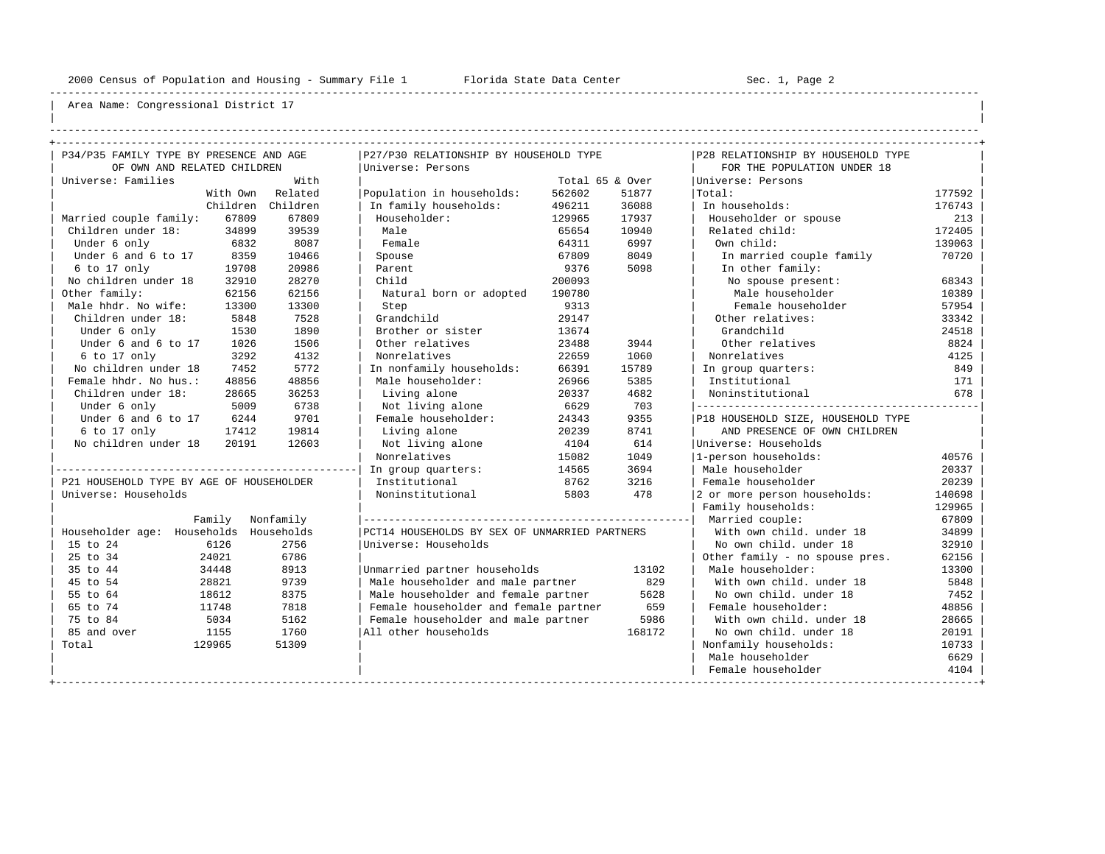----------------------------------------------------------------------------------------------------------------------------------------------------

| | ----------------------------------------------------------------------------------------------------------------------------------------------------

| P34/P35 FAMILY TYPE BY PRESENCE AND AGE  |          |           | P27/P30 RELATIONSHIP BY HOUSEHOLD TYPE        |                 |        | P28 RELATIONSHIP BY HOUSEHOLD TYPE |        |
|------------------------------------------|----------|-----------|-----------------------------------------------|-----------------|--------|------------------------------------|--------|
| OF OWN AND RELATED CHILDREN              |          |           | Universe: Persons                             |                 |        | FOR THE POPULATION UNDER 18        |        |
| Universe: Families                       |          | With      |                                               | Total 65 & Over |        | Universe: Persons                  |        |
|                                          | With Own | Related   | Population in households:                     | 562602          | 51877  | Total:                             | 177592 |
|                                          | Children | Children  | In family households:                         | 496211          | 36088  | In households:                     | 176743 |
| Married couple family:                   | 67809    | 67809     | Householder:                                  | 129965          | 17937  | Householder or spouse              | 213    |
| Children under 18:                       | 34899    | 39539     | Male                                          | 65654           | 10940  | Related child:                     | 172405 |
| Under 6 only                             | 6832     | 8087      | Female                                        | 64311           | 6997   | Own child:                         | 139063 |
| Under 6 and 6 to 17                      | 8359     | 10466     | Spouse                                        | 67809           | 8049   | In married couple family           | 70720  |
| 6 to 17 only                             | 19708    | 20986     | Parent                                        | 9376            | 5098   | In other family:                   |        |
| No children under 18                     | 32910    | 28270     | Child                                         | 200093          |        | No spouse present:                 | 68343  |
| Other family:                            | 62156    | 62156     | Natural born or adopted                       | 190780          |        | Male householder                   | 10389  |
| Male hhdr. No wife:                      | 13300    | 13300     | Step                                          | 9313            |        | Female householder                 | 57954  |
| Children under 18:                       | 5848     | 7528      | Grandchild                                    | 29147           |        | Other relatives:                   | 33342  |
| Under 6 only                             | 1530     | 1890      | Brother or sister                             | 13674           |        | Grandchild                         | 24518  |
| Under 6 and 6 to 17                      | 1026     | 1506      | Other relatives                               | 23488           | 3944   | Other relatives                    | 8824   |
| 6 to 17 only                             | 3292     | 4132      | Nonrelatives                                  | 22659           | 1060   | Nonrelatives                       | 4125   |
| No children under 18                     | 7452     | 5772      | In nonfamily households:                      | 66391           | 15789  | In group quarters:                 | 849    |
| Female hhdr. No hus.:                    | 48856    | 48856     | Male householder:                             | 26966           | 5385   | Institutional                      | 171    |
| Children under 18:                       | 28665    | 36253     | Living alone                                  | 20337           | 4682   | Noninstitutional                   | 678    |
| Under 6 only                             | 5009     | 6738      | Not living alone                              | 6629            | 703    |                                    |        |
| Under 6 and 6 to 17                      | 6244     | 9701      | Female householder:                           | 24343           | 9355   | P18 HOUSEHOLD SIZE, HOUSEHOLD TYPE |        |
| 6 to 17 only                             | 17412    | 19814     | Living alone                                  | 20239           | 8741   | AND PRESENCE OF OWN CHILDREN       |        |
| No children under 18                     | 20191    | 12603     | Not living alone                              | 4104            | 614    | Universe: Households               |        |
|                                          |          |           | Nonrelatives                                  | 15082           | 1049   | 1-person households:               | 40576  |
|                                          |          |           | In group quarters:                            | 14565           | 3694   | Male householder                   | 20337  |
| P21 HOUSEHOLD TYPE BY AGE OF HOUSEHOLDER |          |           | Institutional                                 | 8762            | 3216   | Female householder                 | 20239  |
| Universe: Households                     |          |           | Noninstitutional                              | 5803            | 478    | 2 or more person households:       | 140698 |
|                                          |          |           |                                               |                 |        | Family households:                 | 129965 |
| Family                                   |          | Nonfamily |                                               |                 |        | Married couple:                    | 67809  |
| Householder age: Households Households   |          |           | PCT14 HOUSEHOLDS BY SEX OF UNMARRIED PARTNERS |                 |        | With own child, under 18           | 34899  |
| 15 to 24<br>6126                         |          | 2756      | Universe: Households                          |                 |        | No own child, under 18             | 32910  |
| 25 to 34<br>24021                        |          | 6786      |                                               |                 |        | Other family - no spouse pres.     | 62156  |
| 35 to 44<br>34448                        |          | 8913      | Unmarried partner households                  |                 | 13102  | Male householder:                  | 13300  |
| 45 to 54<br>28821                        |          | 9739      | Male householder and male partner             |                 | 829    | With own child, under 18           | 5848   |
| 55 to 64<br>18612                        |          | 8375      | Male householder and female partner           |                 | 5628   | No own child, under 18             | 7452   |
| 65 to 74<br>11748                        |          | 7818      | Female householder and female partner         |                 | 659    | Female householder:                | 48856  |
| 75 to 84<br>5034                         |          | 5162      | Female householder and male partner           |                 | 5986   | With own child, under 18           | 28665  |
| 85 and over<br>1155                      |          | 1760      | All other households                          |                 | 168172 | No own child, under 18             | 20191  |
| Total<br>129965                          |          | 51309     |                                               |                 |        | Nonfamily households:              | 10733  |
|                                          |          |           |                                               |                 |        | Male householder                   | 6629   |
|                                          |          |           |                                               |                 |        | Female householder                 | 4104   |
|                                          |          |           |                                               |                 |        |                                    |        |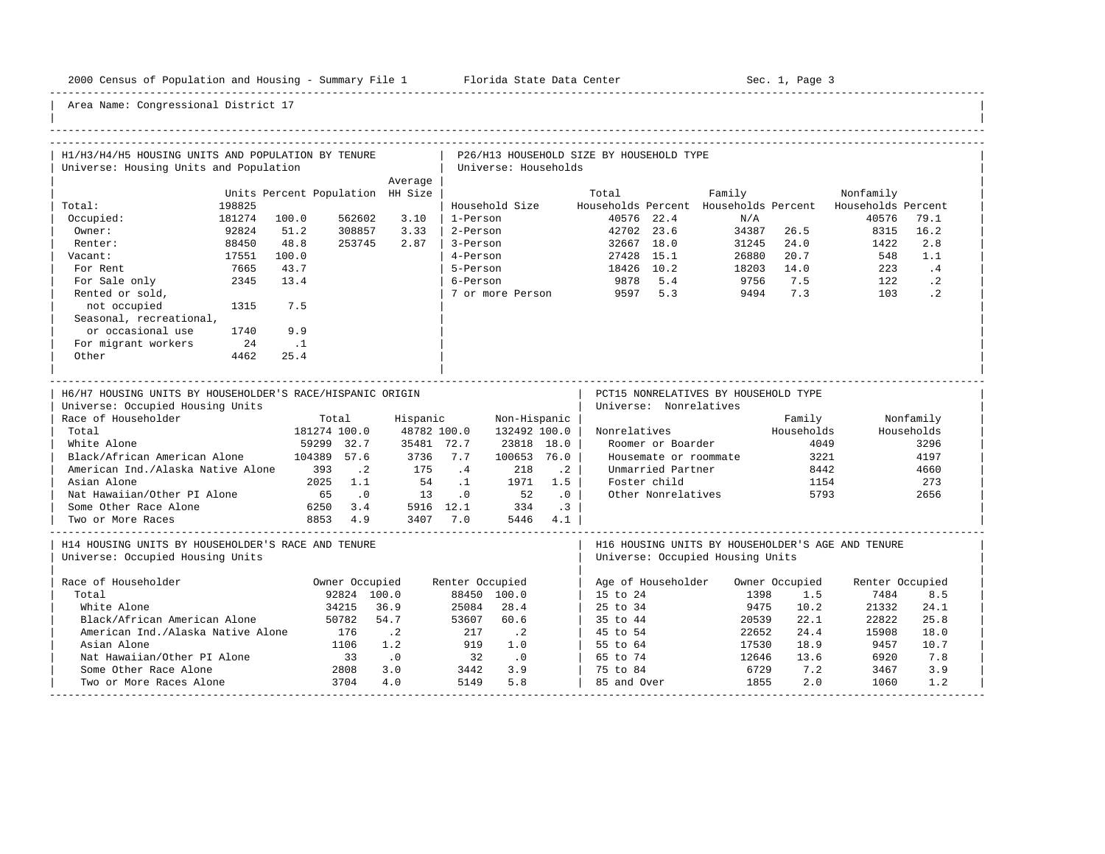-----------------------------------------------------------------------------------------------------------------------------------------------------

| H1/H3/H4/H5 HOUSING UNITS AND POPULATION BY TENURE<br>Universe: Housing Units and Population                                                                                                                                                                                                                      |                                                                                                                                            |                                                                                       |                       | Universe: Households                                                                                                   |                                                                | P26/H13 HOUSEHOLD SIZE BY HOUSEHOLD TYPE |                                                                                                                                 |                                                                 |                                                |                                                                       |                                                                |
|-------------------------------------------------------------------------------------------------------------------------------------------------------------------------------------------------------------------------------------------------------------------------------------------------------------------|--------------------------------------------------------------------------------------------------------------------------------------------|---------------------------------------------------------------------------------------|-----------------------|------------------------------------------------------------------------------------------------------------------------|----------------------------------------------------------------|------------------------------------------|---------------------------------------------------------------------------------------------------------------------------------|-----------------------------------------------------------------|------------------------------------------------|-----------------------------------------------------------------------|----------------------------------------------------------------|
|                                                                                                                                                                                                                                                                                                                   |                                                                                                                                            | Average                                                                               |                       |                                                                                                                        |                                                                |                                          |                                                                                                                                 |                                                                 |                                                |                                                                       |                                                                |
|                                                                                                                                                                                                                                                                                                                   | Units Percent Population HH Size                                                                                                           |                                                                                       |                       |                                                                                                                        |                                                                | Total                                    |                                                                                                                                 |                                                                 |                                                |                                                                       |                                                                |
| Total:<br>198825                                                                                                                                                                                                                                                                                                  |                                                                                                                                            |                                                                                       |                       | Household Size                                                                                                         |                                                                |                                          |                                                                                                                                 | Family                                                          |                                                | Nonfamily<br>Households Percent Households Percent Households Percent |                                                                |
| 181274                                                                                                                                                                                                                                                                                                            | 100.0<br>562602                                                                                                                            | 3.10                                                                                  | 1-Person              |                                                                                                                        |                                                                |                                          | 40576 22.4                                                                                                                      | N/A                                                             |                                                | 40576                                                                 | 79.1                                                           |
| Occupied:                                                                                                                                                                                                                                                                                                         | 51.2                                                                                                                                       | 3.33                                                                                  |                       |                                                                                                                        |                                                                |                                          |                                                                                                                                 |                                                                 | 34387 26.5                                     |                                                                       | 16.2                                                           |
| 92824<br>Owner:                                                                                                                                                                                                                                                                                                   | 308857                                                                                                                                     |                                                                                       | 2-Person              |                                                                                                                        |                                                                |                                          | 42702 23.6                                                                                                                      |                                                                 |                                                | 8315                                                                  |                                                                |
| Renter:<br>88450                                                                                                                                                                                                                                                                                                  | 48.8<br>253745                                                                                                                             | 2.87                                                                                  | 3-Person              |                                                                                                                        |                                                                |                                          | 32667 18.0                                                                                                                      | 31245                                                           | 24.0                                           | 1422                                                                  | 2.8                                                            |
| 17551<br>Vacant:                                                                                                                                                                                                                                                                                                  | 100.0                                                                                                                                      |                                                                                       | 4-Person              |                                                                                                                        |                                                                |                                          | 27428 15.1                                                                                                                      | 26880<br>$20000$<br>18203 14.0                                  | 20.7                                           | 548                                                                   | 1.1                                                            |
| For Rent<br>7665                                                                                                                                                                                                                                                                                                  | 43.7                                                                                                                                       |                                                                                       | 5-Person              |                                                                                                                        |                                                                | 18426 10.2                               |                                                                                                                                 |                                                                 |                                                | 223                                                                   | $\cdot$ 4                                                      |
| 2345<br>For Sale only                                                                                                                                                                                                                                                                                             | 13.4                                                                                                                                       |                                                                                       | 6-Person              |                                                                                                                        |                                                                | 9878 5.4                                 |                                                                                                                                 | 9756                                                            | 7.5                                            | 122                                                                   | $\cdot$ 2                                                      |
| Rented or sold,                                                                                                                                                                                                                                                                                                   |                                                                                                                                            |                                                                                       |                       |                                                                                                                        |                                                                | 7 or more Person 9597 5.3                |                                                                                                                                 | 9494                                                            | 7.3                                            | 103                                                                   | $\cdot$ 2                                                      |
| not occupied<br>1315                                                                                                                                                                                                                                                                                              | 7.5                                                                                                                                        |                                                                                       |                       |                                                                                                                        |                                                                |                                          |                                                                                                                                 |                                                                 |                                                |                                                                       |                                                                |
| Seasonal, recreational,                                                                                                                                                                                                                                                                                           |                                                                                                                                            |                                                                                       |                       |                                                                                                                        |                                                                |                                          |                                                                                                                                 |                                                                 |                                                |                                                                       |                                                                |
| or occasional use<br>1740                                                                                                                                                                                                                                                                                         | 9.9                                                                                                                                        |                                                                                       |                       |                                                                                                                        |                                                                |                                          |                                                                                                                                 |                                                                 |                                                |                                                                       |                                                                |
| For migrant workers<br>24                                                                                                                                                                                                                                                                                         | $\ldots$                                                                                                                                   |                                                                                       |                       |                                                                                                                        |                                                                |                                          |                                                                                                                                 |                                                                 |                                                |                                                                       |                                                                |
| Other<br>4462                                                                                                                                                                                                                                                                                                     | 25.4                                                                                                                                       |                                                                                       |                       |                                                                                                                        |                                                                |                                          |                                                                                                                                 |                                                                 |                                                |                                                                       |                                                                |
|                                                                                                                                                                                                                                                                                                                   |                                                                                                                                            |                                                                                       |                       |                                                                                                                        |                                                                |                                          |                                                                                                                                 |                                                                 |                                                |                                                                       |                                                                |
| H6/H7 HOUSING UNITS BY HOUSEHOLDER'S RACE/HISPANIC ORIGIN<br>Universe: Occupied Housing Units<br>Race of Householder<br>Total<br>White Alone<br>Black/African American Alone<br>American Ind./Alaska Native Alone 393<br>Asian Alone<br>Nat Hawaiian/Other PI Alone<br>Some Other Race Alone<br>Two or More Races | Total<br>181274 100.0<br>59299 32.7<br>104389 57.6<br>$\cdot$ . 2<br>2025 1.1<br>65<br>$\overline{\phantom{0}}$ .0<br>6250 3.4<br>8853 4.9 | Hispanic<br>48782 100.0<br>35481 72.7<br>3736 7.7<br>175<br>54<br>13<br>5916 12.1 334 | $\cdot$ 4<br>$\ldots$ | Non-Hispanic  <br>$132492$ 100.0<br>23818 18.0<br>100653 76.0<br>218<br>1971<br>$\overline{0}$ 52<br>3407 7.0 5446 4.1 | $\cdot$ . 2<br>1.5<br>$\overline{\phantom{0}}$ .0<br>$\cdot$ 3 |                                          | Universe: Nonrelatives<br>Roomer or Boarder<br>Housemate or roommate<br>Unmarried Partner<br>Foster child<br>Other Nonrelatives | PCT15 NONRELATIVES BY HOUSEHOLD TYPE<br>Nonrelatives Mouseholds | Family<br>4049<br>3221<br>8442<br>1154<br>5793 |                                                                       | Nonfamily<br>Households<br>3296<br>4197<br>4660<br>273<br>2656 |
| H14 HOUSING UNITS BY HOUSEHOLDER'S RACE AND TENURE<br>Universe: Occupied Housing Units                                                                                                                                                                                                                            |                                                                                                                                            |                                                                                       |                       |                                                                                                                        |                                                                |                                          |                                                                                                                                 | Universe: Occupied Housing Units                                |                                                | H16 HOUSING UNITS BY HOUSEHOLDER'S AGE AND TENURE                     |                                                                |
| Race of Householder                                                                                                                                                                                                                                                                                               | Owner Occupied                                                                                                                             |                                                                                       | Renter Occupied       |                                                                                                                        |                                                                |                                          |                                                                                                                                 | Age of Householder Owner Occupied                               |                                                | Renter Occupied                                                       |                                                                |
| Total                                                                                                                                                                                                                                                                                                             | 92824 100.0                                                                                                                                |                                                                                       |                       | 88450 100.0                                                                                                            |                                                                | 15 to 24                                 |                                                                                                                                 | 1398                                                            | 1.5                                            | 7484                                                                  | 8.5                                                            |
| White Alone                                                                                                                                                                                                                                                                                                       | 34215                                                                                                                                      | 36.9                                                                                  | 25084                 | 28.4                                                                                                                   |                                                                | 25 to 34                                 |                                                                                                                                 | 9475                                                            | 10.2                                           | 21332                                                                 | 24.1                                                           |
| Black/African American Alone                                                                                                                                                                                                                                                                                      | 50782                                                                                                                                      | 54.7                                                                                  | 53607                 | 60.6                                                                                                                   |                                                                | 35 to 44                                 |                                                                                                                                 | 20539                                                           | 22.1                                           | 22822                                                                 | 25.8                                                           |
| American Ind./Alaska Native Alone                                                                                                                                                                                                                                                                                 | 176                                                                                                                                        | $\cdot$ . 2                                                                           | 217                   | $\cdot$ . 2                                                                                                            |                                                                | 45 to 54                                 |                                                                                                                                 | 22652                                                           | 24.4                                           | 15908                                                                 | 18.0                                                           |
| Asian Alone                                                                                                                                                                                                                                                                                                       | 1106                                                                                                                                       | 1.2                                                                                   | 919                   | 1.0                                                                                                                    |                                                                | 55 to 64                                 |                                                                                                                                 | 17530                                                           | 18.9                                           | 9457                                                                  | 10.7                                                           |
| Nat Hawaiian/Other PI Alone                                                                                                                                                                                                                                                                                       | 33                                                                                                                                         | $\overline{\phantom{0}}$ .0                                                           | 32                    | $\overline{\phantom{0}}$ .0                                                                                            |                                                                | 65 to 74                                 |                                                                                                                                 | 12646                                                           | 13.6                                           | 6920                                                                  | 7.8                                                            |
| Some Other Race Alone                                                                                                                                                                                                                                                                                             |                                                                                                                                            | 3.0                                                                                   | 3442                  | 3.9                                                                                                                    |                                                                | 75 to 84                                 |                                                                                                                                 | 6729                                                            | 7.2                                            | 3467                                                                  | 3.9                                                            |
| Two or More Races Alone                                                                                                                                                                                                                                                                                           | $\frac{2808}{3704}$<br>3704                                                                                                                | 4.0                                                                                   | 5149                  | 5.8                                                                                                                    |                                                                | 85 and Over                              |                                                                                                                                 | 1855                                                            | 2.0                                            | 1060                                                                  | 1.2                                                            |
|                                                                                                                                                                                                                                                                                                                   |                                                                                                                                            |                                                                                       |                       |                                                                                                                        |                                                                |                                          |                                                                                                                                 |                                                                 |                                                |                                                                       |                                                                |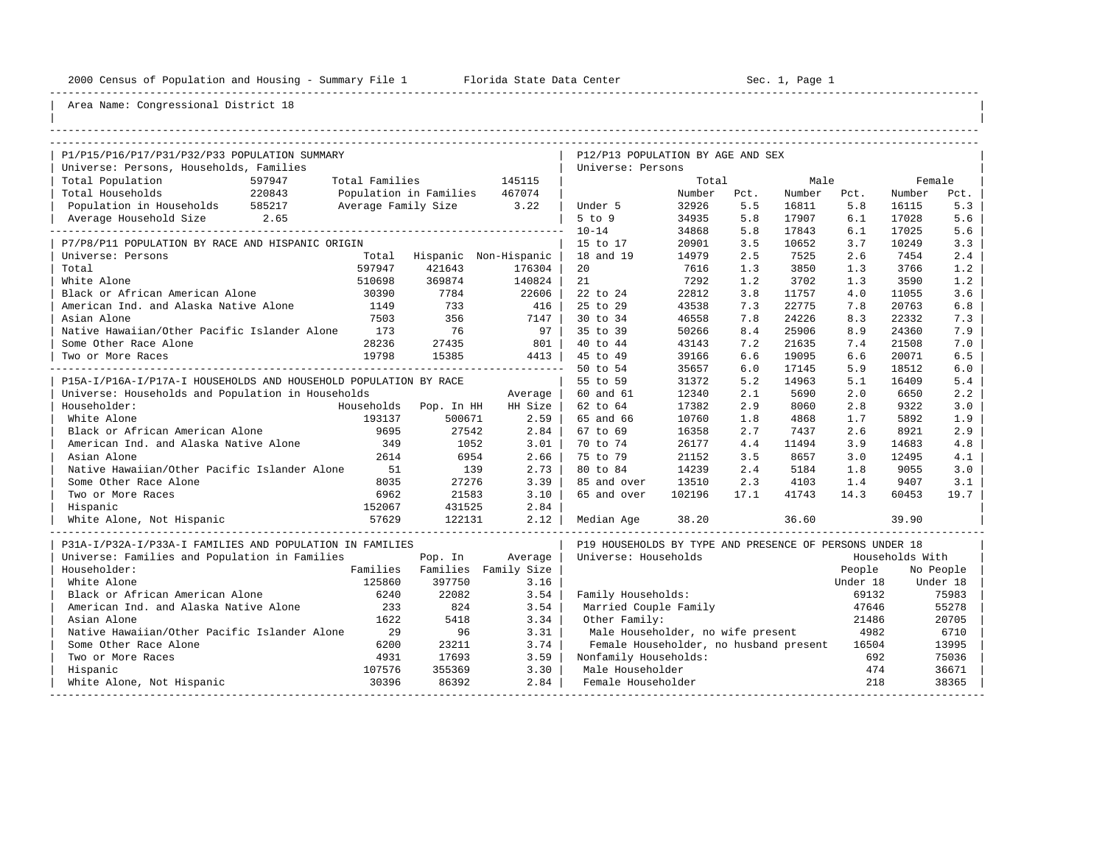----------------------------------------------------------------------------------------------------------------------------------------------------

| |

## Area Name: Congressional District 18

| P1/P15/P16/P17/P31/P32/P33 POPULATION SUMMARY                    |                |                               |                               | P12/P13 POPULATION BY AGE AND SEX                       |        |      |        |          |                 |           |
|------------------------------------------------------------------|----------------|-------------------------------|-------------------------------|---------------------------------------------------------|--------|------|--------|----------|-----------------|-----------|
| Universe: Persons, Households, Families                          |                |                               |                               | Universe: Persons                                       |        |      |        |          |                 |           |
| Total Population<br>597947                                       | Total Families |                               | 145115                        |                                                         | Total  |      | Male   |          | Female          |           |
| Total Households<br>220843                                       |                | Population in Families 467074 |                               |                                                         | Number | Pct. | Number | Pct.     | Number          | Pct.      |
| Population in Households 585217                                  |                | Average Family Size 3.22      |                               | Under 5                                                 | 32926  | 5.5  | 16811  | 5.8      | 16115           | 5.3       |
| Average Household Size 2.65                                      |                |                               |                               | $5$ to $9$                                              | 34935  | 5.8  | 17907  | 6.1      | 17028           | 5.6       |
|                                                                  |                |                               |                               | $10 - 14$                                               | 34868  | 5.8  | 17843  | 6.1      | 17025           | 5.6       |
| P7/P8/P11 POPULATION BY RACE AND HISPANIC ORIGIN                 |                |                               |                               | 15 to 17                                                | 20901  | 3.5  | 10652  | 3.7      | 10249           | 3.3       |
| Universe: Persons                                                |                |                               | Total Hispanic Non-Hispanic   | 18 and 19                                               | 14979  | 2.5  | 7525   | 2.6      | 7454            | 2.4       |
| Total                                                            | 597947         | 421643                        | 176304                        | 20                                                      | 7616   | 1.3  | 3850   | 1.3      | 3766            | 1.2       |
| White Alone                                                      | 510698         | 369874                        | 140824                        | 21                                                      | 7292   | 1.2  | 3702   | 1.3      | 3590            | 1.2       |
| Black or African American Alone                                  | 30390          | 7784                          | 22606                         | 22 to 24                                                | 22812  | 3.8  | 11757  | 4.0      | 11055           | 3.6       |
| American Ind. and Alaska Native Alone                            | 1149           | 733                           | 416                           | 25 to 29                                                | 43538  | 7.3  | 22775  | 7.8      | 20763           | 6.8       |
| Asian Alone                                                      | 7503           | 356                           | 7147                          | 30 to 34                                                | 46558  | 7.8  | 24226  | 8.3      | 22332           | 7.3       |
| Native Hawaiian/Other Pacific Islander Alone 173                 |                | 76                            | 97                            | 35 to 39                                                | 50266  | 8.4  | 25906  | 8.9      | 24360           | 7.9       |
| Some Other Race Alone                                            | 28236          | 27435                         | 801                           | 40 to 44                                                | 43143  | 7.2  | 21635  | 7.4      | 21508           | 7.0       |
| Two or More Races                                                | 19798          | 15385                         | 4413                          | 45 to 49                                                | 39166  | 6.6  | 19095  | 6.6      | 20071           | 6.5       |
|                                                                  |                |                               |                               | 50 to 54                                                | 35657  | 6.0  | 17145  | 5.9      | 18512           | 6.0       |
| P15A-I/P16A-I/P17A-I HOUSEHOLDS AND HOUSEHOLD POPULATION BY RACE |                |                               |                               | 55 to 59                                                | 31372  | 5.2  | 14963  | 5.1      | 16409           | 5.4       |
| Universe: Households and Population in Households                |                |                               | Average                       | 60 and 61                                               | 12340  | 2.1  | 5690   | 2.0      | 6650            | 2.2       |
| Householder:                                                     |                | Households Pop. In HH         | HH Size                       | 62 to 64                                                | 17382  | 2.9  | 8060   | 2.8      | 9322            | 3.0       |
| White Alone                                                      | 193137         | 500671                        | 2.59                          | 65 and 66                                               | 10760  | 1.8  | 4868   | 1.7      | 5892            | 1.9       |
| Black or African American Alone                                  | 9695           | 27542                         | 2.84                          | 67 to 69                                                | 16358  | 2.7  | 7437   | 2.6      | 8921            | 2.9       |
| American Ind. and Alaska Native Alone                            | 349            | 1052                          | 3.01                          | 70 to 74                                                | 26177  | 4.4  | 11494  | 3.9      | 14683           | 4.8       |
| Asian Alone                                                      | 2614           | 6954                          | 2.66                          | 75 to 79                                                | 21152  | 3.5  | 8657   | 3.0      | 12495           | 4.1       |
| Native Hawaiian/Other Pacific Islander Alone                     | 51             | 139                           | 2.73                          | 80 to 84                                                | 14239  | 2.4  | 5184   | 1.8      | 9055            | 3.0       |
| Some Other Race Alone                                            | 8035           | 27276                         | 3.39                          | 85 and over                                             | 13510  | 2.3  | 4103   | 1.4      | 9407            | 3.1       |
| Two or More Races                                                | 6962           | 21583                         | 3.10                          | 65 and over                                             | 102196 | 17.1 | 41743  | 14.3     | 60453           | 19.7      |
| Hispanic                                                         | 152067         | 431525                        | 2.84                          |                                                         |        |      |        |          |                 |           |
| White Alone, Not Hispanic                                        | 57629          | 122131                        | 2.12                          | Median Age                                              | 38.20  |      | 36.60  |          | 39.90           |           |
| P31A-I/P32A-I/P33A-I FAMILIES AND POPULATION IN FAMILIES         |                |                               |                               | P19 HOUSEHOLDS BY TYPE AND PRESENCE OF PERSONS UNDER 18 |        |      |        |          |                 |           |
| Universe: Families and Population in Families                    |                | Pop. In                       | Average                       | Universe: Households                                    |        |      |        |          | Households With |           |
| Householder:                                                     |                |                               | Families Families Family Size |                                                         |        |      |        | People   |                 | No People |
| White Alone                                                      | 125860         | 397750                        | 3.16                          |                                                         |        |      |        | Under 18 |                 | Under 18  |
| Black or African American Alone                                  | 6240           | 22082                         | 3.54                          | Family Households:                                      |        |      |        | 69132    |                 | 75983     |
| American Ind. and Alaska Native Alone                            | 233            | 824                           | 3.54                          | Married Couple Family                                   |        |      |        | 47646    |                 | 55278     |
| Asian Alone                                                      | 1622           | 5418                          | 3.34                          | Other Family:                                           |        |      |        | 21486    |                 | 20705     |
| Native Hawaiian/Other Pacific Islander Alone                     | 29             | 96                            | 3.31                          | Male Householder, no wife present                       |        |      |        | 4982     |                 | 6710      |
| Some Other Race Alone                                            | 6200           | 23211                         | 3.74                          | Female Householder, no husband present                  |        |      |        | 16504    |                 | 13995     |
| Two or More Races                                                | 4931           | 17693                         | 3.59                          | Nonfamily Households:                                   |        |      |        | 692      |                 | 75036     |
| Hispanic                                                         | 107576         | 355369                        | 3.30                          | Male Householder                                        |        |      |        | 474      |                 | 36671     |
| White Alone, Not Hispanic                                        | 30396          | 86392                         | 2.84                          | Female Householder                                      |        |      |        | 218      |                 | 38365     |

-----------------------------------------------------------------------------------------------------------------------------------------------------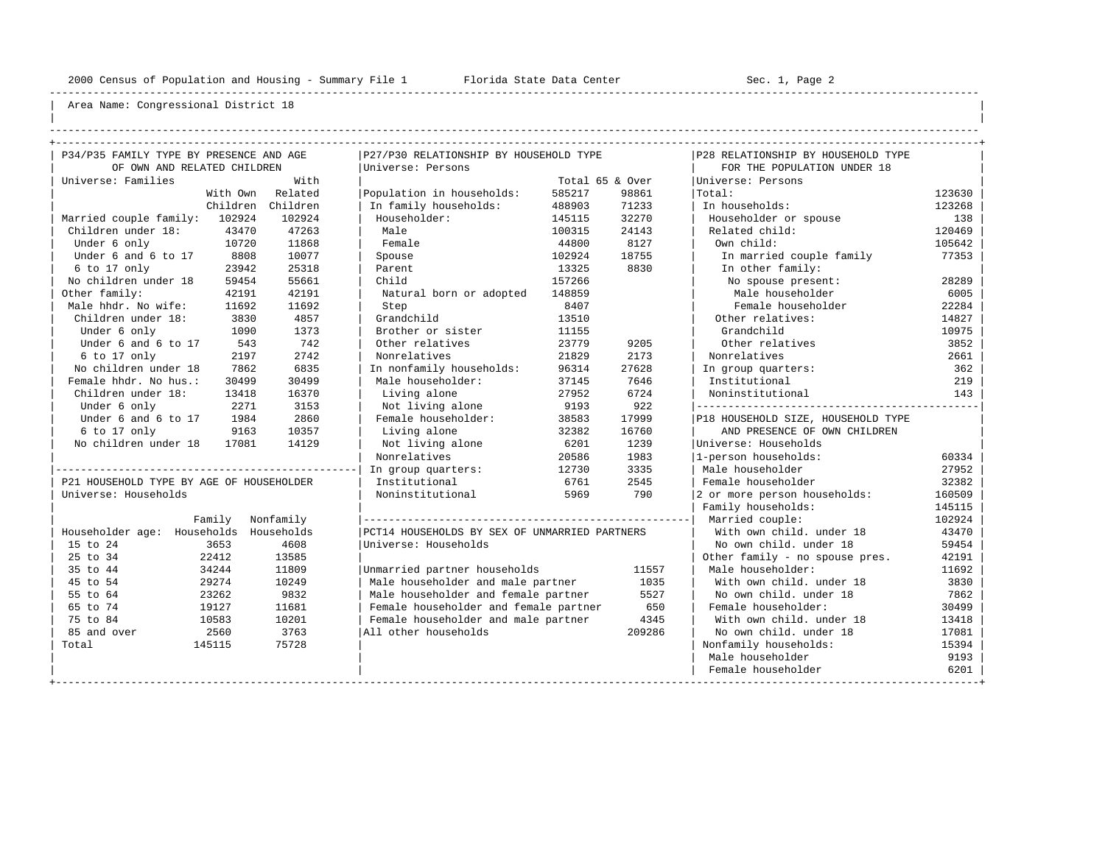----------------------------------------------------------------------------------------------------------------------------------------------------

| | ----------------------------------------------------------------------------------------------------------------------------------------------------

| P34/P35 FAMILY TYPE BY PRESENCE AND AGE  |                | P27/P30 RELATIONSHIP BY HOUSEHOLD TYPE        |                 |        | P28 RELATIONSHIP BY HOUSEHOLD TYPE |        |
|------------------------------------------|----------------|-----------------------------------------------|-----------------|--------|------------------------------------|--------|
| OF OWN AND RELATED CHILDREN              |                | Universe: Persons                             |                 |        | FOR THE POPULATION UNDER 18        |        |
| Universe: Families                       | With           |                                               | Total 65 & Over |        | Universe: Persons                  |        |
| With Own                                 | Related        | Population in households:                     | 585217          | 98861  | Total:                             | 123630 |
| Children                                 | Children       | In family households:                         | 488903          | 71233  | In households:                     | 123268 |
| Married couple family:<br>102924         | 102924         | Householder:                                  | 145115          | 32270  | Householder or spouse              | 138    |
| Children under 18:                       | 47263<br>43470 | Male                                          | 100315          | 24143  | Related child:                     | 120469 |
| Under 6 only                             | 10720<br>11868 | Female                                        | 44800           | 8127   | Own child:                         | 105642 |
| Under 6 and 6 to 17                      | 10077<br>8808  | Spouse                                        | 102924          | 18755  | In married couple family           | 77353  |
| 6 to 17 only                             | 25318<br>23942 | Parent                                        | 13325           | 8830   | In other family:                   |        |
| No children under 18                     | 59454<br>55661 | Child                                         | 157266          |        | No spouse present:                 | 28289  |
| Other family:                            | 42191<br>42191 | Natural born or adopted                       | 148859          |        | Male householder                   | 6005   |
| Male hhdr. No wife:                      | 11692<br>11692 | Step                                          | 8407            |        | Female householder                 | 22284  |
| Children under 18:                       | 3830<br>4857   | Grandchild                                    | 13510           |        | Other relatives:                   | 14827  |
| Under 6 only                             | 1373<br>1090   | Brother or sister                             | 11155           |        | Grandchild                         | 10975  |
| Under 6 and 6 to 17                      | 742<br>543     | Other relatives                               | 23779           | 9205   | Other relatives                    | 3852   |
| $6$ to 17 only                           | 2197<br>2742   | Nonrelatives                                  | 21829           | 2173   | Nonrelatives                       | 2661   |
| No children under 18                     | 6835<br>7862   | In nonfamily households:                      | 96314           | 27628  | In group quarters:                 | 362    |
| Female hhdr. No hus.:                    | 30499<br>30499 | Male householder:                             | 37145           | 7646   | Institutional                      | 219    |
| Children under 18:                       | 16370<br>13418 | Living alone                                  | 27952           | 6724   | Noninstitutional                   | 143    |
| Under 6 only                             | 2271<br>3153   | Not living alone                              | 9193            | 922    |                                    |        |
| Under 6 and 6 to 17                      | 2860<br>1984   | Female householder:                           | 38583           | 17999  | P18 HOUSEHOLD SIZE, HOUSEHOLD TYPE |        |
| 6 to 17 only                             | 10357<br>9163  | Living alone                                  | 32382           | 16760  | AND PRESENCE OF OWN CHILDREN       |        |
| No children under 18                     | 14129<br>17081 | Not living alone                              | 6201            | 1239   | Universe: Households               |        |
|                                          |                | Nonrelatives                                  | 20586           | 1983   | 1-person households:               | 60334  |
|                                          |                | In group quarters:                            | 12730           | 3335   | Male householder                   | 27952  |
| P21 HOUSEHOLD TYPE BY AGE OF HOUSEHOLDER |                | Institutional                                 | 6761            | 2545   | Female householder                 | 32382  |
| Universe: Households                     |                | Noninstitutional                              | 5969            | 790    | 2 or more person households:       | 160509 |
|                                          |                |                                               |                 |        | Family households:                 | 145115 |
| Family                                   | Nonfamily      |                                               |                 |        | Married couple:                    | 102924 |
| Householder age: Households Households   |                | PCT14 HOUSEHOLDS BY SEX OF UNMARRIED PARTNERS |                 |        | With own child, under 18           | 43470  |
| 15 to 24<br>3653                         | 4608           | Universe: Households                          |                 |        | No own child. under 18             | 59454  |
| 25 to 34<br>22412                        | 13585          |                                               |                 |        | Other family - no spouse pres.     | 42191  |
| 35 to 44<br>34244                        | 11809          | Unmarried partner households                  |                 | 11557  | Male householder:                  | 11692  |
| 45 to 54<br>29274                        | 10249          | Male householder and male partner             |                 | 1035   | With own child, under 18           | 3830   |
| 55 to 64<br>23262                        | 9832           | Male householder and female partner           |                 | 5527   | No own child. under 18             | 7862   |
| 65 to 74<br>19127                        | 11681          | Female householder and female partner         |                 | 650    | Female householder:                | 30499  |
| 75 to 84<br>10583                        | 10201          | Female householder and male partner           |                 | 4345   | With own child, under 18           | 13418  |
| 85 and over<br>2560                      | 3763           | All other households                          |                 | 209286 | No own child, under 18             | 17081  |
| Total<br>145115                          | 75728          |                                               |                 |        | Nonfamily households:              | 15394  |
|                                          |                |                                               |                 |        | Male householder                   | 9193   |
|                                          |                |                                               |                 |        | Female householder                 | 6201   |
|                                          |                |                                               |                 |        |                                    |        |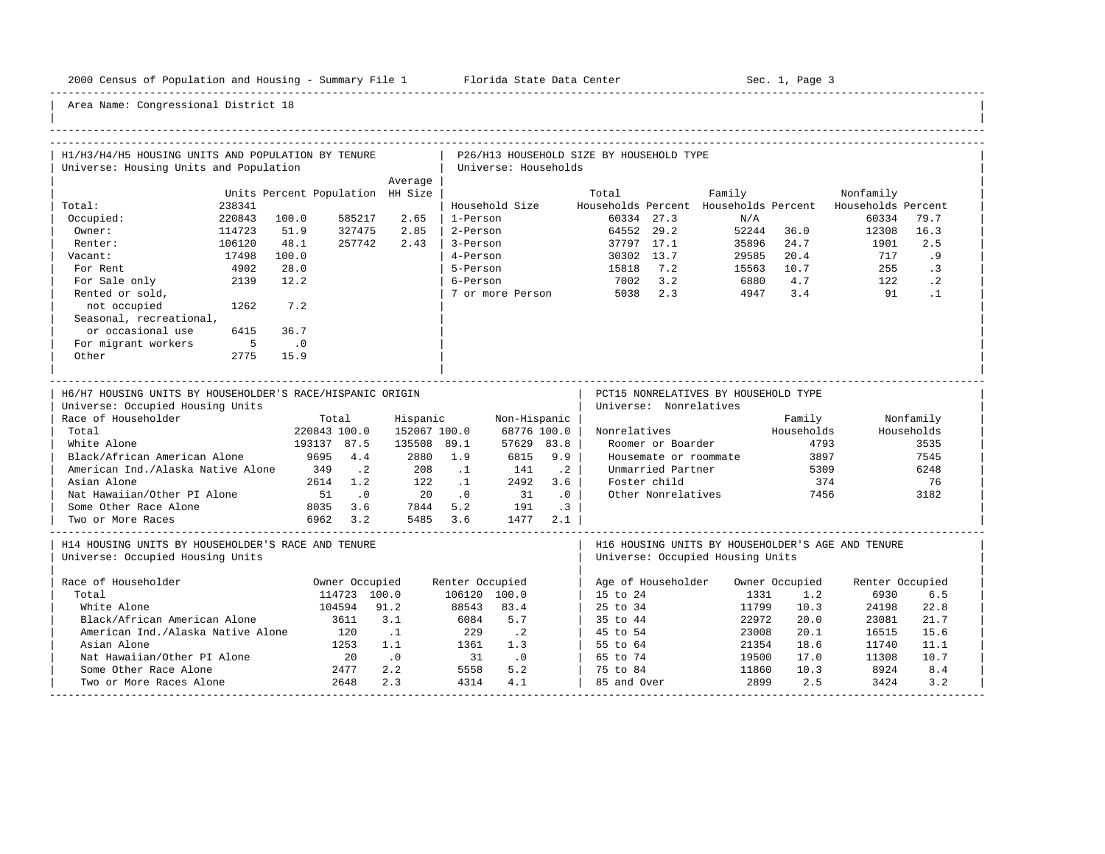-----------------------------------------------------------------------------------------------------------------------------------------------------

| H1/H3/H4/H5 HOUSING UNITS AND POPULATION BY TENURE<br>Universe: Housing Units and Population  |             |                                  |                |                             |                 | Universe: Households |           | P26/H13 HOUSEHOLD SIZE BY HOUSEHOLD TYPE |                        |                                                                                       |                |                    |            |  |
|-----------------------------------------------------------------------------------------------|-------------|----------------------------------|----------------|-----------------------------|-----------------|----------------------|-----------|------------------------------------------|------------------------|---------------------------------------------------------------------------------------|----------------|--------------------|------------|--|
|                                                                                               |             |                                  |                | Average                     |                 |                      |           |                                          |                        |                                                                                       |                |                    |            |  |
|                                                                                               |             | Units Percent Population HH Size |                |                             |                 |                      |           | Total                                    |                        | Family                                                                                |                | Nonfamily          |            |  |
| Total:                                                                                        | 238341      |                                  |                |                             |                 | Household Size       |           |                                          |                        | Households Percent Households Percent                                                 |                | Households Percent |            |  |
| Occupied:                                                                                     | 220843      | 100.0                            | 585217         | 2.65                        | 1-Person        |                      |           |                                          | 60334 27.3             | N/A                                                                                   |                | 60334              | 79.7       |  |
| Owner:                                                                                        | 114723      | 51.9                             | 327475         | 2.85                        | 2-Person        |                      |           |                                          | 64552 29.2             | 52244                                                                                 | 36.0           | 12308              | 16.3       |  |
| Renter:                                                                                       | 106120      | 48.1                             | 257742         | 2.43                        | 3-Person        |                      |           |                                          | 37797 17.1             | 35896                                                                                 | 24.7           | 1901               | 2.5        |  |
| Vacant:                                                                                       | 17498       | 100.0                            |                |                             | 4-Person        |                      |           |                                          | 30302 13.7             | 29585                                                                                 | 20.4           | 717                | .9         |  |
| For Rent                                                                                      | 4902        | 28.0                             |                |                             | 5-Person        |                      |           | 15818                                    | 7.2                    | 15563                                                                                 | 10.7           | 255                | $\cdot$ 3  |  |
| For Sale only                                                                                 | 2139        | 12.2                             |                |                             | 6-Person        |                      |           | 7002                                     | 3.2                    | 6880                                                                                  | 4.7            | 122                | $\cdot$ 2  |  |
| Rented or sold,                                                                               |             |                                  |                |                             |                 | 7 or more Person     |           |                                          | 5038 2.3               | 4947                                                                                  | 3.4            | 91                 | $\cdot$ 1  |  |
| not occupied                                                                                  | 1262        | 7.2                              |                |                             |                 |                      |           |                                          |                        |                                                                                       |                |                    |            |  |
| Seasonal, recreational,                                                                       |             |                                  |                |                             |                 |                      |           |                                          |                        |                                                                                       |                |                    |            |  |
| or occasional use                                                                             | 6415        | 36.7                             |                |                             |                 |                      |           |                                          |                        |                                                                                       |                |                    |            |  |
| For migrant workers                                                                           | $5^{\circ}$ | $\cdot$ 0                        |                |                             |                 |                      |           |                                          |                        |                                                                                       |                |                    |            |  |
| Other                                                                                         | 2775        | 15.9                             |                |                             |                 |                      |           |                                          |                        |                                                                                       |                |                    |            |  |
|                                                                                               |             |                                  |                |                             |                 |                      |           |                                          |                        |                                                                                       |                |                    |            |  |
| H6/H7 HOUSING UNITS BY HOUSEHOLDER'S RACE/HISPANIC ORIGIN<br>Universe: Occupied Housing Units |             |                                  |                |                             |                 |                      |           |                                          | Universe: Nonrelatives | PCT15 NONRELATIVES BY HOUSEHOLD TYPE                                                  |                |                    |            |  |
| Race of Householder                                                                           |             |                                  | Total          | Hispanic                    |                 | Non-Hispanic         |           |                                          |                        |                                                                                       | Family         |                    | Nonfamily  |  |
| Total                                                                                         |             | 220843 100.0                     |                | 152067 100.0                |                 | 68776 100.0          |           | Nonrelatives                             |                        |                                                                                       | Households     |                    | Households |  |
| White Alone                                                                                   |             | 193137 87.5                      |                | 135508 89.1                 |                 | 57629 83.8           |           |                                          | Roomer or Boarder      |                                                                                       | 4793           |                    | 3535       |  |
| Black/African American Alone                                                                  |             | 9695                             | 4.4            | 2880                        | 1.9             | 6815                 | 9.9       |                                          | Housemate or roommate  |                                                                                       | 3897           |                    | 7545       |  |
| American Ind./Alaska Native Alone                                                             |             | 349                              | $\cdot$ . 2    | 208                         | $\cdot$ 1       | 141                  | $\cdot$ 2 |                                          | Unmarried Partner      |                                                                                       | 5309           |                    | 6248       |  |
| Asian Alone                                                                                   |             |                                  | 2614 1.2       | 122                         | $\ldots$ 1      | 2492                 | 3.6       |                                          | Foster child           |                                                                                       | 374            |                    | 76         |  |
| Nat Hawaiian/Other PI Alone                                                                   |             | 51                               | $\cdot$ 0      | 20                          | $\cdot$ 0       | 31                   | $\cdot$ 0 |                                          | Other Nonrelatives     |                                                                                       | 7456           |                    | 3182       |  |
| Some Other Race Alone                                                                         |             |                                  | 8035 3.6       |                             | 7844 5.2        | 191                  | $\cdot$ 3 |                                          |                        |                                                                                       |                |                    |            |  |
| Two or More Races                                                                             |             |                                  | 6962 3.2       |                             | 5485 3.6        | 1477                 | 2.1       |                                          |                        |                                                                                       |                |                    |            |  |
| H14 HOUSING UNITS BY HOUSEHOLDER'S RACE AND TENURE<br>Universe: Occupied Housing Units        |             |                                  |                |                             |                 |                      |           |                                          |                        | H16 HOUSING UNITS BY HOUSEHOLDER'S AGE AND TENURE<br>Universe: Occupied Housing Units |                |                    |            |  |
| Race of Householder                                                                           |             |                                  | Owner Occupied |                             | Renter Occupied |                      |           |                                          | Age of Householder     |                                                                                       | Owner Occupied | Renter Occupied    |            |  |
| Total                                                                                         |             |                                  | 114723 100.0   |                             | 106120 100.0    |                      |           | 15 to 24                                 |                        | 1331                                                                                  | 1.2            | 6930               | 6.5        |  |
| White Alone                                                                                   |             |                                  | 104594         | 91.2                        | 88543           | 83.4                 |           | 25 to 34                                 |                        | 11799                                                                                 | 10.3           | 24198              | 22.8       |  |
| Black/African American Alone                                                                  |             |                                  | 3611           | 3.1                         | 6084            | 5.7                  |           | 35 to 44                                 |                        | 22972                                                                                 | 20.0           | 23081              | 21.7       |  |
| American Ind./Alaska Native Alone                                                             |             |                                  | 120            | $\cdot$ 1                   | 229             | $\cdot$ . 2          |           | 45 to 54                                 |                        | 23008                                                                                 | 20.1           | 16515              | 15.6       |  |
| Asian Alone                                                                                   |             |                                  | 1253           | 1.1                         | 1361            | 1.3                  |           | 55 to 64                                 |                        | 21354                                                                                 | 18.6           | 11740              | 11.1       |  |
| Nat Hawaiian/Other PI Alone                                                                   |             |                                  | 20             | $\overline{\phantom{0}}$ .0 | 31              | $\cdot$ 0            |           | 65 to 74                                 |                        | 19500                                                                                 | 17.0           | 11308              | 10.7       |  |
| Some Other Race Alone                                                                         |             |                                  | 2477           | 2.2                         | 5558            | 5.2                  |           | 75 to 84                                 |                        | 11860                                                                                 | 10.3           | 8924               | 8.4        |  |
| Two or More Races Alone                                                                       |             |                                  | 2648           | 2.3                         | 4314            | 4.1                  |           | 85 and Over                              |                        | 2899                                                                                  | 2.5            | 3424               | 3.2        |  |
|                                                                                               |             |                                  |                |                             |                 |                      |           |                                          |                        |                                                                                       |                |                    |            |  |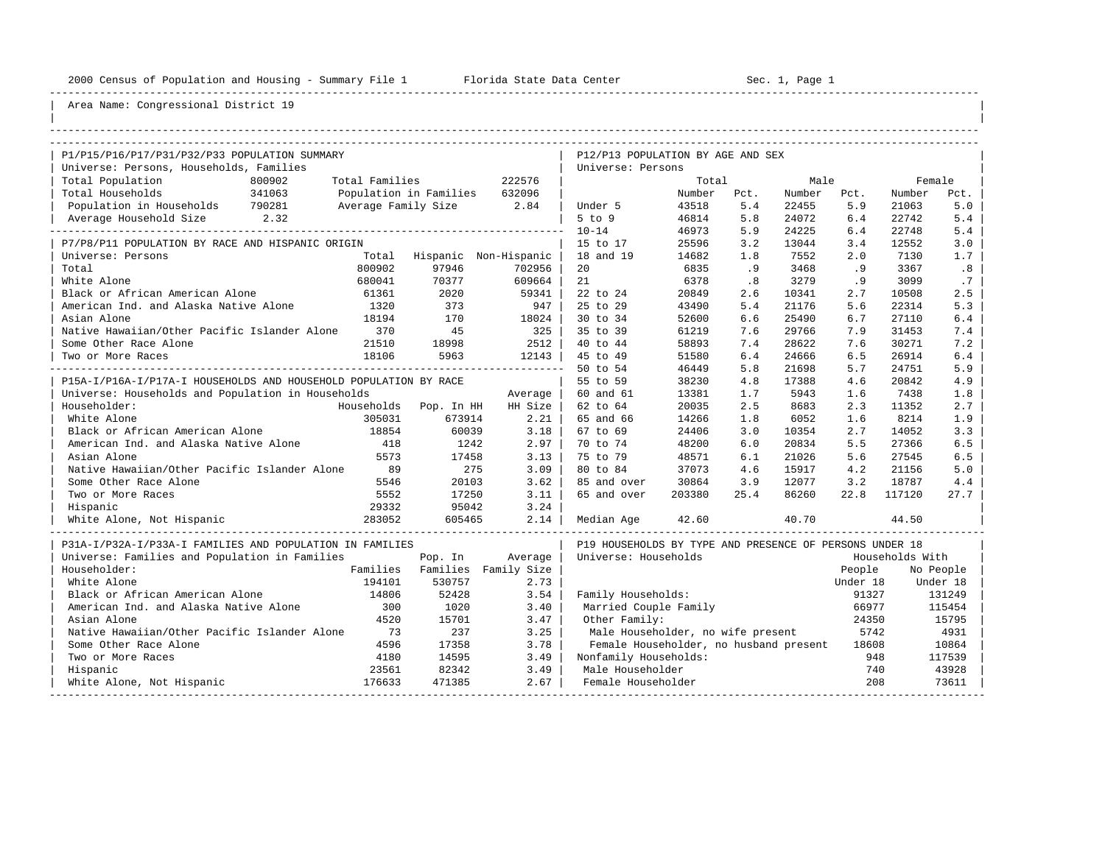----------------------------------------------------------------------------------------------------------------------------------------------------

| |

| P1/P15/P16/P17/P31/P32/P33 POPULATION SUMMARY                    |                |                               |                                 | P12/P13 POPULATION BY AGE AND SEX                       |        |      |        |          |                 |           |
|------------------------------------------------------------------|----------------|-------------------------------|---------------------------------|---------------------------------------------------------|--------|------|--------|----------|-----------------|-----------|
| Universe: Persons, Households, Families                          |                |                               |                                 | Universe: Persons                                       |        |      |        |          |                 |           |
| Total Population<br>800902                                       | Total Families |                               | 222576                          |                                                         | Total  |      | Male   |          |                 | Female    |
| 341063<br>Total Households                                       |                | Population in Families 632096 |                                 |                                                         | Number | Pct. | Number | Pct.     | Number          | Pct.      |
| Population in Households 790281                                  |                | Average Family Size 2.84      |                                 | Under 5                                                 | 43518  | 5.4  | 22455  | 5.9      | 21063           | 5.0       |
|                                                                  |                |                               |                                 | $5$ to $9$                                              | 46814  | 5.8  | 24072  | 6.4      | 22742           | 5.4       |
|                                                                  |                |                               |                                 | $10 - 14$                                               | 46973  | 5.9  | 24225  | 6.4      | 22748           | 5.4       |
| P7/P8/P11 POPULATION BY RACE AND HISPANIC ORIGIN                 |                |                               |                                 | 15 to 17                                                | 25596  | 3.2  | 13044  | 3.4      | 12552           | 3.0       |
| Universe: Persons                                                |                |                               | Total Hispanic Non-Hispanic     | 18 and 19                                               | 14682  | 1.8  | 7552   | 2.0      | 7130            | 1.7       |
| Total                                                            | 800902         | 97946                         | 702956                          | 20                                                      | 6835   | .9   | 3468   | .9       | 3367            | .8        |
| White Alone                                                      | 680041         | 70377                         | 609664                          | 21                                                      | 6378   | .8   | 3279   | .9       | 3099            | .7        |
| Black or African American Alone                                  | 61361          | 2020                          | 59341                           | 22 to 24                                                | 20849  | 2.6  | 10341  | 2.7      | 10508           | 2.5       |
| American Ind. and Alaska Native Alone 1320                       |                | 373                           | 947                             | 25 to 29                                                | 43490  | 5.4  | 21176  | 5.6      | 22314           | 5.3       |
| Asian Alone                                                      | 18194          | 170                           | 18024                           | 30 to 34                                                | 52600  | 6.6  | 25490  | 6.7      | 27110           | 6.4       |
| Native Hawaiian/Other Pacific Islander Alone 370                 |                | 45                            | 325                             | 35 to 39                                                | 61219  | 7.6  | 29766  | 7.9      | 31453           | 7.4       |
| Some Other Race Alone                                            | 21510          | 18998                         | 2512                            | 40 to 44                                                | 58893  | 7.4  | 28622  | 7.6      | 30271           | 7.2       |
| Two or More Races                                                | 18106          | 5963                          | 12143                           | 45 to 49                                                | 51580  | 6.4  | 24666  | 6.5      | 26914           | 6.4       |
|                                                                  |                |                               | ------------------------------- | 50 to 54                                                | 46449  | 5.8  | 21698  | 5.7      | 24751           | 5.9       |
| P15A-I/P16A-I/P17A-I HOUSEHOLDS AND HOUSEHOLD POPULATION BY RACE |                |                               |                                 | 55 to 59                                                | 38230  | 4.8  | 17388  | 4.6      | 20842           | 4.9       |
| Universe: Households and Population in Households                |                |                               | Average                         | 60 and 61                                               | 13381  | 1.7  | 5943   | 1.6      | 7438            | 1.8       |
| Householder:                                                     |                | Households Pop. In HH         | HH Size                         | 62 to 64                                                | 20035  | 2.5  | 8683   | 2.3      | 11352           | 2.7       |
| White Alone                                                      | 305031         | 673914                        | 2.21                            | 65 and 66                                               | 14266  | 1.8  | 6052   | 1.6      | 8214            | 1.9       |
| Black or African American Alone                                  | 18854          | 60039                         | 3.18                            | 67 to 69                                                | 24406  | 3.0  | 10354  | 2.7      | 14052           | 3.3       |
| American Ind. and Alaska Native Alone 418                        |                | 1242                          | 2.97                            | 70 to 74                                                | 48200  | 6.0  | 20834  | 5.5      | 27366           | 6.5       |
| Asian Alone                                                      | 5573           | 17458                         | 3.13                            | 75 to 79                                                | 48571  | 6.1  | 21026  | 5.6      | 27545           | 6.5       |
| Native Hawaiian/Other Pacific Islander Alone                     | 89             | 275                           | 3.09                            | 80 to 84                                                | 37073  | 4.6  | 15917  | 4.2      | 21156           | 5.0       |
| Some Other Race Alone                                            | 5546           | 20103                         | 3.62                            | 85 and over                                             | 30864  | 3.9  | 12077  | 3.2      | 18787           | 4.4       |
| Two or More Races                                                | 5552           | 17250                         | 3.11                            | 65 and over                                             | 203380 | 25.4 | 86260  | 22.8     | 117120          | 27.7      |
| Hispanic                                                         | 29332          | 95042                         | 3.24                            |                                                         |        |      |        |          |                 |           |
| White Alone, Not Hispanic                                        | 283052         | 605465                        | 2.14                            | Median Age                                              | 42.60  |      | 40.70  |          | 44.50           |           |
| P31A-I/P32A-I/P33A-I FAMILIES AND POPULATION IN FAMILIES         |                |                               |                                 | P19 HOUSEHOLDS BY TYPE AND PRESENCE OF PERSONS UNDER 18 |        |      |        |          |                 |           |
| Universe: Families and Population in Families                    |                | Pop. In                       | Average                         | Universe: Households                                    |        |      |        |          | Households With |           |
| Householder:                                                     |                |                               | Families Families Family Size   |                                                         |        |      |        | People   |                 | No People |
| White Alone                                                      | 194101         | 530757                        | 2.73                            |                                                         |        |      |        | Under 18 |                 | Under 18  |
| Black or African American Alone                                  | 14806          | 52428                         | 3.54                            | Family Households:                                      |        |      |        | 91327    |                 | 131249    |
| American Ind. and Alaska Native Alone                            | 300            | 1020                          | 3.40                            | Married Couple Family                                   |        |      |        | 66977    |                 | 115454    |
| Asian Alone                                                      | 4520           | 15701                         | 3.47                            | Other Family:                                           |        |      |        | 24350    |                 | 15795     |
| Native Hawaiian/Other Pacific Islander Alone                     | 73             | 237                           | 3.25                            | Male Householder, no wife present                       |        |      |        | 5742     |                 | 4931      |
| Some Other Race Alone                                            | 4596           | 17358                         | 3.78                            | Female Householder, no husband present                  |        |      |        | 18608    |                 | 10864     |
| Two or More Races                                                | 4180           | 14595                         | 3.49                            | Nonfamily Households:                                   |        |      |        | 948      |                 | 117539    |
| Hispanic                                                         | 23561          | 82342                         | 3.49                            | Male Householder                                        |        |      |        | 740      |                 | 43928     |
| White Alone, Not Hispanic                                        | 176633         | 471385                        | 2.67                            | Female Householder                                      |        |      |        | 208      |                 | 73611     |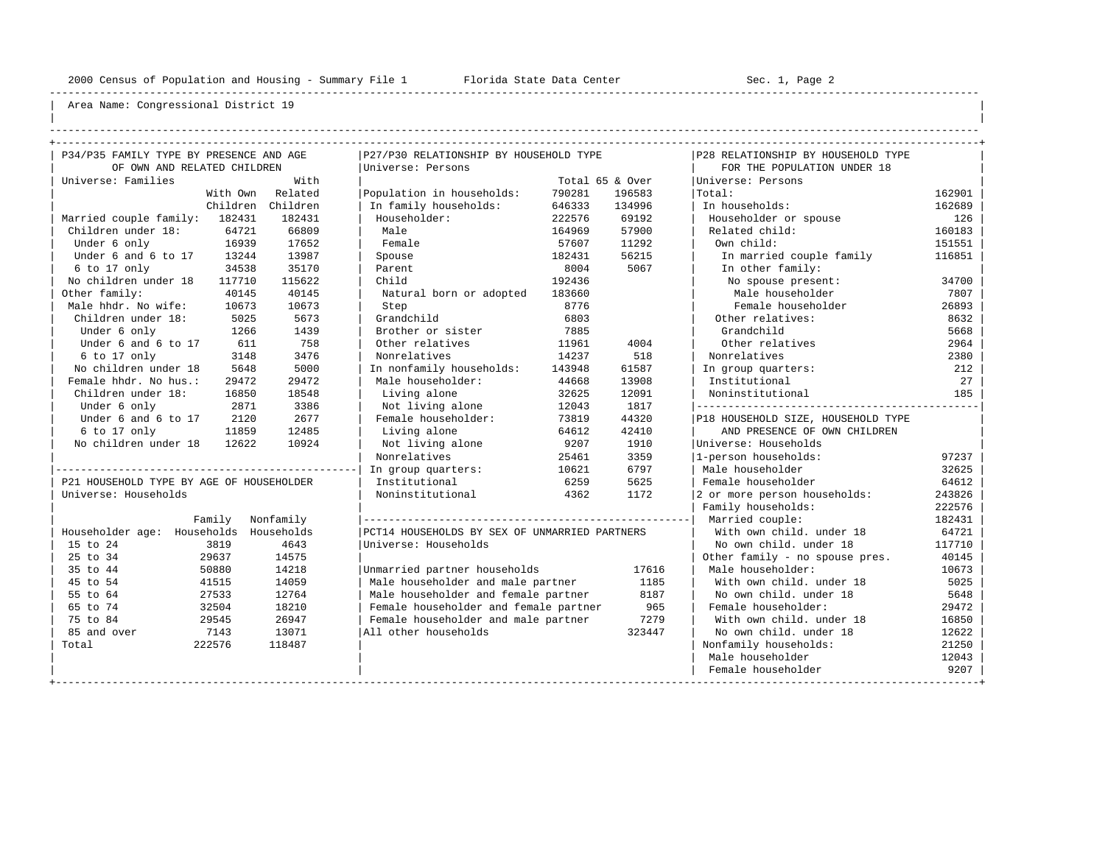----------------------------------------------------------------------------------------------------------------------------------------------------

| | ----------------------------------------------------------------------------------------------------------------------------------------------------

| P34/P35 FAMILY TYPE BY PRESENCE AND AGE  |           | P27/P30 RELATIONSHIP BY HOUSEHOLD TYPE        |        |                 | P28 RELATIONSHIP BY HOUSEHOLD TYPE |        |
|------------------------------------------|-----------|-----------------------------------------------|--------|-----------------|------------------------------------|--------|
| OF OWN AND RELATED CHILDREN              |           | Universe: Persons                             |        |                 | FOR THE POPULATION UNDER 18        |        |
| Universe: Families                       | With      |                                               |        | Total 65 & Over | Universe: Persons                  |        |
| With Own                                 | Related   | Population in households:                     | 790281 | 196583          | Total:                             | 162901 |
| Children                                 | Children  | In family households:                         | 646333 | 134996          | In households:                     | 162689 |
| Married couple family: 182431            | 182431    | Householder:                                  | 222576 | 69192           | Householder or spouse              | 126    |
| Children under 18:<br>64721              | 66809     | Male                                          | 164969 | 57900           | Related child:                     | 160183 |
| Under 6 only<br>16939                    | 17652     | Female                                        | 57607  | 11292           | Own child:                         | 151551 |
| Under 6 and 6 to 17<br>13244             | 13987     | Spouse                                        | 182431 | 56215           | In married couple family           | 116851 |
| 34538<br>6 to 17 only                    | 35170     | Parent                                        | 8004   | 5067            | In other family:                   |        |
| No children under 18<br>117710           | 115622    | Child                                         | 192436 |                 | No spouse present:                 | 34700  |
| Other family:<br>40145                   | 40145     | Natural born or adopted                       | 183660 |                 | Male householder                   | 7807   |
| Male hhdr. No wife:<br>10673             | 10673     | Step                                          | 8776   |                 | Female householder                 | 26893  |
| Children under 18:<br>5025               | 5673      | Grandchild                                    | 6803   |                 | Other relatives:                   | 8632   |
| Under 6 only<br>1266                     | 1439      | Brother or sister                             | 7885   |                 | Grandchild                         | 5668   |
| Under 6 and 6 to 17<br>611               | 758       | Other relatives                               | 11961  | 4004            | Other relatives                    | 2964   |
| 6 to 17 only<br>3148                     | 3476      | Nonrelatives                                  | 14237  | 518             | Nonrelatives                       | 2380   |
| No children under 18<br>5648             | 5000      | In nonfamily households:                      | 143948 | 61587           | In group quarters:                 | 212    |
| Female hhdr. No hus.:<br>29472           | 29472     | Male householder:                             | 44668  | 13908           | Institutional                      | 27     |
| Children under 18:<br>16850              | 18548     | Living alone                                  | 32625  | 12091           | Noninstitutional                   | 185    |
| 2871<br>Under 6 only                     | 3386      | Not living alone                              | 12043  | 1817            |                                    |        |
| Under 6 and 6 to 17<br>2120              | 2677      | Female householder:                           | 73819  | 44320           | P18 HOUSEHOLD SIZE, HOUSEHOLD TYPE |        |
| 6 to 17 only<br>11859                    | 12485     | Living alone                                  | 64612  | 42410           | AND PRESENCE OF OWN CHILDREN       |        |
| No children under 18<br>12622            | 10924     | Not living alone                              | 9207   | 1910            | Universe: Households               |        |
|                                          |           | Nonrelatives                                  | 25461  | 3359            | 1-person households:               | 97237  |
|                                          |           | In group quarters:                            | 10621  | 6797            | Male householder                   | 32625  |
| P21 HOUSEHOLD TYPE BY AGE OF HOUSEHOLDER |           | Institutional                                 | 6259   | 5625            | Female householder                 | 64612  |
| Universe: Households                     |           | Noninstitutional                              | 4362   | 1172            | 2 or more person households:       | 243826 |
|                                          |           |                                               |        |                 | Family households:                 | 222576 |
| Family                                   | Nonfamily |                                               |        |                 | Married couple:                    | 182431 |
| Householder age: Households Households   |           | PCT14 HOUSEHOLDS BY SEX OF UNMARRIED PARTNERS |        |                 | With own child, under 18           | 64721  |
| 3819<br>15 to 24                         | 4643      | Universe: Households                          |        |                 | No own child, under 18             | 117710 |
| 25 to 34<br>29637                        | 14575     |                                               |        |                 | Other family - no spouse pres.     | 40145  |
| 35 to 44<br>50880                        | 14218     | Unmarried partner households                  |        | 17616           | Male householder:                  | 10673  |
| 45 to 54<br>41515                        | 14059     | Male householder and male partner             |        | 1185            | With own child, under 18           | 5025   |
| 55 to 64<br>27533                        | 12764     | Male householder and female partner           |        | 8187            | No own child. under 18             | 5648   |
| 65 to 74<br>32504                        | 18210     | Female householder and female partner         |        | 965             | Female householder:                | 29472  |
| 75 to 84<br>29545                        | 26947     | Female householder and male partner           |        | 7279            | With own child, under 18           | 16850  |
| 85 and over<br>7143                      | 13071     | All other households                          |        | 323447          | No own child, under 18             | 12622  |
| 222576<br>Total                          | 118487    |                                               |        |                 | Nonfamily households:              | 21250  |
|                                          |           |                                               |        |                 | Male householder                   | 12043  |
|                                          |           |                                               |        |                 | Female householder                 | 9207   |
|                                          |           |                                               |        |                 |                                    |        |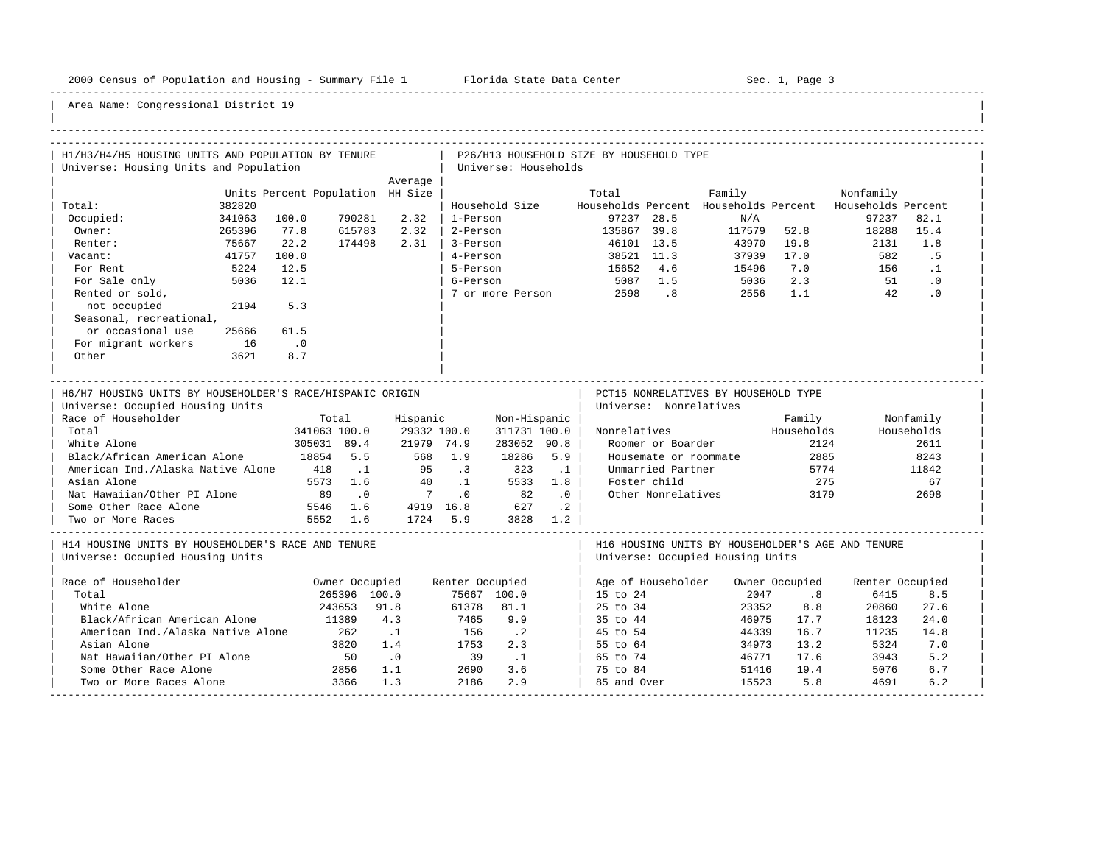-----------------------------------------------------------------------------------------------------------------------------------------------------

| H1/H3/H4/H5 HOUSING UNITS AND POPULATION BY TENURE<br>Universe: Housing Units and Population                                                                                                                                                                                                                  |        |                                    |                                                                                       |                                                                                |                                                       | Universe: Households                                                                                   |                                                          | P26/H13 HOUSEHOLD SIZE BY HOUSEHOLD TYPE |                                                                                                                                 |                                                                                       |                                                             |                    |                                                                |
|---------------------------------------------------------------------------------------------------------------------------------------------------------------------------------------------------------------------------------------------------------------------------------------------------------------|--------|------------------------------------|---------------------------------------------------------------------------------------|--------------------------------------------------------------------------------|-------------------------------------------------------|--------------------------------------------------------------------------------------------------------|----------------------------------------------------------|------------------------------------------|---------------------------------------------------------------------------------------------------------------------------------|---------------------------------------------------------------------------------------|-------------------------------------------------------------|--------------------|----------------------------------------------------------------|
|                                                                                                                                                                                                                                                                                                               |        |                                    |                                                                                       | Average                                                                        |                                                       |                                                                                                        |                                                          |                                          |                                                                                                                                 |                                                                                       |                                                             |                    |                                                                |
|                                                                                                                                                                                                                                                                                                               |        | Units Percent Population HH Size   |                                                                                       |                                                                                |                                                       |                                                                                                        |                                                          | Total                                    |                                                                                                                                 | Family                                                                                |                                                             | Nonfamily          |                                                                |
| Total:                                                                                                                                                                                                                                                                                                        | 382820 |                                    |                                                                                       |                                                                                |                                                       | Household Size                                                                                         |                                                          |                                          |                                                                                                                                 | Households Percent Households Percent                                                 |                                                             | Households Percent |                                                                |
| Occupied:                                                                                                                                                                                                                                                                                                     | 341063 | 100.0                              | 790281                                                                                | 2.32                                                                           | 1-Person                                              |                                                                                                        |                                                          |                                          | 97237 28.5                                                                                                                      | N/A                                                                                   |                                                             | 97237              | 82.1                                                           |
| Owner:                                                                                                                                                                                                                                                                                                        | 265396 | 77.8                               | 615783                                                                                | 2.32                                                                           | 2-Person                                              |                                                                                                        |                                                          | 135867 39.8                              |                                                                                                                                 | 117579 52.8                                                                           |                                                             | 18288              | 15.4                                                           |
| Renter:                                                                                                                                                                                                                                                                                                       | 75667  | 22.2                               | 174498                                                                                | 2.31                                                                           | 3-Person                                              |                                                                                                        |                                                          |                                          | 46101 13.5                                                                                                                      | 43970                                                                                 | 19.8                                                        | 2131               | 1.8                                                            |
| Vacant:                                                                                                                                                                                                                                                                                                       | 41757  | 100.0                              |                                                                                       |                                                                                | 4-Person                                              |                                                                                                        |                                                          |                                          | 38521 11.3                                                                                                                      | 37939                                                                                 | 17.0                                                        | 582                | .5                                                             |
| For Rent                                                                                                                                                                                                                                                                                                      | 5224   | 12.5                               |                                                                                       |                                                                                | 5-Person                                              |                                                                                                        |                                                          | 15652 4.6                                |                                                                                                                                 | 15496                                                                                 | 7.0                                                         | 156                | $\cdot$ 1                                                      |
| For Sale only                                                                                                                                                                                                                                                                                                 | 5036   | 12.1                               |                                                                                       |                                                                                | 6-Person                                              |                                                                                                        |                                                          | 5087 1.5                                 |                                                                                                                                 | 5036                                                                                  | 2.3                                                         | 51                 | $\cdot$ 0                                                      |
| Rented or sold,                                                                                                                                                                                                                                                                                               |        |                                    |                                                                                       |                                                                                |                                                       | 7 or more Person                                                                                       |                                                          |                                          | 2598 .8                                                                                                                         | 2556                                                                                  | 1.1                                                         | 42                 | .0                                                             |
| not occupied                                                                                                                                                                                                                                                                                                  | 2194   | 5.3                                |                                                                                       |                                                                                |                                                       |                                                                                                        |                                                          |                                          |                                                                                                                                 |                                                                                       |                                                             |                    |                                                                |
| Seasonal, recreational,                                                                                                                                                                                                                                                                                       |        |                                    |                                                                                       |                                                                                |                                                       |                                                                                                        |                                                          |                                          |                                                                                                                                 |                                                                                       |                                                             |                    |                                                                |
| or occasional use                                                                                                                                                                                                                                                                                             | 25666  | 61.5                               |                                                                                       |                                                                                |                                                       |                                                                                                        |                                                          |                                          |                                                                                                                                 |                                                                                       |                                                             |                    |                                                                |
| For migrant workers                                                                                                                                                                                                                                                                                           | 16     | $\cdot$ 0                          |                                                                                       |                                                                                |                                                       |                                                                                                        |                                                          |                                          |                                                                                                                                 |                                                                                       |                                                             |                    |                                                                |
| Other                                                                                                                                                                                                                                                                                                         | 3621   | 8.7                                |                                                                                       |                                                                                |                                                       |                                                                                                        |                                                          |                                          |                                                                                                                                 |                                                                                       |                                                             |                    |                                                                |
|                                                                                                                                                                                                                                                                                                               |        |                                    |                                                                                       |                                                                                |                                                       |                                                                                                        |                                                          |                                          |                                                                                                                                 |                                                                                       |                                                             |                    |                                                                |
| H6/H7 HOUSING UNITS BY HOUSEHOLDER'S RACE/HISPANIC ORIGIN<br>Universe: Occupied Housing Units<br>Race of Householder<br>Total<br>White Alone<br>Black/African American Alone<br>American Ind./Alaska Native Alone<br>Asian Alone<br>Nat Hawaiian/Other PI Alone<br>Some Other Race Alone<br>Two or More Races |        | 18854 5.5<br>418<br>89<br>5546 1.6 | Total<br>341063 100.0<br>305031 89.4<br>$\ldots$<br>5573 1.6<br>$\cdot$ 0<br>5552 1.6 | Hispanic<br>29332 100.0<br>21979 74.9<br>568 1.9<br>95<br>40<br>$7\phantom{0}$ | $\cdot$ 3<br>$\ldots$<br>$\overline{0}$ .<br>1724 5.9 | Non-Hispanic<br>311731 100.0<br>283052 90.8<br>18286<br>323<br>5533<br>82<br>4919 16.8 627<br>3828 1.2 | 5.9<br>$\cdot$ 1<br>1.8<br>$\overline{0}$<br>$\cdot$ . 2 | Nonrelatives                             | Universe: Nonrelatives<br>Roomer or Boarder<br>Housemate or roommate<br>Unmarried Partner<br>Foster child<br>Other Nonrelatives | PCT15 NONRELATIVES BY HOUSEHOLD TYPE                                                  | Family<br>Households<br>2124<br>2885<br>5774<br>275<br>3179 |                    | Nonfamily<br>Households<br>2611<br>8243<br>11842<br>67<br>2698 |
| H14 HOUSING UNITS BY HOUSEHOLDER'S RACE AND TENURE<br>Universe: Occupied Housing Units                                                                                                                                                                                                                        |        |                                    |                                                                                       |                                                                                |                                                       |                                                                                                        |                                                          |                                          |                                                                                                                                 | H16 HOUSING UNITS BY HOUSEHOLDER'S AGE AND TENURE<br>Universe: Occupied Housing Units |                                                             |                    |                                                                |
| Race of Householder                                                                                                                                                                                                                                                                                           |        |                                    | Owner Occupied                                                                        |                                                                                | Renter Occupied                                       |                                                                                                        |                                                          |                                          | Age of Householder                                                                                                              |                                                                                       | Owner Occupied                                              | Renter Occupied    |                                                                |
| Total                                                                                                                                                                                                                                                                                                         |        |                                    | 265396 100.0                                                                          |                                                                                |                                                       | 75667 100.0                                                                                            |                                                          | 15 to 24                                 |                                                                                                                                 | 2047                                                                                  | .8                                                          | 6415               | 8.5                                                            |
| White Alone                                                                                                                                                                                                                                                                                                   |        |                                    | 243653                                                                                | 91.8                                                                           | 61378                                                 | 81.1                                                                                                   |                                                          | 25 to 34                                 |                                                                                                                                 | 23352                                                                                 | 8.8                                                         | 20860              | 27.6                                                           |
| Black/African American Alone                                                                                                                                                                                                                                                                                  |        | 11389                              |                                                                                       | 4.3                                                                            | 7465                                                  | 9.9                                                                                                    |                                                          | 35 to 44                                 |                                                                                                                                 | 46975                                                                                 | 17.7                                                        | 18123              | 24.0                                                           |
| American Ind./Alaska Native Alone                                                                                                                                                                                                                                                                             |        |                                    | 262                                                                                   | $\ldots$ 1                                                                     | 156                                                   | $\cdot$ . 2                                                                                            |                                                          | 45 to 54                                 |                                                                                                                                 | 44339                                                                                 | 16.7                                                        | 11235              | 14.8                                                           |
| Asian Alone                                                                                                                                                                                                                                                                                                   |        |                                    | 3820                                                                                  | 1.4                                                                            | 1753                                                  | 2.3                                                                                                    |                                                          | 55 to 64                                 |                                                                                                                                 | 34973                                                                                 | 13.2                                                        | 5324               | 7.0                                                            |
| Nat Hawaiian/Other PI Alone                                                                                                                                                                                                                                                                                   |        |                                    | 50                                                                                    | $\overline{\phantom{0}}$ .0                                                    | 39                                                    | $\ldots$                                                                                               |                                                          | 65 to 74                                 |                                                                                                                                 | 46771                                                                                 | 17.6                                                        | 3943               | 5.2                                                            |
| Some Other Race Alone                                                                                                                                                                                                                                                                                         |        |                                    | 2856                                                                                  | 1.1                                                                            | 2690                                                  | 3.6                                                                                                    |                                                          | 75 to 84                                 |                                                                                                                                 | 51416                                                                                 | 19.4                                                        | 5076               | 6.7                                                            |
| Two or More Races Alone                                                                                                                                                                                                                                                                                       |        |                                    | 3366                                                                                  | 1.3                                                                            | 2186                                                  | 2.9                                                                                                    |                                                          | 85 and Over                              |                                                                                                                                 | 15523                                                                                 | 5.8                                                         | 4691               | 6.2                                                            |
|                                                                                                                                                                                                                                                                                                               |        |                                    |                                                                                       |                                                                                |                                                       |                                                                                                        |                                                          |                                          |                                                                                                                                 |                                                                                       |                                                             |                    |                                                                |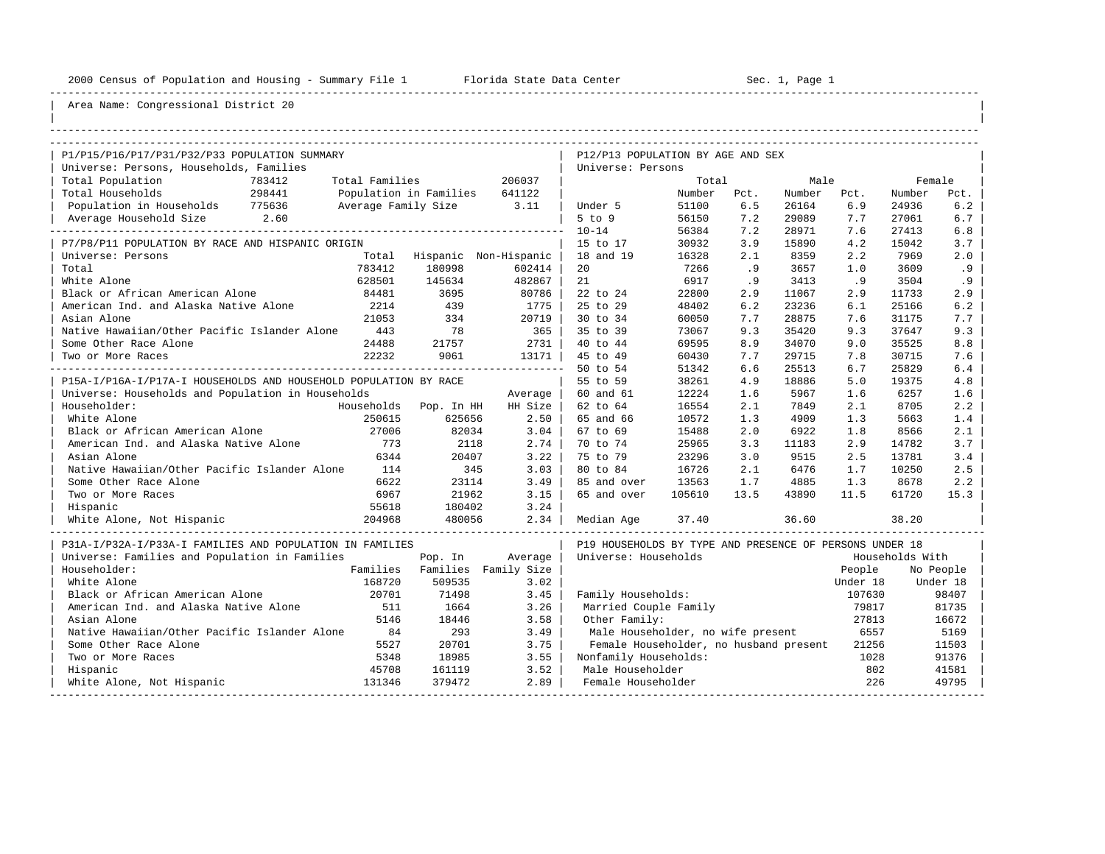----------------------------------------------------------------------------------------------------------------------------------------------------

| |

# Area Name: Congressional District 20

| P1/P15/P16/P17/P31/P32/P33 POPULATION SUMMARY                    |                |                               |         | P12/P13 POPULATION BY AGE AND SEX                       |        |      |        |          |                 |           |
|------------------------------------------------------------------|----------------|-------------------------------|---------|---------------------------------------------------------|--------|------|--------|----------|-----------------|-----------|
| Universe: Persons, Households, Families                          |                |                               |         | Universe: Persons                                       |        |      |        |          |                 |           |
| Total Population<br>783412                                       | Total Families |                               | 206037  |                                                         | Total  |      | Male   |          | Female          |           |
| Total Households<br>298441                                       |                | Population in Families 641122 |         |                                                         | Number | Pct. | Number | Pct.     | Number          | Pct.      |
| Population in Households 775636                                  |                | Average Family Size 3.11      |         | Under 5                                                 | 51100  | 6.5  | 26164  | 6.9      | 24936           | 6.2       |
| Average Household Size 2.60                                      |                |                               |         | $5$ to $9$                                              | 56150  | 7.2  | 29089  | 7.7      | 27061           | 6.7       |
|                                                                  |                |                               |         | $10 - 14$                                               | 56384  | 7.2  | 28971  | 7.6      | 27413           | 6.8       |
| P7/P8/P11 POPULATION BY RACE AND HISPANIC ORIGIN                 |                |                               |         | 15 to 17                                                | 30932  | 3.9  | 15890  | 4.2      | 15042           | 3.7       |
| Universe: Persons                                                |                | Total Hispanic Non-Hispanic   |         | 18 and 19                                               | 16328  | 2.1  | 8359   | 2.2      | 7969            | 2.0       |
| Total                                                            | 783412         | 180998                        | 602414  | 20                                                      | 7266   | .9   | 3657   | 1.0      | 3609            | .9        |
| White Alone                                                      | 628501         | 145634                        | 482867  | 21                                                      | 6917   | .9   | 3413   | .9       | 3504            | .9        |
| Black or African American Alone                                  | 84481          | 3695                          | 80786   | 22 to 24                                                | 22800  | 2.9  | 11067  | 2.9      | 11733           | 2.9       |
| American Ind. and Alaska Native Alone                            | 2214           | 439                           | 1775    | 25 to 29                                                | 48402  | 6.2  | 23236  | 6.1      | 25166           | 6.2       |
| Asian Alone                                                      | 21053          | 334                           | 20719   | 30 to 34                                                | 60050  | 7.7  | 28875  | 7.6      | 31175           | 7.7       |
| Native Hawaiian/Other Pacific Islander Alone                     | 443            | 78                            | 365     | 35 to 39                                                | 73067  | 9.3  | 35420  | 9.3      | 37647           | 9.3       |
| Some Other Race Alone                                            | 24488          | 21757                         | 2731    | 40 to 44                                                | 69595  | 8.9  | 34070  | 9.0      | 35525           | 8.8       |
| Two or More Races                                                | 22232          | 9061                          | 13171   | 45 to 49                                                | 60430  | 7.7  | 29715  | 7.8      | 30715           | 7.6       |
|                                                                  |                |                               |         | 50 to 54                                                | 51342  | 6.6  | 25513  | 6.7      | 25829           | 6.4       |
| P15A-I/P16A-I/P17A-I HOUSEHOLDS AND HOUSEHOLD POPULATION BY RACE |                |                               |         | 55 to 59                                                | 38261  | 4.9  | 18886  | 5.0      | 19375           | 4.8       |
| Universe: Households and Population in Households                |                |                               | Average | 60 and 61                                               | 12224  | 1.6  | 5967   | 1.6      | 6257            | 1.6       |
| Householder:                                                     |                | Households Pop. In HH         | HH Size | 62 to 64                                                | 16554  | 2.1  | 7849   | 2.1      | 8705            | 2.2       |
| White Alone                                                      | 250615         | 625656                        | 2.50    | 65 and 66                                               | 10572  | 1.3  | 4909   | 1.3      | 5663            | 1.4       |
| Black or African American Alone                                  | 27006          | 82034                         | 3.04    | 67 to 69                                                | 15488  | 2.0  | 6922   | 1.8      | 8566            | 2.1       |
| American Ind. and Alaska Native Alone                            | 773            | 2118                          | 2.74    | 70 to 74                                                | 25965  | 3.3  | 11183  | 2.9      | 14782           | 3.7       |
| Asian Alone                                                      | 6344           | 20407                         | 3.22    | 75 to 79                                                | 23296  | 3.0  | 9515   | 2.5      | 13781           | 3.4       |
| Native Hawaiian/Other Pacific Islander Alone                     | 114            | 345                           | 3.03    | 80 to 84                                                | 16726  | 2.1  | 6476   | 1.7      | 10250           | 2.5       |
| Some Other Race Alone                                            | 6622           | 23114                         | 3.49    | 85 and over                                             | 13563  | 1.7  | 4885   | 1.3      | 8678            | 2.2       |
| Two or More Races                                                | 6967           | 21962                         | 3.15    | 65 and over                                             | 105610 | 13.5 | 43890  | 11.5     | 61720           | 15.3      |
| Hispanic                                                         | 55618          | 180402                        | 3.24    |                                                         |        |      |        |          |                 |           |
| White Alone, Not Hispanic                                        | 204968         | 480056                        | 2.34    | Median Aqe                                              | 37.40  |      | 36.60  |          | 38.20           |           |
| P31A-I/P32A-I/P33A-I FAMILIES AND POPULATION IN FAMILIES         |                |                               |         | P19 HOUSEHOLDS BY TYPE AND PRESENCE OF PERSONS UNDER 18 |        |      |        |          |                 |           |
| Universe: Families and Population in Families                    |                | Pop. In                       | Average | Universe: Households                                    |        |      |        |          | Households With |           |
| Householder:                                                     |                | Families Families Family Size |         |                                                         |        |      |        | People   |                 | No People |
| White Alone                                                      | 168720         | 509535                        | 3.02    |                                                         |        |      |        | Under 18 |                 | Under 18  |
| Black or African American Alone                                  | 20701          | 71498                         | 3.45    | Family Households:                                      |        |      |        | 107630   |                 | 98407     |
| American Ind. and Alaska Native Alone                            | 511            | 1664                          | 3.26    | Married Couple Family                                   |        |      |        | 79817    |                 | 81735     |
| Asian Alone                                                      | 5146           | 18446                         | 3.58    | Other Family:                                           |        |      |        | 27813    |                 | 16672     |
| Native Hawaiian/Other Pacific Islander Alone                     | 84             | 293                           | 3.49    | Male Householder, no wife present                       |        |      |        | 6557     |                 | 5169      |
| Some Other Race Alone                                            | 5527           | 20701                         | 3.75    | Female Householder, no husband present                  |        |      |        | 21256    |                 | 11503     |
| Two or More Races                                                | 5348           | 18985                         | 3.55    | Nonfamily Households:                                   |        |      |        | 1028     |                 | 91376     |
| Hispanic                                                         | 45708          | 161119                        | 3.52    | Male Householder                                        |        |      |        | 802      |                 | 41581     |
| White Alone, Not Hispanic                                        | 131346         | 379472                        | 2.89    | Female Householder                                      |        |      |        | 226      |                 | 49795     |

-----------------------------------------------------------------------------------------------------------------------------------------------------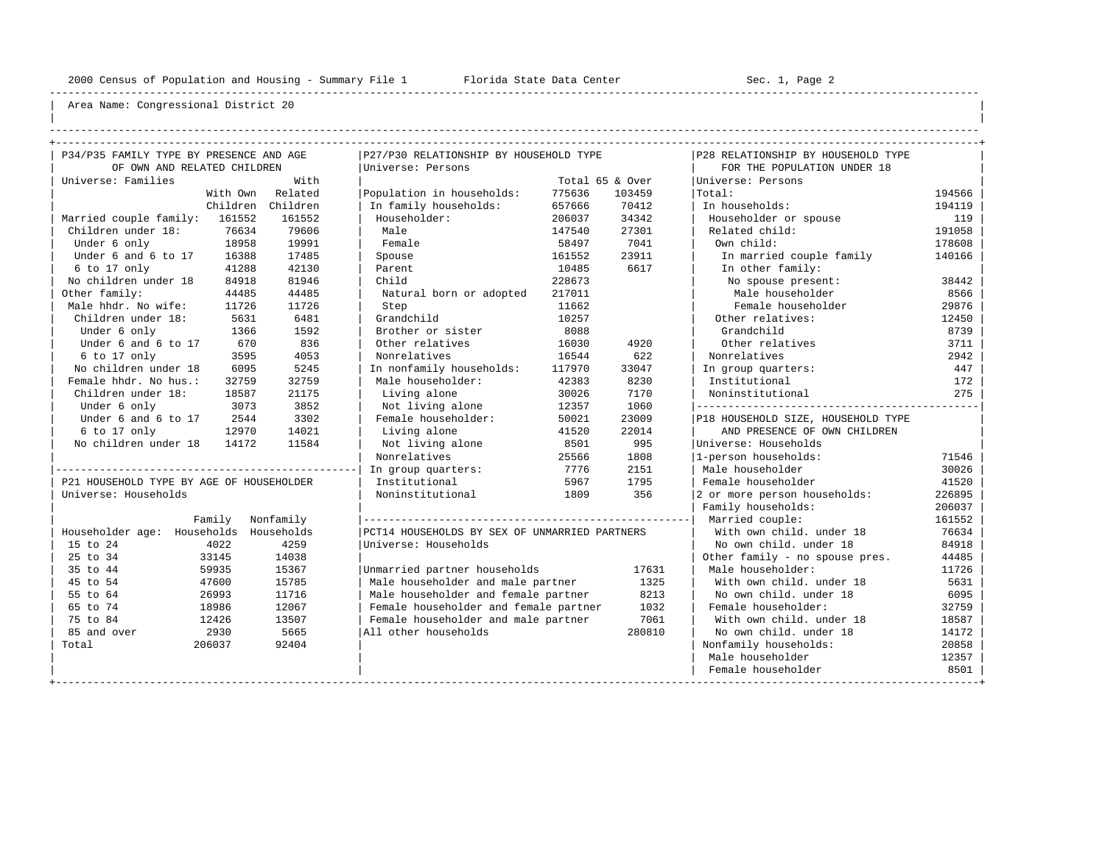----------------------------------------------------------------------------------------------------------------------------------------------------

| | ----------------------------------------------------------------------------------------------------------------------------------------------------

| P34/P35 FAMILY TYPE BY PRESENCE AND AGE  |                      | P27/P30 RELATIONSHIP BY HOUSEHOLD TYPE        |        |                 | P28 RELATIONSHIP BY HOUSEHOLD TYPE |        |
|------------------------------------------|----------------------|-----------------------------------------------|--------|-----------------|------------------------------------|--------|
| OF OWN AND RELATED CHILDREN              |                      | Universe: Persons                             |        |                 | FOR THE POPULATION UNDER 18        |        |
| Universe: Families                       | With                 |                                               |        | Total 65 & Over | Universe: Persons                  |        |
| With Own                                 | Related              | Population in households:                     | 775636 | 103459          | Total:                             | 194566 |
|                                          | Children<br>Children | In family households:                         | 657666 | 70412           | In households:                     | 194119 |
| Married couple family: 161552            | 161552               | Householder:                                  | 206037 | 34342           | Householder or spouse              | 119    |
| Children under 18:                       | 79606<br>76634       | Male                                          | 147540 | 27301           | Related child:                     | 191058 |
| Under 6 only                             | 18958<br>19991       | Female                                        | 58497  | 7041            | Own child:                         | 178608 |
| Under 6 and 6 to 17                      | 16388<br>17485       | Spouse                                        | 161552 | 23911           | In married couple family           | 140166 |
| 6 to 17 only                             | 41288<br>42130       | Parent                                        | 10485  | 6617            | In other family:                   |        |
| No children under 18                     | 81946<br>84918       | Child                                         | 228673 |                 | No spouse present:                 | 38442  |
| Other family:                            | 44485<br>44485       | Natural born or adopted                       | 217011 |                 | Male householder                   | 8566   |
| Male hhdr. No wife:                      | 11726<br>11726       | Step                                          | 11662  |                 | Female householder                 | 29876  |
| Children under 18:                       | 6481<br>5631         | Grandchild                                    | 10257  |                 | Other relatives:                   | 12450  |
| Under 6 only                             | 1592<br>1366         | Brother or sister                             | 8088   |                 | Grandchild                         | 8739   |
| Under 6 and 6 to 17                      | 836<br>670           | Other relatives                               | 16030  | 4920            | Other relatives                    | 3711   |
| 6 to 17 only                             | 3595<br>4053         | Nonrelatives                                  | 16544  | 622             | Nonrelatives                       | 2942   |
| No children under 18                     | 5245<br>6095         | In nonfamily households:                      | 117970 | 33047           | In group quarters:                 | 447    |
| Female hhdr. No hus.:                    | 32759<br>32759       | Male householder:                             | 42383  | 8230            | Institutional                      | 172    |
| Children under 18:                       | 18587<br>21175       | Living alone                                  | 30026  | 7170            | Noninstitutional                   | 275    |
| Under 6 only                             | 3852<br>3073         | Not living alone                              | 12357  | 1060            |                                    |        |
| Under 6 and 6 to 17                      | 3302<br>2544         | Female householder:                           | 50021  | 23009           | P18 HOUSEHOLD SIZE, HOUSEHOLD TYPE |        |
| 6 to 17 only                             | 14021<br>12970       | Living alone                                  | 41520  | 22014           | AND PRESENCE OF OWN CHILDREN       |        |
| No children under 18                     | 11584<br>14172       | Not living alone                              | 8501   | 995             | Universe: Households               |        |
|                                          |                      | Nonrelatives                                  | 25566  | 1808            | 1-person households:               | 71546  |
|                                          |                      | In group quarters:                            | 7776   | 2151            | Male householder                   | 30026  |
| P21 HOUSEHOLD TYPE BY AGE OF HOUSEHOLDER |                      | Institutional                                 | 5967   | 1795            | Female householder                 | 41520  |
| Universe: Households                     |                      | Noninstitutional                              | 1809   | 356             | 2 or more person households:       | 226895 |
|                                          |                      |                                               |        |                 | Family households:                 | 206037 |
| Family                                   | Nonfamily            |                                               |        |                 | Married couple:                    | 161552 |
| Householder age: Households Households   |                      | PCT14 HOUSEHOLDS BY SEX OF UNMARRIED PARTNERS |        |                 | With own child, under 18           | 76634  |
| 4022<br>15 to 24                         | 4259                 | Universe: Households                          |        |                 | No own child, under 18             | 84918  |
| 25 to 34<br>33145                        | 14038                |                                               |        |                 | Other family - no spouse pres.     | 44485  |
| 35 to 44<br>59935                        | 15367                | Unmarried partner households                  |        | 17631           | Male householder:                  | 11726  |
| 45 to 54<br>47600                        | 15785                | Male householder and male partner             |        | 1325            | With own child, under 18           | 5631   |
| 55 to 64<br>26993                        | 11716                | Male householder and female partner           |        | 8213            | No own child. under 18             | 6095   |
| 65 to 74<br>18986                        | 12067                | Female householder and female partner         |        | 1032            | Female householder:                | 32759  |
| 75 to 84<br>12426                        | 13507                | Female householder and male partner           |        | 7061            | With own child, under 18           | 18587  |
| 85 and over<br>2930                      | 5665                 | All other households                          |        | 280810          | No own child, under 18             | 14172  |
| Total<br>206037                          | 92404                |                                               |        |                 | Nonfamily households:              | 20858  |
|                                          |                      |                                               |        |                 | Male householder                   | 12357  |
|                                          |                      |                                               |        |                 | Female householder                 | 8501   |
|                                          |                      |                                               |        |                 |                                    |        |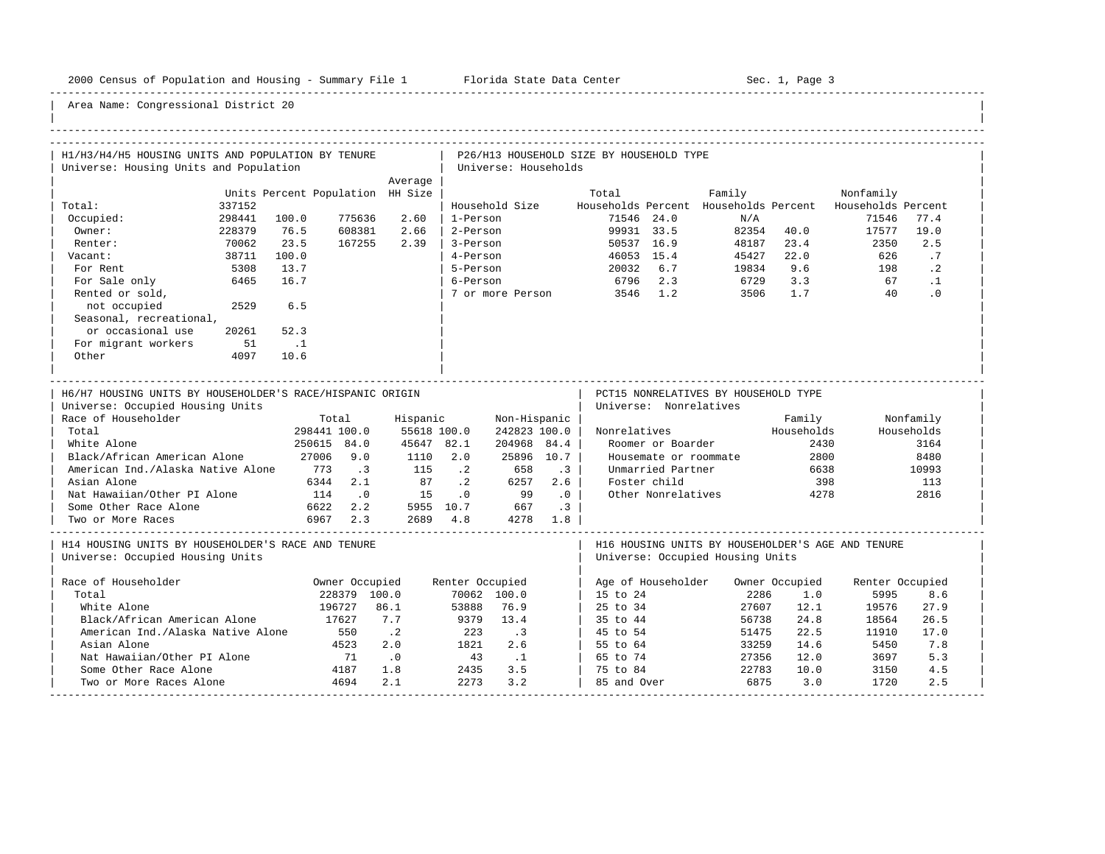-----------------------------------------------------------------------------------------------------------------------------------------------------

| H1/H3/H4/H5 HOUSING UNITS AND POPULATION BY TENURE                                                                                                                                                                                                                  |                                                                                                        |                                                                               |                                            |                                                                          |                                    | P26/H13 HOUSEHOLD SIZE BY HOUSEHOLD TYPE |                                                                                                        |                                                                                       |                                                             |                 |                                                                 |
|---------------------------------------------------------------------------------------------------------------------------------------------------------------------------------------------------------------------------------------------------------------------|--------------------------------------------------------------------------------------------------------|-------------------------------------------------------------------------------|--------------------------------------------|--------------------------------------------------------------------------|------------------------------------|------------------------------------------|--------------------------------------------------------------------------------------------------------|---------------------------------------------------------------------------------------|-------------------------------------------------------------|-----------------|-----------------------------------------------------------------|
| Universe: Housing Units and Population                                                                                                                                                                                                                              |                                                                                                        |                                                                               |                                            | Universe: Households                                                     |                                    |                                          |                                                                                                        |                                                                                       |                                                             |                 |                                                                 |
|                                                                                                                                                                                                                                                                     |                                                                                                        | Average                                                                       |                                            |                                                                          |                                    |                                          |                                                                                                        |                                                                                       |                                                             |                 |                                                                 |
|                                                                                                                                                                                                                                                                     | Units Percent Population HH Size                                                                       |                                                                               |                                            |                                                                          |                                    | Total                                    |                                                                                                        | Family                                                                                |                                                             | Nonfamily       |                                                                 |
| Total:<br>337152                                                                                                                                                                                                                                                    |                                                                                                        |                                                                               |                                            | Household Size                                                           |                                    |                                          |                                                                                                        | Households Percent Households Percent Households Percent                              |                                                             |                 |                                                                 |
| 298441<br>Occupied:                                                                                                                                                                                                                                                 | 100.0<br>775636                                                                                        | 2.60                                                                          | 1-Person                                   |                                                                          |                                    |                                          | 71546 24.0                                                                                             | N/A                                                                                   |                                                             | 71546           | 77.4                                                            |
| Owner:<br>228379                                                                                                                                                                                                                                                    | 76.5<br>608381                                                                                         | 2.66                                                                          | 2-Person                                   |                                                                          |                                    |                                          | 99931 33.5                                                                                             |                                                                                       | 82354 40.0                                                  | 17577           | 19.0                                                            |
| Renter:<br>70062                                                                                                                                                                                                                                                    | 23.5<br>167255                                                                                         | 2.39                                                                          | 3-Person                                   |                                                                          |                                    |                                          | 50537 16.9                                                                                             | 48187                                                                                 | 23.4                                                        | 2350            | 2.5                                                             |
| 38711<br>Vacant:                                                                                                                                                                                                                                                    | 100.0                                                                                                  |                                                                               | 4-Person                                   |                                                                          |                                    |                                          | 46053 15.4                                                                                             | $45427$<br>$19924$                                                                    | 22.0                                                        | 626             | .7                                                              |
| 5308<br>For Rent                                                                                                                                                                                                                                                    | 13.7                                                                                                   |                                                                               | 5-Person                                   |                                                                          |                                    |                                          | 20032 6.7                                                                                              | 19834                                                                                 | 9.6                                                         | 198             | $\cdot$ 2                                                       |
| For Sale only<br>6465                                                                                                                                                                                                                                               | 16.7                                                                                                   |                                                                               | 6-Person                                   |                                                                          |                                    | 6796 2.3                                 |                                                                                                        | 6729                                                                                  | 3.3                                                         | 67              | $\cdot$ 1                                                       |
| Rented or sold,                                                                                                                                                                                                                                                     |                                                                                                        |                                                                               |                                            | 7 or more Person                                                         |                                    | 3546 1.2                                 |                                                                                                        | 3506                                                                                  | 1.7                                                         | 40              | $\cdot$ 0                                                       |
| not occupied<br>2529                                                                                                                                                                                                                                                | 6.5                                                                                                    |                                                                               |                                            |                                                                          |                                    |                                          |                                                                                                        |                                                                                       |                                                             |                 |                                                                 |
| Seasonal, recreational,                                                                                                                                                                                                                                             |                                                                                                        |                                                                               |                                            |                                                                          |                                    |                                          |                                                                                                        |                                                                                       |                                                             |                 |                                                                 |
| or occasional use<br>20261                                                                                                                                                                                                                                          | 52.3                                                                                                   |                                                                               |                                            |                                                                          |                                    |                                          |                                                                                                        |                                                                                       |                                                             |                 |                                                                 |
| For migrant workers<br>51                                                                                                                                                                                                                                           | $\ldots$ 1                                                                                             |                                                                               |                                            |                                                                          |                                    |                                          |                                                                                                        |                                                                                       |                                                             |                 |                                                                 |
| Other<br>4097                                                                                                                                                                                                                                                       | 10.6                                                                                                   |                                                                               |                                            |                                                                          |                                    |                                          |                                                                                                        |                                                                                       |                                                             |                 |                                                                 |
|                                                                                                                                                                                                                                                                     |                                                                                                        | _________________________________                                             |                                            |                                                                          |                                    |                                          |                                                                                                        |                                                                                       |                                                             |                 |                                                                 |
| H6/H7 HOUSING UNITS BY HOUSEHOLDER'S RACE/HISPANIC ORIGIN<br>Universe: Occupied Housing Units<br>Race of Householder<br>Total<br>White Alone<br>Black/African American Alone<br>American Ind./Alaska Native Alone 773<br>Asian Alone<br>Nat Hawaiian/Other PI Alone | Total<br>298441 100.0<br>250615 84.0<br>27006 9.0<br>$\overline{\phantom{a}}$ .3<br>6344 2.1<br>114 .0 | Hispanic<br>55618 100.0<br>45647 82.1<br>1110 2.0<br>115<br>87 .2<br>15 .0 99 | $\cdot$ . 2                                | Non-Hispanic<br>242823 100.0<br>204968 84.4<br>25896 10.7<br>658<br>6257 | $\cdot$ 3<br>2.6<br>$\overline{0}$ | Nonrelatives                             | Universe: Nonrelatives<br>Roomer or Boarder<br>Unmarried Partner<br>Foster child<br>Other Nonrelatives | PCT15 NONRELATIVES BY HOUSEHOLD TYPE<br>Housemate or roommate                         | Family<br>Households<br>2430<br>2800<br>6638<br>398<br>4278 |                 | Nonfamily<br>Households<br>3164<br>8480<br>10993<br>113<br>2816 |
| Some Other Race Alone                                                                                                                                                                                                                                               | 6622 2.2 5955 10.7 667 .3                                                                              |                                                                               |                                            |                                                                          |                                    |                                          |                                                                                                        |                                                                                       |                                                             |                 |                                                                 |
| Two or More Races                                                                                                                                                                                                                                                   | 6967 2.3                                                                                               | 2689 4.8 4278 1.8                                                             |                                            |                                                                          |                                    |                                          |                                                                                                        |                                                                                       |                                                             |                 |                                                                 |
| H14 HOUSING UNITS BY HOUSEHOLDER'S RACE AND TENURE<br>Universe: Occupied Housing Units                                                                                                                                                                              |                                                                                                        |                                                                               |                                            |                                                                          |                                    |                                          |                                                                                                        | H16 HOUSING UNITS BY HOUSEHOLDER'S AGE AND TENURE<br>Universe: Occupied Housing Units |                                                             |                 |                                                                 |
| Race of Householder                                                                                                                                                                                                                                                 | Owner Occupied                                                                                         |                                                                               | Renter Occupied                            |                                                                          |                                    |                                          |                                                                                                        | Age of Householder Owner Occupied                                                     |                                                             | Renter Occupied |                                                                 |
| Total                                                                                                                                                                                                                                                               | 228379 100.0                                                                                           |                                                                               |                                            | 70062 100.0                                                              |                                    | 15 to 24                                 |                                                                                                        | 2286                                                                                  | 1.0                                                         | 5995            | 8.6                                                             |
| White Alone                                                                                                                                                                                                                                                         | 196727                                                                                                 | 86.1                                                                          | 53888                                      | 76.9                                                                     |                                    | 25 to 34                                 |                                                                                                        | 27607                                                                                 | 12.1                                                        | 19576           | 27.9                                                            |
| Black/African American Alone                                                                                                                                                                                                                                        | 17627                                                                                                  | 7.7                                                                           | 9379 13.4                                  |                                                                          |                                    | 35 to 44                                 |                                                                                                        | 56738                                                                                 | 24.8                                                        | 18564           | 26.5                                                            |
| American Ind./Alaska Native Alone                                                                                                                                                                                                                                   | 550                                                                                                    | $\cdot$ . 2                                                                   |                                            | $\cdot$ 3                                                                |                                    | 45 to 54                                 |                                                                                                        | 51475                                                                                 | 22.5                                                        | 11910           | 17.0                                                            |
| Asian Alone                                                                                                                                                                                                                                                         | 4523                                                                                                   | 2.0                                                                           | $\begin{array}{c} 223 \\ 1821 \end{array}$ | 2.6                                                                      |                                    | 55 to 64                                 |                                                                                                        | 33259                                                                                 | 14.6                                                        | 5450            | 7.8                                                             |
| Nat Hawaiian/Other PI Alone                                                                                                                                                                                                                                         | 71                                                                                                     | $\overline{\phantom{0}}$ .0                                                   | 43 .1                                      |                                                                          |                                    | 65 to 74                                 |                                                                                                        | 27356                                                                                 | 12.0                                                        | 3697            | 5.3                                                             |
| Some Other Race Alone                                                                                                                                                                                                                                               | 4187                                                                                                   | 1.8                                                                           | 2435                                       | 3.5                                                                      |                                    | 75 to 84                                 |                                                                                                        | 22783                                                                                 | 10.0                                                        | 3150            | 4.5                                                             |
| Two or More Races Alone                                                                                                                                                                                                                                             | 4694                                                                                                   | 2.1                                                                           |                                            |                                                                          |                                    |                                          |                                                                                                        | 6875                                                                                  | 3.0                                                         |                 |                                                                 |
|                                                                                                                                                                                                                                                                     |                                                                                                        |                                                                               | 2273                                       | 3.2                                                                      |                                    | 85 and Over                              |                                                                                                        |                                                                                       |                                                             | 1720            | 2.5                                                             |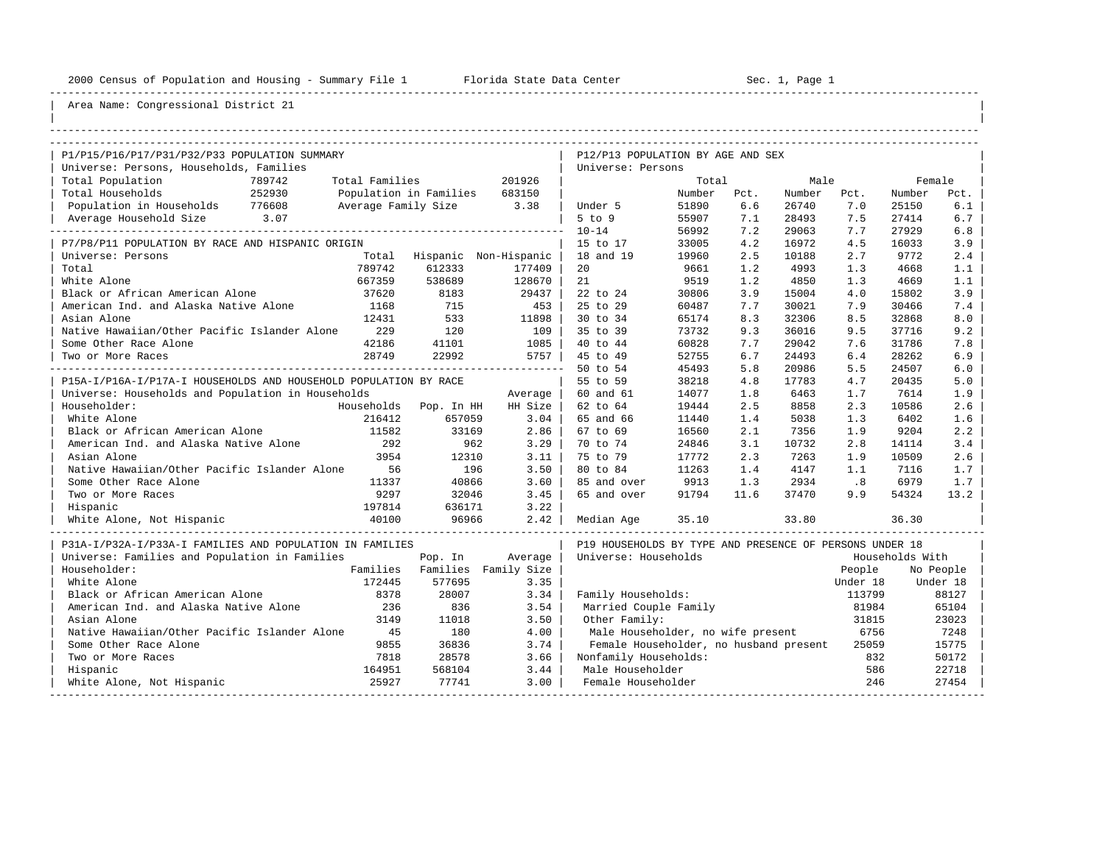----------------------------------------------------------------------------------------------------------------------------------------------------

| |

| P1/P15/P16/P17/P31/P32/P33 POPULATION SUMMARY                    |                |                               |                               | P12/P13 POPULATION BY AGE AND SEX                       |        |      |        |          |                 |           |  |
|------------------------------------------------------------------|----------------|-------------------------------|-------------------------------|---------------------------------------------------------|--------|------|--------|----------|-----------------|-----------|--|
| Universe: Persons, Households, Families                          |                |                               |                               | Universe: Persons                                       |        |      |        |          |                 |           |  |
| Total Population<br>789742                                       | Total Families |                               | 201926                        |                                                         | Total  |      | Male   |          |                 | Female    |  |
| 252930<br>Total Households                                       |                | Population in Families 683150 |                               |                                                         | Number | Pct. | Number | Pct.     | Number          | Pct.      |  |
| Population in Households 776608                                  |                | Average Family Size 3.38      |                               | Under 5                                                 | 51890  | 6.6  | 26740  | 7.0      | 25150           | 6.1       |  |
|                                                                  |                |                               |                               | $5$ to $9$                                              | 55907  | 7.1  | 28493  | 7.5      | 27414           | $6.7$     |  |
|                                                                  |                |                               |                               | $10 - 14$                                               | 56992  | 7.2  | 29063  | 7.7      | 27929           | 6.8       |  |
| P7/P8/P11 POPULATION BY RACE AND HISPANIC ORIGIN                 |                |                               |                               | 15 to 17                                                | 33005  | 4.2  | 16972  | 4.5      | 16033           | 3.9       |  |
| Universe: Persons                                                |                |                               | Total Hispanic Non-Hispanic   | 18 and 19                                               | 19960  | 2.5  | 10188  | 2.7      | 9772            | 2.4       |  |
| Total                                                            | 789742         | 612333                        | 177409                        | 20                                                      | 9661   | 1.2  | 4993   | 1.3      | 4668            | 1.1       |  |
| White Alone                                                      | 667359         | 538689                        | 128670                        | 21                                                      | 9519   | 1.2  | 4850   | 1.3      | 4669            | 1.1       |  |
| Black or African American Alone                                  | 37620          | 8183                          | 29437                         | 22 to 24                                                | 30806  | 3.9  | 15004  | 4.0      | 15802           | 3.9       |  |
| American Ind. and Alaska Native Alone 1168                       |                | 715                           | 453                           | 25 to 29                                                | 60487  | 7.7  | 30021  | 7.9      | 30466           | 7.4       |  |
| Asian Alone                                                      | 12431          |                               | 533 11898<br>120 109          | 30 to 34                                                | 65174  | 8.3  | 32306  | 8.5      | 32868           | 8.0       |  |
| Native Hawaiian/Other Pacific Islander Alone 229                 |                | 120                           |                               | 35 to 39                                                | 73732  | 9.3  | 36016  | 9.5      | 37716           | 9.2       |  |
| Some Other Race Alone                                            | 42186          | 41101                         | 1085                          | 40 to 44                                                | 60828  | 7.7  | 29042  | 7.6      | 31786           | 7.8       |  |
| Two or More Races                                                | 28749          | 22992                         | 5757                          | 45 to 49                                                | 52755  | 6.7  | 24493  | 6.4      | 28262           | 6.9       |  |
|                                                                  |                |                               | -------------------           | 50 to 54                                                | 45493  | 5.8  | 20986  | 5.5      | 24507           | 6.0       |  |
| P15A-I/P16A-I/P17A-I HOUSEHOLDS AND HOUSEHOLD POPULATION BY RACE |                |                               |                               | 55 to 59                                                | 38218  | 4.8  | 17783  | 4.7      | 20435           | 5.0       |  |
| Universe: Households and Population in Households                |                |                               | Average                       | 60 and 61                                               | 14077  | 1.8  | 6463   | 1.7      | 7614            | 1.9       |  |
| Householder:                                                     |                | Households Pop. In HH         | HH Size                       | 62 to 64                                                | 19444  | 2.5  | 8858   | 2.3      | 10586           | 2.6       |  |
| White Alone                                                      | 216412         | 657059                        | 3.04                          | 65 and 66                                               | 11440  | 1.4  | 5038   | 1.3      | 6402            | 1.6       |  |
| Black or African American Alone                                  | 11582          | 33169                         | 2.86                          | 67 to 69                                                | 16560  | 2.1  | 7356   | 1.9      | 9204            | 2.2       |  |
| American Ind. and Alaska Native Alone 292                        |                | 962                           | 3.29                          | 70 to 74                                                | 24846  | 3.1  | 10732  | 2.8      | 14114           | 3.4       |  |
| Asian Alone                                                      | 3954           | 12310                         | 3.11                          | 75 to 79                                                | 17772  | 2.3  | 7263   | 1.9      | 10509           | 2.6       |  |
| Native Hawaiian/Other Pacific Islander Alone 56                  |                | 196                           | 3.50                          | 80 to 84                                                | 11263  | 1.4  | 4147   | 1.1      | 7116            | 1.7       |  |
| Some Other Race Alone                                            | 11337          | 40866                         | 3.60                          | 85 and over                                             | 9913   | 1.3  | 2934   | .8       | 6979            | 1.7       |  |
| Two or More Races                                                | 9297           | 32046                         | 3.45                          | 65 and over                                             | 91794  | 11.6 | 37470  | 9.9      | 54324           | 13.2      |  |
| Hispanic                                                         | 197814         | 636171                        | 3.22                          |                                                         |        |      |        |          |                 |           |  |
| White Alone, Not Hispanic                                        | 40100          | 96966                         | 2.42                          | Median Age                                              | 35.10  |      | 33.80  |          | 36.30           |           |  |
| P31A-I/P32A-I/P33A-I FAMILIES AND POPULATION IN FAMILIES         |                |                               |                               | P19 HOUSEHOLDS BY TYPE AND PRESENCE OF PERSONS UNDER 18 |        |      |        |          |                 |           |  |
| Universe: Families and Population in Families                    |                | Pop. In                       | Average                       | Universe: Households                                    |        |      |        |          | Households With |           |  |
| Householder:                                                     |                |                               | Families Families Family Size |                                                         |        |      |        | People   |                 | No People |  |
| White Alone                                                      | 172445         | 577695                        | 3.35                          |                                                         |        |      |        | Under 18 |                 | Under 18  |  |
| Black or African American Alone                                  | 8378           | 28007                         | 3.34                          | Family Households:                                      |        |      |        | 113799   |                 | 88127     |  |
| American Ind. and Alaska Native Alone                            | 236            | 836                           | 3.54                          | Married Couple Family                                   |        |      |        | 81984    |                 | 65104     |  |
| Asian Alone                                                      | 3149           | 11018                         | 3.50                          | Other Family:                                           |        |      |        | 31815    |                 | 23023     |  |
| Native Hawaiian/Other Pacific Islander Alone                     | 45             | 180                           | 4.00                          | Male Householder, no wife present 6756                  |        |      |        |          |                 | 7248      |  |
| Some Other Race Alone                                            | 9855           | 36836                         | 3.74                          | Female Householder, no husband present                  |        |      |        | 25059    |                 | 15775     |  |
| Two or More Races                                                | 7818           | 28578                         | 3.66                          | Nonfamily Households:                                   |        |      |        | 832      |                 | 50172     |  |
| Hispanic                                                         | 164951         | 568104                        | 3.44                          | Male Householder                                        |        |      |        | 586      |                 | 22718     |  |
| White Alone, Not Hispanic                                        | 25927          | 77741                         | 3.00                          | Female Householder                                      |        |      |        | 246      |                 | 27454     |  |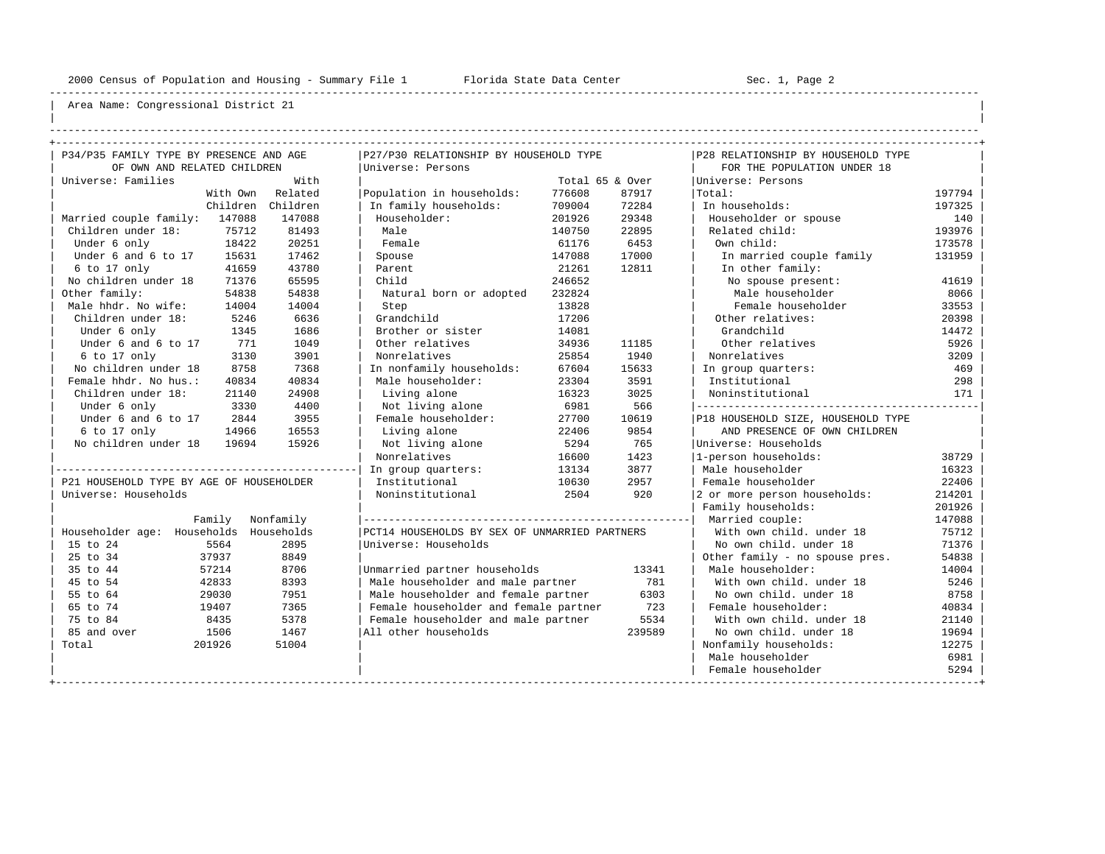----------------------------------------------------------------------------------------------------------------------------------------------------

| | ----------------------------------------------------------------------------------------------------------------------------------------------------

| P34/P35 FAMILY TYPE BY PRESENCE AND AGE  |                  |                                               |                 |                  |                                    |        |  |  |
|------------------------------------------|------------------|-----------------------------------------------|-----------------|------------------|------------------------------------|--------|--|--|
|                                          |                  | P27/P30 RELATIONSHIP BY HOUSEHOLD TYPE        |                 |                  | P28 RELATIONSHIP BY HOUSEHOLD TYPE |        |  |  |
| OF OWN AND RELATED CHILDREN              |                  | Universe: Persons                             |                 |                  | FOR THE POPULATION UNDER 18        |        |  |  |
| Universe: Families                       | With             |                                               | Total 65 & Over |                  | Universe: Persons                  |        |  |  |
|                                          | With Own Related | Population in households:                     | 776608          | 87917            | Total:                             | 197794 |  |  |
| Children                                 | Children         | In family households:                         | 709004          | 72284            | In households:                     | 197325 |  |  |
| Married couple family: 147088            | 147088           | Householder:                                  | 201926          | 29348            | Householder or spouse              | 140    |  |  |
| Children under 18:<br>75712              | 81493            | Male                                          | 140750          | 22895            | Related child:                     | 193976 |  |  |
| 18422<br>Under 6 only                    | 20251            | Female                                        | 61176           | 6453             | Own child:                         | 173578 |  |  |
| Under 6 and 6 to 17<br>15631             | 17462            | Spouse                                        | 147088          | 17000<br>12811   | In married couple family           | 131959 |  |  |
| $6$ to 17 only<br>41659                  | 43780            | Parent                                        | 21261           | In other family: |                                    |        |  |  |
| No children under 18<br>71376            | 65595            | Child                                         | 246652          |                  | No spouse present:                 | 41619  |  |  |
| Other family:<br>54838                   | 54838            | Natural born or adopted                       | 232824          |                  | Male householder                   | 8066   |  |  |
| Male hhdr. No wife:<br>14004             | 14004            | Step                                          | 13828           |                  | Female householder                 | 33553  |  |  |
| Children under 18:<br>5246               | 6636             | Grandchild                                    | 17206           |                  | Other relatives:                   | 20398  |  |  |
| Under 6 only<br>1345                     | 1686             | Brother or sister                             | 14081           |                  | Grandchild                         | 14472  |  |  |
| Under 6 and 6 to 17<br>771               | 1049             | Other relatives                               | 34936           | 11185            | Other relatives                    | 5926   |  |  |
| 6 to 17 only<br>3130                     | 3901             | Nonrelatives                                  | 25854           | 1940             | Nonrelatives                       | 3209   |  |  |
| No children under 18<br>8758             | 7368             | In nonfamily households:                      | 67604           | 15633            | In group quarters:                 | 469    |  |  |
| Female hhdr. No hus.:<br>40834           | 40834            | Male householder:                             | 23304           | 3591             | Institutional                      | 298    |  |  |
| Children under 18:<br>21140              | 24908            | Living alone                                  | 16323           | 3025             | Noninstitutional                   | 171    |  |  |
| 3330<br>Under 6 only                     | 4400             | Not living alone                              | 6981            | 566              |                                    |        |  |  |
| Under 6 and 6 to 17<br>2844              | 3955             | Female householder:                           | 27700           | 10619            | P18 HOUSEHOLD SIZE, HOUSEHOLD TYPE |        |  |  |
| 6 to 17 only<br>14966                    | 16553            | Living alone                                  | 22406<br>9854   |                  | AND PRESENCE OF OWN CHILDREN       |        |  |  |
| No children under 18<br>19694            | 15926            | Not living alone                              | 5294            | 765              | Universe: Households               |        |  |  |
|                                          |                  | Nonrelatives                                  | 16600           | 1423             | 1-person households:               | 38729  |  |  |
|                                          |                  | In group quarters:                            | 13134           | 3877             | Male householder                   | 16323  |  |  |
| P21 HOUSEHOLD TYPE BY AGE OF HOUSEHOLDER |                  | Institutional                                 | 10630           | 2957             | Female householder                 | 22406  |  |  |
| Universe: Households                     |                  | Noninstitutional                              | 2504            | 920              | 2 or more person households:       | 214201 |  |  |
|                                          |                  |                                               |                 |                  | Family households:                 | 201926 |  |  |
| Family                                   | Nonfamily        |                                               |                 |                  | Married couple:                    | 147088 |  |  |
| Householder age: Households              | Households       | PCT14 HOUSEHOLDS BY SEX OF UNMARRIED PARTNERS |                 |                  | With own child, under 18           | 75712  |  |  |
| 5564<br>15 to 24                         | 2895             | Universe: Households                          |                 |                  | No own child, under 18             | 71376  |  |  |
| 25 to 34<br>37937                        | 8849             |                                               |                 |                  | Other family - no spouse pres.     | 54838  |  |  |
| 35 to 44<br>57214                        | 8706             | Unmarried partner households                  |                 | 13341            | Male householder:                  | 14004  |  |  |
| 45 to 54<br>42833                        | 8393             | Male householder and male partner             |                 | 781              | With own child, under 18           | 5246   |  |  |
| 29030<br>55 to 64                        | 7951             | Male householder and female partner           |                 | 6303             | No own child. under 18             | 8758   |  |  |
| 65 to 74<br>19407                        | 7365             | Female householder and female partner         |                 | 723              | Female householder:                | 40834  |  |  |
| 75 to 84<br>8435                         | 5378             | Female householder and male partner           |                 | 5534             | With own child, under 18           | 21140  |  |  |
| 85 and over<br>1506                      | 1467             | All other households                          |                 | 239589           | No own child, under 18             | 19694  |  |  |
| Total<br>201926                          | 51004            |                                               |                 |                  | Nonfamily households:              |        |  |  |
|                                          |                  |                                               |                 |                  | Male householder                   | 6981   |  |  |
|                                          |                  |                                               |                 |                  | Female householder                 | 5294   |  |  |
|                                          |                  |                                               |                 |                  |                                    |        |  |  |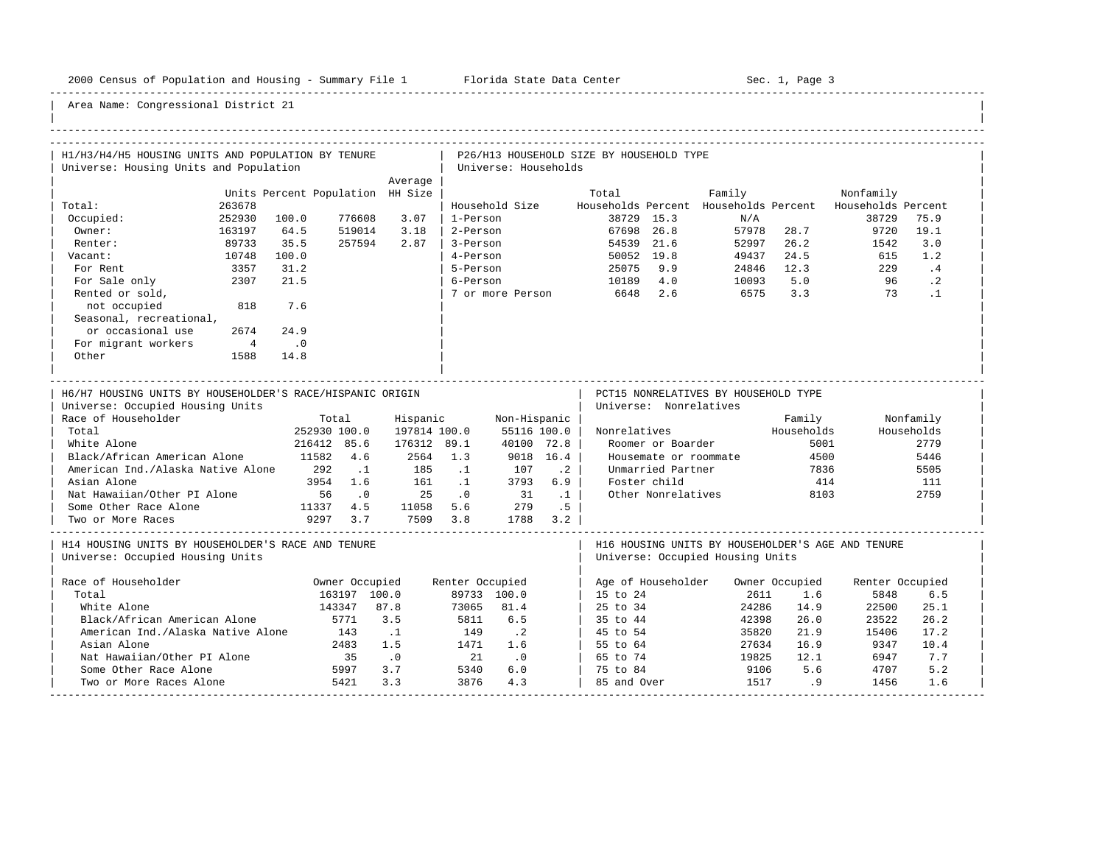-----------------------------------------------------------------------------------------------------------------------------------------------------

| H1/H3/H4/H5 HOUSING UNITS AND POPULATION BY TENURE                                                                   |                                  |              |                 |                             |           | P26/H13 HOUSEHOLD SIZE BY HOUSEHOLD TYPE |                        |                                      |                |                                                          |            |
|----------------------------------------------------------------------------------------------------------------------|----------------------------------|--------------|-----------------|-----------------------------|-----------|------------------------------------------|------------------------|--------------------------------------|----------------|----------------------------------------------------------|------------|
| Universe: Housing Units and Population                                                                               |                                  |              |                 | Universe: Households        |           |                                          |                        |                                      |                |                                                          |            |
|                                                                                                                      |                                  | Average      |                 |                             |           |                                          |                        |                                      |                |                                                          |            |
|                                                                                                                      | Units Percent Population HH Size |              |                 |                             |           | Total                                    |                        | Family                               |                | Nonfamily                                                |            |
| Total:<br>263678                                                                                                     |                                  |              |                 | Household Size              |           |                                          |                        |                                      |                | Households Percent Households Percent Households Percent |            |
| Occupied:<br>252930                                                                                                  | 100.0<br>776608                  | 3.07         | 1-Person        |                             |           |                                          | 38729 15.3             | N/A                                  |                | 38729                                                    | 75.9       |
| Owner:<br>163197                                                                                                     | 64.5<br>519014                   | 3.18         | 2-Person        |                             |           |                                          | 67698 26.8             |                                      | 57978 28.7     | 9720                                                     | 19.1       |
| Renter:<br>89733                                                                                                     | 35.5<br>257594                   | 2.87         | 3-Person        |                             |           |                                          | 54539 21.6             | 52997                                | 26.2           | 1542                                                     | 3.0        |
| 10748<br>Vacant:                                                                                                     | 100.0                            |              | 4-Person        |                             |           |                                          | 50052 19.8             | 49437                                | 24.5           | 615                                                      | 1.2        |
| 3357<br>For Rent                                                                                                     | 31.2                             |              | 5-Person        |                             |           |                                          | 25075 9.9              |                                      | 24846 12.3     | 229                                                      | .4         |
| For Sale only<br>2307                                                                                                | 21.5                             |              | 6-Person        |                             |           | 10189 4.0                                |                        | 10093                                | 5.0            | 96                                                       | $\cdot$ 2  |
| Rented or sold,                                                                                                      |                                  |              |                 | 7 or more Person            |           | 6648 2.6                                 |                        | 6575                                 | 3.3            | 73                                                       | $\cdot$ 1  |
| not occupied<br>818                                                                                                  | 7.6                              |              |                 |                             |           |                                          |                        |                                      |                |                                                          |            |
| Seasonal, recreational,                                                                                              |                                  |              |                 |                             |           |                                          |                        |                                      |                |                                                          |            |
| or occasional use<br>2674                                                                                            | 24.9                             |              |                 |                             |           |                                          |                        |                                      |                |                                                          |            |
| For migrant workers<br>$\overline{4}$                                                                                | $\overline{\phantom{0}}$ .0      |              |                 |                             |           |                                          |                        |                                      |                |                                                          |            |
| Other<br>1588                                                                                                        | 14.8                             |              |                 |                             |           |                                          |                        |                                      |                |                                                          |            |
|                                                                                                                      |                                  |              |                 |                             |           |                                          |                        |                                      |                |                                                          |            |
| H6/H7 HOUSING UNITS BY HOUSEHOLDER'S RACE/HISPANIC ORIGIN<br>Universe: Occupied Housing Units<br>Race of Householder | Total                            | Hispanic     |                 | Non-Hispanic                |           |                                          | Universe: Nonrelatives | PCT15 NONRELATIVES BY HOUSEHOLD TYPE | Family         |                                                          | Nonfamily  |
| Total                                                                                                                | 252930 100.0                     | 197814 100.0 |                 | 55116 100.0                 |           | Nonrelatives                             |                        |                                      | Households     |                                                          | Households |
| White Alone                                                                                                          | 216412 85.6                      | 176312 89.1  |                 | 40100 72.8                  |           |                                          | Roomer or Boarder      |                                      | 5001           |                                                          | 2779       |
| Black/African American Alone                                                                                         | 11582 4.6                        | 2564 1.3     |                 |                             | 9018 16.4 |                                          | Housemate or roommate  |                                      | 4500           |                                                          | 5446       |
| American Ind./Alaska Native Alone                                                                                    | 292<br>$\ldots$ 1                | 185          | $\cdot$ 1       | 107                         | $\cdot$ 2 |                                          | Unmarried Partner      |                                      | 7836           |                                                          | 5505       |
| Asian Alone                                                                                                          | 3954 1.6                         | 161          | $\sim$ 1        | 3793                        | 6.9       |                                          | Foster child           |                                      | 414            |                                                          | 111        |
| Nat Hawaiian/Other PI Alone                                                                                          | 56<br>$\cdot$ 0                  | 25           | $\cdot$ 0       | 31                          | $\ldots$  |                                          | Other Nonrelatives     |                                      | 8103           |                                                          | 2759       |
| Some Other Race Alone                                                                                                | 11337 4.5                        |              |                 | 11058 5.6 279               | .5        |                                          |                        |                                      |                |                                                          |            |
| Two or More Races                                                                                                    | 9297 3.7                         |              |                 | 7509 3.8 1788 3.2           |           |                                          |                        |                                      |                |                                                          |            |
|                                                                                                                      |                                  |              |                 |                             |           |                                          |                        |                                      |                |                                                          |            |
| H14 HOUSING UNITS BY HOUSEHOLDER'S RACE AND TENURE<br>Universe: Occupied Housing Units                               |                                  |              |                 |                             |           |                                          |                        | Universe: Occupied Housing Units     |                | H16 HOUSING UNITS BY HOUSEHOLDER'S AGE AND TENURE        |            |
| Race of Householder                                                                                                  | Owner Occupied                   |              | Renter Occupied |                             |           |                                          | Age of Householder     |                                      | Owner Occupied | Renter Occupied                                          |            |
| Total                                                                                                                | 163197 100.0                     |              |                 | 89733 100.0                 |           | $15 \text{ to } 24$                      |                        | 2611                                 | 1.6            | 5848                                                     | 6.5        |
| White Alone                                                                                                          | 143347                           | 87.8         |                 | 73065 81.4                  |           | 25 to 34                                 |                        | 24286                                | 14.9           | 22500                                                    | 25.1       |
| Black/African American Alone                                                                                         | 5771                             | 3.5          | 5811            | 6.5                         |           | 35 to 44                                 |                        | 42398                                | 26.0           | 23522                                                    | 26.2       |
| American Ind./Alaska Native Alone                                                                                    | 143                              | $\ldots$ 1   | 149             | $\cdot$ . 2                 |           | 45 to 54                                 |                        | 35820                                | 21.9           | 15406                                                    | 17.2       |
| Asian Alone                                                                                                          | 2483                             | 1.5          | 1471            | 1.6                         |           | 55 to 64                                 |                        | 27634                                | 16.9           | 9347                                                     | 10.4       |
| Nat Hawaiian/Other PI Alone                                                                                          |                                  | $\ddotsc 0$  | 21              | $\overline{\phantom{0}}$ .0 |           | 65 to 74                                 |                        | 19825                                | 12.1           | 6947                                                     | 7.7        |
| Some Other Race Alone                                                                                                | $-483$<br>35                     | 3.7          | 5340            | 6.0                         |           | 75 to 84                                 |                        | 9106                                 | 5.6            | 4707                                                     | 5.2        |
| Two or More Races Alone                                                                                              | 5421                             | 3.3          | 3876            | 4.3                         |           | 85 and Over                              |                        | 1517                                 | .9             | 1456                                                     | 1.6        |
|                                                                                                                      | ---------------------------      |              |                 |                             |           |                                          |                        |                                      |                |                                                          |            |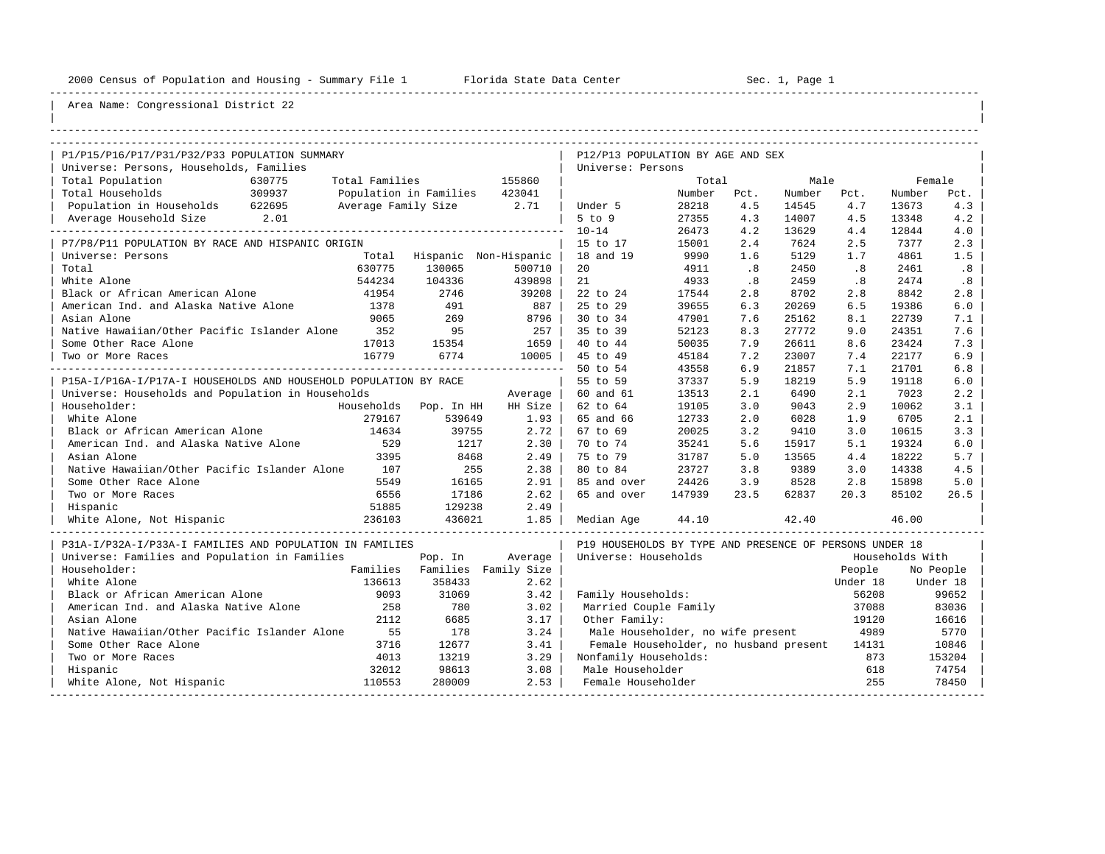----------------------------------------------------------------------------------------------------------------------------------------------------

| |

## Area Name: Congressional District 22

| P1/P15/P16/P17/P31/P32/P33 POPULATION SUMMARY                    |                |                               |                               | P12/P13 POPULATION BY AGE AND SEX                       |        |      |        |          |                 |           |  |
|------------------------------------------------------------------|----------------|-------------------------------|-------------------------------|---------------------------------------------------------|--------|------|--------|----------|-----------------|-----------|--|
| Universe: Persons, Households, Families                          |                |                               |                               | Universe: Persons                                       |        |      |        |          |                 |           |  |
| Total Population<br>630775                                       | Total Families |                               | 155860                        |                                                         | Total  |      | Male   |          | Female          |           |  |
| Total Households<br>309937                                       |                | Population in Families 423041 |                               |                                                         | Number | Pct. | Number | Pct.     | Number          | Pct.      |  |
| Population in Households 622695                                  |                | Average Family Size 2.71      |                               | Under 5                                                 | 28218  | 4.5  | 14545  | 4.7      | 13673           | 4.3       |  |
| Average Household Size 2.01                                      |                |                               |                               | $5$ to $9$                                              | 27355  | 4.3  | 14007  | 4.5      | 13348           | 4.2       |  |
|                                                                  |                |                               |                               | $10 - 14$                                               | 26473  | 4.2  | 13629  | 4.4      | 12844           | 4.0       |  |
| P7/P8/P11 POPULATION BY RACE AND HISPANIC ORIGIN                 |                |                               |                               | 15 to 17                                                | 15001  | 2.4  | 7624   | 2.5      | 7377            | 2.3       |  |
| Universe: Persons                                                |                | Total Hispanic Non-Hispanic   |                               | 18 and 19                                               | 9990   | 1.6  | 5129   | 1.7      | 4861            | 1.5       |  |
| Total                                                            | 630775         | 130065                        | 500710                        | 20                                                      | 4911   | .8   | 2450   | .8       | 2461            | .8        |  |
| White Alone                                                      | 544234         | 104336                        | 439898                        | 21                                                      | 4933   | .8   | 2459   | .8       | 2474            | .8        |  |
| Black or African American Alone                                  | 41954          | 2746                          | 39208                         | 22 to 24                                                | 17544  | 2.8  | 8702   | 2.8      | 8842            | 2.8       |  |
| American Ind. and Alaska Native Alone                            | 1378           | 491                           | 887                           | 25 to 29                                                | 39655  | 6.3  | 20269  | 6.5      | 19386           | 6.0       |  |
| Asian Alone                                                      | 9065           | 269                           | 8796                          | 30 to 34                                                | 47901  | 7.6  | 25162  | 8.1      | 22739           | 7.1       |  |
| Native Hawaiian/Other Pacific Islander Alone 352                 |                | 95                            | 257                           | 35 to 39                                                | 52123  | 8.3  | 27772  | 9.0      | 24351           | 7.6       |  |
| Some Other Race Alone                                            | 17013          | 15354                         | 1659                          | 40 to 44                                                | 50035  | 7.9  | 26611  | 8.6      | 23424           | 7.3       |  |
| Two or More Races                                                | 16779          | 6774                          | 10005                         | 45 to 49                                                | 45184  | 7.2  | 23007  | 7.4      | 22177           | 6.9       |  |
|                                                                  |                |                               |                               | 50 to 54                                                | 43558  | 6.9  | 21857  | 7.1      | 21701           | 6.8       |  |
| P15A-I/P16A-I/P17A-I HOUSEHOLDS AND HOUSEHOLD POPULATION BY RACE |                |                               |                               | 55 to 59                                                | 37337  | 5.9  | 18219  | 5.9      | 19118           | 6.0       |  |
| Universe: Households and Population in Households                |                |                               | Average                       | 60 and 61                                               | 13513  | 2.1  | 6490   | 2.1      | 7023            | 2.2       |  |
| Householder:                                                     |                | Households Pop. In HH         | HH Size                       | 62 to 64                                                | 19105  | 3.0  | 9043   | 2.9      | 10062           | 3.1       |  |
| White Alone                                                      | 279167         | 539649                        | 1.93                          | 65 and 66                                               | 12733  | 2.0  | 6028   | 1.9      | 6705            | 2.1       |  |
| Black or African American Alone                                  | 14634          | 39755                         | 2.72                          | 67 to 69                                                | 20025  | 3.2  | 9410   | 3.0      | 10615           | 3.3       |  |
| American Ind. and Alaska Native Alone                            | 529            | 1217                          | 2.30                          | 70 to 74                                                | 35241  | 5.6  | 15917  | 5.1      | 19324           | 6.0       |  |
| Asian Alone                                                      | 3395           | 8468                          | 2.49                          | 75 to 79                                                | 31787  | 5.0  | 13565  | 4.4      | 18222           | 5.7       |  |
| Native Hawaiian/Other Pacific Islander Alone                     | 107            | 255                           | 2.38                          | 80 to 84                                                | 23727  | 3.8  | 9389   | 3.0      | 14338           | 4.5       |  |
| Some Other Race Alone                                            | 5549           | 16165                         | 2.91                          | 85 and over                                             | 24426  | 3.9  | 8528   | 2.8      | 15898           | 5.0       |  |
| Two or More Races                                                | 6556           | 17186                         | 2.62                          | 65 and over                                             | 147939 | 23.5 | 62837  | 20.3     | 85102           | 26.5      |  |
| Hispanic                                                         | 51885          | 129238                        | 2.49                          |                                                         |        |      |        |          |                 |           |  |
| 236103<br>White Alone, Not Hispanic                              |                | 436021                        | 1.85                          | Median Aqe                                              | 44.10  |      | 42.40  |          | 46.00           |           |  |
| P31A-I/P32A-I/P33A-I FAMILIES AND POPULATION IN FAMILIES         |                |                               |                               | P19 HOUSEHOLDS BY TYPE AND PRESENCE OF PERSONS UNDER 18 |        |      |        |          |                 |           |  |
| Universe: Families and Population in Families                    |                | Pop. In                       | Average                       | Universe: Households                                    |        |      |        |          | Households With |           |  |
| Householder:                                                     |                |                               | Families Families Family Size |                                                         |        |      |        | People   |                 | No People |  |
| White Alone                                                      | 136613         | 358433                        | 2.62                          |                                                         |        |      |        | Under 18 |                 | Under 18  |  |
| Black or African American Alone                                  | 9093           | 31069                         | 3.42                          | Family Households:                                      |        |      |        | 56208    |                 | 99652     |  |
| American Ind. and Alaska Native Alone                            | 258            | 780                           | 3.02                          | Married Couple Family                                   |        |      |        | 37088    |                 | 83036     |  |
| Asian Alone                                                      | 2112           | 6685                          | 3.17                          | Other Family:                                           |        |      |        | 19120    |                 | 16616     |  |
| Native Hawaiian/Other Pacific Islander Alone                     | 55             | 178                           | 3.24                          | Male Householder, no wife present                       |        |      |        | 4989     |                 | 5770      |  |
| Some Other Race Alone                                            | 3716           | 12677                         | 3.41                          | Female Householder, no husband present 14131            |        |      |        |          |                 | 10846     |  |
| Two or More Races                                                | 4013           | 13219                         | 3.29                          | Nonfamily Households:                                   |        |      |        | 873      |                 | 153204    |  |
| Hispanic                                                         | 32012          | 98613                         | 3.08                          | Male Householder                                        |        |      |        | 618      |                 | 74754     |  |
| White Alone, Not Hispanic                                        | 110553         | 280009                        | 2.53                          | Female Householder                                      |        |      |        | 255      |                 | 78450     |  |

-----------------------------------------------------------------------------------------------------------------------------------------------------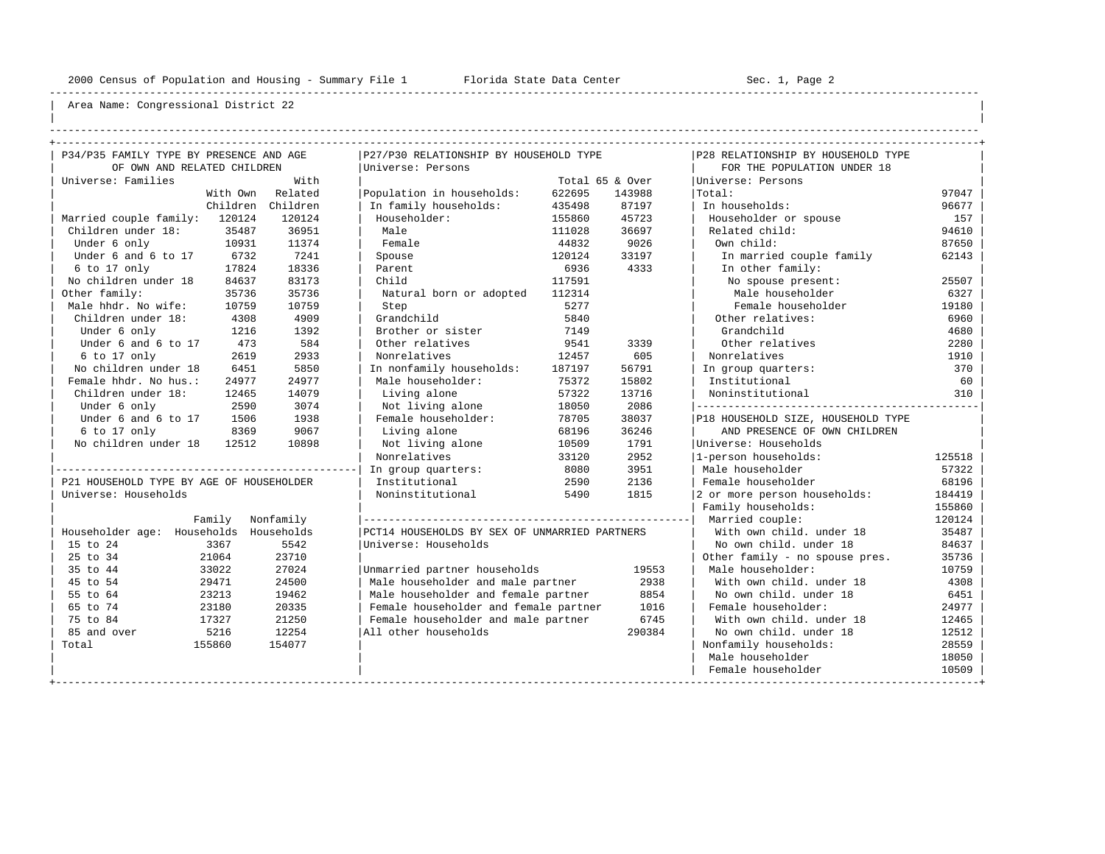----------------------------------------------------------------------------------------------------------------------------------------------------

| | ----------------------------------------------------------------------------------------------------------------------------------------------------

| P34/P35 FAMILY TYPE BY PRESENCE AND AGE  |                  |                                               |        |                  |                                    |        |  |  |  |
|------------------------------------------|------------------|-----------------------------------------------|--------|------------------|------------------------------------|--------|--|--|--|
|                                          |                  | P27/P30 RELATIONSHIP BY HOUSEHOLD TYPE        |        |                  | P28 RELATIONSHIP BY HOUSEHOLD TYPE |        |  |  |  |
| OF OWN AND RELATED CHILDREN              |                  | Universe: Persons                             |        |                  | FOR THE POPULATION UNDER 18        |        |  |  |  |
| Universe: Families                       | With             |                                               |        | Total 65 & Over  | Universe: Persons                  |        |  |  |  |
|                                          | With Own Related | Population in households:                     | 622695 | 143988           | Total:                             | 97047  |  |  |  |
| Children                                 | Children         | In family households:                         | 435498 | 87197            | In households:                     | 96677  |  |  |  |
| Married couple family: 120124            | 120124           | Householder:                                  | 155860 | 45723            | Householder or spouse              | 157    |  |  |  |
| Children under 18:<br>35487              | 36951            | Male                                          | 111028 | 36697            | Related child:                     | 94610  |  |  |  |
| Under 6 only<br>10931                    | 11374            | Female                                        | 44832  | 9026             | Own child:                         | 87650  |  |  |  |
| 6732<br>Under 6 and 6 to 17              | 7241             | Spouse                                        | 120124 | 33197<br>4333    | In married couple family           | 62143  |  |  |  |
| 6 to 17 only<br>17824                    | 18336            | Parent                                        | 6936   | In other family: |                                    |        |  |  |  |
| No children under 18<br>84637            | 83173            | Child                                         | 117591 |                  | No spouse present:                 | 25507  |  |  |  |
| Other family:<br>35736                   | 35736            | Natural born or adopted                       | 112314 |                  | Male householder                   | 6327   |  |  |  |
| Male hhdr. No wife:<br>10759             | 10759            | Step                                          | 5277   |                  | Female householder                 | 19180  |  |  |  |
| Children under 18:<br>4308               | 4909             | Grandchild                                    | 5840   |                  | Other relatives:                   | 6960   |  |  |  |
| Under 6 only<br>1216                     | 1392             | Brother or sister                             | 7149   |                  | Grandchild                         | 4680   |  |  |  |
| Under 6 and 6 to 17<br>473               | 584              | Other relatives                               | 9541   | 3339             | Other relatives                    | 2280   |  |  |  |
| 6 to 17 only<br>2619                     | 2933             | Nonrelatives                                  | 12457  | 605              | Nonrelatives                       | 1910   |  |  |  |
| No children under 18<br>6451             | 5850             | In nonfamily households:                      | 187197 | 56791            | In group quarters:                 | 370    |  |  |  |
| Female hhdr. No hus.:<br>24977           | 24977            | Male householder:<br>75372                    |        | 15802            | Institutional                      | 60     |  |  |  |
| Children under 18:<br>12465              | 14079            | Living alone                                  | 57322  | 13716            | Noninstitutional                   | 310    |  |  |  |
| Under 6 only<br>2590                     | 3074             | Not living alone                              | 18050  | 2086             |                                    |        |  |  |  |
| Under 6 and 6 to 17<br>1506              | 1938             | Female householder:                           | 78705  | 38037            | P18 HOUSEHOLD SIZE, HOUSEHOLD TYPE |        |  |  |  |
| 6 to 17 only<br>8369                     | 9067             | Living alone                                  | 68196  | 36246            | AND PRESENCE OF OWN CHILDREN       |        |  |  |  |
| No children under 18<br>12512            | 10898            | Not living alone                              | 10509  | 1791             | Universe: Households               |        |  |  |  |
|                                          |                  | Nonrelatives                                  | 33120  | 2952             | 1-person households:               | 125518 |  |  |  |
|                                          |                  | In group quarters:                            | 8080   | 3951             | Male householder                   | 57322  |  |  |  |
| P21 HOUSEHOLD TYPE BY AGE OF HOUSEHOLDER |                  | Institutional                                 | 2590   | 2136             | Female householder                 | 68196  |  |  |  |
| Universe: Households                     |                  | Noninstitutional                              | 5490   | 1815             | 2 or more person households:       | 184419 |  |  |  |
|                                          |                  |                                               |        |                  | Family households:                 | 155860 |  |  |  |
| Family                                   | Nonfamily        |                                               |        |                  | Married couple:                    | 120124 |  |  |  |
| Householder age: Households Households   |                  | PCT14 HOUSEHOLDS BY SEX OF UNMARRIED PARTNERS |        |                  | With own child, under 18           | 35487  |  |  |  |
| 3367<br>15 to 24                         | 5542             | Universe: Households                          |        |                  | No own child, under 18             | 84637  |  |  |  |
| 25 to 34<br>21064                        | 23710            |                                               |        |                  | Other family - no spouse pres.     | 35736  |  |  |  |
| 35 to 44<br>33022                        | 27024            | Unmarried partner households                  |        | 19553            | Male householder:                  | 10759  |  |  |  |
| 45 to 54<br>29471                        | 24500            | Male householder and male partner             |        | 2938             | With own child, under 18           | 4308   |  |  |  |
| 23213<br>55 to 64                        | 19462            | Male householder and female partner           |        | 8854             | No own child. under 18             | 6451   |  |  |  |
| 65 to 74<br>23180                        | 20335            | Female householder and female partner         |        | 1016             | Female householder:                | 24977  |  |  |  |
| 75 to 84<br>17327                        | 21250            | Female householder and male partner           |        | 6745             | With own child, under 18           | 12465  |  |  |  |
| 85 and over<br>5216                      | 12254            | All other households                          |        | 290384           | No own child, under 18             | 12512  |  |  |  |
| Total<br>155860                          | 154077           |                                               |        |                  | Nonfamily households:<br>28559     |        |  |  |  |
|                                          |                  |                                               |        |                  | Male householder                   | 18050  |  |  |  |
|                                          |                  |                                               |        |                  | Female householder                 | 10509  |  |  |  |
|                                          |                  |                                               |        |                  |                                    |        |  |  |  |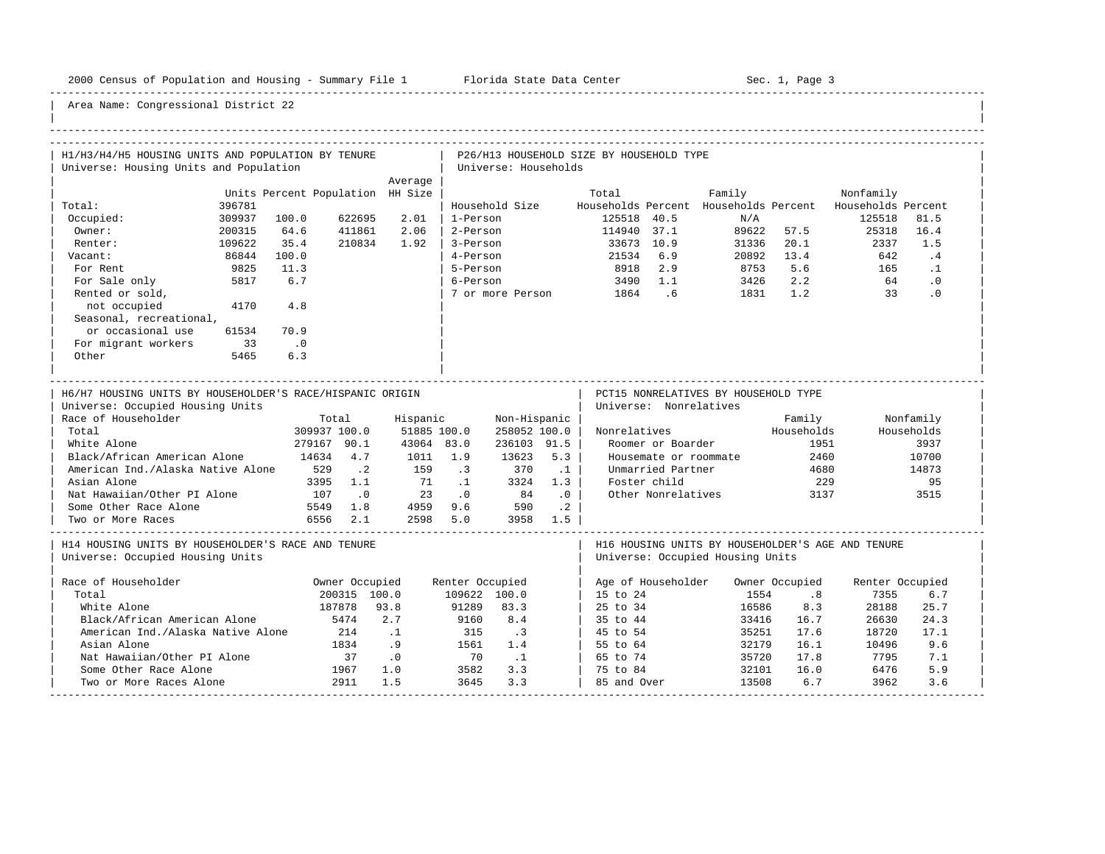-----------------------------------------------------------------------------------------------------------------------------------------------------

| H1/H3/H4/H5 HOUSING UNITS AND POPULATION BY TENURE        |        |                                  |                |            |                 |                      |              | P26/H13 HOUSEHOLD SIZE BY HOUSEHOLD TYPE |                        |                                       |                |                                                   |            |  |
|-----------------------------------------------------------|--------|----------------------------------|----------------|------------|-----------------|----------------------|--------------|------------------------------------------|------------------------|---------------------------------------|----------------|---------------------------------------------------|------------|--|
| Universe: Housing Units and Population                    |        |                                  |                |            |                 | Universe: Households |              |                                          |                        |                                       |                |                                                   |            |  |
|                                                           |        |                                  |                | Average    |                 |                      |              |                                          |                        |                                       |                |                                                   |            |  |
|                                                           |        | Units Percent Population HH Size |                |            |                 |                      |              | Total                                    |                        | Family                                |                | Nonfamily                                         |            |  |
| Total:                                                    | 396781 |                                  |                |            |                 | Household Size       |              |                                          |                        | Households Percent Households Percent |                | Households Percent                                |            |  |
| Occupied:                                                 | 309937 | 100.0                            | 622695         | 2.01       | 1-Person        |                      |              | 125518                                   | 40.5                   | N/A                                   |                | 125518                                            | 81.5       |  |
| Owner:                                                    | 200315 | 64.6                             | 411861         | 2.06       | 2-Person        |                      |              | 114940                                   | 37.1                   | 89622                                 | 57.5           | 25318                                             | 16.4       |  |
| Renter:                                                   | 109622 | 35.4                             | 210834         | 1.92       | 3-Person        |                      |              |                                          | 33673 10.9             | 31336                                 | 20.1           | 2337                                              | 1.5        |  |
| Vacant:                                                   | 86844  | 100.0                            |                |            | 4-Person        |                      |              | 21534                                    | 6.9                    | 20892                                 | 13.4           | 642                                               | .4         |  |
| For Rent                                                  | 9825   | 11.3                             |                |            | 5-Person        |                      |              | 8918                                     | 2.9                    | 8753                                  | 5.6            | 165                                               | $\cdot$ 1  |  |
| For Sale only                                             | 5817   | 6.7                              |                |            | 6-Person        |                      |              | 3490                                     | 1.1                    | 3426                                  | 2.2            | 64                                                | $\cdot$ 0  |  |
| Rented or sold,                                           |        |                                  |                |            |                 | 7 or more Person     |              | 1864                                     | .6                     | 1831                                  | 1.2            | 33                                                | $\cdot$ 0  |  |
| not occupied                                              | 4170   | 4.8                              |                |            |                 |                      |              |                                          |                        |                                       |                |                                                   |            |  |
| Seasonal, recreational,                                   |        |                                  |                |            |                 |                      |              |                                          |                        |                                       |                |                                                   |            |  |
| or occasional use                                         | 61534  | 70.9                             |                |            |                 |                      |              |                                          |                        |                                       |                |                                                   |            |  |
| For migrant workers                                       | 33     | $\cdot$ .0                       |                |            |                 |                      |              |                                          |                        |                                       |                |                                                   |            |  |
| Other                                                     | 5465   | 6.3                              |                |            |                 |                      |              |                                          |                        |                                       |                |                                                   |            |  |
|                                                           |        |                                  |                |            |                 |                      |              |                                          |                        |                                       |                |                                                   |            |  |
| H6/H7 HOUSING UNITS BY HOUSEHOLDER'S RACE/HISPANIC ORIGIN |        |                                  |                |            |                 |                      |              |                                          |                        | PCT15 NONRELATIVES BY HOUSEHOLD TYPE  |                |                                                   |            |  |
| Universe: Occupied Housing Units                          |        |                                  |                |            |                 |                      |              |                                          | Universe: Nonrelatives |                                       |                |                                                   |            |  |
| Race of Householder                                       |        |                                  | Total          | Hispanic   |                 | Non-Hispanic         |              |                                          |                        |                                       | Family         |                                                   | Nonfamily  |  |
| Total                                                     |        | 309937 100.0                     |                |            |                 |                      |              |                                          |                        |                                       |                |                                                   |            |  |
| White Alone                                               |        |                                  |                |            | 51885 100.0     |                      | 258052 100.0 | Nonrelatives                             |                        |                                       | Households     |                                                   | Households |  |
|                                                           |        |                                  | 279167 90.1    | 43064 83.0 |                 | 236103 91.5          |              |                                          | Roomer or Boarder      |                                       | 1951           |                                                   | 3937       |  |
| Black/African American Alone                              |        | 14634                            | 4.7            | 1011       | 1.9             | 13623                | 5.3          |                                          | Housemate or roommate  |                                       | 2460           |                                                   | 10700      |  |
| American Ind./Alaska Native Alone                         |        | 529                              | $\cdot$ 2      | 159        | $\cdot$ 3       | 370                  | $\cdot$ 1    |                                          | Unmarried Partner      |                                       | 4680           |                                                   | 14873      |  |
| Asian Alone                                               |        | 3395                             | 1.1            | 71         | $\overline{1}$  | 3324                 | 1.3          |                                          | Foster child           |                                       | 229            |                                                   | 95         |  |
| Nat Hawaiian/Other PI Alone                               |        | 107                              | $\cdot$ 0      | 23         | $\cdot$ 0       | 84                   | .0           |                                          | Other Nonrelatives     |                                       | 3137           |                                                   | 3515       |  |
| Some Other Race Alone                                     |        | 5549                             | 1.8            | 4959       | 9.6             | 590                  | $\cdot$ . 2  |                                          |                        |                                       |                |                                                   |            |  |
| Two or More Races                                         |        | 6556                             | 2.1            | 2598       | 5.0             | 3958                 | 1.5          |                                          |                        |                                       |                |                                                   |            |  |
| H14 HOUSING UNITS BY HOUSEHOLDER'S RACE AND TENURE        |        |                                  |                |            |                 |                      |              |                                          |                        |                                       |                | H16 HOUSING UNITS BY HOUSEHOLDER'S AGE AND TENURE |            |  |
| Universe: Occupied Housing Units                          |        |                                  |                |            |                 |                      |              |                                          |                        | Universe: Occupied Housing Units      |                |                                                   |            |  |
| Race of Householder                                       |        |                                  | Owner Occupied |            | Renter Occupied |                      |              |                                          | Age of Householder     |                                       | Owner Occupied | Renter Occupied                                   |            |  |
| Total                                                     |        |                                  | 200315 100.0   |            | 109622 100.0    |                      |              | 15 to 24                                 |                        | 1554                                  | .8             | 7355                                              | 6.7        |  |
| White Alone                                               |        |                                  | 187878         | 93.8       | 91289           | 83.3                 |              | 25 to 34                                 |                        | 16586                                 | 8.3            | 28188                                             | 25.7       |  |
| Black/African American Alone                              |        |                                  | 5474           | 2.7        | 9160            | 8.4                  |              | 35 to 44                                 |                        | 33416                                 | 16.7           | 26630                                             | 24.3       |  |
| American Ind./Alaska Native Alone                         |        |                                  | 214            | $\cdot$ 1  | 315             | $\cdot$ 3            |              | 45 to 54                                 |                        | 35251                                 | 17.6           | 18720                                             | 17.1       |  |
| Asian Alone                                               |        |                                  | 1834           | .9         | 1561            | 1.4                  |              | 55 to 64                                 |                        | 32179                                 | 16.1           | 10496                                             | 9.6        |  |
| Nat Hawaiian/Other PI Alone                               |        |                                  | 37             | .0         | 70              | $\overline{1}$       |              | 65 to 74                                 |                        | 35720                                 | 17.8           | 7795                                              | 7.1        |  |
| Some Other Race Alone                                     |        |                                  | 1967           | 1.0        | 3582            | 3.3                  |              | 75 to 84                                 |                        | 32101                                 | 16.0           | 6476                                              | 5.9        |  |
| Two or More Races Alone                                   |        |                                  | 2911           | 1.5        | 3645            | 3.3                  |              | 85 and Over                              |                        | 13508                                 | 6.7            | 3962                                              | 3.6        |  |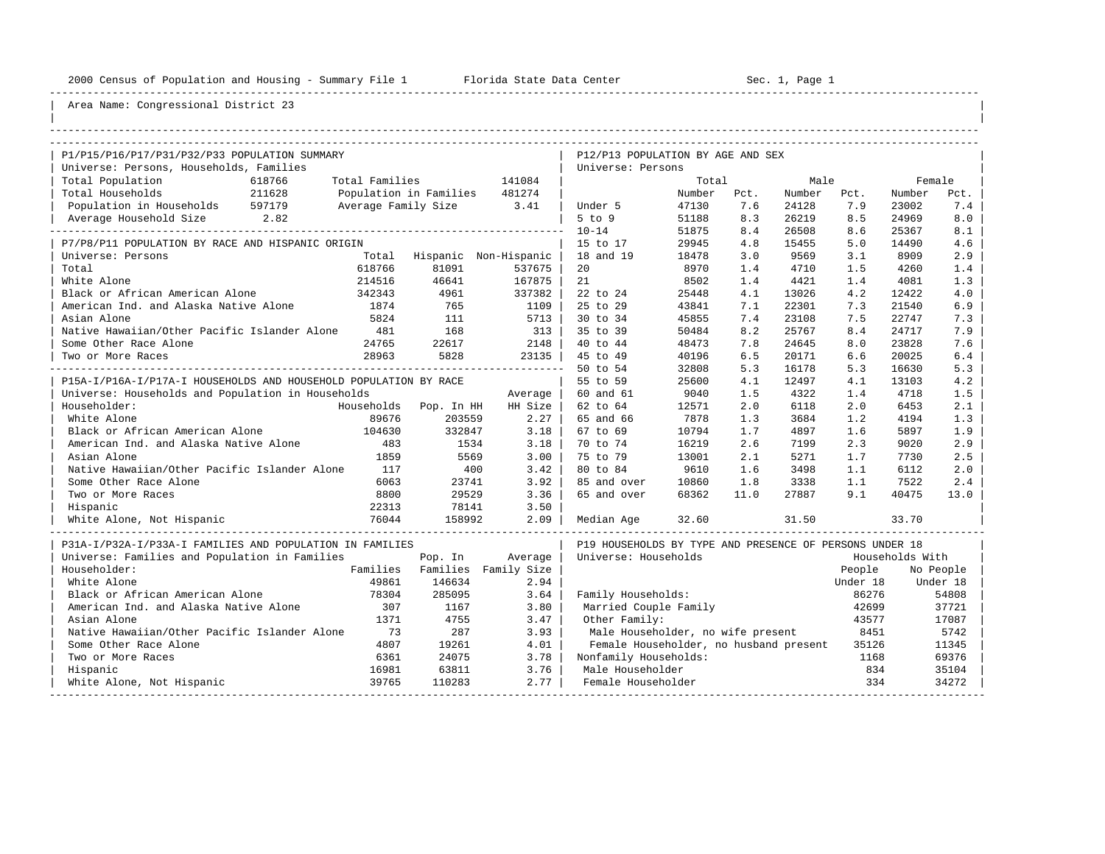----------------------------------------------------------------------------------------------------------------------------------------------------

| |

| P1/P15/P16/P17/P31/P32/P33 POPULATION SUMMARY                    |        |                |                        |                       | P12/P13 POPULATION BY AGE AND SEX                       |        |      |        |          |                 |           |  |
|------------------------------------------------------------------|--------|----------------|------------------------|-----------------------|---------------------------------------------------------|--------|------|--------|----------|-----------------|-----------|--|
| Universe: Persons, Households, Families                          |        |                |                        |                       | Universe: Persons                                       |        |      |        |          |                 |           |  |
| Total Population                                                 | 618766 | Total Families |                        | 141084                |                                                         | Total  |      | Male   |          |                 | Female    |  |
| Total Households                                                 | 211628 |                | Population in Families | 481274                |                                                         | Number | Pct. | Number | Pct.     | Number          | Pct.      |  |
| Population in Households                                         | 597179 |                | Average Family Size    | 3.41                  | Under 5                                                 | 47130  | 7.6  | 24128  | 7.9      | 23002           | 7.4       |  |
| Average Household Size                                           | 2.82   |                |                        |                       | $5$ to $9$                                              | 51188  | 8.3  | 26219  | 8.5      | 24969           | 8.0       |  |
| ---------------                                                  |        |                |                        |                       | $10 - 14$                                               | 51875  | 8.4  | 26508  | 8.6      | 25367           | 8.1       |  |
| P7/P8/P11 POPULATION BY RACE AND HISPANIC ORIGIN                 |        |                |                        |                       | 15 to 17                                                | 29945  | 4.8  | 15455  | 5.0      | 14490           | 4.6       |  |
| Universe: Persons                                                |        | Total          |                        | Hispanic Non-Hispanic | 18 and 19                                               | 18478  | 3.0  | 9569   | 3.1      | 8909            | 2.9       |  |
| Total                                                            |        | 618766         | 81091                  | 537675                | 20                                                      | 8970   | 1.4  | 4710   | 1.5      | 4260            | 1.4       |  |
| White Alone                                                      |        | 214516         | 46641                  | 167875                | 21                                                      | 8502   | 1.4  | 4421   | 1.4      | 4081            | 1.3       |  |
| Black or African American Alone                                  |        | 342343         | 4961                   | 337382                | 22 to 24                                                | 25448  | 4.1  | 13026  | 4.2      | 12422           | 4.0       |  |
| American Ind. and Alaska Native Alone                            |        | 1874           | 765                    | 1109                  | 25 to 29                                                | 43841  | 7.1  | 22301  | 7.3      | 21540           | 6.9       |  |
| Asian Alone                                                      |        | 5824           | 111                    | 5713                  | 30 to 34                                                | 45855  | 7.4  | 23108  | 7.5      | 22747           | 7.3       |  |
| Native Hawaiian/Other Pacific Islander Alone                     |        | 481            | 168                    | 313                   | 35 to 39                                                | 50484  | 8.2  | 25767  | 8.4      | 24717           | 7.9       |  |
| Some Other Race Alone                                            |        | 24765          | 22617                  | 2148                  | 40 to 44                                                | 48473  | 7.8  | 24645  | 8.0      | 23828           | 7.6       |  |
| Two or More Races                                                |        | 28963          | 5828                   | 23135                 | 45 to 49                                                | 40196  | 6.5  | 20171  | 6.6      | 20025           | $6.4$     |  |
|                                                                  |        |                |                        |                       | 50 to 54                                                | 32808  | 5.3  | 16178  | 5.3      | 16630           | 5.3       |  |
| P15A-I/P16A-I/P17A-I HOUSEHOLDS AND HOUSEHOLD POPULATION BY RACE |        |                |                        |                       | 55 to 59                                                | 25600  | 4.1  | 12497  | 4.1      | 13103           | 4.2       |  |
| Universe: Households and Population in Households                |        |                |                        | Average               | 60 and 61                                               | 9040   | 1.5  | 4322   | 1.4      | 4718            | 1.5       |  |
| Householder:                                                     |        |                | Households Pop. In HH  | HH Size               | 62 to 64                                                | 12571  | 2.0  | 6118   | 2.0      | 6453            | 2.1       |  |
| White Alone                                                      |        | 89676          | 203559                 | 2.27                  | 65 and 66                                               | 7878   | 1.3  | 3684   | 1.2      | 4194            | 1.3       |  |
| Black or African American Alone                                  |        | 104630         | 332847                 | 3.18                  | 67 to 69                                                | 10794  | 1.7  | 4897   | 1.6      | 5897            | 1.9       |  |
| American Ind. and Alaska Native Alone                            |        | 483            | 1534                   | 3.18                  | 70 to 74                                                | 16219  | 2.6  | 7199   | 2.3      | 9020            | 2.9       |  |
| Asian Alone                                                      |        | 1859           | 5569                   | 3.00                  | 75 to 79                                                | 13001  | 2.1  | 5271   | 1.7      | 7730            | 2.5       |  |
| Native Hawaiian/Other Pacific Islander Alone                     |        | 117            | 400                    | 3.42                  | 80 to 84                                                | 9610   | 1.6  | 3498   | 1.1      | 6112            | 2.0       |  |
| Some Other Race Alone                                            |        | 6063           | 23741                  | 3.92                  | 85 and over                                             | 10860  | 1.8  | 3338   | 1.1      | 7522            | 2.4       |  |
| Two or More Races                                                |        | 8800           | 29529                  | 3.36                  | 65 and over                                             | 68362  | 11.0 | 27887  | 9.1      | 40475           | 13.0      |  |
| Hispanic                                                         |        | 22313          | 78141                  | 3.50                  |                                                         |        |      |        |          |                 |           |  |
| White Alone, Not Hispanic                                        |        | 76044          | 158992                 | 2.09                  | Median Age                                              | 32.60  |      | 31.50  |          | 33.70           |           |  |
| P31A-I/P32A-I/P33A-I FAMILIES AND POPULATION IN FAMILIES         |        |                |                        |                       | P19 HOUSEHOLDS BY TYPE AND PRESENCE OF PERSONS UNDER 18 |        |      |        |          |                 |           |  |
| Universe: Families and Population in Families                    |        |                | Pop. In                | Average               | Universe: Households                                    |        |      |        |          | Households With |           |  |
| Householder:                                                     |        | Families       |                        | Families Family Size  |                                                         |        |      |        | People   |                 | No People |  |
| White Alone                                                      |        | 49861          | 146634                 | 2.94                  |                                                         |        |      |        | Under 18 |                 | Under 18  |  |
| Black or African American Alone                                  |        | 78304          | 285095                 | 3.64                  | Family Households:                                      |        |      |        | 86276    |                 | 54808     |  |
| American Ind. and Alaska Native Alone                            |        | 307            | 1167                   | 3.80                  | Married Couple Family                                   |        |      |        | 42699    |                 | 37721     |  |
| Asian Alone                                                      |        | 1371           | 4755                   | 3.47                  | Other Family:                                           |        |      |        | 43577    |                 | 17087     |  |
| Native Hawaiian/Other Pacific Islander Alone                     |        | 73             | 287                    | 3.93                  | Male Householder, no wife present                       |        |      |        | 8451     |                 | 5742      |  |
| Some Other Race Alone                                            |        | 4807           | 19261                  | 4.01                  | Female Householder, no husband present                  |        |      |        | 35126    |                 | 11345     |  |
| Two or More Races                                                |        | 6361           | 24075                  | 3.78                  | Nonfamily Households:                                   |        |      |        | 1168     |                 | 69376     |  |
| Hispanic                                                         |        | 16981          | 63811                  | 3.76                  | Male Householder                                        |        |      |        | 834      |                 | 35104     |  |
| White Alone, Not Hispanic                                        |        | 39765          | 110283                 | 2.77                  | Female Householder                                      |        |      |        | 334      |                 | 34272     |  |
|                                                                  |        |                |                        |                       |                                                         |        |      |        |          |                 |           |  |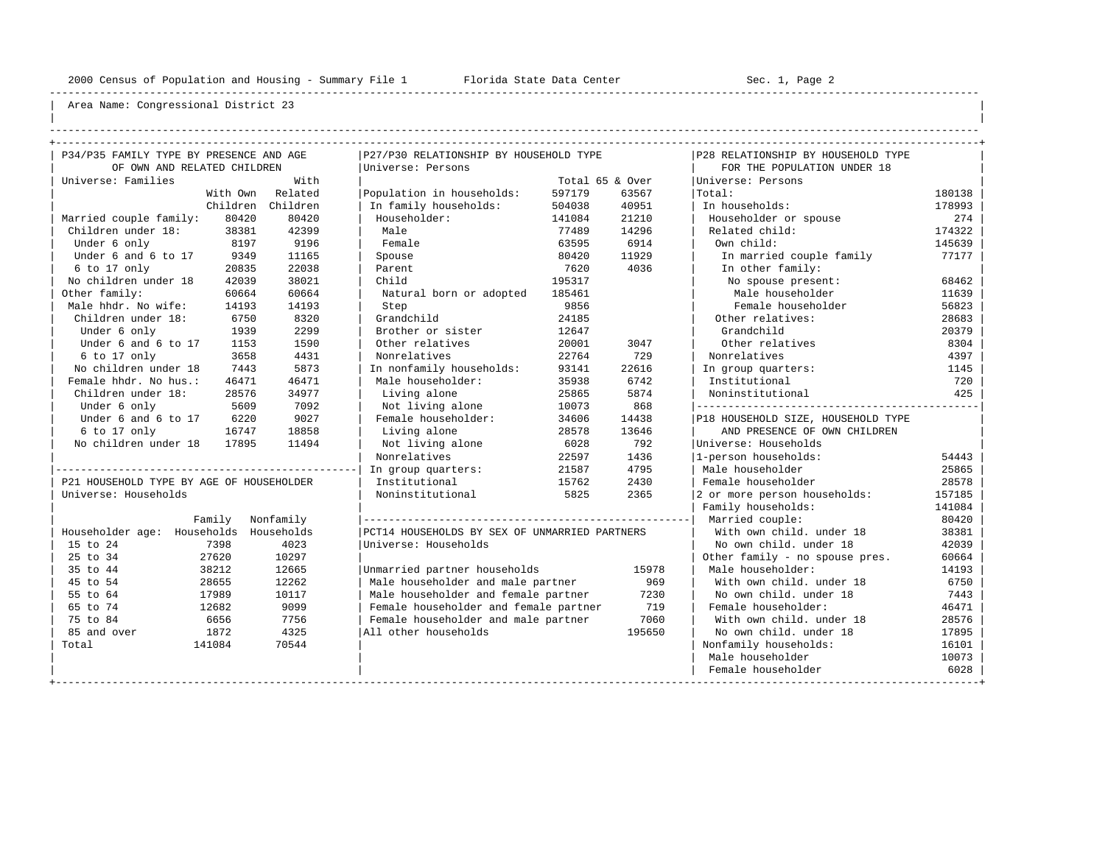----------------------------------------------------------------------------------------------------------------------------------------------------

| | ----------------------------------------------------------------------------------------------------------------------------------------------------

| P34/P35 FAMILY TYPE BY PRESENCE AND AGE  |                  |                                               |                 |                  |                                    |        |  |  |  |
|------------------------------------------|------------------|-----------------------------------------------|-----------------|------------------|------------------------------------|--------|--|--|--|
|                                          |                  | P27/P30 RELATIONSHIP BY HOUSEHOLD TYPE        |                 |                  | P28 RELATIONSHIP BY HOUSEHOLD TYPE |        |  |  |  |
| OF OWN AND RELATED CHILDREN              |                  | Universe: Persons                             |                 |                  | FOR THE POPULATION UNDER 18        |        |  |  |  |
| Universe: Families                       | With             |                                               | Total 65 & Over |                  | Universe: Persons                  |        |  |  |  |
|                                          | With Own Related | Population in households:                     | 597179          | 63567            | Total:                             | 180138 |  |  |  |
| Children                                 | Children         | In family households:                         | 504038          | 40951            | In households:                     | 178993 |  |  |  |
| 80420<br>Married couple family:          | 80420            | Householder:                                  | 141084          | 21210            | Householder or spouse              | 274    |  |  |  |
| Children under 18:<br>38381              | 42399            | Male                                          | 77489           | 14296            | Related child:                     | 174322 |  |  |  |
| 8197<br>Under 6 only                     | 9196             | Female                                        | 63595           | 6914             | Own child:                         | 145639 |  |  |  |
| Under 6 and 6 to 17<br>9349              | 11165            | Spouse                                        | 80420           | 11929<br>4036    | In married couple family           | 77177  |  |  |  |
| 6 to 17 only<br>20835                    | 22038            | Parent                                        | 7620            | In other family: |                                    |        |  |  |  |
| No children under 18<br>42039            | 38021            | Child                                         | 195317          |                  | No spouse present:                 | 68462  |  |  |  |
| Other family:<br>60664                   | 60664            | Natural born or adopted                       | 185461          |                  | Male householder                   | 11639  |  |  |  |
| Male hhdr. No wife:<br>14193             | 14193            | Step                                          | 9856            |                  | Female householder                 | 56823  |  |  |  |
| Children under 18:<br>6750               | 8320             | Grandchild                                    | 24185           |                  | Other relatives:                   | 28683  |  |  |  |
| Under 6 only<br>1939                     | 2299             | Brother or sister                             | 12647           |                  | Grandchild                         | 20379  |  |  |  |
| Under 6 and 6 to 17<br>1153              | 1590             | Other relatives                               | 20001           | 3047             | Other relatives                    | 8304   |  |  |  |
| 6 to 17 only<br>3658                     | 4431             | Nonrelatives                                  | 22764           | 729              | Nonrelatives                       | 4397   |  |  |  |
| No children under 18<br>7443             | 5873             | In nonfamily households:                      | 93141           | 22616            | In group quarters:                 | 1145   |  |  |  |
| Female hhdr. No hus.:<br>46471           | 46471            | Male householder:<br>35938                    |                 | 6742             | Institutional                      | 720    |  |  |  |
| Children under 18:<br>28576              | 34977            | Living alone                                  | 25865           | 5874             | Noninstitutional                   | 425    |  |  |  |
| Under 6 only<br>5609                     | 7092             | Not living alone                              | 10073           | 868              |                                    |        |  |  |  |
| Under 6 and 6 to 17<br>6220              | 9027             | Female householder:                           | 34606           | 14438            | P18 HOUSEHOLD SIZE, HOUSEHOLD TYPE |        |  |  |  |
| 6 to 17 only<br>16747                    | 18858            | Living alone                                  | 28578           | 13646            | AND PRESENCE OF OWN CHILDREN       |        |  |  |  |
| No children under 18<br>17895            | 11494            | Not living alone                              | 6028            | 792              | Universe: Households               |        |  |  |  |
|                                          |                  | Nonrelatives                                  | 22597           | 1436             | 1-person households:               | 54443  |  |  |  |
|                                          |                  | In group quarters:                            | 21587           | 4795             | Male householder                   | 25865  |  |  |  |
| P21 HOUSEHOLD TYPE BY AGE OF HOUSEHOLDER |                  | Institutional                                 | 15762           | 2430             | Female householder                 | 28578  |  |  |  |
| Universe: Households                     |                  | Noninstitutional                              | 5825            | 2365             | 2 or more person households:       | 157185 |  |  |  |
|                                          |                  |                                               |                 |                  | Family households:                 | 141084 |  |  |  |
| Family                                   | Nonfamily        |                                               |                 |                  | Married couple:                    | 80420  |  |  |  |
| Householder age: Households              | Households       | PCT14 HOUSEHOLDS BY SEX OF UNMARRIED PARTNERS |                 |                  | With own child, under 18           | 38381  |  |  |  |
| 7398<br>15 to 24                         | 4023             | Universe: Households                          |                 |                  | No own child, under 18             | 42039  |  |  |  |
| 25 to 34<br>27620                        | 10297            |                                               |                 |                  | Other family - no spouse pres.     | 60664  |  |  |  |
| 35 to 44<br>38212                        | 12665            | Unmarried partner households                  |                 | 15978            | Male householder:                  | 14193  |  |  |  |
| 45 to 54<br>28655                        | 12262            | Male householder and male partner             |                 | 969              | With own child, under 18           | 6750   |  |  |  |
| 55 to 64<br>17989                        | 10117            | Male householder and female partner           |                 | 7230             | No own child. under 18             | 7443   |  |  |  |
| 65 to 74<br>12682                        | 9099             | Female householder and female partner         |                 | 719              | Female householder:                | 46471  |  |  |  |
| 75 to 84<br>6656                         | 7756             | Female householder and male partner           |                 | 7060             | With own child, under 18           | 28576  |  |  |  |
| 85 and over<br>1872                      | 4325             | All other households                          |                 | 195650           | No own child, under 18             | 17895  |  |  |  |
| Total<br>141084                          | 70544            |                                               |                 |                  | Nonfamily households:<br>16101     |        |  |  |  |
|                                          |                  |                                               |                 |                  | Male householder                   | 10073  |  |  |  |
|                                          |                  |                                               |                 |                  | Female householder                 | 6028   |  |  |  |
|                                          |                  |                                               |                 |                  |                                    |        |  |  |  |